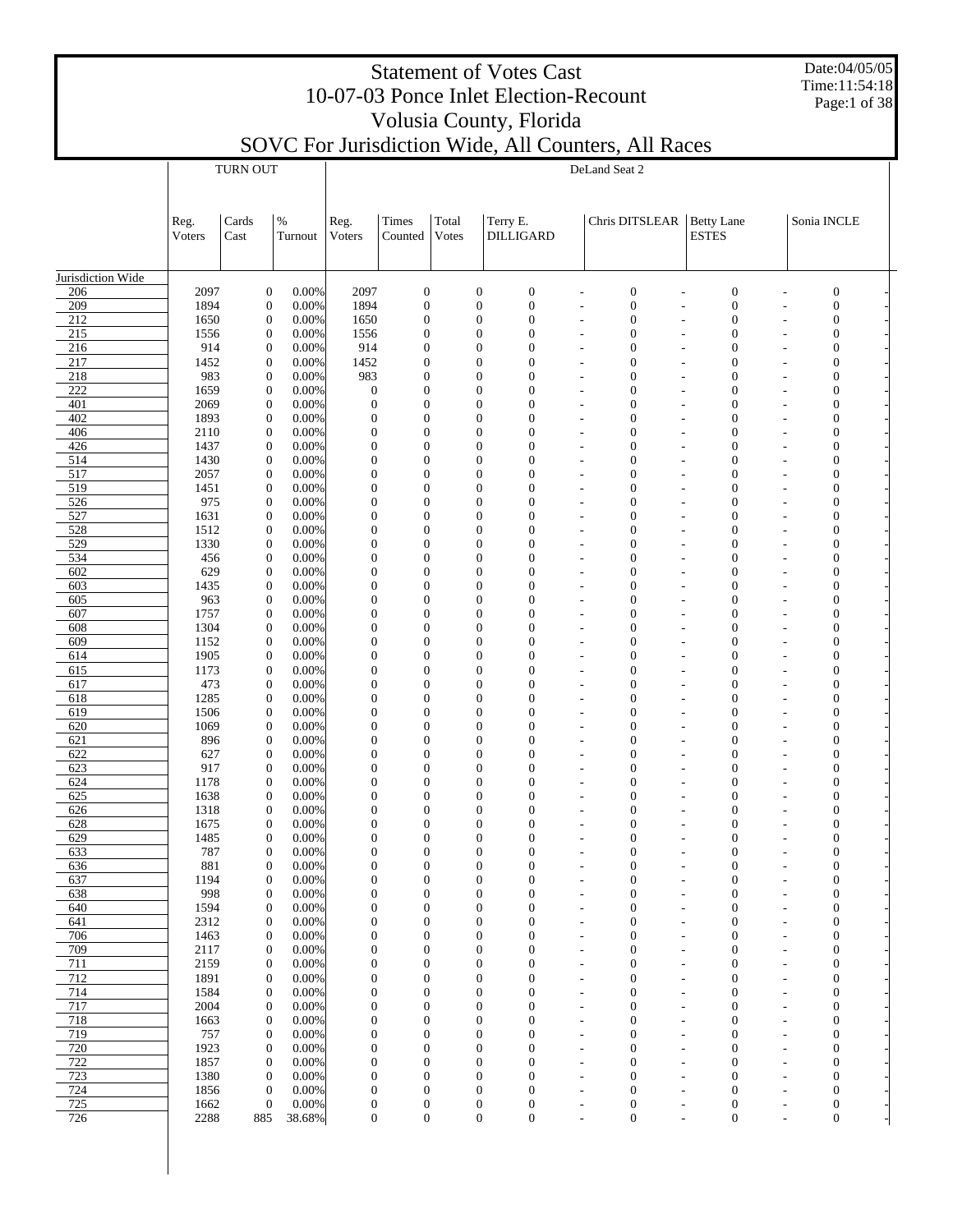| <b>Statement of Votes Cast</b>        |
|---------------------------------------|
| 10-07-03 Ponce Inlet Election-Recount |
| Volusia County, Florida               |
|                                       |

Date:04/05/05 Time:11:54:18 Page:1 of 38

|                   |                | <b>TURN OUT</b>                      |                 | DeLand Seat 2                        |                                      |                |                                  |                                  |                                                                                                           |                                      |                                            |                                |  |  |  |
|-------------------|----------------|--------------------------------------|-----------------|--------------------------------------|--------------------------------------|----------------|----------------------------------|----------------------------------|-----------------------------------------------------------------------------------------------------------|--------------------------------------|--------------------------------------------|--------------------------------|--|--|--|
|                   |                |                                      |                 |                                      |                                      |                |                                  |                                  |                                                                                                           |                                      |                                            |                                |  |  |  |
|                   | Reg.<br>Voters | Cards<br>Cast                        | $\%$<br>Turnout | Reg.<br>Voters                       | Times<br>Counted                     | Total<br>Votes |                                  | Terry E.<br><b>DILLIGARD</b>     | Chris DITSLEAR   Betty Lane                                                                               | <b>ESTES</b>                         |                                            | Sonia INCLE                    |  |  |  |
|                   |                |                                      |                 |                                      |                                      |                |                                  |                                  |                                                                                                           |                                      |                                            |                                |  |  |  |
| Jurisdiction Wide |                |                                      |                 |                                      |                                      |                |                                  |                                  |                                                                                                           |                                      |                                            |                                |  |  |  |
| 206<br>209        | 2097<br>1894   | $\boldsymbol{0}$<br>$\boldsymbol{0}$ | 0.00%<br>0.00%  | 2097<br>1894                         | $\boldsymbol{0}$<br>$\boldsymbol{0}$ |                | $\mathbf{0}$<br>$\mathbf{0}$     | $\boldsymbol{0}$<br>$\mathbf{0}$ | $\boldsymbol{0}$<br>L,<br>$\overline{a}$<br>$\boldsymbol{0}$<br>L,<br>L                                   | $\boldsymbol{0}$<br>$\boldsymbol{0}$ | L,<br>L,                                   | $\mathbf{0}$<br>$\mathbf{0}$   |  |  |  |
| 212               | 1650           | $\boldsymbol{0}$                     | 0.00%           | 1650                                 | $\boldsymbol{0}$                     |                | $\mathbf{0}$                     | $\overline{0}$                   | $\boldsymbol{0}$<br>÷,<br>$\overline{a}$                                                                  | $\boldsymbol{0}$                     | $\overline{a}$                             | $\mathbf{0}$                   |  |  |  |
| 215               | 1556           | $\boldsymbol{0}$                     | 0.00%           | 1556                                 | $\boldsymbol{0}$                     |                | $\overline{0}$                   | $\mathbf{0}$                     | $\boldsymbol{0}$                                                                                          | $\mathbf{0}$                         | ٠                                          | $\mathbf{0}$                   |  |  |  |
| 216               | 914            | $\boldsymbol{0}$                     | 0.00%           | 914                                  | $\mathbf{0}$                         |                | $\overline{0}$                   | $\theta$                         | $\mathbf{0}$<br>÷,<br>$\overline{a}$                                                                      | $\overline{0}$                       | $\overline{a}$                             | $\overline{0}$                 |  |  |  |
| 217               | 1452           | $\boldsymbol{0}$                     | 0.00%           | 1452                                 | $\mathbf{0}$                         |                | $\overline{0}$                   | $\mathbf{0}$                     | $\mathbf{0}$<br>L,<br>L                                                                                   | $\overline{0}$                       | L,                                         | $\mathbf{0}$                   |  |  |  |
| 218<br>222        | 983<br>1659    | $\boldsymbol{0}$<br>$\boldsymbol{0}$ | 0.00%<br>0.00%  | 983<br>$\mathbf{0}$                  | $\mathbf{0}$<br>$\mathbf{0}$         |                | $\overline{0}$<br>$\overline{0}$ | $\mathbf{0}$<br>$\mathbf{0}$     | $\mathbf{0}$<br>Ĭ.<br>$\overline{a}$<br>$\mathbf{0}$<br>L,                                                | $\mathbf{0}$<br>$\overline{0}$       | L,<br>L,                                   | $\mathbf{0}$<br>$\mathbf{0}$   |  |  |  |
| 401               | 2069           | $\boldsymbol{0}$                     | 0.00%           | $\mathbf{0}$                         | $\mathbf{0}$                         |                | $\overline{0}$                   | $\mathbf{0}$                     | $\mathbf{0}$<br>L,<br>L,                                                                                  | $\overline{0}$                       | L,                                         | $\overline{0}$                 |  |  |  |
| 402               | 1893           | $\boldsymbol{0}$                     | 0.00%           | $\mathbf{0}$                         | $\mathbf{0}$                         |                | $\overline{0}$                   | $\mathbf{0}$                     | $\mathbf{0}$<br>L,<br>L                                                                                   | $\overline{0}$                       | L,                                         | $\mathbf{0}$                   |  |  |  |
| 406               | 2110           | $\boldsymbol{0}$                     | 0.00%           | $\mathbf{0}$                         | $\mathbf{0}$                         |                | $\overline{0}$                   | $\mathbf{0}$                     | $\mathbf{0}$<br>L,<br>$\overline{a}$                                                                      | $\overline{0}$                       | L,                                         | $\overline{0}$                 |  |  |  |
| 426               | 1437           | $\boldsymbol{0}$                     | 0.00%           | $\mathbf{0}$                         | $\overline{0}$                       |                | $\overline{0}$                   | $\mathbf{0}$                     | $\mathbf{0}$<br>L,<br>L                                                                                   | $\overline{0}$                       | L,                                         | $\mathbf{0}$                   |  |  |  |
| 514<br>517        | 1430<br>2057   | $\boldsymbol{0}$<br>$\boldsymbol{0}$ | 0.00%<br>0.00%  | $\mathbf{0}$<br>$\mathbf{0}$         | $\mathbf{0}$<br>$\overline{0}$       |                | $\overline{0}$<br>$\overline{0}$ | $\theta$<br>$\mathbf{0}$         | $\mathbf{0}$<br>÷,<br>$\overline{a}$<br>$\mathbf{0}$                                                      | $\overline{0}$<br>$\overline{0}$     | $\overline{a}$                             | $\overline{0}$<br>$\mathbf{0}$ |  |  |  |
| 519               | 1451           | $\boldsymbol{0}$                     | 0.00%           | $\mathbf{0}$                         | $\mathbf{0}$                         |                | $\overline{0}$                   | $\overline{0}$                   | ٠<br>-<br>$\mathbf{0}$<br>÷,<br>$\overline{a}$                                                            | $\overline{0}$                       | ٠<br>$\overline{a}$                        | $\mathbf{0}$                   |  |  |  |
| 526               | 975            | $\boldsymbol{0}$                     | 0.00%           | $\mathbf{0}$                         | $\overline{0}$                       |                | $\overline{0}$                   | $\mathbf{0}$                     | $\mathbf{0}$<br>L,<br>L                                                                                   | $\overline{0}$                       | L,                                         | $\mathbf{0}$                   |  |  |  |
| 527               | 1631           | $\boldsymbol{0}$                     | 0.00%           | $\mathbf{0}$                         | $\mathbf{0}$                         |                | $\overline{0}$                   | $\overline{0}$                   | $\mathbf{0}$<br>Ĭ.<br>$\overline{a}$                                                                      | $\overline{0}$                       | L,                                         | $\overline{0}$                 |  |  |  |
| 528               | 1512           | $\boldsymbol{0}$                     | 0.00%           | $\mathbf{0}$                         | $\mathbf{0}$                         |                | $\overline{0}$                   | $\mathbf{0}$                     | $\mathbf{0}$<br>L,<br>L                                                                                   | $\overline{0}$                       | L,                                         | $\mathbf{0}$                   |  |  |  |
| 529<br>534        | 1330<br>456    | $\boldsymbol{0}$<br>$\boldsymbol{0}$ | 0.00%<br>0.00%  | $\mathbf{0}$<br>$\mathbf{0}$         | $\mathbf{0}$<br>$\overline{0}$       |                | $\overline{0}$<br>$\overline{0}$ | $\mathbf{0}$<br>$\mathbf{0}$     | $\mathbf{0}$<br>L,<br>L,<br>$\mathbf{0}$<br>L,                                                            | $\overline{0}$<br>$\overline{0}$     | $\overline{a}$<br>L,                       | $\mathbf{0}$<br>$\mathbf{0}$   |  |  |  |
| 602               | 629            | $\boldsymbol{0}$                     | 0.00%           | $\Omega$                             | $\mathbf{0}$                         |                | $\overline{0}$                   | $\theta$                         | $\mathbf{0}$<br>L,<br>$\overline{a}$                                                                      | $\overline{0}$                       | L,                                         | $\overline{0}$                 |  |  |  |
| 603               | 1435           | $\boldsymbol{0}$                     | 0.00%           | $\mathbf{0}$                         | $\overline{0}$                       |                | $\overline{0}$                   | $\mathbf{0}$                     | $\mathbf{0}$<br>L,<br>L                                                                                   | $\overline{0}$                       | L,                                         | $\mathbf{0}$                   |  |  |  |
| 605               | 963            | $\boldsymbol{0}$                     | 0.00%           | $\mathbf{0}$                         | $\mathbf{0}$                         |                | $\overline{0}$                   | $\overline{0}$                   | $\mathbf{0}$<br>÷,<br>$\overline{a}$                                                                      | $\overline{0}$                       | $\overline{a}$                             | $\mathbf{0}$                   |  |  |  |
| 607               | 1757           | $\boldsymbol{0}$                     | 0.00%           | $\mathbf{0}$                         | $\overline{0}$                       |                | $\overline{0}$                   | $\mathbf{0}$                     | $\mathbf{0}$<br>٠<br>-                                                                                    | $\overline{0}$                       | ٠                                          | $\mathbf{0}$                   |  |  |  |
| 608               | 1304           | $\boldsymbol{0}$<br>$\boldsymbol{0}$ | 0.00%           | $\mathbf{0}$<br>$\mathbf{0}$         | $\mathbf{0}$<br>$\mathbf{0}$         |                | $\overline{0}$<br>$\overline{0}$ | $\overline{0}$<br>$\mathbf{0}$   | $\mathbf{0}$<br>÷,<br>$\overline{a}$<br>$\mathbf{0}$                                                      | $\overline{0}$<br>$\overline{0}$     | $\overline{a}$                             | $\overline{0}$                 |  |  |  |
| 609<br>614        | 1152<br>1905   | $\boldsymbol{0}$                     | 0.00%<br>0.00%  | $\mathbf{0}$                         | $\mathbf{0}$                         |                | $\overline{0}$                   | $\mathbf{0}$                     | L,<br>L<br>$\mathbf{0}$<br>Ĭ.<br>$\overline{a}$                                                           | $\overline{0}$                       | L,<br>L,                                   | $\mathbf{0}$<br>$\mathbf{0}$   |  |  |  |
| 615               | 1173           | $\boldsymbol{0}$                     | 0.00%           | $\mathbf{0}$                         | $\mathbf{0}$                         |                | $\overline{0}$                   | $\mathbf{0}$                     | $\mathbf{0}$<br>L,<br>L                                                                                   | $\overline{0}$                       | L,                                         | $\mathbf{0}$                   |  |  |  |
| 617               | 473            | $\boldsymbol{0}$                     | 0.00%           | $\mathbf{0}$                         | $\mathbf{0}$                         |                | $\overline{0}$                   | $\overline{0}$                   | $\mathbf{0}$<br>L,<br>L,                                                                                  | $\overline{0}$                       | L,                                         | $\overline{0}$                 |  |  |  |
| 618               | 1285           | $\boldsymbol{0}$                     | 0.00%           | $\mathbf{0}$                         | $\mathbf{0}$                         |                | $\overline{0}$                   | $\mathbf{0}$                     | $\mathbf{0}$<br>L,<br>L                                                                                   | $\overline{0}$                       | L,                                         | $\mathbf{0}$                   |  |  |  |
| 619               | 1506           | $\boldsymbol{0}$<br>$\boldsymbol{0}$ | 0.00%           | $\mathbf{0}$<br>$\mathbf{0}$         | $\mathbf{0}$<br>$\overline{0}$       |                | $\overline{0}$<br>$\overline{0}$ | $\mathbf{0}$<br>$\mathbf{0}$     | $\mathbf{0}$<br>L,<br>$\overline{a}$<br>$\mathbf{0}$                                                      | $\overline{0}$<br>$\overline{0}$     | L,                                         | $\mathbf{0}$                   |  |  |  |
| 620<br>621        | 1069<br>896    | $\boldsymbol{0}$                     | 0.00%<br>0.00%  | $\mathbf{0}$                         | $\mathbf{0}$                         |                | $\overline{0}$                   | $\theta$                         | L,<br>L<br>$\mathbf{0}$<br>÷,<br>$\overline{a}$                                                           | $\overline{0}$                       | L,<br>$\overline{a}$                       | $\mathbf{0}$<br>$\overline{0}$ |  |  |  |
| 622               | 627            | $\boldsymbol{0}$                     | 0.00%           | $\mathbf{0}$                         | $\mathbf{0}$                         |                | $\overline{0}$                   | $\mathbf{0}$                     | $\mathbf{0}$<br>٠<br>-                                                                                    | $\overline{0}$                       | ٠                                          | $\mathbf{0}$                   |  |  |  |
| 623               | 917            | $\boldsymbol{0}$                     | 0.00%           | $\mathbf{0}$                         | $\mathbf{0}$                         |                | $\overline{0}$                   | $\overline{0}$                   | $\mathbf{0}$<br>÷,<br>$\overline{a}$                                                                      | $\overline{0}$                       | $\overline{a}$                             | $\mathbf{0}$                   |  |  |  |
| 624               | 1178           | $\boldsymbol{0}$                     | 0.00%           | $\mathbf{0}$                         | $\mathbf{0}$                         |                | $\overline{0}$                   | $\overline{0}$                   | $\mathbf{0}$<br>L,<br>L                                                                                   | $\overline{0}$                       | L,                                         | $\mathbf{0}$                   |  |  |  |
| 625<br>626        | 1638<br>1318   | $\boldsymbol{0}$<br>$\boldsymbol{0}$ | 0.00%<br>0.00%  | $\Omega$<br>$\overline{0}$           | $\mathbf{0}$<br>$\mathbf{0}$         |                | $\overline{0}$<br>$\overline{0}$ | $\overline{0}$<br>$\overline{0}$ | $\mathbf{0}$<br>÷,<br>$\overline{a}$<br>$\mathbf{0}$                                                      | $\overline{0}$<br>$\overline{0}$     | $\overline{a}$<br>L,                       | $\overline{0}$<br>$\mathbf{0}$ |  |  |  |
| 628               | 1675           | $\boldsymbol{0}$                     | 0.00%           | $\overline{0}$                       | $\mathbf{0}$                         |                | $\overline{0}$                   | $\overline{0}$                   | $\mathbf{0}$<br>L,                                                                                        | $\overline{0}$                       | L,                                         | $\mathbf{0}$                   |  |  |  |
| 629               | 1485           | $\boldsymbol{0}$                     | 0.00%           | $\boldsymbol{0}$                     | $\mathbf{0}$                         |                | $\overline{0}$                   | $\overline{0}$                   | $\mathbf{0}$                                                                                              | $\overline{0}$                       |                                            | $\mathbf{0}$                   |  |  |  |
| 633               | 787            | $\Omega$                             | 0.00%           | $\Omega$                             | $\Omega$                             |                | $\Omega$                         | $\Omega$                         | $\Omega$                                                                                                  | $\theta$                             |                                            | $\Omega$                       |  |  |  |
| 636               | 881            | $\boldsymbol{0}$                     | 0.00%           | $\boldsymbol{0}$                     | $\boldsymbol{0}$                     |                | $\mathbf{0}$                     | $\mathbf{0}$                     | $\boldsymbol{0}$<br>L                                                                                     | $\boldsymbol{0}$                     |                                            | $\boldsymbol{0}$               |  |  |  |
| 637<br>638        | 1194<br>998    | $\boldsymbol{0}$<br>$\boldsymbol{0}$ | 0.00%<br>0.00%  | $\boldsymbol{0}$<br>$\boldsymbol{0}$ | $\boldsymbol{0}$<br>$\mathbf{0}$     |                | $\mathbf{0}$<br>$\mathbf{0}$     | $\mathbf{0}$<br>$\boldsymbol{0}$ | $\boldsymbol{0}$<br>$\overline{\phantom{a}}$<br>$\overline{a}$<br>$\boldsymbol{0}$<br>٠<br>$\overline{a}$ | $\boldsymbol{0}$<br>$\boldsymbol{0}$ | $\overline{\phantom{a}}$<br>$\overline{a}$ | $\mathbf{0}$<br>$\mathbf{0}$   |  |  |  |
| 640               | 1594           | $\boldsymbol{0}$                     | 0.00%           | $\boldsymbol{0}$                     | $\mathbf{0}$                         |                | $\mathbf{0}$                     | $\mathbf{0}$                     | $\mathbf{0}$<br>$\overline{\phantom{0}}$<br>$\overline{\phantom{0}}$                                      | $\mathbf{0}$                         | $\overline{\phantom{a}}$                   | $\overline{0}$                 |  |  |  |
| 641               | 2312           | $\boldsymbol{0}$                     | 0.00%           | $\boldsymbol{0}$                     | $\boldsymbol{0}$                     |                | $\mathbf{0}$                     | $\mathbf{0}$                     | $\boldsymbol{0}$<br>٠<br>$\overline{a}$                                                                   | $\boldsymbol{0}$                     | $\overline{a}$                             | $\mathbf{0}$                   |  |  |  |
| 706               | 1463           | $\boldsymbol{0}$                     | 0.00%           | $\mathbf{0}$                         | $\mathbf{0}$                         |                | $\mathbf{0}$                     | $\overline{0}$                   | $\mathbf{0}$<br>$\overline{\phantom{a}}$<br>$\overline{a}$                                                | $\overline{0}$                       | $\overline{\phantom{a}}$                   | $\overline{0}$                 |  |  |  |
| 709               | 2117           | $\boldsymbol{0}$                     | 0.00%           | $\boldsymbol{0}$                     | $\boldsymbol{0}$                     |                | $\mathbf{0}$                     | $\mathbf{0}$                     | $\mathbf{0}$<br>L,<br>L,                                                                                  | $\overline{0}$                       | ÷,                                         | $\mathbf{0}$                   |  |  |  |
| 711<br>712        | 2159<br>1891   | $\boldsymbol{0}$<br>$\boldsymbol{0}$ | 0.00%<br>0.00%  | $\mathbf{0}$<br>$\boldsymbol{0}$     | $\mathbf{0}$<br>$\boldsymbol{0}$     |                | $\mathbf{0}$<br>$\mathbf{0}$     | $\mathbf{0}$<br>$\overline{0}$   | $\mathbf{0}$<br>ä,<br>$\overline{a}$<br>$\boldsymbol{0}$<br>L,<br>÷,                                      | $\overline{0}$<br>$\boldsymbol{0}$   | $\overline{a}$<br>L,                       | $\mathbf{0}$<br>$\mathbf{0}$   |  |  |  |
| 714               | 1584           | $\boldsymbol{0}$                     | 0.00%           | $\mathbf{0}$                         | $\mathbf{0}$                         |                | $\mathbf{0}$                     | $\overline{0}$                   | $\mathbf{0}$<br>ä,<br>$\overline{a}$                                                                      | $\overline{0}$                       | $\overline{\phantom{a}}$                   | $\mathbf{0}$                   |  |  |  |
| 717               | 2004           | $\boldsymbol{0}$                     | 0.00%           | $\boldsymbol{0}$                     | $\mathbf{0}$                         |                | $\mathbf{0}$                     | $\mathbf{0}$                     | $\mathbf{0}$<br>÷,<br>$\overline{a}$                                                                      | $\overline{0}$                       | $\overline{a}$                             | $\mathbf{0}$                   |  |  |  |
| 718               | 1663           | $\boldsymbol{0}$                     | 0.00%           | $\mathbf{0}$                         | $\mathbf{0}$                         |                | $\mathbf{0}$                     | $\mathbf{0}$                     | $\mathbf{0}$<br>$\overline{\phantom{a}}$<br>$\overline{\phantom{0}}$                                      | $\mathbf{0}$                         | $\overline{\phantom{a}}$                   | $\mathbf{0}$                   |  |  |  |
| 719               | 757            | $\boldsymbol{0}$                     | 0.00%           | $\boldsymbol{0}$                     | $\boldsymbol{0}$                     |                | $\mathbf{0}$                     | $\mathbf{0}$                     | $\boldsymbol{0}$<br>٠<br>$\overline{a}$                                                                   | $\boldsymbol{0}$                     | $\overline{a}$                             | $\mathbf{0}$                   |  |  |  |
| 720<br>722        | 1923<br>1857   | $\boldsymbol{0}$<br>$\boldsymbol{0}$ | 0.00%<br>0.00%  | $\mathbf{0}$<br>$\boldsymbol{0}$     | $\mathbf{0}$<br>$\mathbf{0}$         |                | $\mathbf{0}$<br>$\mathbf{0}$     | $\overline{0}$<br>$\mathbf{0}$   | $\mathbf{0}$<br>$\overline{\phantom{0}}$<br>$\overline{\phantom{0}}$<br>$\boldsymbol{0}$<br>÷,<br>-       | $\overline{0}$<br>$\overline{0}$     | $\overline{\phantom{a}}$<br>$\overline{a}$ | $\mathbf{0}$<br>$\mathbf{0}$   |  |  |  |
| 723               | 1380           | $\boldsymbol{0}$                     | 0.00%           | $\mathbf{0}$                         | $\mathbf{0}$                         |                | $\mathbf{0}$                     | $\mathbf{0}$                     | $\mathbf{0}$<br>$\overline{\phantom{a}}$<br>$\overline{a}$                                                | $\overline{0}$                       | $\overline{\phantom{a}}$                   | $\mathbf{0}$                   |  |  |  |
| 724               | 1856           | $\mathbf{0}$                         | 0.00%           | $\boldsymbol{0}$                     | $\boldsymbol{0}$                     |                | $\mathbf{0}$                     | $\boldsymbol{0}$                 | $\boldsymbol{0}$<br>L,<br>÷,                                                                              | $\boldsymbol{0}$                     | ÷,                                         | $\boldsymbol{0}$               |  |  |  |
| 725               | 1662           | $\boldsymbol{0}$                     | 0.00%           | $\boldsymbol{0}$                     | $\boldsymbol{0}$                     |                | $\boldsymbol{0}$                 | $\boldsymbol{0}$                 | $\boldsymbol{0}$<br>$\overline{\phantom{a}}$<br>$\overline{\phantom{a}}$                                  | $\boldsymbol{0}$                     | $\overline{\phantom{a}}$                   | $\mathbf{0}$                   |  |  |  |
| 726               | 2288           | 885                                  | 38.68%          | $\boldsymbol{0}$                     | $\boldsymbol{0}$                     |                | $\boldsymbol{0}$                 | $\boldsymbol{0}$                 | $\boldsymbol{0}$<br>L,<br>L,                                                                              | $\boldsymbol{0}$                     | L,                                         | $\mathbf{0}$                   |  |  |  |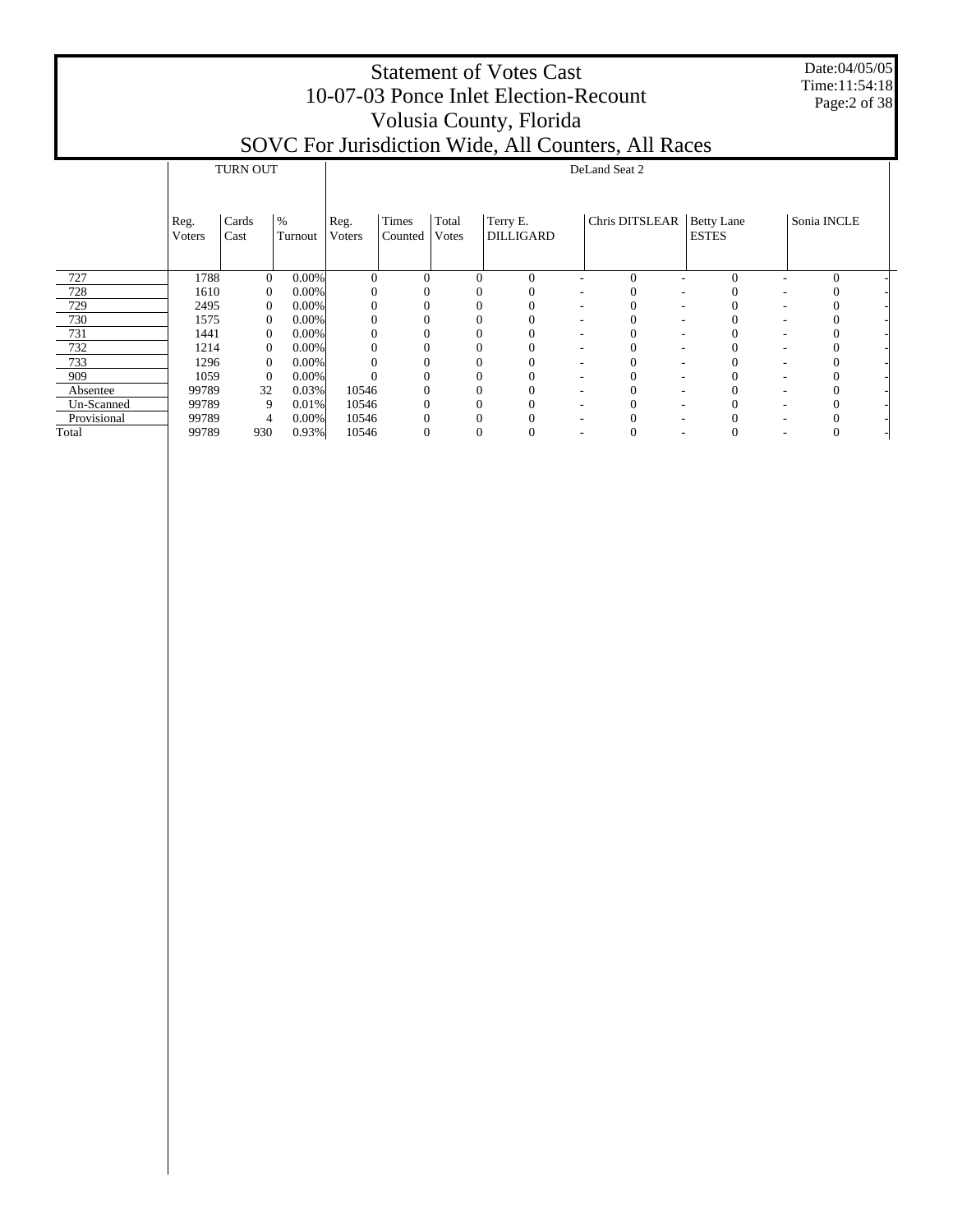Date:04/05/05 Time:11:54:18 Page:2 of 38

|             |                        | <b>TURN OUT</b> |                 |                | DeLand Seat 2    |                |                              |                          |                |   |                            |   |              |  |  |  |
|-------------|------------------------|-----------------|-----------------|----------------|------------------|----------------|------------------------------|--------------------------|----------------|---|----------------------------|---|--------------|--|--|--|
|             | Reg.<br><b>V</b> oters | Cards<br>Cast   | $\%$<br>Turnout | Reg.<br>Voters | Times<br>Counted | Total<br>Votes | Terry E.<br><b>DILLIGARD</b> |                          | Chris DITSLEAR |   | Betty Lane<br><b>ESTES</b> |   | Sonia INCLE  |  |  |  |
| 727         | 1788                   | $\mathbf{0}$    | $0.00\%$        | $\Omega$       | $\theta$         | $\Omega$       | $\mathbf{0}$                 |                          | $\mathbf{0}$   |   | $\Omega$                   |   | $\mathbf{0}$ |  |  |  |
| 728         | 1610                   | $\mathbf{0}$    | $0.00\%$        |                | 0                | $\Omega$       |                              |                          | 0              |   |                            |   | O            |  |  |  |
| 729         | 2495                   | $\mathbf{0}$    | $0.00\%$        |                |                  |                |                              |                          |                |   |                            |   | 0            |  |  |  |
| 730         | 1575                   | $\Omega$        | $0.00\%$        |                |                  |                |                              |                          |                |   |                            |   |              |  |  |  |
| 731         | 1441                   | $\Omega$        | $0.00\%$        |                |                  | $\Omega$       |                              |                          |                |   |                            |   |              |  |  |  |
| 732         | 1214                   | $\Omega$        | $0.00\%$        |                |                  | $\Omega$       |                              | ۰                        |                |   |                            |   |              |  |  |  |
| 733         | 1296                   | $\Omega$        | $0.00\%$        |                |                  | $\theta$       |                              | $\overline{\phantom{a}}$ |                | ۰ |                            | ٠ |              |  |  |  |
| 909         | 1059                   | $\Omega$        | $0.00\%$        |                |                  |                |                              | $\overline{\phantom{a}}$ |                |   |                            |   |              |  |  |  |
| Absentee    | 99789                  | 32              | 0.03%           | 10546          |                  | $\Omega$       |                              | $\overline{\phantom{a}}$ |                |   |                            |   | 0            |  |  |  |
| Un-Scanned  | 99789                  | 9               | 0.01%           | 10546          |                  |                |                              |                          |                |   |                            |   | 0            |  |  |  |
| Provisional | 99789                  | 4               | $0.00\%$        | 10546          |                  |                |                              |                          |                |   |                            |   |              |  |  |  |
| Total       | 99789                  | 930             | 0.93%           | 10546          |                  | $\theta$       |                              |                          |                |   |                            |   | 0            |  |  |  |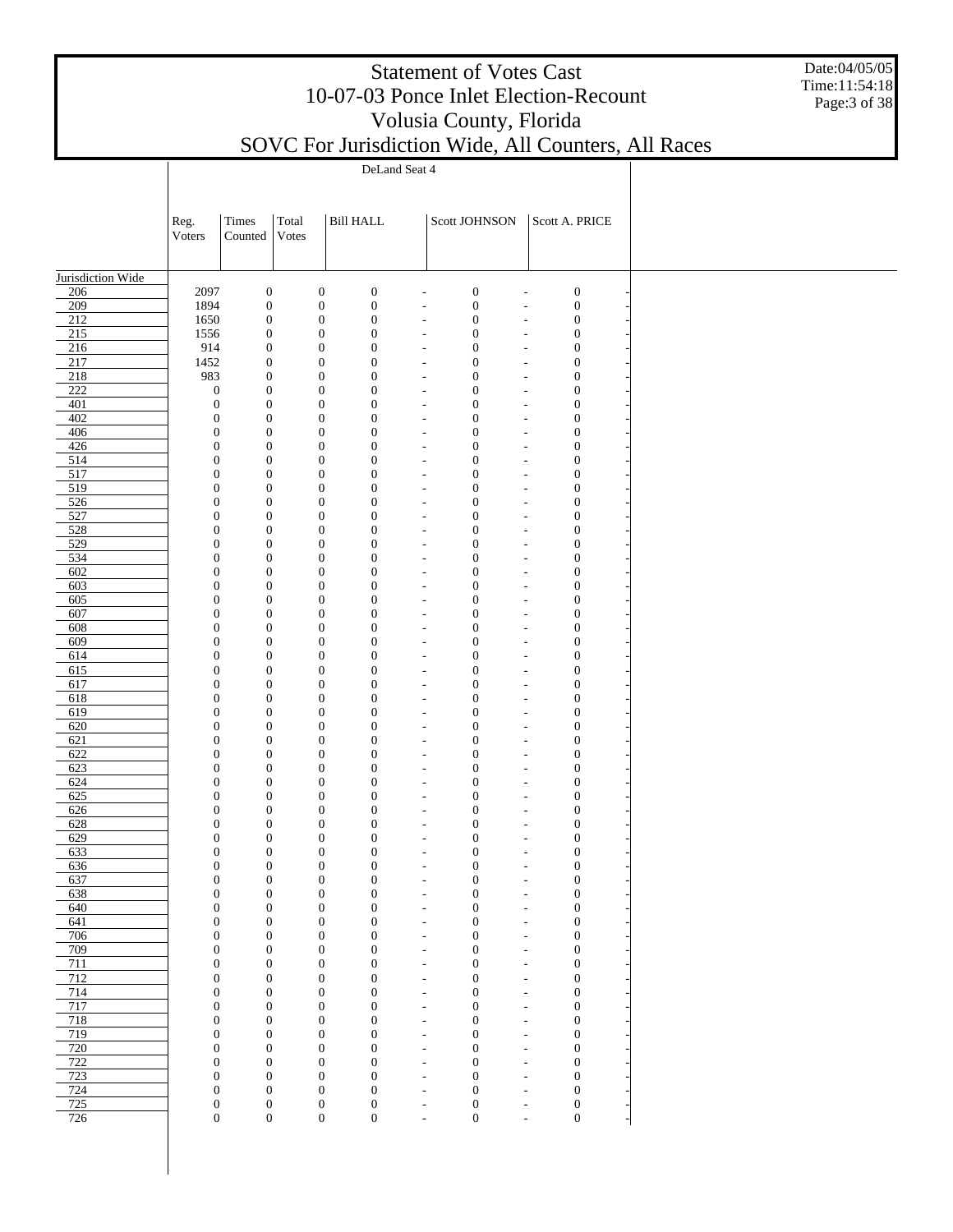Date:04/05/05 Time:11:54:18 Page:3 of 38

SOVC For Jurisdiction Wide, All Counters, All Races

Τ

|                          |                                      |                                      | DeLand Seat 4 |                                      |                                      |                                                      |                                                                                              |                                      |  |  |  |  |  |  |  |
|--------------------------|--------------------------------------|--------------------------------------|---------------|--------------------------------------|--------------------------------------|------------------------------------------------------|----------------------------------------------------------------------------------------------|--------------------------------------|--|--|--|--|--|--|--|
|                          |                                      |                                      |               |                                      |                                      |                                                      |                                                                                              |                                      |  |  |  |  |  |  |  |
|                          | Reg.                                 | Times                                | Total         |                                      | <b>Bill HALL</b>                     |                                                      | Scott JOHNSON                                                                                | Scott A. PRICE                       |  |  |  |  |  |  |  |
|                          | Voters                               | Counted                              | Votes         |                                      |                                      |                                                      |                                                                                              |                                      |  |  |  |  |  |  |  |
|                          |                                      |                                      |               |                                      |                                      |                                                      |                                                                                              |                                      |  |  |  |  |  |  |  |
| Jurisdiction Wide<br>206 | 2097                                 | $\boldsymbol{0}$                     |               | $\boldsymbol{0}$                     | $\boldsymbol{0}$                     | $\overline{\phantom{a}}$                             | $\boldsymbol{0}$<br>$\tilde{\phantom{a}}$                                                    | $\boldsymbol{0}$                     |  |  |  |  |  |  |  |
| 209                      | 1894                                 | $\boldsymbol{0}$                     |               | $\boldsymbol{0}$                     | $\boldsymbol{0}$                     | $\overline{\phantom{a}}$                             | $\boldsymbol{0}$<br>$\overline{\phantom{a}}$                                                 | $\boldsymbol{0}$                     |  |  |  |  |  |  |  |
| $\overline{212}$<br>215  | 1650<br>1556                         | $\boldsymbol{0}$<br>$\boldsymbol{0}$ |               | $\boldsymbol{0}$<br>$\boldsymbol{0}$ | $\boldsymbol{0}$<br>$\boldsymbol{0}$ | $\overline{\phantom{a}}$<br>$\overline{\phantom{a}}$ | $\boldsymbol{0}$<br>$\overline{\phantom{a}}$<br>$\boldsymbol{0}$<br>$\overline{\phantom{a}}$ | $\boldsymbol{0}$<br>$\boldsymbol{0}$ |  |  |  |  |  |  |  |
| 216                      | 914                                  | $\boldsymbol{0}$                     |               | $\boldsymbol{0}$                     | $\boldsymbol{0}$                     | $\overline{\phantom{a}}$                             | $\boldsymbol{0}$<br>$\tilde{\phantom{a}}$                                                    | $\boldsymbol{0}$                     |  |  |  |  |  |  |  |
| 217                      | 1452                                 | $\boldsymbol{0}$                     |               | $\boldsymbol{0}$                     | $\boldsymbol{0}$                     | $\tilde{\phantom{a}}$                                | $\boldsymbol{0}$<br>$\tilde{\phantom{a}}$                                                    | $\boldsymbol{0}$                     |  |  |  |  |  |  |  |
| 218<br>$222$             | 983<br>$\boldsymbol{0}$              | $\boldsymbol{0}$<br>$\boldsymbol{0}$ |               | $\boldsymbol{0}$<br>$\boldsymbol{0}$ | $\boldsymbol{0}$<br>$\boldsymbol{0}$ | $\overline{\phantom{a}}$<br>$\overline{\phantom{a}}$ | $\boldsymbol{0}$<br>$\overline{\phantom{a}}$<br>$\boldsymbol{0}$<br>$\overline{\phantom{a}}$ | $\boldsymbol{0}$<br>$\boldsymbol{0}$ |  |  |  |  |  |  |  |
| 401                      | $\boldsymbol{0}$                     | $\boldsymbol{0}$                     |               | $\boldsymbol{0}$                     | $\boldsymbol{0}$                     | $\overline{\phantom{a}}$                             | $\boldsymbol{0}$<br>$\overline{\phantom{a}}$                                                 | $\boldsymbol{0}$                     |  |  |  |  |  |  |  |
| 402                      | $\boldsymbol{0}$                     | $\boldsymbol{0}$                     |               | $\boldsymbol{0}$                     | $\boldsymbol{0}$                     | $\overline{\phantom{a}}$                             | $\boldsymbol{0}$<br>$\tilde{\phantom{a}}$                                                    | $\boldsymbol{0}$                     |  |  |  |  |  |  |  |
| 406<br>426               | $\boldsymbol{0}$<br>$\boldsymbol{0}$ | $\boldsymbol{0}$<br>$\boldsymbol{0}$ |               | $\boldsymbol{0}$<br>$\boldsymbol{0}$ | $\boldsymbol{0}$<br>$\boldsymbol{0}$ | $\overline{\phantom{a}}$<br>$\overline{\phantom{a}}$ | $\boldsymbol{0}$<br>$\overline{\phantom{a}}$<br>$\boldsymbol{0}$<br>$\overline{\phantom{a}}$ | $\boldsymbol{0}$<br>$\boldsymbol{0}$ |  |  |  |  |  |  |  |
| 514                      | $\boldsymbol{0}$                     | $\boldsymbol{0}$                     |               | $\boldsymbol{0}$                     | $\boldsymbol{0}$                     | $\overline{\phantom{a}}$                             | $\boldsymbol{0}$<br>$\tilde{\phantom{a}}$                                                    | $\boldsymbol{0}$                     |  |  |  |  |  |  |  |
| 517                      | $\boldsymbol{0}$                     | $\boldsymbol{0}$                     |               | $\boldsymbol{0}$                     | $\boldsymbol{0}$                     | $\tilde{\phantom{a}}$                                | $\boldsymbol{0}$<br>$\tilde{\phantom{a}}$                                                    | $\boldsymbol{0}$                     |  |  |  |  |  |  |  |
| 519                      | $\boldsymbol{0}$                     | $\boldsymbol{0}$                     |               | $\boldsymbol{0}$                     | $\boldsymbol{0}$                     | $\overline{\phantom{a}}$                             | $\boldsymbol{0}$<br>$\overline{\phantom{a}}$                                                 | $\boldsymbol{0}$                     |  |  |  |  |  |  |  |
| 526<br>527               | $\boldsymbol{0}$<br>$\boldsymbol{0}$ | $\boldsymbol{0}$<br>$\boldsymbol{0}$ |               | $\boldsymbol{0}$<br>$\boldsymbol{0}$ | $\boldsymbol{0}$<br>$\boldsymbol{0}$ | $\overline{\phantom{a}}$<br>$\overline{\phantom{a}}$ | $\boldsymbol{0}$<br>$\overline{\phantom{a}}$<br>$\boldsymbol{0}$<br>$\tilde{\phantom{a}}$    | $\boldsymbol{0}$<br>$\boldsymbol{0}$ |  |  |  |  |  |  |  |
| 528                      | $\boldsymbol{0}$                     | $\boldsymbol{0}$                     |               | $\boldsymbol{0}$                     | $\boldsymbol{0}$                     | $\tilde{\phantom{a}}$                                | $\boldsymbol{0}$<br>$\tilde{\phantom{a}}$                                                    | $\boldsymbol{0}$                     |  |  |  |  |  |  |  |
| 529                      | $\boldsymbol{0}$                     | $\boldsymbol{0}$                     |               | $\boldsymbol{0}$                     | $\boldsymbol{0}$                     | $\overline{\phantom{a}}$                             | $\boldsymbol{0}$<br>$\tilde{\phantom{a}}$                                                    | $\boldsymbol{0}$                     |  |  |  |  |  |  |  |
| 534<br>602               | $\boldsymbol{0}$<br>$\boldsymbol{0}$ | $\boldsymbol{0}$<br>$\boldsymbol{0}$ |               | $\boldsymbol{0}$<br>$\boldsymbol{0}$ | $\boldsymbol{0}$<br>$\boldsymbol{0}$ | $\tilde{\phantom{a}}$<br>$\overline{\phantom{a}}$    | $\boldsymbol{0}$<br>$\tilde{\phantom{a}}$<br>$\boldsymbol{0}$<br>$\tilde{\phantom{a}}$       | $\boldsymbol{0}$<br>$\boldsymbol{0}$ |  |  |  |  |  |  |  |
| 603                      | $\boldsymbol{0}$                     | $\boldsymbol{0}$                     |               | $\boldsymbol{0}$                     | $\boldsymbol{0}$                     | $\overline{\phantom{a}}$                             | $\boldsymbol{0}$<br>$\tilde{\phantom{a}}$                                                    | $\boldsymbol{0}$                     |  |  |  |  |  |  |  |
| 605                      | $\boldsymbol{0}$                     | $\boldsymbol{0}$                     |               | $\boldsymbol{0}$                     | $\boldsymbol{0}$                     | $\overline{a}$                                       | $\boldsymbol{0}$<br>$\tilde{\phantom{a}}$                                                    | $\boldsymbol{0}$                     |  |  |  |  |  |  |  |
| 607<br>608               | $\boldsymbol{0}$<br>$\boldsymbol{0}$ | $\boldsymbol{0}$<br>$\boldsymbol{0}$ |               | $\boldsymbol{0}$<br>$\boldsymbol{0}$ | $\boldsymbol{0}$<br>$\boldsymbol{0}$ | $\overline{\phantom{a}}$<br>$\overline{a}$           | $\boldsymbol{0}$<br>$\tilde{\phantom{a}}$<br>$\boldsymbol{0}$<br>$\overline{\phantom{a}}$    | $\boldsymbol{0}$<br>$\boldsymbol{0}$ |  |  |  |  |  |  |  |
| 609                      | $\boldsymbol{0}$                     | $\boldsymbol{0}$                     |               | $\boldsymbol{0}$                     | $\boldsymbol{0}$                     | $\overline{\phantom{a}}$                             | $\boldsymbol{0}$<br>$\overline{\phantom{a}}$                                                 | $\boldsymbol{0}$                     |  |  |  |  |  |  |  |
| 614                      | $\boldsymbol{0}$                     | $\boldsymbol{0}$                     |               | $\boldsymbol{0}$                     | $\boldsymbol{0}$                     | $\overline{a}$                                       | $\boldsymbol{0}$<br>$\overline{\phantom{a}}$                                                 | $\boldsymbol{0}$                     |  |  |  |  |  |  |  |
| 615<br>617               | $\boldsymbol{0}$<br>$\boldsymbol{0}$ | $\boldsymbol{0}$<br>$\boldsymbol{0}$ |               | $\boldsymbol{0}$<br>$\boldsymbol{0}$ | $\boldsymbol{0}$<br>$\boldsymbol{0}$ | $\overline{\phantom{a}}$<br>$\overline{a}$           | $\boldsymbol{0}$<br>$\overline{\phantom{a}}$<br>$\boldsymbol{0}$                             | $\boldsymbol{0}$<br>$\boldsymbol{0}$ |  |  |  |  |  |  |  |
| 618                      | $\boldsymbol{0}$                     | $\boldsymbol{0}$                     |               | $\boldsymbol{0}$                     | $\boldsymbol{0}$                     | $\overline{\phantom{a}}$                             | $\overline{\phantom{a}}$<br>$\boldsymbol{0}$<br>$\overline{\phantom{a}}$                     | $\boldsymbol{0}$                     |  |  |  |  |  |  |  |
| 619                      | $\boldsymbol{0}$                     | $\boldsymbol{0}$                     |               | $\boldsymbol{0}$                     | $\boldsymbol{0}$                     | $\overline{a}$                                       | $\boldsymbol{0}$<br>$\overline{\phantom{a}}$                                                 | $\boldsymbol{0}$                     |  |  |  |  |  |  |  |
| 620                      | $\boldsymbol{0}$                     | $\boldsymbol{0}$                     |               | $\boldsymbol{0}$                     | $\boldsymbol{0}$                     | $\overline{\phantom{a}}$                             | $\boldsymbol{0}$<br>$\overline{\phantom{a}}$                                                 | $\boldsymbol{0}$                     |  |  |  |  |  |  |  |
| 621<br>622               | $\boldsymbol{0}$<br>$\boldsymbol{0}$ | $\boldsymbol{0}$<br>$\boldsymbol{0}$ |               | $\boldsymbol{0}$<br>$\boldsymbol{0}$ | $\boldsymbol{0}$<br>$\boldsymbol{0}$ | $\overline{\phantom{a}}$<br>$\overline{\phantom{a}}$ | $\boldsymbol{0}$<br>$\overline{\phantom{a}}$<br>$\boldsymbol{0}$<br>$\overline{\phantom{a}}$ | $\boldsymbol{0}$<br>$\boldsymbol{0}$ |  |  |  |  |  |  |  |
| 623                      | $\boldsymbol{0}$                     | $\boldsymbol{0}$                     |               | $\boldsymbol{0}$                     | $\boldsymbol{0}$                     | $\overline{a}$                                       | $\boldsymbol{0}$<br>$\overline{\phantom{a}}$                                                 | $\boldsymbol{0}$                     |  |  |  |  |  |  |  |
| 624                      | $\boldsymbol{0}$                     | $\boldsymbol{0}$                     |               | $\boldsymbol{0}$                     | $\boldsymbol{0}$                     | $\overline{\phantom{a}}$                             | $\boldsymbol{0}$<br>$\overline{\phantom{a}}$                                                 | $\boldsymbol{0}$                     |  |  |  |  |  |  |  |
| 625<br>626               | $\boldsymbol{0}$<br>$\boldsymbol{0}$ | $\boldsymbol{0}$<br>$\boldsymbol{0}$ |               | $\boldsymbol{0}$<br>$\boldsymbol{0}$ | $\boldsymbol{0}$<br>$\boldsymbol{0}$ | $\overline{\phantom{a}}$<br>$\overline{\phantom{a}}$ | $\boldsymbol{0}$<br>$\overline{\phantom{a}}$<br>$\boldsymbol{0}$<br>$\overline{\phantom{a}}$ | $\boldsymbol{0}$<br>$\boldsymbol{0}$ |  |  |  |  |  |  |  |
| 628                      | $\boldsymbol{0}$                     | $\boldsymbol{0}$                     |               | $\boldsymbol{0}$                     | $\boldsymbol{0}$                     | $\overline{\phantom{a}}$                             | $\boldsymbol{0}$<br>$\overline{\phantom{a}}$                                                 | $\boldsymbol{0}$                     |  |  |  |  |  |  |  |
| 629                      | $\boldsymbol{0}$                     | $\boldsymbol{0}$                     |               | $\boldsymbol{0}$                     | $\boldsymbol{0}$                     | $\overline{\phantom{a}}$                             | $\boldsymbol{0}$<br>$\overline{\phantom{a}}$                                                 | $\boldsymbol{0}$                     |  |  |  |  |  |  |  |
| 633                      | $\boldsymbol{0}$                     | $\boldsymbol{0}$                     |               | $\boldsymbol{0}$                     | $\boldsymbol{0}$                     | $\overline{\phantom{a}}$                             | $\boldsymbol{0}$<br>$\overline{\phantom{a}}$                                                 | $\boldsymbol{0}$                     |  |  |  |  |  |  |  |
| 636<br>637               | $\bf{0}$<br>$\boldsymbol{0}$         | $\bf{0}$<br>$\boldsymbol{0}$         |               | $\bf{0}$<br>$\boldsymbol{0}$         | $\bf{0}$<br>$\boldsymbol{0}$         | $\overline{a}$                                       | 0<br>$\boldsymbol{0}$<br>$\overline{\phantom{a}}$                                            | 0<br>$\boldsymbol{0}$                |  |  |  |  |  |  |  |
| 638                      | $\boldsymbol{0}$                     | $\boldsymbol{0}$                     |               | $\boldsymbol{0}$                     | $\boldsymbol{0}$                     | $\overline{\phantom{a}}$                             | $\boldsymbol{0}$<br>$\overline{\phantom{a}}$                                                 | $\boldsymbol{0}$                     |  |  |  |  |  |  |  |
| 640                      | $\boldsymbol{0}$                     | $\boldsymbol{0}$                     |               | $\boldsymbol{0}$                     | $\boldsymbol{0}$                     | $\overline{\phantom{a}}$                             | $\boldsymbol{0}$<br>$\tilde{\phantom{a}}$                                                    | $\boldsymbol{0}$                     |  |  |  |  |  |  |  |
| 641<br>706               | $\boldsymbol{0}$<br>$\boldsymbol{0}$ | $\boldsymbol{0}$<br>$\boldsymbol{0}$ |               | $\boldsymbol{0}$<br>$\boldsymbol{0}$ | $\boldsymbol{0}$<br>$\boldsymbol{0}$ | $\overline{\phantom{a}}$<br>$\overline{\phantom{a}}$ | $\boldsymbol{0}$<br>$\overline{\phantom{a}}$<br>$\boldsymbol{0}$<br>$\overline{\phantom{a}}$ | $\boldsymbol{0}$<br>$\boldsymbol{0}$ |  |  |  |  |  |  |  |
| 709                      | $\boldsymbol{0}$                     | $\boldsymbol{0}$                     |               | $\boldsymbol{0}$                     | $\boldsymbol{0}$                     | $\overline{\phantom{a}}$                             | $\boldsymbol{0}$<br>$\overline{\phantom{a}}$                                                 | $\boldsymbol{0}$                     |  |  |  |  |  |  |  |
| 711                      | $\boldsymbol{0}$                     | $\boldsymbol{0}$                     |               | $\boldsymbol{0}$                     | $\boldsymbol{0}$                     | $\overline{\phantom{a}}$                             | $\boldsymbol{0}$<br>$\overline{\phantom{a}}$                                                 | $\boldsymbol{0}$                     |  |  |  |  |  |  |  |
| 712<br>714               | $\boldsymbol{0}$<br>$\boldsymbol{0}$ | $\boldsymbol{0}$<br>$\boldsymbol{0}$ |               | $\boldsymbol{0}$<br>$\boldsymbol{0}$ | $\boldsymbol{0}$<br>$\boldsymbol{0}$ | $\overline{\phantom{a}}$<br>$\overline{\phantom{a}}$ | $\boldsymbol{0}$<br>$\overline{\phantom{a}}$<br>$\boldsymbol{0}$<br>$\overline{\phantom{a}}$ | $\boldsymbol{0}$<br>$\boldsymbol{0}$ |  |  |  |  |  |  |  |
| 717                      | $\boldsymbol{0}$                     | $\boldsymbol{0}$                     |               | $\boldsymbol{0}$                     | $\boldsymbol{0}$                     | $\overline{\phantom{a}}$                             | $\boldsymbol{0}$<br>$\overline{\phantom{a}}$                                                 | $\boldsymbol{0}$                     |  |  |  |  |  |  |  |
| 718                      | $\boldsymbol{0}$                     | $\boldsymbol{0}$                     |               | $\boldsymbol{0}$                     | $\boldsymbol{0}$                     | $\overline{\phantom{a}}$                             | $\boldsymbol{0}$<br>$\overline{\phantom{a}}$                                                 | $\boldsymbol{0}$                     |  |  |  |  |  |  |  |
| 719<br>720               | $\boldsymbol{0}$<br>$\boldsymbol{0}$ | $\boldsymbol{0}$<br>$\boldsymbol{0}$ |               | $\boldsymbol{0}$<br>$\boldsymbol{0}$ | $\boldsymbol{0}$<br>$\boldsymbol{0}$ | $\overline{\phantom{a}}$<br>$\overline{\phantom{a}}$ | $\boldsymbol{0}$<br>$\overline{\phantom{a}}$<br>$\boldsymbol{0}$<br>$\overline{\phantom{a}}$ | $\boldsymbol{0}$<br>$\boldsymbol{0}$ |  |  |  |  |  |  |  |
| 722                      | $\boldsymbol{0}$                     | $\boldsymbol{0}$                     |               | $\boldsymbol{0}$                     | $\boldsymbol{0}$                     | $\overline{\phantom{a}}$                             | $\boldsymbol{0}$<br>$\overline{\phantom{a}}$                                                 | $\boldsymbol{0}$                     |  |  |  |  |  |  |  |
| 723                      | $\boldsymbol{0}$                     | $\boldsymbol{0}$                     |               | $\boldsymbol{0}$                     | $\boldsymbol{0}$                     | $\overline{\phantom{a}}$                             | $\boldsymbol{0}$<br>$\overline{\phantom{a}}$                                                 | $\boldsymbol{0}$                     |  |  |  |  |  |  |  |
| 724<br>725               | $\boldsymbol{0}$<br>$\boldsymbol{0}$ | $\boldsymbol{0}$<br>$\boldsymbol{0}$ |               | $\boldsymbol{0}$<br>$\boldsymbol{0}$ | $\boldsymbol{0}$<br>$\boldsymbol{0}$ | $\overline{\phantom{a}}$<br>$\overline{\phantom{a}}$ | $\boldsymbol{0}$<br>$\overline{\phantom{a}}$<br>$\boldsymbol{0}$<br>$\overline{\phantom{a}}$ | $\boldsymbol{0}$<br>$\boldsymbol{0}$ |  |  |  |  |  |  |  |
| 726                      | $\boldsymbol{0}$                     | $\boldsymbol{0}$                     |               | $\boldsymbol{0}$                     | $\boldsymbol{0}$                     | $\tilde{\phantom{a}}$                                | $\boldsymbol{0}$<br>$\overline{\phantom{a}}$                                                 | $\mathbf{0}$                         |  |  |  |  |  |  |  |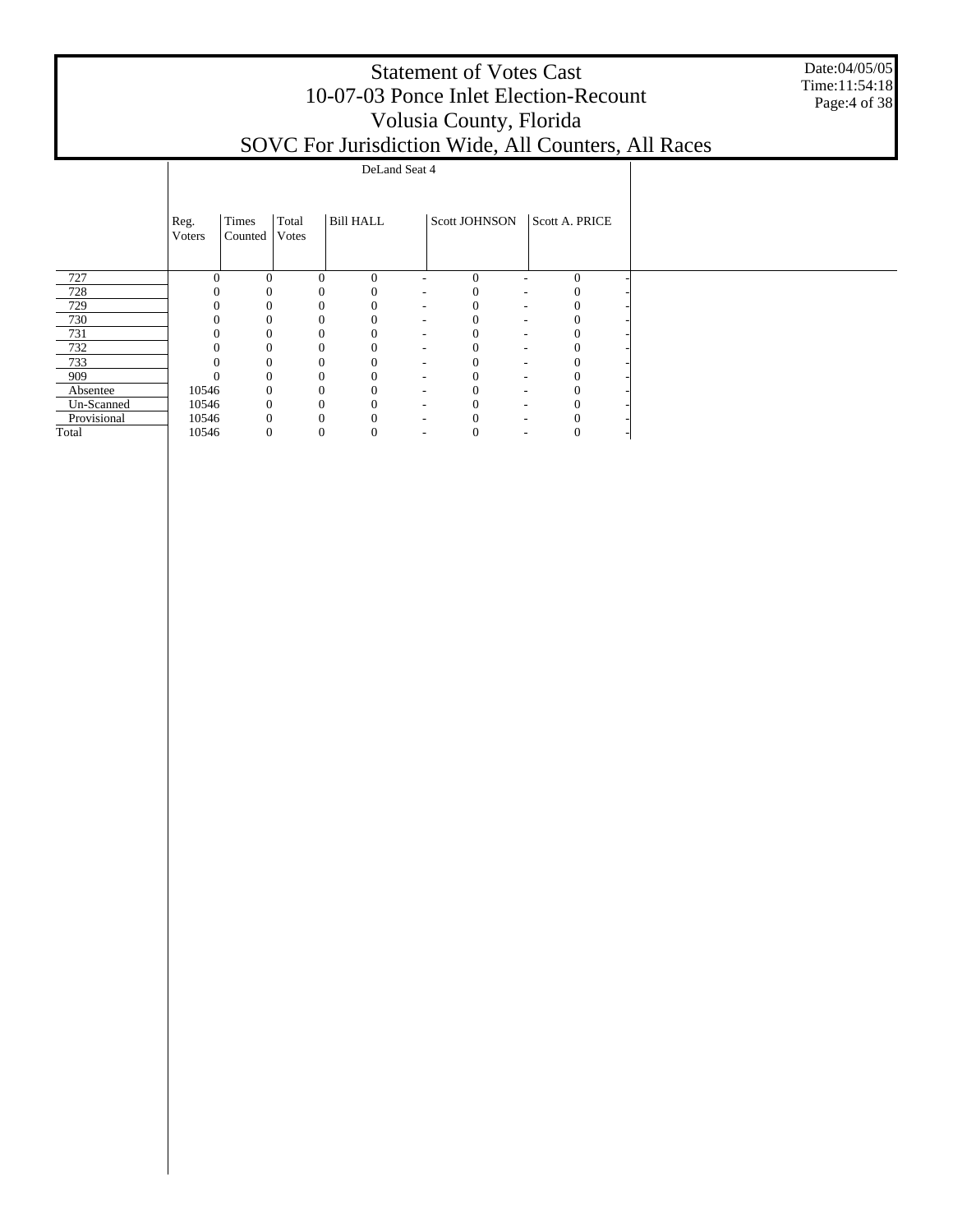|             | <b>Statement of Votes Cast</b><br>10-07-03 Ponce Inlet Election-Recount<br>Volusia County, Florida<br>SOVC For Jurisdiction Wide, All Counters, All Races<br>DeLand Seat 4 |                  |                |                  |  |                      |                |  |  |  |  |  |  |  |  |
|-------------|----------------------------------------------------------------------------------------------------------------------------------------------------------------------------|------------------|----------------|------------------|--|----------------------|----------------|--|--|--|--|--|--|--|--|
|             |                                                                                                                                                                            |                  |                |                  |  |                      |                |  |  |  |  |  |  |  |  |
|             | Reg.<br>Voters                                                                                                                                                             | Times<br>Counted | Total<br>Votes | <b>Bill HALL</b> |  | <b>Scott JOHNSON</b> | Scott A. PRICE |  |  |  |  |  |  |  |  |
| 727         |                                                                                                                                                                            | $\Omega$         |                | $\Omega$<br>0    |  | $\Omega$             | $\Omega$       |  |  |  |  |  |  |  |  |
| 728         |                                                                                                                                                                            |                  |                |                  |  |                      |                |  |  |  |  |  |  |  |  |
| 729         |                                                                                                                                                                            |                  |                |                  |  |                      |                |  |  |  |  |  |  |  |  |
| 730         |                                                                                                                                                                            |                  |                |                  |  |                      |                |  |  |  |  |  |  |  |  |
| 731         |                                                                                                                                                                            |                  |                |                  |  |                      |                |  |  |  |  |  |  |  |  |
| 732         |                                                                                                                                                                            |                  |                |                  |  |                      |                |  |  |  |  |  |  |  |  |
| 733         |                                                                                                                                                                            |                  |                |                  |  |                      |                |  |  |  |  |  |  |  |  |
| 909         |                                                                                                                                                                            |                  |                |                  |  |                      |                |  |  |  |  |  |  |  |  |
| Absentee    | 10546                                                                                                                                                                      |                  |                |                  |  |                      |                |  |  |  |  |  |  |  |  |
| Un-Scanned  | 10546                                                                                                                                                                      |                  |                |                  |  |                      |                |  |  |  |  |  |  |  |  |
| Provisional | 10546                                                                                                                                                                      |                  |                |                  |  |                      |                |  |  |  |  |  |  |  |  |

10546 0 0 0 - 0 - 0 -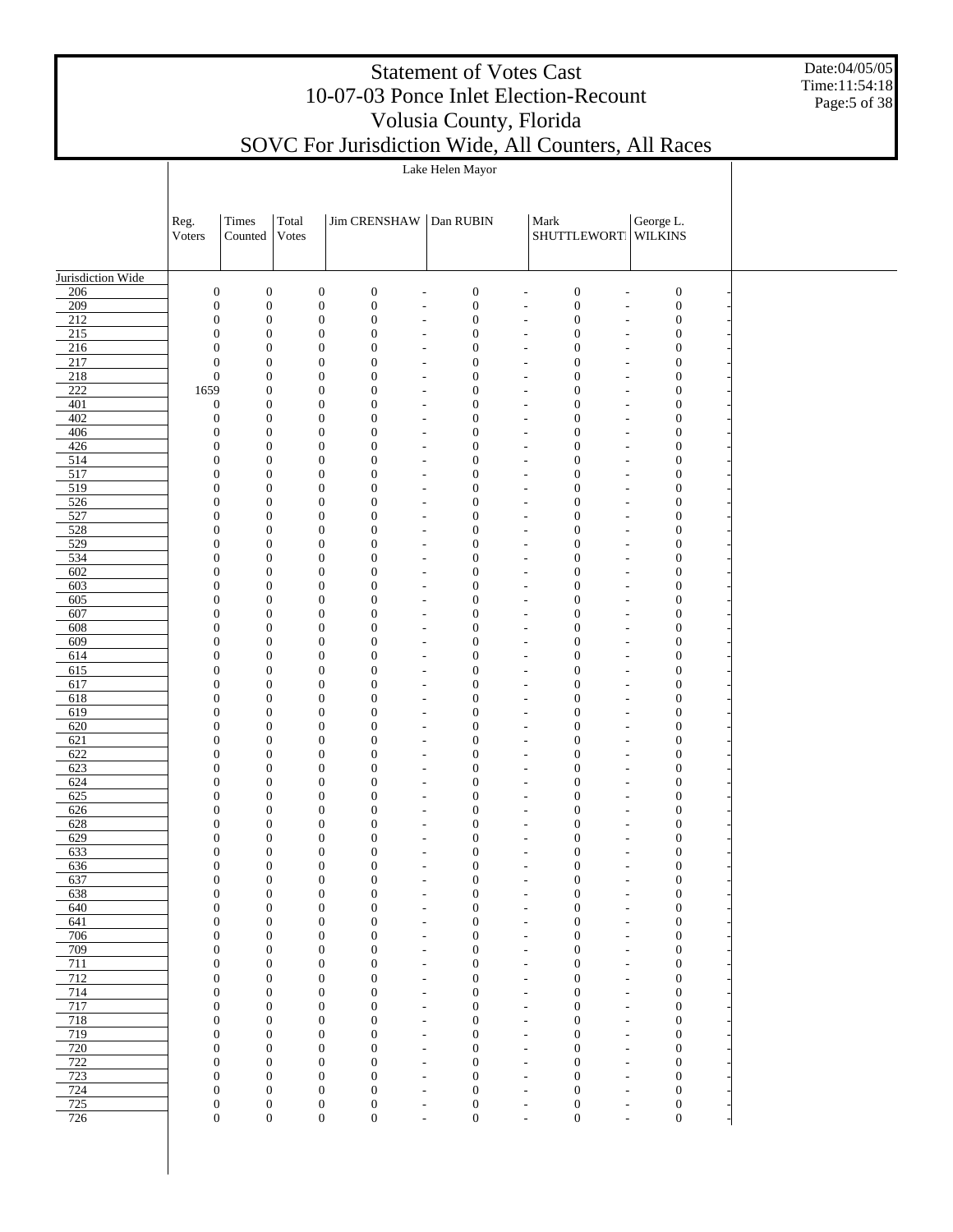Date:04/05/05 Time:11:54:18 Page:5 of 38

| SOVC For Jurisdiction Wide, All Counters, All Races |  |  |  |
|-----------------------------------------------------|--|--|--|
|-----------------------------------------------------|--|--|--|

|                                      | Reg.<br>Voters                       | Times<br>Counted                     | Total<br>Votes |                                      | <b>Jim CRENSHAW</b>                  | Dan RUBIN                                            |                                      |                                                      | Mark<br>SHUTTLEWORT WILKINS                                                        | George L.                            |  |
|--------------------------------------|--------------------------------------|--------------------------------------|----------------|--------------------------------------|--------------------------------------|------------------------------------------------------|--------------------------------------|------------------------------------------------------|------------------------------------------------------------------------------------|--------------------------------------|--|
|                                      |                                      |                                      |                |                                      |                                      |                                                      |                                      |                                                      |                                                                                    |                                      |  |
| Jurisdiction Wide                    |                                      |                                      |                |                                      |                                      |                                                      |                                      |                                                      |                                                                                    |                                      |  |
| 206                                  | $\boldsymbol{0}$                     | $\boldsymbol{0}$                     |                | $\boldsymbol{0}$                     | $\boldsymbol{0}$                     | $\overline{\phantom{a}}$                             | $\boldsymbol{0}$                     | ÷                                                    | $\boldsymbol{0}$<br>$\overline{a}$                                                 | $\boldsymbol{0}$                     |  |
| 209<br>212                           | $\boldsymbol{0}$<br>$\boldsymbol{0}$ | $\boldsymbol{0}$<br>$\boldsymbol{0}$ |                | $\boldsymbol{0}$<br>$\boldsymbol{0}$ | $\boldsymbol{0}$<br>$\boldsymbol{0}$ | $\overline{\phantom{a}}$<br>$\tilde{\phantom{a}}$    | $\boldsymbol{0}$<br>$\boldsymbol{0}$ | $\overline{a}$<br>$\overline{\phantom{a}}$           | $\boldsymbol{0}$<br>$\overline{\phantom{a}}$<br>$\boldsymbol{0}$<br>$\overline{a}$ | $\boldsymbol{0}$<br>$\boldsymbol{0}$ |  |
| $\overline{215}$                     | $\overline{0}$                       | $\mathbf{0}$                         |                | $\mathbf{0}$                         | $\boldsymbol{0}$                     | $\tilde{\phantom{a}}$                                | $\boldsymbol{0}$                     | $\overline{\phantom{a}}$                             | $\boldsymbol{0}$<br>$\overline{a}$                                                 | $\boldsymbol{0}$                     |  |
| 216                                  | $\boldsymbol{0}$                     | $\boldsymbol{0}$                     |                | $\boldsymbol{0}$                     | $\boldsymbol{0}$                     | $\overline{\phantom{a}}$                             | $\boldsymbol{0}$                     | ÷                                                    | $\boldsymbol{0}$<br>$\overline{a}$                                                 | $\boldsymbol{0}$                     |  |
| $\overline{217}$                     | $\boldsymbol{0}$                     | $\mathbf{0}$                         |                | $\mathbf{0}$                         | $\boldsymbol{0}$                     | $\tilde{\phantom{a}}$                                | $\boldsymbol{0}$                     | $\overline{\phantom{a}}$                             | $\boldsymbol{0}$<br>$\overline{a}$                                                 | $\boldsymbol{0}$                     |  |
| $\overline{218}$<br>$\overline{222}$ | $\boldsymbol{0}$<br>1659             | $\boldsymbol{0}$<br>$\boldsymbol{0}$ |                | $\boldsymbol{0}$                     | $\boldsymbol{0}$<br>$\boldsymbol{0}$ | $\overline{\phantom{a}}$                             | $\boldsymbol{0}$<br>$\boldsymbol{0}$ | L,                                                   | $\boldsymbol{0}$<br>$\overline{a}$<br>$\boldsymbol{0}$                             | $\boldsymbol{0}$                     |  |
| 401                                  | $\boldsymbol{0}$                     | $\boldsymbol{0}$                     |                | $\mathbf{0}$<br>$\boldsymbol{0}$     | $\boldsymbol{0}$                     | $\overline{\phantom{a}}$<br>$\tilde{\phantom{a}}$    | $\boldsymbol{0}$                     | $\overline{\phantom{a}}$<br>$\overline{\phantom{a}}$ | $\overline{a}$<br>$\boldsymbol{0}$<br>$\overline{a}$                               | $\boldsymbol{0}$<br>$\boldsymbol{0}$ |  |
| 402                                  | $\boldsymbol{0}$                     | $\mathbf{0}$                         |                | $\mathbf{0}$                         | $\boldsymbol{0}$                     | $\overline{\phantom{a}}$                             | $\boldsymbol{0}$                     | $\overline{\phantom{a}}$                             | $\boldsymbol{0}$<br>$\overline{\phantom{a}}$                                       | $\boldsymbol{0}$                     |  |
| 406                                  | $\boldsymbol{0}$                     | $\boldsymbol{0}$                     |                | $\boldsymbol{0}$                     | $\boldsymbol{0}$                     | $\tilde{\phantom{a}}$                                | $\boldsymbol{0}$                     | $\overline{\phantom{a}}$                             | $\boldsymbol{0}$<br>$\overline{a}$                                                 | $\boldsymbol{0}$                     |  |
| 426                                  | $\boldsymbol{0}$                     | $\mathbf{0}$                         |                | $\mathbf{0}$                         | $\boldsymbol{0}$                     | $\tilde{\phantom{a}}$                                | $\boldsymbol{0}$                     | $\overline{\phantom{a}}$                             | $\boldsymbol{0}$<br>$\overline{\phantom{a}}$                                       | $\boldsymbol{0}$                     |  |
| 514<br>517                           | $\boldsymbol{0}$<br>$\boldsymbol{0}$ | $\boldsymbol{0}$<br>$\mathbf{0}$     |                | $\boldsymbol{0}$<br>$\mathbf{0}$     | $\boldsymbol{0}$<br>$\boldsymbol{0}$ | $\tilde{\phantom{a}}$<br>$\tilde{\phantom{a}}$       | $\boldsymbol{0}$<br>$\boldsymbol{0}$ | $\overline{a}$<br>$\overline{\phantom{a}}$           | $\boldsymbol{0}$<br>$\overline{a}$<br>$\boldsymbol{0}$<br>$\overline{\phantom{a}}$ | $\boldsymbol{0}$<br>$\boldsymbol{0}$ |  |
| $\overline{519}$                     | $\boldsymbol{0}$                     | $\boldsymbol{0}$                     |                | $\boldsymbol{0}$                     | $\boldsymbol{0}$                     | $\tilde{\phantom{a}}$                                | $\boldsymbol{0}$                     | $\overline{a}$                                       | $\boldsymbol{0}$<br>$\overline{a}$                                                 | $\boldsymbol{0}$                     |  |
| 526                                  | $\boldsymbol{0}$                     | $\mathbf{0}$                         |                | $\mathbf{0}$                         | $\boldsymbol{0}$                     | $\tilde{\phantom{a}}$                                | $\boldsymbol{0}$                     | $\overline{\phantom{a}}$                             | $\boldsymbol{0}$<br>$\overline{\phantom{a}}$                                       | $\boldsymbol{0}$                     |  |
| 527                                  | $\boldsymbol{0}$                     | $\boldsymbol{0}$                     |                | $\boldsymbol{0}$                     | $\boldsymbol{0}$                     | $\tilde{\phantom{a}}$                                | $\boldsymbol{0}$                     | $\overline{\phantom{a}}$                             | $\boldsymbol{0}$<br>$\overline{a}$                                                 | $\boldsymbol{0}$                     |  |
| 528                                  | $\boldsymbol{0}$                     | $\mathbf{0}$                         |                | $\mathbf{0}$                         | $\boldsymbol{0}$                     | $\overline{\phantom{a}}$                             | $\boldsymbol{0}$                     | $\overline{\phantom{a}}$                             | $\boldsymbol{0}$<br>$\overline{a}$                                                 | $\boldsymbol{0}$                     |  |
| 529<br>534                           | $\boldsymbol{0}$<br>$\boldsymbol{0}$ | $\boldsymbol{0}$<br>$\mathbf{0}$     |                | $\boldsymbol{0}$<br>$\mathbf{0}$     | $\boldsymbol{0}$<br>$\boldsymbol{0}$ | $\overline{\phantom{a}}$<br>$\overline{\phantom{a}}$ | $\boldsymbol{0}$<br>$\boldsymbol{0}$ | ÷,<br>$\overline{\phantom{a}}$                       | $\boldsymbol{0}$<br>$\overline{a}$<br>$\boldsymbol{0}$<br>$\overline{a}$           | $\boldsymbol{0}$<br>$\boldsymbol{0}$ |  |
| 602                                  | $\boldsymbol{0}$                     | $\boldsymbol{0}$                     |                | $\boldsymbol{0}$                     | $\boldsymbol{0}$                     | $\overline{\phantom{a}}$                             | $\boldsymbol{0}$                     | $\overline{\phantom{a}}$                             | $\boldsymbol{0}$<br>$\overline{a}$                                                 | $\boldsymbol{0}$                     |  |
| 603                                  | $\boldsymbol{0}$                     | $\mathbf{0}$                         |                | $\mathbf{0}$                         | $\boldsymbol{0}$                     | $\overline{\phantom{a}}$                             | $\boldsymbol{0}$                     | $\overline{\phantom{a}}$                             | $\boldsymbol{0}$<br>$\overline{a}$                                                 | $\boldsymbol{0}$                     |  |
| 605                                  | $\boldsymbol{0}$                     | $\boldsymbol{0}$                     |                | $\boldsymbol{0}$                     | $\boldsymbol{0}$                     | $\tilde{\phantom{a}}$                                | $\boldsymbol{0}$                     | $\overline{\phantom{a}}$                             | $\boldsymbol{0}$<br>$\overline{a}$                                                 | $\boldsymbol{0}$                     |  |
| 607                                  | $\boldsymbol{0}$                     | $\mathbf{0}$                         |                | $\mathbf{0}$                         | $\boldsymbol{0}$                     | $\tilde{\phantom{a}}$                                | $\boldsymbol{0}$                     | $\overline{\phantom{a}}$                             | $\mathbf{0}$<br>$\overline{\phantom{a}}$                                           | $\boldsymbol{0}$                     |  |
| 608<br>609                           | $\boldsymbol{0}$<br>$\boldsymbol{0}$ | $\boldsymbol{0}$<br>$\mathbf{0}$     |                | $\boldsymbol{0}$<br>$\mathbf{0}$     | $\boldsymbol{0}$<br>$\boldsymbol{0}$ | $\tilde{\phantom{a}}$<br>$\tilde{\phantom{a}}$       | $\boldsymbol{0}$<br>$\boldsymbol{0}$ | $\overline{a}$<br>$\overline{\phantom{a}}$           | $\boldsymbol{0}$<br>$\overline{a}$<br>$\boldsymbol{0}$<br>$\overline{\phantom{a}}$ | $\boldsymbol{0}$<br>$\boldsymbol{0}$ |  |
| 614                                  | $\boldsymbol{0}$                     | $\boldsymbol{0}$                     |                | $\boldsymbol{0}$                     | $\boldsymbol{0}$                     | $\tilde{\phantom{a}}$                                | $\boldsymbol{0}$                     | $\overline{a}$                                       | $\boldsymbol{0}$<br>$\overline{a}$                                                 | $\boldsymbol{0}$                     |  |
| 615                                  | $\boldsymbol{0}$                     | $\mathbf{0}$                         |                | $\mathbf{0}$                         | $\boldsymbol{0}$                     | $\tilde{\phantom{a}}$                                | $\boldsymbol{0}$                     | $\overline{\phantom{a}}$                             | $\boldsymbol{0}$<br>$\overline{\phantom{a}}$                                       | $\boldsymbol{0}$                     |  |
| 617                                  | $\boldsymbol{0}$                     | $\boldsymbol{0}$                     |                | $\boldsymbol{0}$                     | $\boldsymbol{0}$                     | $\tilde{\phantom{a}}$                                | $\boldsymbol{0}$                     | $\overline{\phantom{a}}$                             | $\boldsymbol{0}$<br>$\overline{a}$                                                 | $\boldsymbol{0}$                     |  |
| 618<br>619                           | $\boldsymbol{0}$<br>$\boldsymbol{0}$ | $\mathbf{0}$<br>$\boldsymbol{0}$     |                | $\mathbf{0}$<br>$\boldsymbol{0}$     | $\boldsymbol{0}$<br>$\boldsymbol{0}$ | $\tilde{\phantom{a}}$<br>$\overline{\phantom{a}}$    | $\boldsymbol{0}$<br>$\boldsymbol{0}$ | $\overline{\phantom{a}}$<br>÷,                       | $\boldsymbol{0}$<br>$\overline{a}$<br>$\boldsymbol{0}$                             | $\boldsymbol{0}$<br>$\boldsymbol{0}$ |  |
| 620                                  | $\boldsymbol{0}$                     | $\mathbf{0}$                         |                | $\mathbf{0}$                         | $\boldsymbol{0}$                     | $\overline{\phantom{a}}$                             | $\boldsymbol{0}$                     | $\overline{\phantom{a}}$                             | $\overline{a}$<br>$\boldsymbol{0}$<br>$\overline{a}$                               | $\boldsymbol{0}$                     |  |
| 621                                  | $\boldsymbol{0}$                     | $\boldsymbol{0}$                     |                | $\boldsymbol{0}$                     | $\boldsymbol{0}$                     | $\overline{\phantom{a}}$                             | $\boldsymbol{0}$                     | ÷,                                                   | $\boldsymbol{0}$<br>$\overline{a}$                                                 | $\boldsymbol{0}$                     |  |
| 622                                  | $\boldsymbol{0}$                     | $\mathbf{0}$                         |                | $\mathbf{0}$                         | $\boldsymbol{0}$                     | $\overline{\phantom{a}}$                             | $\boldsymbol{0}$                     | $\overline{\phantom{a}}$                             | $\boldsymbol{0}$<br>$\overline{a}$                                                 | $\boldsymbol{0}$                     |  |
| 623                                  | $\boldsymbol{0}$                     | $\boldsymbol{0}$                     |                | $\boldsymbol{0}$                     | $\boldsymbol{0}$                     | $\tilde{\phantom{a}}$                                | $\boldsymbol{0}$                     | $\overline{\phantom{a}}$                             | $\boldsymbol{0}$<br>$\overline{a}$                                                 | $\boldsymbol{0}$                     |  |
| 624<br>625                           | $\boldsymbol{0}$<br>$\boldsymbol{0}$ | $\mathbf{0}$<br>$\boldsymbol{0}$     |                | $\mathbf{0}$<br>$\boldsymbol{0}$     | $\boldsymbol{0}$<br>$\boldsymbol{0}$ | $\tilde{\phantom{a}}$<br>$\tilde{\phantom{a}}$       | $\boldsymbol{0}$<br>$\boldsymbol{0}$ | $\overline{\phantom{a}}$<br>$\overline{a}$           | $\boldsymbol{0}$<br>$\overline{\phantom{a}}$<br>$\boldsymbol{0}$<br>$\overline{a}$ | $\boldsymbol{0}$<br>$\boldsymbol{0}$ |  |
| 626                                  | $\boldsymbol{0}$                     | $\mathbf{0}$                         |                | $\mathbf{0}$                         | $\boldsymbol{0}$                     | $\tilde{\phantom{a}}$                                | $\mathbf{0}$                         | $\overline{\phantom{a}}$                             | $\boldsymbol{0}$<br>$\overline{\phantom{a}}$                                       | $\boldsymbol{0}$                     |  |
| 628                                  | $\boldsymbol{0}$                     | $\boldsymbol{0}$                     |                | $\mathbf{0}$                         | $\boldsymbol{0}$                     | $\sim$                                               | $\boldsymbol{0}$                     | $\overline{a}$                                       | $\boldsymbol{0}$<br>$\overline{a}$                                                 | $\boldsymbol{0}$                     |  |
| 629                                  | $\boldsymbol{0}$                     | $\mathbf{0}$                         |                | $\mathbf{0}$                         | $\boldsymbol{0}$                     | $\overline{\phantom{a}}$                             | $\boldsymbol{0}$                     | $\overline{\phantom{a}}$                             | $\boldsymbol{0}$<br>$\overline{\phantom{a}}$                                       | $\boldsymbol{0}$                     |  |
| 633                                  | $\boldsymbol{0}$                     | $\boldsymbol{0}$                     |                | $\overline{0}$                       | $\boldsymbol{0}$                     | $\sim$                                               | $\boldsymbol{0}$                     | $\overline{a}$                                       | $\boldsymbol{0}$<br>$\overline{a}$                                                 | $\boldsymbol{0}$                     |  |
| 636<br>637                           | $\boldsymbol{0}$<br>$\boldsymbol{0}$ | $\boldsymbol{0}$<br>$\boldsymbol{0}$ |                | $\mathbf{0}$<br>$\boldsymbol{0}$     | $\boldsymbol{0}$<br>$\boldsymbol{0}$ | $\overline{a}$                                       | $\mathbf{0}$<br>$\boldsymbol{0}$     | ٠<br>$\overline{\phantom{a}}$                        | $\boldsymbol{0}$<br>$\boldsymbol{0}$<br>÷,                                         | $\boldsymbol{0}$<br>$\boldsymbol{0}$ |  |
| 638                                  | $\boldsymbol{0}$                     | $\mathbf{0}$                         |                | $\mathbf{0}$                         | $\boldsymbol{0}$                     | $\overline{\phantom{a}}$                             | $\boldsymbol{0}$                     | $\overline{\phantom{a}}$                             | $\mathbf{0}$<br>$\overline{a}$                                                     | $\boldsymbol{0}$                     |  |
| 640                                  | $\boldsymbol{0}$                     | $\boldsymbol{0}$                     |                | $\mathbf{0}$                         | $\boldsymbol{0}$                     | $\overline{\phantom{a}}$                             | $\boldsymbol{0}$                     | $\overline{\phantom{a}}$                             | $\boldsymbol{0}$<br>$\overline{a}$                                                 | $\boldsymbol{0}$                     |  |
| 641                                  | $\boldsymbol{0}$                     | $\mathbf{0}$                         |                | $\mathbf{0}$                         | $\boldsymbol{0}$                     | $\overline{\phantom{a}}$                             | $\boldsymbol{0}$                     | $\overline{\phantom{a}}$                             | $\boldsymbol{0}$<br>$\overline{a}$                                                 | $\boldsymbol{0}$                     |  |
| 706                                  | $\boldsymbol{0}$                     | $\boldsymbol{0}$                     |                | $\mathbf{0}$                         | $\boldsymbol{0}$                     | $\overline{\phantom{a}}$                             | $\boldsymbol{0}$                     | $\overline{\phantom{a}}$                             | $\boldsymbol{0}$<br>$\overline{a}$                                                 | $\boldsymbol{0}$                     |  |
| 709<br>711                           | $\boldsymbol{0}$<br>$\boldsymbol{0}$ | $\mathbf{0}$<br>$\boldsymbol{0}$     |                | $\mathbf{0}$<br>$\mathbf{0}$         | $\boldsymbol{0}$<br>$\boldsymbol{0}$ | $\overline{\phantom{a}}$<br>$\overline{\phantom{a}}$ | $\boldsymbol{0}$<br>$\boldsymbol{0}$ | $\overline{\phantom{a}}$<br>$\overline{a}$           | $\mathbf{0}$<br>$\overline{a}$<br>$\boldsymbol{0}$<br>$\overline{a}$               | $\boldsymbol{0}$<br>$\boldsymbol{0}$ |  |
| 712                                  | $\boldsymbol{0}$                     | $\mathbf{0}$                         |                | $\mathbf{0}$                         | $\boldsymbol{0}$                     | $\overline{\phantom{a}}$                             | $\boldsymbol{0}$                     | $\overline{\phantom{a}}$                             | $\boldsymbol{0}$<br>$\overline{\phantom{a}}$                                       | $\boldsymbol{0}$                     |  |
| 714                                  | $\boldsymbol{0}$                     | $\boldsymbol{0}$                     |                | $\mathbf{0}$                         | $\boldsymbol{0}$                     | $\sim$                                               | $\boldsymbol{0}$                     | $\overline{a}$                                       | $\mathbf{0}$<br>$\overline{a}$                                                     | $\boldsymbol{0}$                     |  |
| 717                                  | $\boldsymbol{0}$                     | $\mathbf{0}$                         |                | $\mathbf{0}$                         | $\boldsymbol{0}$                     | $\overline{\phantom{a}}$                             | $\boldsymbol{0}$                     | $\overline{\phantom{a}}$                             | $\boldsymbol{0}$<br>$\overline{\phantom{a}}$                                       | $\boldsymbol{0}$                     |  |
| 718<br>719                           | $\boldsymbol{0}$<br>$\boldsymbol{0}$ | $\boldsymbol{0}$<br>$\mathbf{0}$     |                | $\mathbf{0}$<br>$\mathbf{0}$         | $\boldsymbol{0}$<br>$\overline{0}$   | $\overline{\phantom{a}}$                             | $\boldsymbol{0}$<br>$\boldsymbol{0}$ | $\overline{a}$                                       | $\mathbf{0}$<br>$\overline{a}$<br>$\boldsymbol{0}$                                 | $\boldsymbol{0}$<br>$\boldsymbol{0}$ |  |
| $\overline{720}$                     | $\boldsymbol{0}$                     | $\boldsymbol{0}$                     |                | $\boldsymbol{0}$                     | $\boldsymbol{0}$                     | $\overline{\phantom{a}}$<br>$\overline{\phantom{a}}$ | $\boldsymbol{0}$                     | $\overline{\phantom{a}}$<br>÷,                       | $\overline{a}$<br>$\boldsymbol{0}$<br>÷,                                           | $\boldsymbol{0}$                     |  |
| 722                                  | $\boldsymbol{0}$                     | $\mathbf{0}$                         |                | $\mathbf{0}$                         | $\overline{0}$                       | $\overline{\phantom{a}}$                             | $\boldsymbol{0}$                     | $\overline{\phantom{a}}$                             | $\boldsymbol{0}$<br>$\overline{a}$                                                 | $\boldsymbol{0}$                     |  |
| 723                                  | $\boldsymbol{0}$                     | $\boldsymbol{0}$                     |                | $\boldsymbol{0}$                     | $\boldsymbol{0}$                     | $\overline{\phantom{a}}$                             | $\boldsymbol{0}$                     | ÷,                                                   | $\boldsymbol{0}$<br>$\overline{a}$                                                 | $\boldsymbol{0}$                     |  |
| 724                                  | $\boldsymbol{0}$                     | $\mathbf{0}$                         |                | $\mathbf{0}$                         | $\boldsymbol{0}$                     | $\overline{\phantom{a}}$                             | $\boldsymbol{0}$                     | $\overline{a}$                                       | $\boldsymbol{0}$<br>$\overline{a}$                                                 | $\boldsymbol{0}$                     |  |
| 725<br>726                           | $\boldsymbol{0}$<br>$\boldsymbol{0}$ | $\boldsymbol{0}$<br>$\boldsymbol{0}$ |                | $\boldsymbol{0}$<br>$\boldsymbol{0}$ | $\boldsymbol{0}$<br>$\boldsymbol{0}$ | $\overline{\phantom{a}}$                             | $\boldsymbol{0}$<br>$\boldsymbol{0}$ | ٠                                                    | $\boldsymbol{0}$<br>÷,<br>$\boldsymbol{0}$                                         | $\boldsymbol{0}$<br>$\boldsymbol{0}$ |  |
|                                      |                                      |                                      |                |                                      |                                      | $\overline{\phantom{a}}$                             |                                      | $\overline{\phantom{a}}$                             | $\overline{\phantom{a}}$                                                           |                                      |  |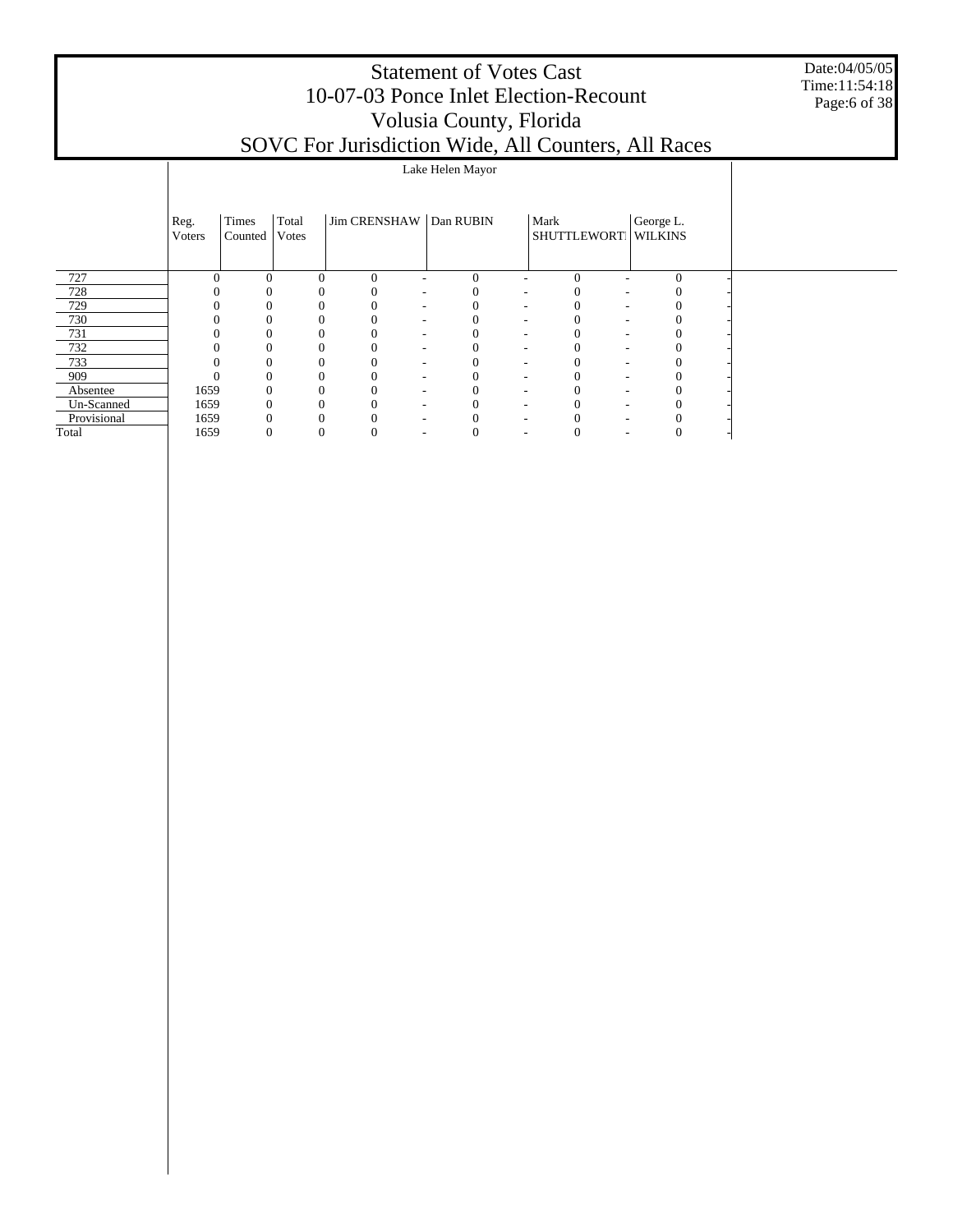Date:04/05/05 Time:11:54:18 Page:6 of 38

|             | Reg.<br>Voters | Times<br>Counted | Total<br>Votes | Jim CRENSHAW Dan RUBIN |                          |                               |                          | Mark<br>SHUTTLEWORT WILKINS          | George L. |  |
|-------------|----------------|------------------|----------------|------------------------|--------------------------|-------------------------------|--------------------------|--------------------------------------|-----------|--|
| 727         | $\Omega$       | $\overline{0}$   | $\theta$       | $\Omega$               |                          | $\theta$                      |                          | $\theta$                             | $\theta$  |  |
| 728         |                |                  | 0              |                        | $\overline{\phantom{a}}$ | 0                             | $\sim$                   | 0<br>$\overline{\phantom{a}}$        |           |  |
| 729         |                | 0                | $\Omega$       |                        | $\overline{\phantom{a}}$ |                               | $\sim$                   | $\sim$                               |           |  |
| 730         |                |                  | $\Omega$       |                        | $\overline{\phantom{a}}$ |                               | $\overline{\phantom{a}}$ | $\overline{\phantom{a}}$             |           |  |
| 731         |                |                  |                |                        | $\overline{\phantom{a}}$ |                               | $\overline{\phantom{a}}$ | $\overline{\phantom{a}}$             |           |  |
| 732         | $\Omega$       |                  | 0              | 0                      | $\overline{\phantom{0}}$ | $\overline{\phantom{a}}$      |                          | $\overline{\phantom{a}}$             |           |  |
| 733         | $\Omega$       |                  | 0              |                        | $\overline{\phantom{a}}$ |                               | $\sim$                   | $\theta$<br>$\overline{\phantom{a}}$ |           |  |
| 909         | $\Omega$       | 0                | 0              |                        | $\sim$                   | $\overline{\phantom{a}}$      |                          | $\overline{\phantom{a}}$             |           |  |
| Absentee    | 1659           |                  | 0              |                        | $\overline{\phantom{a}}$ | $\overline{\phantom{a}}$      |                          | $\overline{\phantom{a}}$             |           |  |
| Un-Scanned  | 1659           |                  |                |                        | -                        | $\overline{\phantom{a}}$      |                          |                                      |           |  |
| Provisional | 1659           |                  |                |                        |                          |                               |                          |                                      |           |  |
| Total       | 1659           |                  | 0              | O                      | $\overline{\phantom{a}}$ | O<br>$\overline{\phantom{a}}$ |                          | O<br>$\overline{\phantom{a}}$        | U         |  |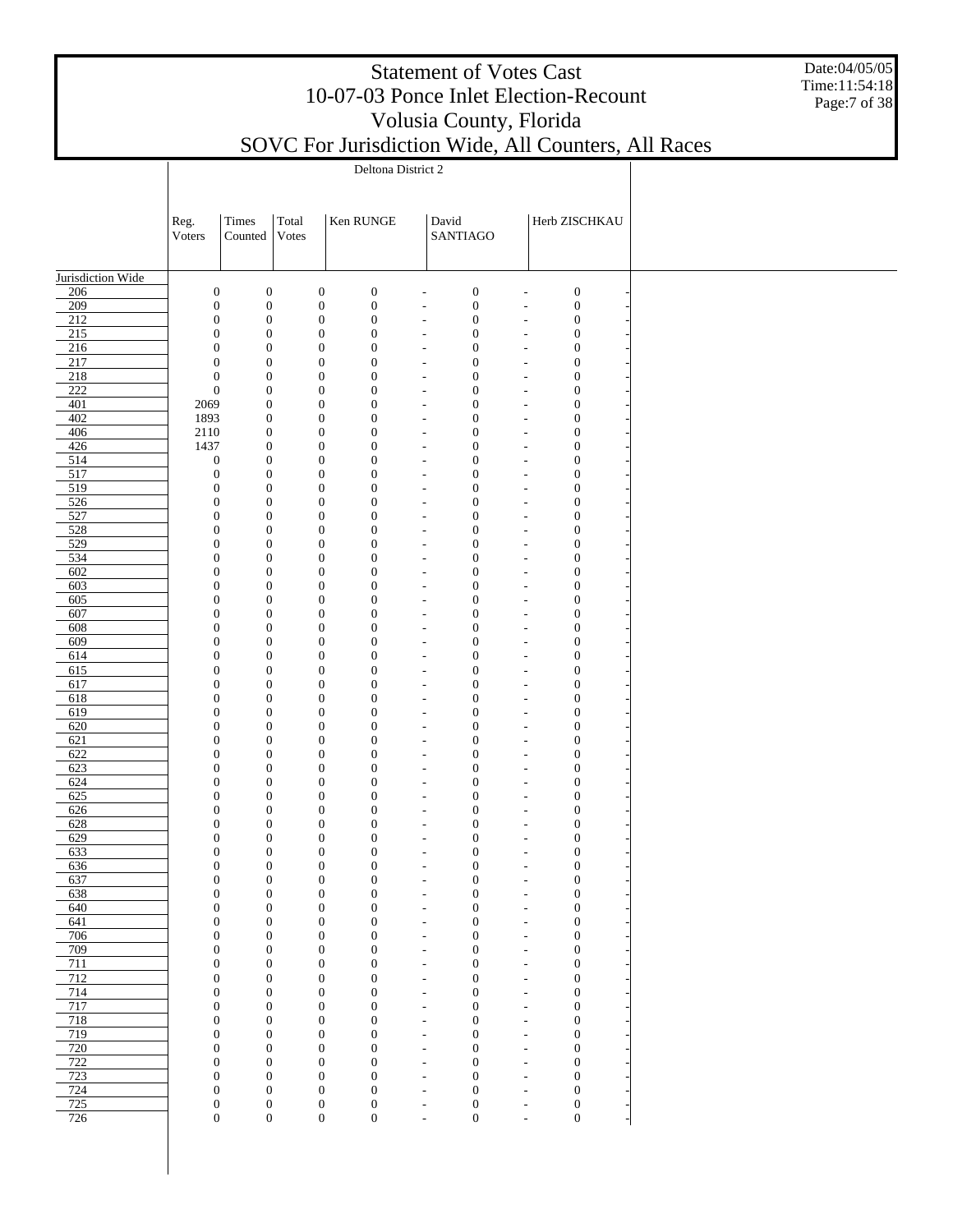Date:04/05/05 Time:11:54:18 Page:7 of 38

|                         | Reg.                                 | Times                                | Total |                                      | Ken RUNGE                            |                                                      | David                                | Herb ZISCHKAU                                                                                |  |
|-------------------------|--------------------------------------|--------------------------------------|-------|--------------------------------------|--------------------------------------|------------------------------------------------------|--------------------------------------|----------------------------------------------------------------------------------------------|--|
|                         | Voters                               | Counted                              | Votes |                                      |                                      |                                                      | SANTIAGO                             |                                                                                              |  |
|                         |                                      |                                      |       |                                      |                                      |                                                      |                                      |                                                                                              |  |
| Jurisdiction Wide       |                                      |                                      |       |                                      |                                      |                                                      |                                      |                                                                                              |  |
| 206                     | $\boldsymbol{0}$                     | $\boldsymbol{0}$                     |       | $\boldsymbol{0}$                     | $\boldsymbol{0}$                     | $\overline{\phantom{a}}$                             | $\boldsymbol{0}$                     | $\boldsymbol{0}$<br>$\overline{\phantom{a}}$                                                 |  |
| $\overline{209}$<br>212 | $\boldsymbol{0}$                     | $\boldsymbol{0}$                     |       | $\boldsymbol{0}$                     | $\boldsymbol{0}$                     | $\overline{\phantom{a}}$                             | $\boldsymbol{0}$                     | $\boldsymbol{0}$<br>$\overline{\phantom{a}}$                                                 |  |
| 215                     | $\boldsymbol{0}$<br>$\boldsymbol{0}$ | $\boldsymbol{0}$<br>$\boldsymbol{0}$ |       | $\boldsymbol{0}$<br>$\boldsymbol{0}$ | $\boldsymbol{0}$<br>$\boldsymbol{0}$ | $\overline{\phantom{a}}$<br>$\overline{\phantom{a}}$ | $\boldsymbol{0}$<br>$\boldsymbol{0}$ | $\boldsymbol{0}$<br>$\overline{\phantom{a}}$<br>$\boldsymbol{0}$<br>$\overline{\phantom{a}}$ |  |
| 216                     | $\boldsymbol{0}$                     | $\boldsymbol{0}$                     |       | $\boldsymbol{0}$                     | $\boldsymbol{0}$                     | $\overline{\phantom{a}}$                             | $\boldsymbol{0}$                     | $\boldsymbol{0}$<br>$\overline{\phantom{a}}$                                                 |  |
| 217                     | $\boldsymbol{0}$                     | $\boldsymbol{0}$                     |       | $\boldsymbol{0}$                     | $\boldsymbol{0}$                     | $\overline{\phantom{a}}$                             | $\boldsymbol{0}$                     | $\boldsymbol{0}$<br>$\overline{\phantom{a}}$                                                 |  |
| 218<br>$\overline{222}$ | $\mathbf{0}$<br>$\boldsymbol{0}$     | $\boldsymbol{0}$                     |       | $\boldsymbol{0}$                     | $\boldsymbol{0}$                     | $\overline{\phantom{m}}$                             | $\boldsymbol{0}$                     | $\boldsymbol{0}$<br>$\overline{\phantom{a}}$                                                 |  |
| 401                     | 2069                                 | $\boldsymbol{0}$<br>$\boldsymbol{0}$ |       | $\boldsymbol{0}$<br>$\boldsymbol{0}$ | $\boldsymbol{0}$<br>$\boldsymbol{0}$ | $\overline{\phantom{a}}$<br>$\overline{\phantom{m}}$ | $\boldsymbol{0}$<br>$\boldsymbol{0}$ | $\boldsymbol{0}$<br>$\overline{\phantom{a}}$<br>$\boldsymbol{0}$<br>$\overline{\phantom{a}}$ |  |
| 402                     | 1893                                 | $\mathbf{0}$                         |       | $\boldsymbol{0}$                     | $\boldsymbol{0}$                     | $\overline{\phantom{a}}$                             | $\boldsymbol{0}$                     | $\boldsymbol{0}$<br>$\overline{\phantom{a}}$                                                 |  |
| 406                     | 2110                                 | $\mathbf{0}$                         |       | $\boldsymbol{0}$                     | $\boldsymbol{0}$                     | $\overline{\phantom{a}}$                             | $\boldsymbol{0}$                     | $\boldsymbol{0}$<br>$\overline{\phantom{a}}$                                                 |  |
| 426                     | 1437                                 | $\mathbf{0}$                         |       | $\boldsymbol{0}$                     | $\boldsymbol{0}$                     | $\overline{\phantom{a}}$                             | $\mathbf{0}$                         | $\boldsymbol{0}$<br>$\overline{\phantom{a}}$                                                 |  |
| 514<br>517              | $\boldsymbol{0}$<br>$\boldsymbol{0}$ | $\boldsymbol{0}$<br>$\boldsymbol{0}$ |       | $\boldsymbol{0}$<br>$\boldsymbol{0}$ | $\boldsymbol{0}$<br>$\boldsymbol{0}$ | $\overline{\phantom{a}}$<br>$\overline{\phantom{a}}$ | $\boldsymbol{0}$<br>$\boldsymbol{0}$ | $\boldsymbol{0}$<br>$\overline{\phantom{a}}$<br>$\boldsymbol{0}$<br>$\overline{\phantom{a}}$ |  |
| 519                     | $\boldsymbol{0}$                     | $\boldsymbol{0}$                     |       | $\boldsymbol{0}$                     | $\boldsymbol{0}$                     | $\overline{\phantom{a}}$                             | $\boldsymbol{0}$                     | $\boldsymbol{0}$<br>$\tilde{\phantom{a}}$                                                    |  |
| 526                     | $\boldsymbol{0}$                     | $\boldsymbol{0}$                     |       | $\boldsymbol{0}$                     | $\boldsymbol{0}$                     | $\overline{\phantom{a}}$                             | $\mathbf{0}$                         | $\boldsymbol{0}$<br>$\overline{\phantom{a}}$                                                 |  |
| 527                     | $\boldsymbol{0}$                     | $\boldsymbol{0}$                     |       | $\boldsymbol{0}$                     | $\boldsymbol{0}$                     | $\overline{\phantom{a}}$                             | $\mathbf{0}$                         | $\boldsymbol{0}$<br>$\tilde{\phantom{a}}$                                                    |  |
| 528<br>529              | $\boldsymbol{0}$<br>$\boldsymbol{0}$ | $\boldsymbol{0}$<br>$\boldsymbol{0}$ |       | $\boldsymbol{0}$<br>$\boldsymbol{0}$ | $\boldsymbol{0}$<br>$\boldsymbol{0}$ | $\overline{\phantom{a}}$<br>$\overline{\phantom{a}}$ | $\boldsymbol{0}$<br>$\boldsymbol{0}$ | $\boldsymbol{0}$<br>$\overline{\phantom{a}}$<br>$\boldsymbol{0}$<br>$\overline{\phantom{a}}$ |  |
| 534                     | $\boldsymbol{0}$                     | $\boldsymbol{0}$                     |       | $\boldsymbol{0}$                     | $\boldsymbol{0}$                     | $\overline{\phantom{a}}$                             | $\boldsymbol{0}$                     | $\boldsymbol{0}$<br>$\overline{\phantom{a}}$                                                 |  |
| 602                     | $\boldsymbol{0}$                     | $\boldsymbol{0}$                     |       | $\boldsymbol{0}$                     | $\boldsymbol{0}$                     | $\overline{\phantom{a}}$                             | $\boldsymbol{0}$                     | $\boldsymbol{0}$<br>$\overline{\phantom{a}}$                                                 |  |
| 603                     | $\boldsymbol{0}$                     | $\boldsymbol{0}$                     |       | $\boldsymbol{0}$                     | $\boldsymbol{0}$                     | $\overline{\phantom{a}}$                             | $\boldsymbol{0}$                     | $\boldsymbol{0}$<br>$\overline{\phantom{a}}$                                                 |  |
| 605<br>607              | $\boldsymbol{0}$                     | $\boldsymbol{0}$                     |       | $\boldsymbol{0}$                     | $\boldsymbol{0}$                     | $\overline{\phantom{m}}$                             | $\boldsymbol{0}$                     | $\boldsymbol{0}$<br>$\overline{\phantom{a}}$                                                 |  |
| 608                     | $\boldsymbol{0}$<br>$\boldsymbol{0}$ | $\boldsymbol{0}$<br>$\boldsymbol{0}$ |       | $\boldsymbol{0}$<br>$\boldsymbol{0}$ | $\boldsymbol{0}$<br>$\boldsymbol{0}$ | $\overline{\phantom{a}}$<br>$\overline{\phantom{m}}$ | $\boldsymbol{0}$<br>$\boldsymbol{0}$ | $\boldsymbol{0}$<br>$\overline{\phantom{a}}$<br>$\boldsymbol{0}$<br>$\overline{\phantom{a}}$ |  |
| 609                     | $\boldsymbol{0}$                     | $\boldsymbol{0}$                     |       | $\boldsymbol{0}$                     | $\boldsymbol{0}$                     | $\overline{\phantom{a}}$                             | $\boldsymbol{0}$                     | $\boldsymbol{0}$<br>$\overline{\phantom{a}}$                                                 |  |
| 614                     | $\boldsymbol{0}$                     | $\boldsymbol{0}$                     |       | $\boldsymbol{0}$                     | $\boldsymbol{0}$                     | $\overline{\phantom{a}}$                             | $\boldsymbol{0}$                     | $\boldsymbol{0}$<br>$\overline{\phantom{a}}$                                                 |  |
| 615                     | $\boldsymbol{0}$                     | $\boldsymbol{0}$                     |       | $\boldsymbol{0}$                     | $\boldsymbol{0}$                     | $\overline{\phantom{a}}$                             | $\boldsymbol{0}$                     | $\boldsymbol{0}$<br>$\overline{\phantom{a}}$                                                 |  |
| 617<br>618              | $\boldsymbol{0}$<br>$\boldsymbol{0}$ | $\boldsymbol{0}$<br>$\boldsymbol{0}$ |       | $\boldsymbol{0}$<br>$\boldsymbol{0}$ | $\boldsymbol{0}$<br>$\boldsymbol{0}$ | $\overline{\phantom{a}}$<br>$\overline{\phantom{a}}$ | $\boldsymbol{0}$<br>$\boldsymbol{0}$ | $\boldsymbol{0}$<br>$\overline{\phantom{a}}$<br>$\boldsymbol{0}$<br>$\overline{\phantom{a}}$ |  |
| 619                     | $\boldsymbol{0}$                     | $\boldsymbol{0}$                     |       | $\boldsymbol{0}$                     | $\boldsymbol{0}$                     | $\overline{\phantom{a}}$                             | $\boldsymbol{0}$                     | $\boldsymbol{0}$<br>$\tilde{\phantom{a}}$                                                    |  |
| 620                     | $\boldsymbol{0}$                     | $\boldsymbol{0}$                     |       | $\boldsymbol{0}$                     | $\boldsymbol{0}$                     | $\overline{\phantom{a}}$                             | $\mathbf{0}$                         | $\boldsymbol{0}$<br>$\overline{\phantom{a}}$                                                 |  |
| 621                     | $\boldsymbol{0}$                     | $\boldsymbol{0}$                     |       | $\boldsymbol{0}$                     | $\boldsymbol{0}$                     | $\overline{\phantom{a}}$                             | $\mathbf{0}$                         | $\boldsymbol{0}$<br>$\tilde{\phantom{a}}$                                                    |  |
| 622                     | $\boldsymbol{0}$                     | $\boldsymbol{0}$                     |       | $\boldsymbol{0}$                     | $\boldsymbol{0}$                     | $\overline{\phantom{a}}$                             | $\mathbf{0}$                         | $\boldsymbol{0}$<br>$\overline{\phantom{a}}$                                                 |  |
| 623<br>624              | $\boldsymbol{0}$<br>$\boldsymbol{0}$ | $\boldsymbol{0}$<br>$\boldsymbol{0}$ |       | $\boldsymbol{0}$<br>$\boldsymbol{0}$ | $\boldsymbol{0}$<br>$\boldsymbol{0}$ | $\overline{\phantom{a}}$<br>$\overline{\phantom{a}}$ | $\mathbf{0}$<br>$\mathbf{0}$         | $\boldsymbol{0}$<br>$\tilde{\phantom{a}}$<br>$\boldsymbol{0}$<br>$\overline{\phantom{a}}$    |  |
| 625                     | $\boldsymbol{0}$                     | $\boldsymbol{0}$                     |       | $\boldsymbol{0}$                     | $\boldsymbol{0}$                     | $\overline{\phantom{a}}$                             | $\mathbf{0}$                         | $\boldsymbol{0}$<br>$\overline{\phantom{a}}$                                                 |  |
| 626                     | $\boldsymbol{0}$                     | $\boldsymbol{0}$                     |       | $\boldsymbol{0}$                     | $\boldsymbol{0}$                     | $\overline{\phantom{a}}$                             | $\mathbf{0}$                         | $\boldsymbol{0}$<br>$\overline{\phantom{a}}$                                                 |  |
| 628                     | $\boldsymbol{0}$                     | $\boldsymbol{0}$                     |       | $\boldsymbol{0}$                     | $\boldsymbol{0}$                     | $\overline{\phantom{m}}$                             | $\boldsymbol{0}$                     | $\boldsymbol{0}$<br>$\overline{\phantom{a}}$                                                 |  |
| 629                     | $\boldsymbol{0}$<br>$\boldsymbol{0}$ | $\mathbf{0}$<br>$\boldsymbol{0}$     |       | $\boldsymbol{0}$<br>$\boldsymbol{0}$ | $\boldsymbol{0}$<br>$\boldsymbol{0}$ | $\overline{\phantom{a}}$                             | $\boldsymbol{0}$<br>$\boldsymbol{0}$ | $\boldsymbol{0}$<br>$\overline{\phantom{a}}$                                                 |  |
| 633<br>636              | $\mathbf{0}$                         | 0                                    |       | $\boldsymbol{0}$                     | 0                                    | $\overline{\phantom{a}}$                             | $\boldsymbol{0}$                     | $\boldsymbol{0}$<br>$\overline{\phantom{a}}$<br>0<br>$\overline{\phantom{a}}$                |  |
| 637                     | $\boldsymbol{0}$                     | $\mathbf{0}$                         |       | $\boldsymbol{0}$                     | $\boldsymbol{0}$                     | $\overline{\phantom{m}}$                             | $\boldsymbol{0}$                     | $\boldsymbol{0}$<br>$\overline{a}$                                                           |  |
| 638                     | $\boldsymbol{0}$                     | $\mathbf{0}$                         |       | $\boldsymbol{0}$                     | $\boldsymbol{0}$                     | $\overline{\phantom{a}}$                             | $\boldsymbol{0}$                     | $\boldsymbol{0}$<br>$\overline{\phantom{a}}$                                                 |  |
| 640                     | $\boldsymbol{0}$                     | $\mathbf{0}$                         |       | $\boldsymbol{0}$                     | $\boldsymbol{0}$                     | $\overline{\phantom{a}}$                             | $\boldsymbol{0}$                     | $\boldsymbol{0}$<br>$\overline{\phantom{a}}$                                                 |  |
| 641<br>706              | $\boldsymbol{0}$<br>$\boldsymbol{0}$ | $\boldsymbol{0}$<br>$\boldsymbol{0}$ |       | $\boldsymbol{0}$<br>$\boldsymbol{0}$ | $\boldsymbol{0}$<br>$\boldsymbol{0}$ | $\overline{\phantom{a}}$<br>$\overline{\phantom{a}}$ | $\boldsymbol{0}$<br>$\boldsymbol{0}$ | $\boldsymbol{0}$<br>$\overline{\phantom{a}}$<br>$\boldsymbol{0}$<br>$\tilde{\phantom{a}}$    |  |
| 709                     | $\boldsymbol{0}$                     | $\mathbf{0}$                         |       | $\boldsymbol{0}$                     | $\boldsymbol{0}$                     | $\overline{\phantom{a}}$                             | $\boldsymbol{0}$                     | $\mathbf{0}$<br>$\overline{\phantom{a}}$                                                     |  |
| 711                     | $\boldsymbol{0}$                     | $\mathbf{0}$                         |       | $\boldsymbol{0}$                     | $\boldsymbol{0}$                     | $\overline{\phantom{a}}$                             | $\boldsymbol{0}$                     | $\boldsymbol{0}$<br>$\tilde{\phantom{a}}$                                                    |  |
| 712                     | $\boldsymbol{0}$                     | $\mathbf{0}$                         |       | $\boldsymbol{0}$                     | $\boldsymbol{0}$                     | $\overline{\phantom{a}}$                             | $\mathbf{0}$                         | $\mathbf{0}$<br>$\tilde{\phantom{a}}$                                                        |  |
| 714                     | $\boldsymbol{0}$                     | $\boldsymbol{0}$                     |       | $\boldsymbol{0}$                     | $\boldsymbol{0}$                     | $\overline{\phantom{a}}$                             | $\mathbf{0}$                         | $\boldsymbol{0}$<br>$\tilde{\phantom{a}}$                                                    |  |
| 717<br>718              | $\boldsymbol{0}$<br>$\boldsymbol{0}$ | $\mathbf{0}$<br>$\boldsymbol{0}$     |       | $\boldsymbol{0}$<br>$\boldsymbol{0}$ | $\boldsymbol{0}$<br>$\boldsymbol{0}$ | $\overline{\phantom{a}}$<br>$\overline{\phantom{a}}$ | $\mathbf{0}$<br>$\mathbf{0}$         | $\mathbf{0}$<br>$\overline{\phantom{a}}$<br>$\boldsymbol{0}$<br>$\overline{\phantom{a}}$     |  |
| 719                     | $\boldsymbol{0}$                     | $\boldsymbol{0}$                     |       | $\boldsymbol{0}$                     | $\boldsymbol{0}$                     | $\overline{\phantom{a}}$                             | $\mathbf{0}$                         | $\mathbf{0}$<br>$\overline{\phantom{a}}$                                                     |  |
| 720                     | $\boldsymbol{0}$                     | $\boldsymbol{0}$                     |       | $\boldsymbol{0}$                     | $\boldsymbol{0}$                     | $\overline{\phantom{a}}$                             | $\mathbf{0}$                         | $\boldsymbol{0}$<br>$\overline{\phantom{a}}$                                                 |  |
| 722                     | $\boldsymbol{0}$                     | $\boldsymbol{0}$                     |       | $\mathbf{0}$                         | $\boldsymbol{0}$                     | $\overline{\phantom{a}}$                             | $\boldsymbol{0}$                     | $\mathbf{0}$<br>$\overline{\phantom{a}}$                                                     |  |
| 723<br>724              | $\boldsymbol{0}$<br>$\boldsymbol{0}$ | $\boldsymbol{0}$<br>$\boldsymbol{0}$ |       | $\boldsymbol{0}$<br>$\boldsymbol{0}$ | $\boldsymbol{0}$<br>$\boldsymbol{0}$ | $\overline{\phantom{m}}$                             | $\boldsymbol{0}$<br>$\boldsymbol{0}$ | $\boldsymbol{0}$<br>$\overline{\phantom{a}}$<br>$\boldsymbol{0}$                             |  |
| 725                     | $\boldsymbol{0}$                     | $\boldsymbol{0}$                     |       | $\boldsymbol{0}$                     | $\boldsymbol{0}$                     | $\overline{\phantom{a}}$<br>$\overline{\phantom{m}}$ | $\boldsymbol{0}$                     | $\overline{\phantom{a}}$<br>$\boldsymbol{0}$<br>$\overline{\phantom{a}}$                     |  |
| 726                     | $\boldsymbol{0}$                     | $\boldsymbol{0}$                     |       | $\boldsymbol{0}$                     | $\boldsymbol{0}$                     | $\overline{\phantom{a}}$                             | $\boldsymbol{0}$                     | $\boldsymbol{0}$<br>$\overline{\phantom{a}}$                                                 |  |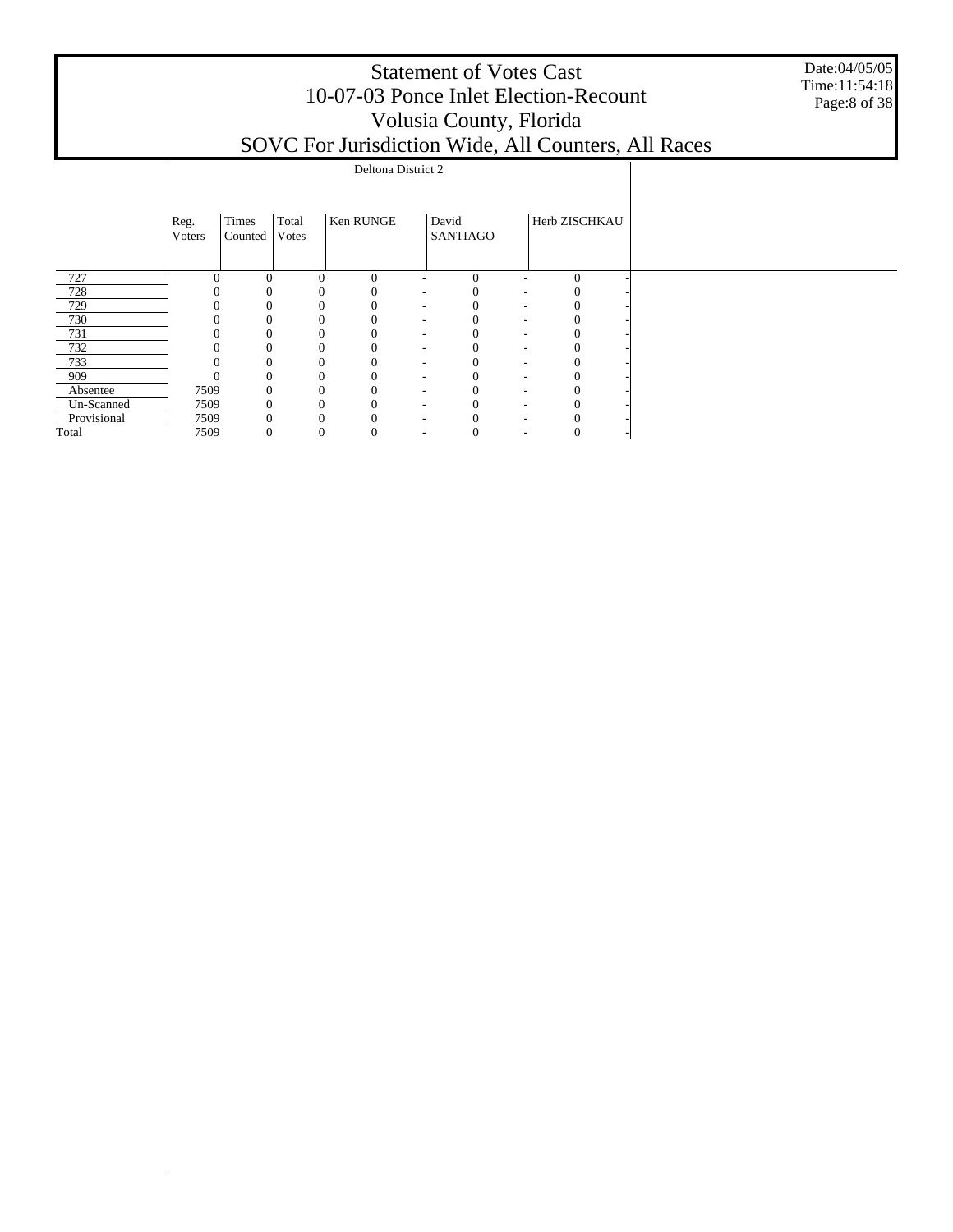|                |                  |                           |                  |                          |   |                                                |  |                                                                                                                                        | Date:04/05/05<br>Time:11:54:18<br>Page:8 of 38                                               |
|----------------|------------------|---------------------------|------------------|--------------------------|---|------------------------------------------------|--|----------------------------------------------------------------------------------------------------------------------------------------|----------------------------------------------------------------------------------------------|
|                |                  |                           |                  |                          |   |                                                |  |                                                                                                                                        |                                                                                              |
| Reg.<br>Voters | Times<br>Counted | Total<br>Votes            | <b>Ken RUNGE</b> |                          |   |                                                |  |                                                                                                                                        |                                                                                              |
|                | $\Omega$         | $\theta$                  | $\Omega$         | $\overline{\phantom{a}}$ | 0 |                                                |  |                                                                                                                                        |                                                                                              |
|                |                  |                           |                  |                          |   |                                                |  |                                                                                                                                        |                                                                                              |
|                | 0                |                           |                  |                          |   |                                                |  |                                                                                                                                        |                                                                                              |
|                | $\Omega$         | 0                         |                  |                          |   |                                                |  |                                                                                                                                        |                                                                                              |
|                | $\Omega$         |                           |                  |                          |   |                                                |  |                                                                                                                                        |                                                                                              |
|                | $\Omega$         |                           |                  |                          |   |                                                |  |                                                                                                                                        |                                                                                              |
|                | $\theta$         | 0                         |                  |                          |   |                                                |  |                                                                                                                                        |                                                                                              |
|                | $\Omega$         |                           |                  |                          | 0 |                                                |  |                                                                                                                                        |                                                                                              |
|                | $\theta$         |                           |                  |                          | 0 |                                                |  |                                                                                                                                        |                                                                                              |
|                | $\Omega$         |                           |                  |                          |   |                                                |  |                                                                                                                                        |                                                                                              |
|                | $\Omega$         | $\theta$                  |                  |                          |   |                                                |  |                                                                                                                                        |                                                                                              |
|                |                  | 0<br>7509<br>7509<br>7509 |                  |                          |   | Deltona District 2<br>David<br><b>SANTIAGO</b> |  | <b>Statement of Votes Cast</b><br>Volusia County, Florida<br>Herb ZISCHKAU<br>$\mathbf{0}$<br>$\mathbf{0}$<br>$\Omega$<br>$\mathbf{0}$ | 10-07-03 Ponce Inlet Election-Recount<br>SOVC For Jurisdiction Wide, All Counters, All Races |

7509 0 0 0 - 0 - 0 -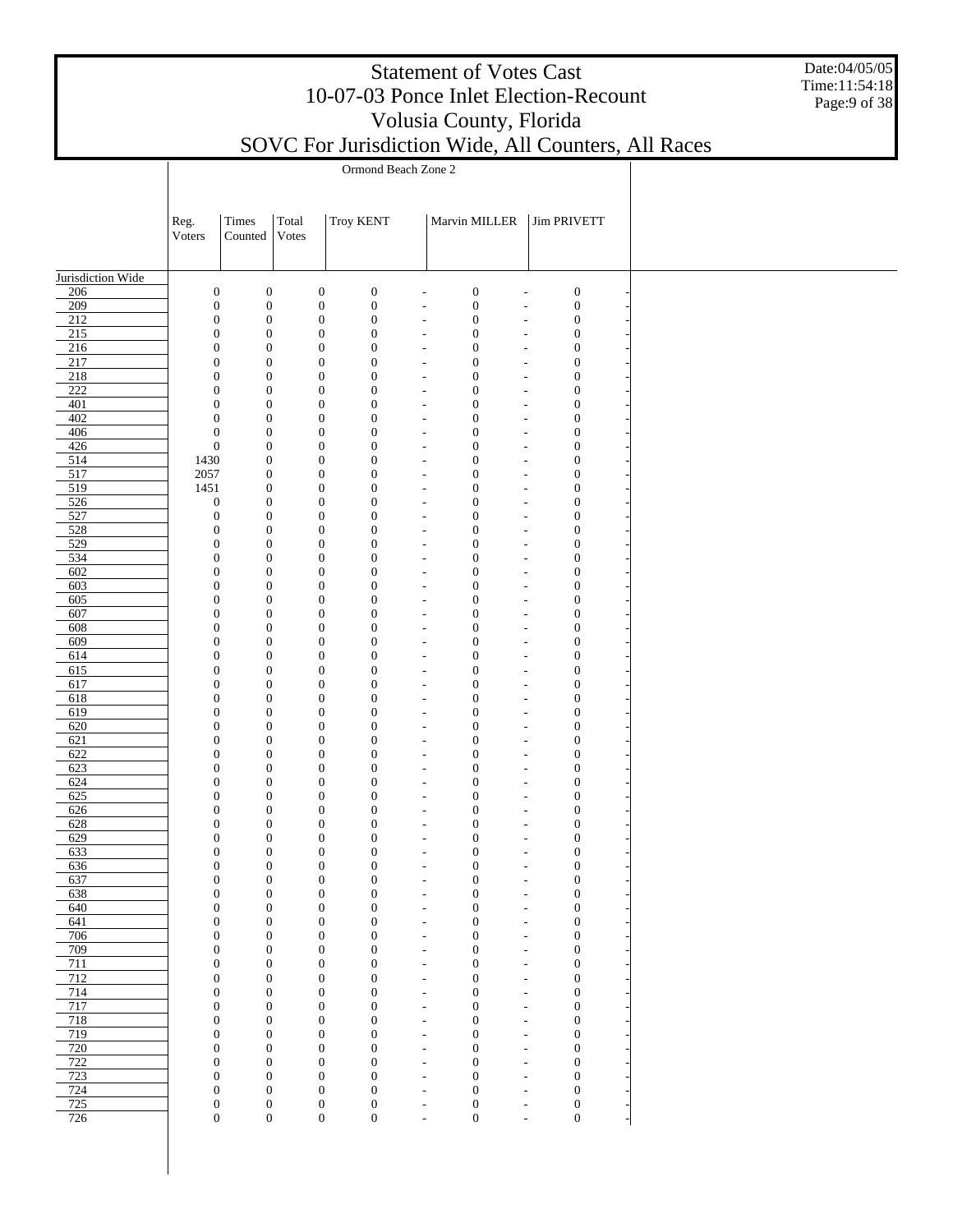Date:04/05/05 Time:11:54:18 Page:9 of 38

|                         |                                      | Ormond Beach Zone 2                  |                                      |                                      |  |                                                                                              |                          |                                                                                              |  |  |  |  |  |  |
|-------------------------|--------------------------------------|--------------------------------------|--------------------------------------|--------------------------------------|--|----------------------------------------------------------------------------------------------|--------------------------|----------------------------------------------------------------------------------------------|--|--|--|--|--|--|
|                         |                                      |                                      |                                      |                                      |  |                                                                                              |                          |                                                                                              |  |  |  |  |  |  |
|                         | Reg.                                 | Times                                | Total                                | <b>Troy KENT</b>                     |  | Marvin MILLER                                                                                |                          | <b>Jim PRIVETT</b>                                                                           |  |  |  |  |  |  |
|                         | Voters                               | Counted                              | Votes                                |                                      |  |                                                                                              |                          |                                                                                              |  |  |  |  |  |  |
|                         |                                      |                                      |                                      |                                      |  |                                                                                              |                          |                                                                                              |  |  |  |  |  |  |
| Jurisdiction Wide       |                                      |                                      |                                      |                                      |  |                                                                                              |                          |                                                                                              |  |  |  |  |  |  |
| 206                     | $\boldsymbol{0}$                     | $\boldsymbol{0}$                     | $\boldsymbol{0}$                     | $\boldsymbol{0}$                     |  | $\boldsymbol{0}$<br>$\overline{\phantom{a}}$                                                 |                          | $\boldsymbol{0}$<br>$\overline{a}$                                                           |  |  |  |  |  |  |
| 209<br>$\overline{212}$ | $\mathbf{0}$<br>$\boldsymbol{0}$     | $\boldsymbol{0}$<br>$\boldsymbol{0}$ | $\boldsymbol{0}$                     | $\boldsymbol{0}$<br>$\boldsymbol{0}$ |  | $\boldsymbol{0}$<br>$\overline{\phantom{a}}$<br>$\boldsymbol{0}$<br>$\overline{\phantom{a}}$ |                          | $\boldsymbol{0}$<br>$\overline{\phantom{a}}$                                                 |  |  |  |  |  |  |
| $215$                   | $\mathbf{0}$                         | $\boldsymbol{0}$                     | $\boldsymbol{0}$<br>$\boldsymbol{0}$ | $\boldsymbol{0}$                     |  | $\boldsymbol{0}$<br>$\overline{\phantom{a}}$                                                 |                          | $\boldsymbol{0}$<br>$\overline{\phantom{a}}$<br>$\boldsymbol{0}$<br>$\overline{\phantom{a}}$ |  |  |  |  |  |  |
| 216                     | $\mathbf{0}$                         | $\boldsymbol{0}$                     | $\boldsymbol{0}$                     | $\boldsymbol{0}$                     |  | $\boldsymbol{0}$<br>$\overline{\phantom{a}}$                                                 |                          | $\boldsymbol{0}$<br>$\overline{\phantom{a}}$                                                 |  |  |  |  |  |  |
| 217                     | $\mathbf{0}$                         | $\boldsymbol{0}$                     | $\boldsymbol{0}$                     | $\boldsymbol{0}$                     |  | $\boldsymbol{0}$<br>$\overline{\phantom{a}}$                                                 |                          | $\boldsymbol{0}$<br>$\overline{\phantom{a}}$                                                 |  |  |  |  |  |  |
| $\overline{218}$        | $\mathbf{0}$                         | $\mathbf{0}$                         | $\boldsymbol{0}$                     | $\boldsymbol{0}$                     |  | $\boldsymbol{0}$<br>$\overline{\phantom{a}}$                                                 |                          | $\boldsymbol{0}$<br>$\overline{\phantom{a}}$                                                 |  |  |  |  |  |  |
| $\overline{222}$<br>401 | $\mathbf{0}$<br>$\mathbf{0}$         | $\mathbf{0}$<br>$\mathbf{0}$         | $\boldsymbol{0}$<br>$\boldsymbol{0}$ | $\boldsymbol{0}$<br>$\boldsymbol{0}$ |  | $\mathbf{0}$<br>$\overline{\phantom{a}}$<br>$\mathbf{0}$<br>$\overline{\phantom{a}}$         |                          | $\boldsymbol{0}$<br>$\overline{\phantom{a}}$<br>$\boldsymbol{0}$<br>$\overline{\phantom{a}}$ |  |  |  |  |  |  |
| 402                     | $\mathbf{0}$                         | $\mathbf{0}$                         | $\boldsymbol{0}$                     | $\boldsymbol{0}$                     |  | $\mathbf{0}$<br>$\overline{\phantom{a}}$                                                     |                          | $\boldsymbol{0}$<br>$\overline{\phantom{a}}$                                                 |  |  |  |  |  |  |
| 406                     | $\boldsymbol{0}$                     | $\boldsymbol{0}$                     | $\boldsymbol{0}$                     | $\boldsymbol{0}$                     |  | $\boldsymbol{0}$<br>$\overline{\phantom{a}}$                                                 |                          | $\boldsymbol{0}$<br>$\overline{\phantom{a}}$                                                 |  |  |  |  |  |  |
| 426                     | $\boldsymbol{0}$                     | $\mathbf{0}$                         | $\boldsymbol{0}$                     | $\boldsymbol{0}$                     |  | $\mathbf{0}$<br>$\overline{\phantom{a}}$                                                     |                          | $\boldsymbol{0}$<br>$\overline{\phantom{a}}$                                                 |  |  |  |  |  |  |
| 514<br>517              | 1430<br>2057                         | $\boldsymbol{0}$<br>$\boldsymbol{0}$ | $\boldsymbol{0}$<br>$\boldsymbol{0}$ | $\boldsymbol{0}$<br>$\boldsymbol{0}$ |  | $\boldsymbol{0}$<br>$\overline{a}$<br>$\boldsymbol{0}$                                       |                          | $\boldsymbol{0}$<br>$\overline{\phantom{a}}$<br>$\boldsymbol{0}$                             |  |  |  |  |  |  |
| 519                     | 1451                                 | $\boldsymbol{0}$                     | $\boldsymbol{0}$                     | $\boldsymbol{0}$                     |  | $\overline{\phantom{a}}$<br>$\boldsymbol{0}$<br>$\overline{a}$                               |                          | $\overline{\phantom{a}}$<br>$\boldsymbol{0}$<br>$\overline{\phantom{a}}$                     |  |  |  |  |  |  |
| 526                     | $\boldsymbol{0}$                     | $\boldsymbol{0}$                     | $\boldsymbol{0}$                     | $\boldsymbol{0}$                     |  | $\boldsymbol{0}$<br>$\overline{\phantom{a}}$                                                 |                          | $\boldsymbol{0}$<br>$\overline{\phantom{a}}$                                                 |  |  |  |  |  |  |
| 527                     | $\boldsymbol{0}$                     | $\boldsymbol{0}$                     | $\boldsymbol{0}$                     | $\boldsymbol{0}$                     |  | $\boldsymbol{0}$<br>$\overline{a}$                                                           | $\overline{a}$           | $\boldsymbol{0}$                                                                             |  |  |  |  |  |  |
| 528                     | $\mathbf{0}$                         | $\boldsymbol{0}$                     | $\boldsymbol{0}$                     | $\boldsymbol{0}$                     |  | $\boldsymbol{0}$<br>$\overline{\phantom{a}}$                                                 |                          | $\boldsymbol{0}$<br>$\overline{\phantom{a}}$                                                 |  |  |  |  |  |  |
| $\overline{529}$<br>534 | $\boldsymbol{0}$<br>$\mathbf{0}$     | $\boldsymbol{0}$<br>$\boldsymbol{0}$ | $\boldsymbol{0}$<br>$\boldsymbol{0}$ | $\boldsymbol{0}$<br>$\boldsymbol{0}$ |  | $\boldsymbol{0}$<br>$\overline{a}$<br>$\boldsymbol{0}$<br>$\overline{\phantom{a}}$           | $\overline{a}$           | $\boldsymbol{0}$<br>$\boldsymbol{0}$<br>$\overline{\phantom{a}}$                             |  |  |  |  |  |  |
| 602                     | $\mathbf{0}$                         | $\boldsymbol{0}$                     | $\boldsymbol{0}$                     | $\boldsymbol{0}$                     |  | $\boldsymbol{0}$<br>$\overline{\phantom{a}}$                                                 | $\overline{\phantom{a}}$ | $\boldsymbol{0}$                                                                             |  |  |  |  |  |  |
| 603                     | $\mathbf{0}$                         | $\boldsymbol{0}$                     | $\boldsymbol{0}$                     | $\boldsymbol{0}$                     |  | $\boldsymbol{0}$<br>$\overline{\phantom{a}}$                                                 |                          | $\boldsymbol{0}$<br>$\overline{\phantom{a}}$                                                 |  |  |  |  |  |  |
| 605                     | $\mathbf{0}$                         | $\boldsymbol{0}$                     | $\boldsymbol{0}$                     | $\boldsymbol{0}$                     |  | $\boldsymbol{0}$<br>$\overline{\phantom{m}}$                                                 | $\overline{a}$           | $\boldsymbol{0}$                                                                             |  |  |  |  |  |  |
| 607                     | $\mathbf{0}$                         | $\boldsymbol{0}$                     | $\boldsymbol{0}$                     | $\boldsymbol{0}$                     |  | $\boldsymbol{0}$<br>$\overline{\phantom{a}}$                                                 |                          | $\boldsymbol{0}$<br>$\overline{\phantom{a}}$                                                 |  |  |  |  |  |  |
| 608<br>609              | $\mathbf{0}$<br>$\mathbf{0}$         | $\mathbf{0}$<br>$\mathbf{0}$         | $\boldsymbol{0}$<br>$\boldsymbol{0}$ | $\boldsymbol{0}$<br>$\boldsymbol{0}$ |  | $\boldsymbol{0}$<br>$\overline{\phantom{m}}$<br>$\boldsymbol{0}$<br>$\overline{\phantom{a}}$ | $\overline{\phantom{a}}$ | $\boldsymbol{0}$<br>$\boldsymbol{0}$<br>$\overline{\phantom{a}}$                             |  |  |  |  |  |  |
| 614                     | $\mathbf{0}$                         | $\mathbf{0}$                         | $\boldsymbol{0}$                     | $\boldsymbol{0}$                     |  | $\boldsymbol{0}$<br>$\overline{\phantom{m}}$                                                 | $\overline{a}$           | $\boldsymbol{0}$                                                                             |  |  |  |  |  |  |
| 615                     | $\mathbf{0}$                         | $\mathbf{0}$                         | $\boldsymbol{0}$                     | $\boldsymbol{0}$                     |  | $\mathbf{0}$<br>$\overline{\phantom{a}}$                                                     |                          | $\boldsymbol{0}$<br>$\overline{\phantom{a}}$                                                 |  |  |  |  |  |  |
| 617                     | $\mathbf{0}$                         | $\mathbf{0}$                         | $\boldsymbol{0}$                     | $\boldsymbol{0}$                     |  | $\boldsymbol{0}$<br>$\overline{\phantom{m}}$                                                 | $\overline{a}$           | $\boldsymbol{0}$                                                                             |  |  |  |  |  |  |
| 618<br>619              | $\mathbf{0}$<br>$\mathbf{0}$         | $\mathbf{0}$                         | $\boldsymbol{0}$<br>$\boldsymbol{0}$ | $\boldsymbol{0}$<br>$\boldsymbol{0}$ |  | $\boldsymbol{0}$<br>$\overline{\phantom{a}}$                                                 |                          | $\boldsymbol{0}$<br>$\overline{\phantom{a}}$                                                 |  |  |  |  |  |  |
| 620                     | $\mathbf{0}$                         | $\boldsymbol{0}$<br>$\boldsymbol{0}$ | $\boldsymbol{0}$                     | $\boldsymbol{0}$                     |  | $\boldsymbol{0}$<br>$\overline{\phantom{m}}$<br>$\boldsymbol{0}$<br>$\overline{\phantom{a}}$ | $\overline{a}$           | $\boldsymbol{0}$<br>$\boldsymbol{0}$<br>$\overline{\phantom{a}}$                             |  |  |  |  |  |  |
| 621                     | $\mathbf{0}$                         | $\boldsymbol{0}$                     | $\boldsymbol{0}$                     | $\boldsymbol{0}$                     |  | $\boldsymbol{0}$<br>$\overline{\phantom{m}}$                                                 | $\overline{a}$           | $\boldsymbol{0}$                                                                             |  |  |  |  |  |  |
| 622                     | $\mathbf{0}$                         | $\boldsymbol{0}$                     | $\boldsymbol{0}$                     | $\boldsymbol{0}$                     |  | $\boldsymbol{0}$<br>$\overline{\phantom{a}}$                                                 |                          | $\boldsymbol{0}$<br>$\overline{\phantom{a}}$                                                 |  |  |  |  |  |  |
| 623                     | $\mathbf{0}$                         | $\boldsymbol{0}$                     | $\boldsymbol{0}$                     | $\boldsymbol{0}$                     |  | $\boldsymbol{0}$<br>$\overline{\phantom{m}}$                                                 | $\overline{a}$           | $\boldsymbol{0}$                                                                             |  |  |  |  |  |  |
| 624<br>625              | $\mathbf{0}$<br>$\mathbf{0}$         | $\boldsymbol{0}$<br>$\boldsymbol{0}$ | $\boldsymbol{0}$<br>$\boldsymbol{0}$ | $\boldsymbol{0}$<br>$\boldsymbol{0}$ |  | $\boldsymbol{0}$<br>$\overline{\phantom{a}}$<br>$\boldsymbol{0}$<br>$\overline{\phantom{m}}$ | $\overline{\phantom{a}}$ | $\boldsymbol{0}$<br>$\overline{\phantom{a}}$<br>$\boldsymbol{0}$                             |  |  |  |  |  |  |
| 626                     | $\mathbf{0}$                         | $\boldsymbol{0}$                     | $\boldsymbol{0}$                     | $\boldsymbol{0}$                     |  | $\boldsymbol{0}$<br>$\overline{\phantom{a}}$                                                 |                          | $\boldsymbol{0}$<br>$\overline{\phantom{a}}$                                                 |  |  |  |  |  |  |
| 628                     | $\boldsymbol{0}$                     | $\boldsymbol{0}$                     | $\boldsymbol{0}$                     | $\boldsymbol{0}$                     |  | $\boldsymbol{0}$<br>$\overline{\phantom{m}}$                                                 | $\overline{\phantom{a}}$ | $\boldsymbol{0}$                                                                             |  |  |  |  |  |  |
| 629                     | $\mathbf{0}$                         | $\boldsymbol{0}$                     | $\boldsymbol{0}$                     | $\boldsymbol{0}$                     |  | $\boldsymbol{0}$<br>$\overline{\phantom{a}}$                                                 |                          | $\boldsymbol{0}$<br>$\overline{\phantom{a}}$                                                 |  |  |  |  |  |  |
| 633                     | $\boldsymbol{0}$                     | $\boldsymbol{0}$                     | $\boldsymbol{0}$                     | $\boldsymbol{0}$                     |  | $\boldsymbol{0}$<br>$\overline{\phantom{a}}$                                                 |                          | $\boldsymbol{0}$<br>$\overline{\phantom{a}}$                                                 |  |  |  |  |  |  |
| 636<br>637              | $\boldsymbol{0}$<br>$\mathbf{0}$     | $\boldsymbol{0}$<br>$\boldsymbol{0}$ | $\boldsymbol{0}$<br>$\boldsymbol{0}$ | $\boldsymbol{0}$<br>$\boldsymbol{0}$ |  | $\boldsymbol{0}$<br>$\boldsymbol{0}$<br>$\overline{\phantom{m}}$                             | $\overline{a}$           | $\boldsymbol{0}$<br>$\overline{a}$<br>$\boldsymbol{0}$                                       |  |  |  |  |  |  |
| 638                     | $\mathbf{0}$                         | $\mathbf{0}$                         | $\mathbf{0}$                         | $\boldsymbol{0}$                     |  | $\mathbf{0}$<br>$\overline{\phantom{a}}$                                                     |                          | $\boldsymbol{0}$<br>$\overline{\phantom{a}}$                                                 |  |  |  |  |  |  |
| 640                     | $\mathbf{0}$                         | $\boldsymbol{0}$                     | $\mathbf{0}$                         | $\boldsymbol{0}$                     |  | $\mathbf{0}$<br>$\overline{\phantom{a}}$                                                     |                          | $\boldsymbol{0}$<br>$\overline{\phantom{a}}$                                                 |  |  |  |  |  |  |
| 641                     | $\boldsymbol{0}$                     | $\mathbf{0}$                         | $\mathbf{0}$                         | $\boldsymbol{0}$                     |  | $\mathbf{0}$<br>$\overline{\phantom{a}}$                                                     |                          | $\boldsymbol{0}$<br>$\overline{\phantom{a}}$                                                 |  |  |  |  |  |  |
| 706                     | $\boldsymbol{0}$                     | $\mathbf{0}$                         | $\mathbf{0}$                         | $\boldsymbol{0}$                     |  | $\mathbf{0}$<br>$\overline{\phantom{a}}$                                                     |                          | $\boldsymbol{0}$<br>$\overline{\phantom{a}}$                                                 |  |  |  |  |  |  |
| 709<br>711              | $\boldsymbol{0}$<br>$\boldsymbol{0}$ | $\mathbf{0}$<br>$\boldsymbol{0}$     | $\mathbf{0}$<br>$\boldsymbol{0}$     | $\boldsymbol{0}$<br>$\boldsymbol{0}$ |  | $\mathbf{0}$<br>$\overline{\phantom{a}}$<br>$\boldsymbol{0}$<br>$\overline{\phantom{a}}$     |                          | $\boldsymbol{0}$<br>$\overline{\phantom{a}}$<br>$\boldsymbol{0}$<br>$\overline{\phantom{a}}$ |  |  |  |  |  |  |
| 712                     | $\mathbf{0}$                         | $\boldsymbol{0}$                     | $\boldsymbol{0}$                     | $\boldsymbol{0}$                     |  | $\boldsymbol{0}$<br>$\overline{\phantom{a}}$                                                 |                          | $\boldsymbol{0}$<br>$\overline{\phantom{a}}$                                                 |  |  |  |  |  |  |
| 714                     | $\boldsymbol{0}$                     | $\boldsymbol{0}$                     | $\boldsymbol{0}$                     | $\boldsymbol{0}$                     |  | $\boldsymbol{0}$<br>$\overline{\phantom{a}}$                                                 |                          | $\boldsymbol{0}$<br>$\overline{\phantom{a}}$                                                 |  |  |  |  |  |  |
| 717                     | $\boldsymbol{0}$                     | $\boldsymbol{0}$                     | $\boldsymbol{0}$                     | $\boldsymbol{0}$                     |  | $\boldsymbol{0}$<br>$\overline{\phantom{a}}$                                                 |                          | $\boldsymbol{0}$<br>$\overline{\phantom{a}}$                                                 |  |  |  |  |  |  |
| 718                     | $\boldsymbol{0}$                     | $\boldsymbol{0}$                     | $\boldsymbol{0}$                     | $\boldsymbol{0}$                     |  | $\boldsymbol{0}$<br>$\overline{\phantom{a}}$                                                 |                          | $\boldsymbol{0}$<br>$\overline{\phantom{a}}$                                                 |  |  |  |  |  |  |
| 719<br>720              | $\mathbf{0}$<br>$\mathbf{0}$         | $\boldsymbol{0}$<br>$\boldsymbol{0}$ | $\boldsymbol{0}$<br>$\boldsymbol{0}$ | $\boldsymbol{0}$<br>$\boldsymbol{0}$ |  | $\boldsymbol{0}$<br>$\overline{\phantom{a}}$<br>$\boldsymbol{0}$<br>$\overline{\phantom{a}}$ |                          | $\boldsymbol{0}$<br>$\overline{\phantom{a}}$<br>$\boldsymbol{0}$<br>$\overline{\phantom{a}}$ |  |  |  |  |  |  |
| 722                     | $\boldsymbol{0}$                     | $\boldsymbol{0}$                     | $\boldsymbol{0}$                     | $\boldsymbol{0}$                     |  | $\boldsymbol{0}$<br>$\overline{\phantom{a}}$                                                 |                          | $\boldsymbol{0}$<br>$\overline{\phantom{a}}$                                                 |  |  |  |  |  |  |
| 723                     | $\mathbf{0}$                         | $\boldsymbol{0}$                     | $\boldsymbol{0}$                     | $\boldsymbol{0}$                     |  | $\boldsymbol{0}$<br>$\overline{\phantom{a}}$                                                 |                          | $\boldsymbol{0}$<br>$\overline{\phantom{a}}$                                                 |  |  |  |  |  |  |
| 724                     | $\boldsymbol{0}$                     | $\boldsymbol{0}$                     | $\boldsymbol{0}$                     | $\boldsymbol{0}$                     |  | $\boldsymbol{0}$<br>$\overline{\phantom{a}}$                                                 |                          | $\boldsymbol{0}$<br>$\overline{\phantom{a}}$                                                 |  |  |  |  |  |  |
| 725<br>726              | $\boldsymbol{0}$<br>$\boldsymbol{0}$ | $\boldsymbol{0}$<br>$\mathbf{0}$     | $\boldsymbol{0}$<br>$\mathbf{0}$     | $\boldsymbol{0}$<br>$\boldsymbol{0}$ |  | $\boldsymbol{0}$<br>$\overline{a}$<br>$\mathbf{0}$<br>$\overline{\phantom{a}}$               |                          | $\boldsymbol{0}$<br>$\overline{a}$<br>$\boldsymbol{0}$<br>$\overline{\phantom{a}}$           |  |  |  |  |  |  |
|                         |                                      |                                      |                                      |                                      |  |                                                                                              |                          |                                                                                              |  |  |  |  |  |  |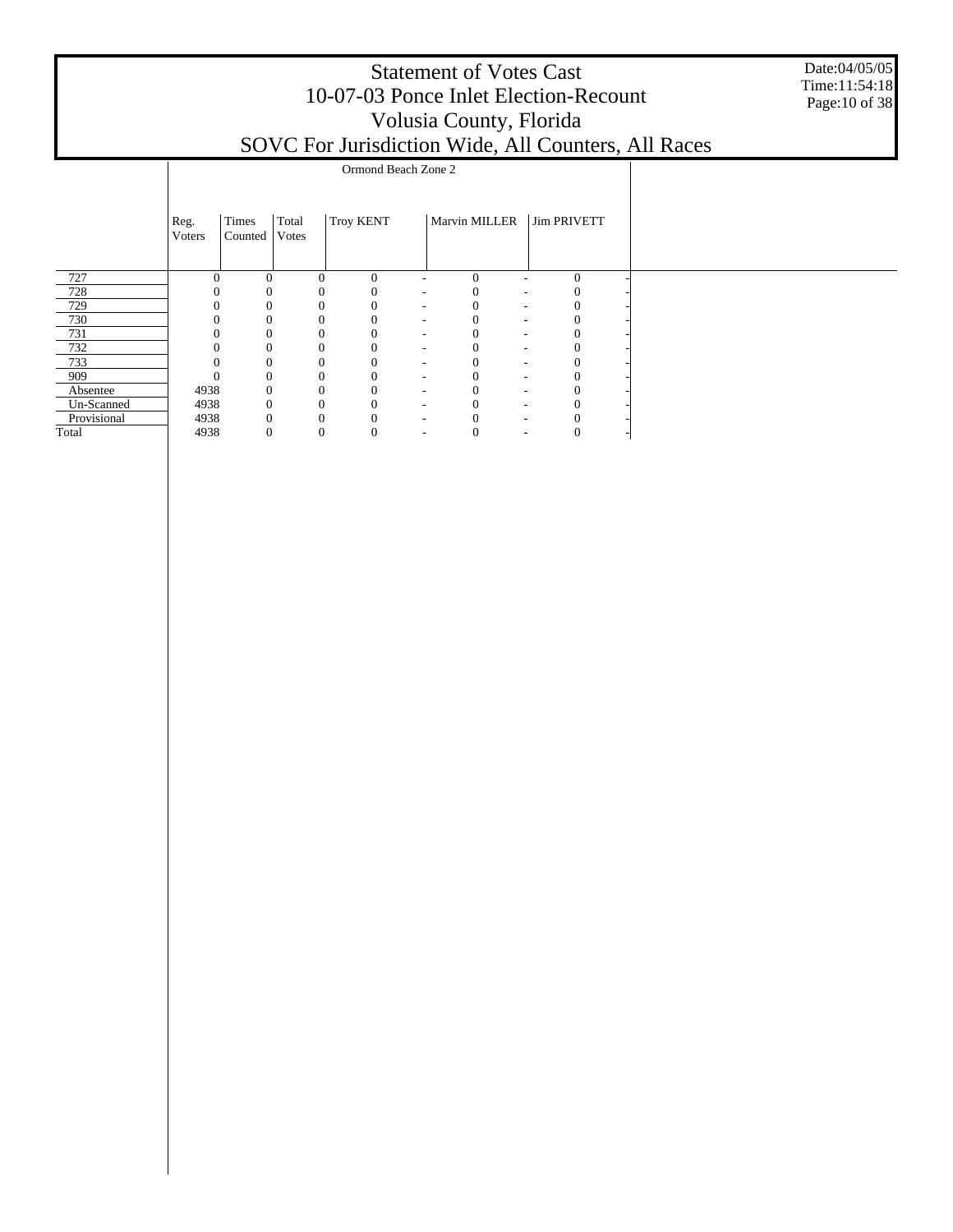|                           | <b>Statement of Votes Cast</b><br>10-07-03 Ponce Inlet Election-Recount<br>Volusia County, Florida<br>SOVC For Jurisdiction Wide, All Counters, All Races<br>Ormond Beach Zone 2 |                                           |          |                  |  |               |  |                    |  |  |  |  |  |  |  |
|---------------------------|----------------------------------------------------------------------------------------------------------------------------------------------------------------------------------|-------------------------------------------|----------|------------------|--|---------------|--|--------------------|--|--|--|--|--|--|--|
|                           |                                                                                                                                                                                  |                                           |          |                  |  |               |  |                    |  |  |  |  |  |  |  |
|                           | Reg.<br><b>V</b> oters                                                                                                                                                           | Times<br>Total<br><b>Votes</b><br>Counted |          | <b>Troy KENT</b> |  | Marvin MILLER |  | <b>Jim PRIVETT</b> |  |  |  |  |  |  |  |
| 727                       | $\Omega$                                                                                                                                                                         | $\Omega$                                  | 0        | $\Omega$         |  | $\Omega$      |  | $\mathbf{0}$       |  |  |  |  |  |  |  |
| 728                       |                                                                                                                                                                                  |                                           |          |                  |  |               |  |                    |  |  |  |  |  |  |  |
| 729                       |                                                                                                                                                                                  |                                           |          |                  |  |               |  |                    |  |  |  |  |  |  |  |
| 730                       |                                                                                                                                                                                  |                                           |          |                  |  |               |  |                    |  |  |  |  |  |  |  |
| 731                       |                                                                                                                                                                                  |                                           |          |                  |  |               |  |                    |  |  |  |  |  |  |  |
| 732                       |                                                                                                                                                                                  |                                           |          |                  |  |               |  |                    |  |  |  |  |  |  |  |
| 733                       |                                                                                                                                                                                  |                                           |          |                  |  |               |  |                    |  |  |  |  |  |  |  |
| 909                       |                                                                                                                                                                                  |                                           |          |                  |  |               |  |                    |  |  |  |  |  |  |  |
| Absentee                  | 4938                                                                                                                                                                             |                                           |          |                  |  |               |  |                    |  |  |  |  |  |  |  |
| Un-Scanned<br>Provisional | 4938<br>4938                                                                                                                                                                     |                                           | $\Omega$ | $\Omega$         |  |               |  |                    |  |  |  |  |  |  |  |
| Total                     | 4938                                                                                                                                                                             |                                           | 0        | 0                |  |               |  | $\mathbf{0}$       |  |  |  |  |  |  |  |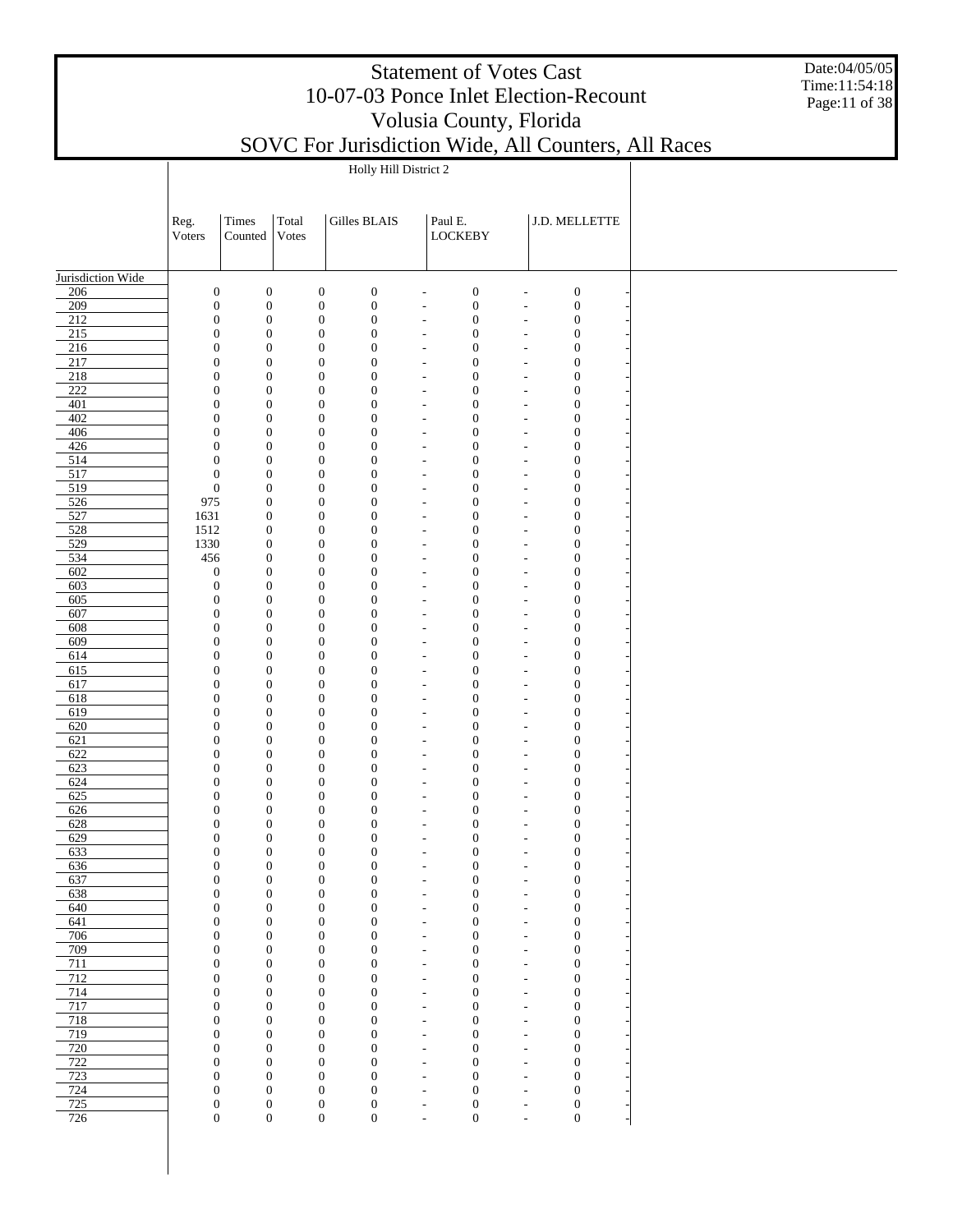Date:04/05/05 Time:11:54:18 Page:11 of 38

|                   |                                      |                                      |                |                                      | Holly Hill District 2                |                                                      |                                      |                                                                                              |  |
|-------------------|--------------------------------------|--------------------------------------|----------------|--------------------------------------|--------------------------------------|------------------------------------------------------|--------------------------------------|----------------------------------------------------------------------------------------------|--|
|                   |                                      |                                      |                |                                      |                                      |                                                      |                                      |                                                                                              |  |
|                   | Reg.<br>Voters                       | Times<br>Counted                     | Total<br>Votes |                                      | Gilles BLAIS                         |                                                      | Paul E.<br><b>LOCKEBY</b>            | J.D. MELLETTE                                                                                |  |
|                   |                                      |                                      |                |                                      |                                      |                                                      |                                      |                                                                                              |  |
| Jurisdiction Wide |                                      |                                      |                |                                      |                                      |                                                      |                                      |                                                                                              |  |
| 206<br>209        | $\boldsymbol{0}$<br>$\boldsymbol{0}$ | $\boldsymbol{0}$<br>$\boldsymbol{0}$ |                | $\boldsymbol{0}$<br>$\boldsymbol{0}$ | $\boldsymbol{0}$<br>$\boldsymbol{0}$ | $\overline{\phantom{a}}$<br>$\overline{\phantom{a}}$ | $\boldsymbol{0}$<br>$\boldsymbol{0}$ | $\boldsymbol{0}$<br>$\overline{a}$<br>$\boldsymbol{0}$<br>$\overline{\phantom{a}}$           |  |
| 212               | $\boldsymbol{0}$                     | $\boldsymbol{0}$                     |                | $\boldsymbol{0}$                     | $\boldsymbol{0}$                     | $\overline{\phantom{a}}$                             | $\boldsymbol{0}$                     | $\boldsymbol{0}$<br>$\overline{\phantom{a}}$                                                 |  |
| 215               | $\boldsymbol{0}$                     | $\overline{0}$                       |                | $\boldsymbol{0}$                     | $\boldsymbol{0}$                     | $\overline{\phantom{a}}$                             | $\mathbf{0}$                         | $\boldsymbol{0}$<br>$\overline{\phantom{a}}$                                                 |  |
| 216               | $\boldsymbol{0}$                     | $\overline{0}$                       |                | $\boldsymbol{0}$                     | $\boldsymbol{0}$                     | $\tilde{\phantom{a}}$                                | $\boldsymbol{0}$                     | $\boldsymbol{0}$<br>$\tilde{\phantom{a}}$                                                    |  |
| 217<br>218        | $\mathbf{0}$<br>$\boldsymbol{0}$     | $\mathbf{0}$<br>$\overline{0}$       |                | $\boldsymbol{0}$<br>$\boldsymbol{0}$ | $\boldsymbol{0}$<br>$\boldsymbol{0}$ | $\overline{\phantom{a}}$<br>$\overline{\phantom{a}}$ | $\boldsymbol{0}$<br>$\boldsymbol{0}$ | $\boldsymbol{0}$<br>$\tilde{\phantom{a}}$<br>$\boldsymbol{0}$<br>$\overline{\phantom{a}}$    |  |
| $\overline{222}$  | $\boldsymbol{0}$                     | $\overline{0}$                       |                | $\boldsymbol{0}$                     | $\boldsymbol{0}$                     | $\overline{\phantom{a}}$                             | $\boldsymbol{0}$                     | $\boldsymbol{0}$<br>$\overline{\phantom{a}}$                                                 |  |
| 401               | $\boldsymbol{0}$                     | $\overline{0}$                       |                | $\boldsymbol{0}$                     | $\boldsymbol{0}$                     | $\overline{\phantom{a}}$                             | $\boldsymbol{0}$                     | $\boldsymbol{0}$<br>$\overline{\phantom{a}}$                                                 |  |
| 402               | $\boldsymbol{0}$                     | $\overline{0}$                       |                | $\boldsymbol{0}$                     | $\boldsymbol{0}$                     | $\overline{\phantom{a}}$                             | $\boldsymbol{0}$                     | $\boldsymbol{0}$<br>$\overline{\phantom{a}}$                                                 |  |
| 406<br>426        | $\boldsymbol{0}$<br>$\boldsymbol{0}$ | $\overline{0}$<br>$\overline{0}$     |                | $\boldsymbol{0}$<br>$\boldsymbol{0}$ | $\boldsymbol{0}$<br>$\boldsymbol{0}$ | $\overline{\phantom{a}}$<br>$\overline{\phantom{a}}$ | $\boldsymbol{0}$<br>$\boldsymbol{0}$ | $\boldsymbol{0}$<br>$\overline{\phantom{a}}$<br>$\boldsymbol{0}$<br>$\overline{\phantom{a}}$ |  |
| 514               | $\boldsymbol{0}$                     | $\overline{0}$                       |                | $\boldsymbol{0}$                     | $\boldsymbol{0}$                     | $\overline{\phantom{a}}$                             | $\boldsymbol{0}$                     | $\boldsymbol{0}$<br>$\overline{\phantom{a}}$                                                 |  |
| 517               | $\boldsymbol{0}$                     | $\boldsymbol{0}$                     |                | $\boldsymbol{0}$                     | $\boldsymbol{0}$                     | $\overline{\phantom{a}}$                             | $\boldsymbol{0}$                     | $\boldsymbol{0}$<br>$\overline{\phantom{a}}$                                                 |  |
| 519               | $\boldsymbol{0}$                     | $\boldsymbol{0}$                     |                | $\boldsymbol{0}$                     | $\boldsymbol{0}$                     | $\overline{\phantom{a}}$                             | $\boldsymbol{0}$                     | $\boldsymbol{0}$<br>$\overline{\phantom{a}}$                                                 |  |
| 526<br>527        | 975<br>1631                          | $\boldsymbol{0}$<br>$\boldsymbol{0}$ |                | $\boldsymbol{0}$<br>$\boldsymbol{0}$ | $\boldsymbol{0}$<br>$\boldsymbol{0}$ | $\overline{\phantom{a}}$<br>$\overline{\phantom{a}}$ | $\boldsymbol{0}$<br>$\boldsymbol{0}$ | $\boldsymbol{0}$<br>$\overline{\phantom{a}}$<br>$\boldsymbol{0}$<br>$\overline{\phantom{a}}$ |  |
| 528               | 1512                                 | $\mathbf{0}$                         |                | $\boldsymbol{0}$                     | $\boldsymbol{0}$                     | $\overline{\phantom{a}}$                             | $\boldsymbol{0}$                     | $\boldsymbol{0}$<br>$\overline{\phantom{a}}$                                                 |  |
| 529               | 1330                                 | $\boldsymbol{0}$                     |                | $\boldsymbol{0}$                     | $\boldsymbol{0}$                     | $\overline{\phantom{a}}$                             | $\boldsymbol{0}$                     | $\boldsymbol{0}$<br>$\overline{\phantom{a}}$                                                 |  |
| 534               | 456                                  | $\mathbf{0}$                         |                | $\boldsymbol{0}$                     | $\boldsymbol{0}$                     | $\overline{\phantom{a}}$                             | $\boldsymbol{0}$                     | $\boldsymbol{0}$<br>$\overline{\phantom{a}}$                                                 |  |
| 602<br>603        | $\boldsymbol{0}$<br>$\boldsymbol{0}$ | $\overline{0}$<br>$\overline{0}$     |                | $\boldsymbol{0}$<br>$\boldsymbol{0}$ | $\boldsymbol{0}$<br>$\boldsymbol{0}$ | $\overline{\phantom{a}}$                             | $\boldsymbol{0}$<br>$\boldsymbol{0}$ | $\boldsymbol{0}$<br>$\overline{\phantom{a}}$<br>$\boldsymbol{0}$                             |  |
| 605               | $\boldsymbol{0}$                     | $\overline{0}$                       |                | $\boldsymbol{0}$                     | $\boldsymbol{0}$                     | $\overline{\phantom{a}}$<br>$\overline{\phantom{a}}$ | $\boldsymbol{0}$                     | $\overline{\phantom{a}}$<br>$\boldsymbol{0}$<br>$\overline{\phantom{a}}$                     |  |
| 607               | $\boldsymbol{0}$                     | $\overline{0}$                       |                | $\boldsymbol{0}$                     | $\boldsymbol{0}$                     | $\overline{\phantom{a}}$                             | $\mathbf{0}$                         | $\boldsymbol{0}$<br>$\overline{\phantom{a}}$                                                 |  |
| 608               | $\boldsymbol{0}$                     | $\overline{0}$                       |                | $\boldsymbol{0}$                     | $\boldsymbol{0}$                     | $\overline{\phantom{a}}$                             | $\boldsymbol{0}$                     | $\boldsymbol{0}$<br>$\overline{\phantom{a}}$                                                 |  |
| 609               | $\boldsymbol{0}$                     | $\overline{0}$                       |                | $\boldsymbol{0}$                     | $\boldsymbol{0}$                     | $\overline{\phantom{a}}$                             | $\boldsymbol{0}$                     | $\boldsymbol{0}$<br>$\overline{\phantom{a}}$                                                 |  |
| 614<br>615        | $\boldsymbol{0}$<br>$\boldsymbol{0}$ | $\overline{0}$<br>$\overline{0}$     |                | $\boldsymbol{0}$<br>$\boldsymbol{0}$ | $\boldsymbol{0}$<br>$\boldsymbol{0}$ | $\overline{\phantom{a}}$<br>$\overline{\phantom{a}}$ | $\boldsymbol{0}$<br>$\mathbf{0}$     | $\mathbf{0}$<br>$\tilde{\phantom{a}}$<br>$\boldsymbol{0}$<br>$\overline{\phantom{a}}$        |  |
| 617               | $\boldsymbol{0}$                     | $\overline{0}$                       |                | $\boldsymbol{0}$                     | $\boldsymbol{0}$                     | $\overline{\phantom{a}}$                             | $\boldsymbol{0}$                     | $\boldsymbol{0}$<br>$\overline{\phantom{a}}$                                                 |  |
| 618               | $\boldsymbol{0}$                     | $\overline{0}$                       |                | $\boldsymbol{0}$                     | $\boldsymbol{0}$                     | $\overline{\phantom{a}}$                             | $\boldsymbol{0}$                     | $\boldsymbol{0}$<br>$\overline{\phantom{a}}$                                                 |  |
| 619               | $\boldsymbol{0}$                     | $\overline{0}$                       |                | $\boldsymbol{0}$                     | $\boldsymbol{0}$                     | $\overline{\phantom{a}}$                             | $\boldsymbol{0}$                     | $\mathbf{0}$<br>$\overline{\phantom{a}}$                                                     |  |
| 620<br>621        | $\boldsymbol{0}$<br>$\boldsymbol{0}$ | $\overline{0}$<br>$\overline{0}$     |                | $\boldsymbol{0}$<br>$\boldsymbol{0}$ | $\boldsymbol{0}$<br>$\boldsymbol{0}$ | $\overline{\phantom{a}}$<br>$\overline{\phantom{a}}$ | $\boldsymbol{0}$<br>$\boldsymbol{0}$ | $\boldsymbol{0}$<br>$\overline{\phantom{a}}$<br>$\boldsymbol{0}$<br>$\overline{\phantom{a}}$ |  |
| 622               | $\boldsymbol{0}$                     | $\overline{0}$                       |                | $\boldsymbol{0}$                     | $\boldsymbol{0}$                     | $\overline{\phantom{a}}$                             | $\boldsymbol{0}$                     | $\boldsymbol{0}$<br>$\overline{\phantom{a}}$                                                 |  |
| 623               | $\boldsymbol{0}$                     | $\overline{0}$                       |                | $\boldsymbol{0}$                     | $\boldsymbol{0}$                     | $\overline{\phantom{a}}$                             | $\boldsymbol{0}$                     | $\mathbf{0}$<br>$\tilde{\phantom{a}}$                                                        |  |
| 624               | $\boldsymbol{0}$                     | $\overline{0}$                       |                | $\boldsymbol{0}$                     | $\boldsymbol{0}$                     | $\overline{\phantom{a}}$                             | $\boldsymbol{0}$                     | $\mathbf{0}$<br>$\tilde{\phantom{a}}$                                                        |  |
| 625<br>626        | $\boldsymbol{0}$<br>$\boldsymbol{0}$ | $\overline{0}$<br>$\mathbf{0}$       |                | $\boldsymbol{0}$<br>$\boldsymbol{0}$ | $\boldsymbol{0}$<br>$\boldsymbol{0}$ | $\overline{\phantom{a}}$                             | $\boldsymbol{0}$<br>$\boldsymbol{0}$ | $\mathbf{0}$<br>$\tilde{\phantom{a}}$<br>$\boldsymbol{0}$                                    |  |
| 628               | $\boldsymbol{0}$                     | $\mathbf{0}$                         |                | $\boldsymbol{0}$                     | $\boldsymbol{0}$                     | $\overline{\phantom{a}}$<br>$\overline{\phantom{a}}$ | $\boldsymbol{0}$                     | $\overline{\phantom{a}}$<br>$\boldsymbol{0}$<br>$\overline{\phantom{a}}$                     |  |
| 629               | $\boldsymbol{0}$                     | $\mathbf{0}$                         |                | $\boldsymbol{0}$                     | $\boldsymbol{0}$                     | $\overline{\phantom{a}}$                             | $\boldsymbol{0}$                     | $\boldsymbol{0}$<br>$\overline{\phantom{a}}$                                                 |  |
| 633               | $\boldsymbol{0}$                     | $\mathbf{0}$                         |                | $\boldsymbol{0}$                     | $\boldsymbol{0}$                     | $\overline{\phantom{a}}$                             | $\boldsymbol{0}$                     | $\boldsymbol{0}$<br>$\overline{\phantom{a}}$                                                 |  |
| 636               | 0                                    | $\boldsymbol{0}$                     |                | $\mathbf 0$                          | 0                                    |                                                      | 0                                    | 0<br>$\overline{a}$                                                                          |  |
| 637<br>638        | $\boldsymbol{0}$<br>$\boldsymbol{0}$ | $\boldsymbol{0}$<br>$\mathbf{0}$     |                | $\boldsymbol{0}$<br>$\boldsymbol{0}$ | $\boldsymbol{0}$<br>$\boldsymbol{0}$ | $\overline{\phantom{a}}$<br>$\overline{\phantom{a}}$ | $\boldsymbol{0}$<br>$\boldsymbol{0}$ | $\boldsymbol{0}$<br>$\overline{\phantom{a}}$<br>$\boldsymbol{0}$<br>$\overline{\phantom{a}}$ |  |
| 640               | $\boldsymbol{0}$                     | $\mathbf{0}$                         |                | $\boldsymbol{0}$                     | $\boldsymbol{0}$                     | $\overline{\phantom{a}}$                             | $\boldsymbol{0}$                     | $\boldsymbol{0}$<br>$\tilde{\phantom{a}}$                                                    |  |
| 641               | $\boldsymbol{0}$                     | $\mathbf{0}$                         |                | $\boldsymbol{0}$                     | $\boldsymbol{0}$                     | $\overline{\phantom{a}}$                             | $\boldsymbol{0}$                     | $\boldsymbol{0}$<br>$\tilde{\phantom{a}}$                                                    |  |
| 706               | $\boldsymbol{0}$                     | $\mathbf{0}$                         |                | $\boldsymbol{0}$                     | $\boldsymbol{0}$                     | $\tilde{\phantom{a}}$                                | $\boldsymbol{0}$                     | $\boldsymbol{0}$<br>$\tilde{\phantom{a}}$                                                    |  |
| 709<br>711        | $\boldsymbol{0}$<br>$\boldsymbol{0}$ | $\mathbf{0}$<br>$\mathbf{0}$         |                | $\mathbf{0}$<br>$\mathbf{0}$         | $\mathbf{0}$<br>$\boldsymbol{0}$     | $\overline{\phantom{a}}$<br>$\overline{\phantom{a}}$ | $\boldsymbol{0}$<br>$\boldsymbol{0}$ | $\boldsymbol{0}$<br>$\overline{\phantom{a}}$<br>$\boldsymbol{0}$<br>$\overline{\phantom{a}}$ |  |
| 712               | $\boldsymbol{0}$                     | $\mathbf{0}$                         |                | $\mathbf{0}$                         | $\mathbf{0}$                         | $\overline{\phantom{a}}$                             | $\boldsymbol{0}$                     | $\boldsymbol{0}$<br>$\overline{\phantom{a}}$                                                 |  |
| 714               | $\boldsymbol{0}$                     | $\mathbf{0}$                         |                | $\mathbf{0}$                         | $\boldsymbol{0}$                     | $\overline{\phantom{a}}$                             | $\boldsymbol{0}$                     | $\boldsymbol{0}$<br>$\overline{\phantom{a}}$                                                 |  |
| 717               | $\boldsymbol{0}$                     | $\mathbf{0}$                         |                | $\mathbf{0}$                         | $\mathbf{0}$                         | $\overline{\phantom{a}}$                             | $\boldsymbol{0}$                     | $\boldsymbol{0}$<br>$\overline{\phantom{a}}$                                                 |  |
| 718<br>719        | $\boldsymbol{0}$                     | $\mathbf{0}$                         |                | $\mathbf{0}$                         | $\boldsymbol{0}$                     | $\overline{\phantom{a}}$                             | $\boldsymbol{0}$                     | $\boldsymbol{0}$<br>$\overline{\phantom{a}}$                                                 |  |
| 720               | $\boldsymbol{0}$<br>$\boldsymbol{0}$ | $\mathbf{0}$<br>$\mathbf{0}$         |                | $\mathbf{0}$<br>$\mathbf{0}$         | $\mathbf{0}$<br>$\boldsymbol{0}$     | $\overline{\phantom{a}}$<br>$\tilde{\phantom{a}}$    | $\boldsymbol{0}$<br>$\boldsymbol{0}$ | $\boldsymbol{0}$<br>$\overline{\phantom{a}}$<br>$\boldsymbol{0}$<br>$\tilde{\phantom{a}}$    |  |
| 722               | $\boldsymbol{0}$                     | $\mathbf{0}$                         |                | $\mathbf{0}$                         | $\mathbf{0}$                         | $\overline{\phantom{a}}$                             | $\boldsymbol{0}$                     | $\boldsymbol{0}$<br>$\overline{\phantom{a}}$                                                 |  |
| 723               | $\boldsymbol{0}$                     | $\mathbf{0}$                         |                | $\boldsymbol{0}$                     | $\boldsymbol{0}$                     | $\overline{\phantom{a}}$                             | $\boldsymbol{0}$                     | $\boldsymbol{0}$<br>$\overline{\phantom{a}}$                                                 |  |
| 724               | $\boldsymbol{0}$                     | $\mathbf{0}$                         |                | $\boldsymbol{0}$                     | $\boldsymbol{0}$                     | $\overline{\phantom{a}}$                             | $\boldsymbol{0}$                     | $\boldsymbol{0}$<br>$\overline{\phantom{a}}$                                                 |  |
| 725<br>726        | $\boldsymbol{0}$<br>$\boldsymbol{0}$ | $\mathbf{0}$<br>$\boldsymbol{0}$     |                | $\boldsymbol{0}$<br>$\boldsymbol{0}$ | $\boldsymbol{0}$<br>$\boldsymbol{0}$ | $\overline{\phantom{a}}$<br>$\overline{\phantom{a}}$ | $\boldsymbol{0}$<br>$\boldsymbol{0}$ | $\boldsymbol{0}$<br>$\overline{\phantom{a}}$<br>$\boldsymbol{0}$<br>$\overline{\phantom{a}}$ |  |
|                   |                                      |                                      |                |                                      |                                      |                                                      |                                      |                                                                                              |  |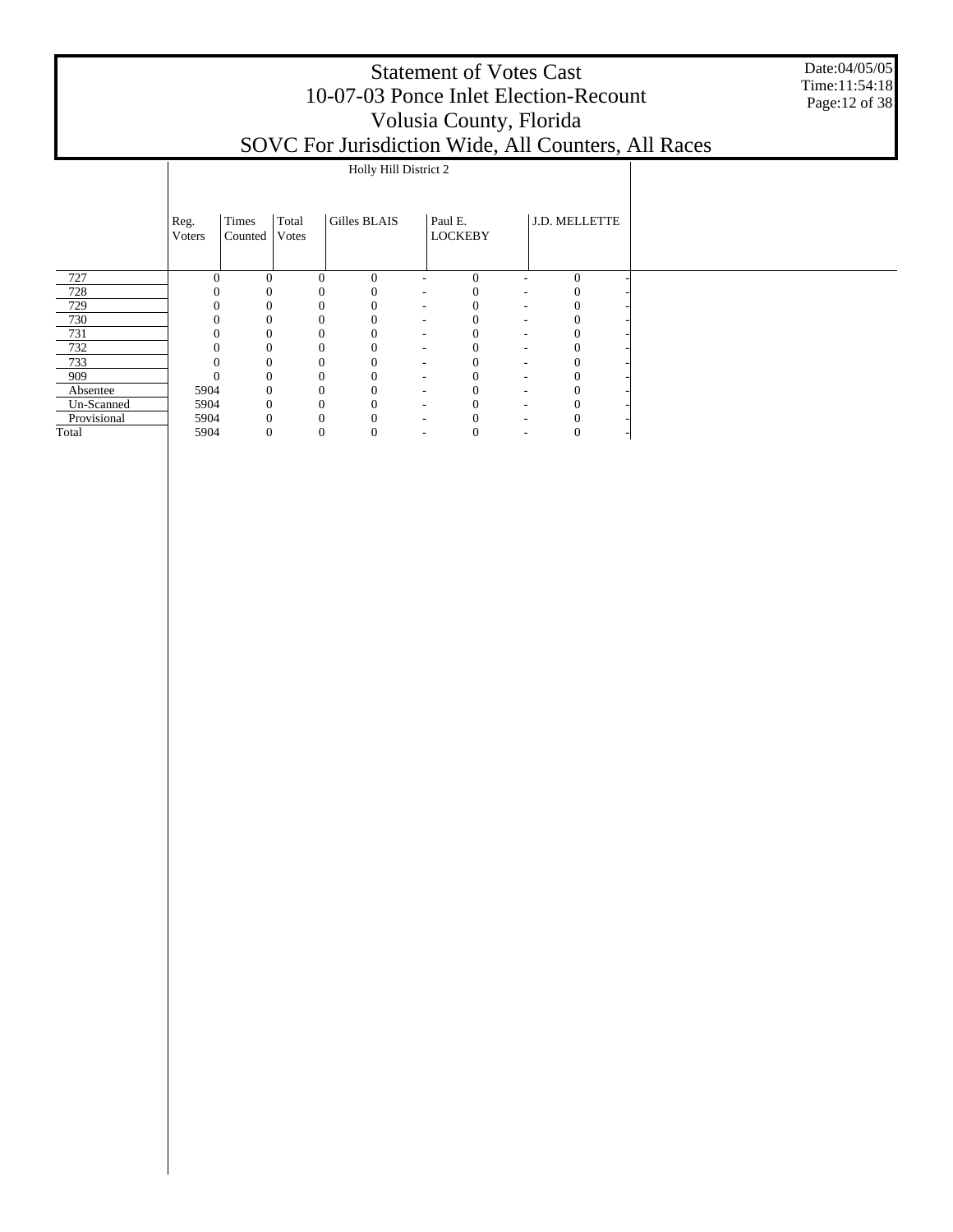#### Statement of Votes Cast Date:04/05/05 Time:11:54:18 10-07-03 Ponce Inlet Election-Recount Page:12 of 38 Volusia County, Florida SOVC For Jurisdiction Wide, All Counters, All Races Holly Hill District 2  $\mathsf{I}$

|             | Reg.<br>Voters | Times<br>Counted | Total<br>Votes | Gilles BLAIS |                          | Paul E.<br><b>LOCKEBY</b> |                          | J.D. MELLETTE |  |
|-------------|----------------|------------------|----------------|--------------|--------------------------|---------------------------|--------------------------|---------------|--|
| 727         | $\Omega$       | $\Omega$         | $\theta$       | $\Omega$     | ٠                        | $\Omega$                  | ۰                        | $\Omega$      |  |
| 728         |                |                  |                | $\Omega$     | ٠                        |                           | ٠                        |               |  |
| 729         |                |                  |                | 0            | $\overline{\phantom{a}}$ |                           | ٠                        |               |  |
| 730         |                |                  |                | 0            | $\overline{\phantom{a}}$ |                           | $\overline{\phantom{a}}$ | 0             |  |
| 731         |                | 0                |                | $\theta$     | $\overline{\phantom{a}}$ |                           | $\overline{\phantom{a}}$ | 0             |  |
| 732         |                | 0                |                | $\Omega$     | $\overline{\phantom{a}}$ |                           | ٠                        | $\Omega$      |  |
| 733         |                | 0                |                | $\theta$     | ۰                        |                           | $\overline{\phantom{a}}$ | 0             |  |
| 909         |                | $\Omega$         |                | $\Omega$     | $\overline{\phantom{a}}$ |                           | $\overline{\phantom{a}}$ | C             |  |
| Absentee    | 5904           | $\Omega$         |                | $\Omega$     | $\overline{\phantom{a}}$ |                           | ۰                        |               |  |
| Un-Scanned  | 5904           | $\Omega$         |                | $\Omega$     | $\overline{\phantom{a}}$ |                           | ۰                        |               |  |
| Provisional | 5904           |                  |                |              | $\overline{\phantom{a}}$ |                           | ۰                        |               |  |
| Total       | 5904           | 0                | $\sqrt{ }$     | U            | $\overline{\phantom{a}}$ | O                         | ۰                        |               |  |

 $\mathbf{I}$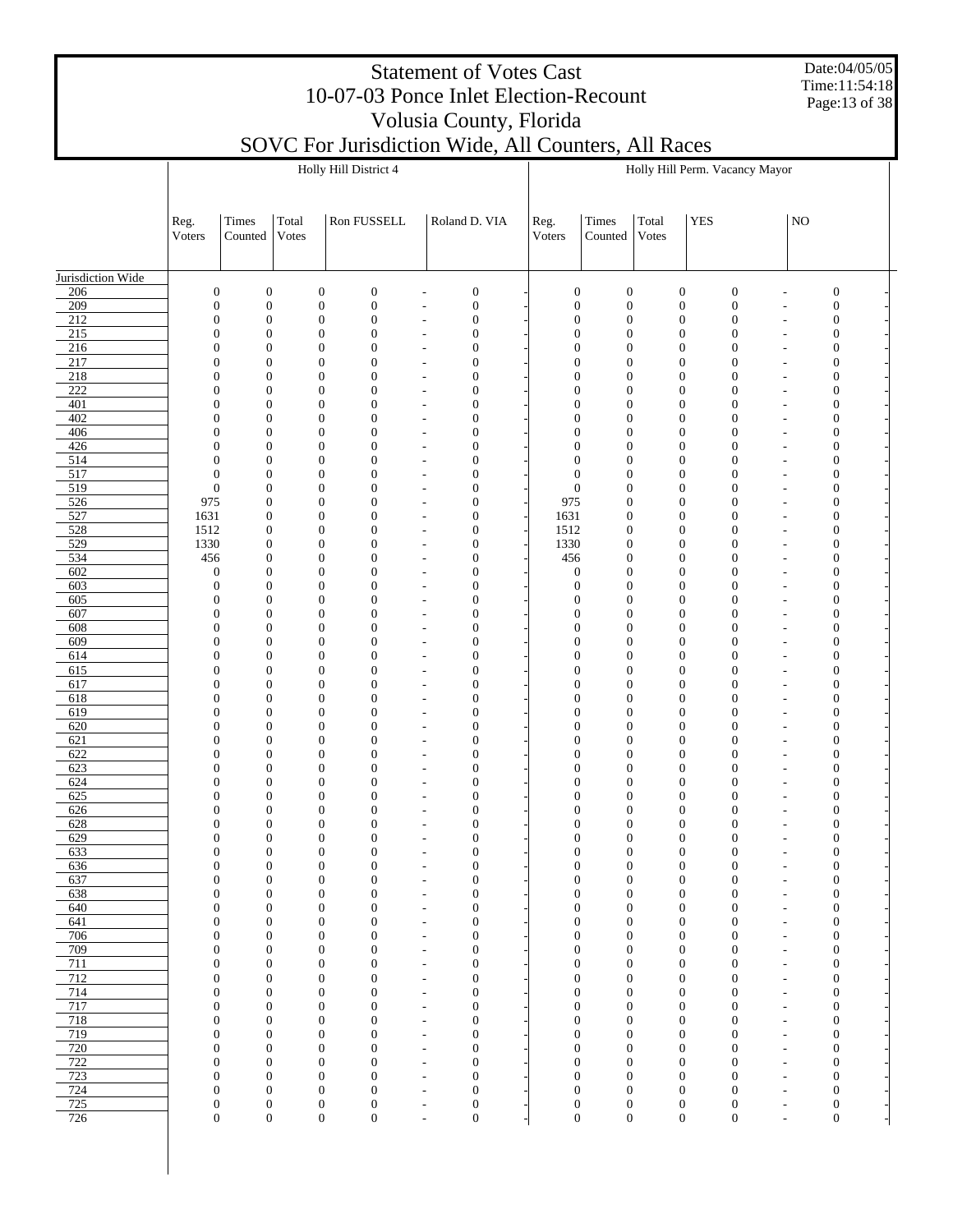Date:04/05/05 Time:11:54:18 Page:13 of 38

#### SOVC For Jurisdiction Wide, All Counters, All Races Holly Hill District 4

|                         |                                      |                                      |                                      | Holly Hill District 4 |                                      |                                                      |                                      |                                      |                                      |                                      |            | Holly Hill Perm. Vacancy Mayor                                           |    |                                      |         |
|-------------------------|--------------------------------------|--------------------------------------|--------------------------------------|-----------------------|--------------------------------------|------------------------------------------------------|--------------------------------------|--------------------------------------|--------------------------------------|--------------------------------------|------------|--------------------------------------------------------------------------|----|--------------------------------------|---------|
|                         |                                      |                                      |                                      |                       |                                      |                                                      |                                      |                                      |                                      |                                      |            |                                                                          |    |                                      |         |
|                         |                                      |                                      |                                      |                       |                                      |                                                      |                                      |                                      |                                      |                                      |            |                                                                          |    |                                      |         |
|                         | Reg.                                 | Times                                | Total                                | Ron FUSSELL           |                                      | Roland D. VIA                                        |                                      | Reg.                                 | Times                                | Total                                | <b>YES</b> |                                                                          | NO |                                      |         |
|                         | Voters                               | Counted                              | Votes                                |                       |                                      |                                                      |                                      | Voters                               | Counted                              | Votes                                |            |                                                                          |    |                                      |         |
|                         |                                      |                                      |                                      |                       |                                      |                                                      |                                      |                                      |                                      |                                      |            |                                                                          |    |                                      |         |
| Jurisdiction Wide       |                                      |                                      |                                      |                       |                                      |                                                      |                                      |                                      |                                      |                                      |            |                                                                          |    |                                      |         |
| 206                     | $\boldsymbol{0}$                     | $\boldsymbol{0}$                     | $\boldsymbol{0}$                     |                       | $\boldsymbol{0}$                     | ä,                                                   | $\boldsymbol{0}$                     | $\boldsymbol{0}$                     | $\boldsymbol{0}$                     | $\boldsymbol{0}$                     |            | $\boldsymbol{0}$<br>$\overline{a}$                                       |    | $\boldsymbol{0}$                     |         |
| 209                     | $\boldsymbol{0}$                     | $\boldsymbol{0}$                     | $\boldsymbol{0}$                     |                       | $\boldsymbol{0}$                     | ÷,                                                   | $\boldsymbol{0}$                     | $\boldsymbol{0}$                     | $\boldsymbol{0}$                     | $\boldsymbol{0}$                     |            | $\boldsymbol{0}$<br>÷,                                                   |    | $\boldsymbol{0}$                     |         |
| 212<br>$\overline{215}$ | $\boldsymbol{0}$<br>$\boldsymbol{0}$ | $\boldsymbol{0}$<br>$\boldsymbol{0}$ | $\boldsymbol{0}$                     | $\boldsymbol{0}$      | $\boldsymbol{0}$<br>$\boldsymbol{0}$ | $\overline{\phantom{m}}$<br>$\overline{\phantom{a}}$ | $\boldsymbol{0}$<br>$\boldsymbol{0}$ | $\boldsymbol{0}$<br>$\boldsymbol{0}$ | $\boldsymbol{0}$<br>$\boldsymbol{0}$ | $\boldsymbol{0}$<br>$\mathbf{0}$     |            | $\boldsymbol{0}$<br>$\overline{a}$<br>$\boldsymbol{0}$<br>$\overline{a}$ |    | $\boldsymbol{0}$<br>$\mathbf{0}$     |         |
| 216                     | $\mathbf{0}$                         | $\boldsymbol{0}$                     | $\mathbf{0}$                         |                       | $\boldsymbol{0}$                     | $\overline{\phantom{a}}$                             | $\boldsymbol{0}$                     | $\boldsymbol{0}$                     | $\boldsymbol{0}$                     | $\boldsymbol{0}$                     |            | $\boldsymbol{0}$<br>$\overline{a}$                                       |    | $\mathbf{0}$                         |         |
| 217                     | $\boldsymbol{0}$                     | $\boldsymbol{0}$                     |                                      | $\boldsymbol{0}$      | $\boldsymbol{0}$                     | $\overline{a}$                                       | $\boldsymbol{0}$                     | $\boldsymbol{0}$                     | $\boldsymbol{0}$                     | $\mathbf{0}$                         |            | $\boldsymbol{0}$<br>$\overline{a}$                                       |    | $\mathbf{0}$                         |         |
| 218                     | $\boldsymbol{0}$                     | $\boldsymbol{0}$                     | $\mathbf{0}$                         |                       | $\boldsymbol{0}$                     | $\overline{a}$                                       | $\boldsymbol{0}$                     | $\boldsymbol{0}$                     | $\boldsymbol{0}$                     | $\boldsymbol{0}$                     |            | $\boldsymbol{0}$<br>$\overline{a}$                                       |    | $\boldsymbol{0}$                     |         |
| $\overline{222}$        | $\boldsymbol{0}$                     | $\boldsymbol{0}$                     |                                      | $\mathbf{0}$          | $\boldsymbol{0}$                     | $\overline{a}$                                       | $\boldsymbol{0}$                     | $\boldsymbol{0}$                     | $\boldsymbol{0}$                     | $\boldsymbol{0}$                     |            | $\boldsymbol{0}$<br>$\overline{a}$                                       |    | $\boldsymbol{0}$                     |         |
| 401<br>402              | $\mathbf{0}$<br>$\boldsymbol{0}$     | $\boldsymbol{0}$<br>$\boldsymbol{0}$ | $\boldsymbol{0}$                     | $\mathbf{0}$          | $\boldsymbol{0}$<br>$\boldsymbol{0}$ | $\overline{\phantom{a}}$<br>$\overline{\phantom{a}}$ | $\boldsymbol{0}$<br>$\boldsymbol{0}$ | $\boldsymbol{0}$<br>$\boldsymbol{0}$ | $\boldsymbol{0}$<br>$\boldsymbol{0}$ | $\boldsymbol{0}$<br>$\mathbf{0}$     |            | $\boldsymbol{0}$<br>$\overline{a}$<br>$\boldsymbol{0}$<br>$\overline{a}$ |    | $\boldsymbol{0}$<br>$\mathbf{0}$     |         |
| 406                     | $\boldsymbol{0}$                     | $\boldsymbol{0}$                     | $\boldsymbol{0}$                     |                       | $\boldsymbol{0}$                     | $\overline{\phantom{a}}$                             | $\boldsymbol{0}$                     | $\boldsymbol{0}$                     | $\boldsymbol{0}$                     | $\boldsymbol{0}$                     |            | $\boldsymbol{0}$<br>$\overline{a}$                                       |    | $\boldsymbol{0}$                     |         |
| 426                     | $\boldsymbol{0}$                     | $\boldsymbol{0}$                     |                                      | $\mathbf{0}$          | $\boldsymbol{0}$                     | $\overline{a}$                                       | $\boldsymbol{0}$                     | $\boldsymbol{0}$                     | $\boldsymbol{0}$                     | $\mathbf{0}$                         |            | $\boldsymbol{0}$<br>$\overline{a}$                                       |    | $\mathbf{0}$                         |         |
| 514                     | $\boldsymbol{0}$                     | $\boldsymbol{0}$                     | $\boldsymbol{0}$                     |                       | $\boldsymbol{0}$                     | $\overline{\phantom{a}}$                             | $\boldsymbol{0}$                     | $\mathbf{0}$                         | $\boldsymbol{0}$                     | $\boldsymbol{0}$                     |            | $\boldsymbol{0}$<br>$\overline{a}$                                       |    | $\boldsymbol{0}$                     |         |
| 517<br>519              | $\boldsymbol{0}$<br>$\boldsymbol{0}$ | $\boldsymbol{0}$<br>$\boldsymbol{0}$ | $\boldsymbol{0}$                     | $\mathbf{0}$          | $\boldsymbol{0}$<br>$\boldsymbol{0}$ | $\overline{\phantom{a}}$                             | $\boldsymbol{0}$<br>$\boldsymbol{0}$ | $\boldsymbol{0}$<br>$\boldsymbol{0}$ | $\boldsymbol{0}$<br>$\mathbf{0}$     | $\mathbf{0}$<br>$\boldsymbol{0}$     |            | $\boldsymbol{0}$<br>$\overline{a}$<br>$\boldsymbol{0}$                   |    | $\mathbf{0}$<br>$\boldsymbol{0}$     |         |
| 526                     | 975                                  | $\boldsymbol{0}$                     |                                      | $\mathbf{0}$          | $\boldsymbol{0}$                     | $\overline{\phantom{m}}$<br>$\overline{a}$           | $\boldsymbol{0}$                     | 975                                  | $\boldsymbol{0}$                     | $\mathbf{0}$                         |            | $\overline{a}$<br>$\boldsymbol{0}$<br>$\overline{a}$                     |    | $\mathbf{0}$                         |         |
| 527                     | 1631                                 | $\boldsymbol{0}$                     | $\boldsymbol{0}$                     |                       | $\mathbf{0}$                         | $\overline{a}$                                       | $\boldsymbol{0}$                     | 1631                                 | $\mathbf{0}$                         | $\boldsymbol{0}$                     |            | $\boldsymbol{0}$<br>$\overline{a}$                                       |    | $\boldsymbol{0}$                     |         |
| 528                     | 1512                                 | $\boldsymbol{0}$                     |                                      | $\boldsymbol{0}$      | $\boldsymbol{0}$                     | $\overline{a}$                                       | $\boldsymbol{0}$                     | 1512                                 | $\boldsymbol{0}$                     | $\mathbf{0}$                         |            | $\boldsymbol{0}$<br>$\overline{a}$                                       |    | $\mathbf{0}$                         |         |
| 529                     | 1330                                 | $\boldsymbol{0}$                     | $\boldsymbol{0}$                     |                       | $\mathbf{0}$                         | $\overline{\phantom{a}}$                             | $\boldsymbol{0}$                     | 1330                                 | $\mathbf{0}$                         | $\boldsymbol{0}$                     |            | $\boldsymbol{0}$<br>$\overline{a}$                                       |    | $\boldsymbol{0}$                     |         |
| 534                     | 456                                  | $\boldsymbol{0}$<br>$\boldsymbol{0}$ |                                      | $\mathbf{0}$          | $\boldsymbol{0}$                     | $\overline{\phantom{a}}$                             | $\boldsymbol{0}$                     | 456                                  | $\boldsymbol{0}$                     | $\mathbf{0}$<br>$\boldsymbol{0}$     |            | $\boldsymbol{0}$<br>$\overline{a}$                                       |    | $\boldsymbol{0}$                     |         |
| 602<br>603              | $\boldsymbol{0}$<br>$\boldsymbol{0}$ | $\boldsymbol{0}$                     | $\boldsymbol{0}$                     | $\mathbf{0}$          | $\mathbf{0}$<br>$\boldsymbol{0}$     | $\overline{\phantom{a}}$<br>$\overline{a}$           | $\boldsymbol{0}$<br>$\boldsymbol{0}$ | $\mathbf{0}$<br>$\boldsymbol{0}$     | $\boldsymbol{0}$<br>$\boldsymbol{0}$ | $\mathbf{0}$                         |            | $\boldsymbol{0}$<br>$\overline{a}$<br>$\boldsymbol{0}$<br>$\overline{a}$ |    | $\boldsymbol{0}$<br>$\mathbf{0}$     |         |
| 605                     | $\boldsymbol{0}$                     | $\boldsymbol{0}$                     | $\boldsymbol{0}$                     |                       | $\mathbf{0}$                         | $\overline{a}$                                       | $\boldsymbol{0}$                     | $\boldsymbol{0}$                     | $\boldsymbol{0}$                     | $\boldsymbol{0}$                     |            | $\boldsymbol{0}$<br>$\overline{a}$                                       |    | $\boldsymbol{0}$                     |         |
| 607                     | $\boldsymbol{0}$                     | $\boldsymbol{0}$                     |                                      | $\mathbf{0}$          | $\boldsymbol{0}$                     | $\overline{a}$                                       | $\boldsymbol{0}$                     | $\boldsymbol{0}$                     | $\boldsymbol{0}$                     | $\mathbf{0}$                         |            | $\boldsymbol{0}$<br>$\overline{a}$                                       |    | $\mathbf{0}$                         |         |
| 608                     | $\boldsymbol{0}$                     | $\boldsymbol{0}$                     | $\boldsymbol{0}$                     |                       | $\mathbf{0}$                         | $\overline{a}$                                       | $\boldsymbol{0}$                     | $\boldsymbol{0}$                     | $\boldsymbol{0}$                     | $\boldsymbol{0}$                     |            | $\boldsymbol{0}$<br>$\overline{a}$                                       |    | $\boldsymbol{0}$                     |         |
| 609                     | $\boldsymbol{0}$                     | $\boldsymbol{0}$                     |                                      | $\mathbf{0}$          | $\boldsymbol{0}$                     | $\overline{a}$                                       | $\boldsymbol{0}$                     | $\boldsymbol{0}$                     | $\boldsymbol{0}$                     | $\mathbf{0}$                         |            | $\boldsymbol{0}$<br>$\overline{a}$                                       |    | $\mathbf{0}$                         |         |
| 614<br>615              | $\boldsymbol{0}$<br>$\boldsymbol{0}$ | $\boldsymbol{0}$<br>$\boldsymbol{0}$ | $\boldsymbol{0}$                     | $\mathbf{0}$          | $\mathbf{0}$<br>$\boldsymbol{0}$     | $\overline{\phantom{a}}$<br>$\overline{a}$           | $\boldsymbol{0}$<br>$\boldsymbol{0}$ | $\boldsymbol{0}$<br>$\boldsymbol{0}$ | $\boldsymbol{0}$<br>$\boldsymbol{0}$ | $\boldsymbol{0}$<br>$\mathbf{0}$     |            | $\boldsymbol{0}$<br>$\overline{a}$<br>$\boldsymbol{0}$<br>$\overline{a}$ |    | $\boldsymbol{0}$<br>$\mathbf{0}$     |         |
| 617                     | $\boldsymbol{0}$                     | $\boldsymbol{0}$                     | $\mathbf{0}$                         |                       | $\mathbf{0}$                         | $\overline{a}$                                       | $\boldsymbol{0}$                     | $\boldsymbol{0}$                     | $\boldsymbol{0}$                     | $\boldsymbol{0}$                     |            | $\boldsymbol{0}$<br>$\overline{a}$                                       |    | $\boldsymbol{0}$                     |         |
| 618                     | $\boldsymbol{0}$                     | $\boldsymbol{0}$                     |                                      | $\boldsymbol{0}$      | $\boldsymbol{0}$                     | $\overline{a}$                                       | $\boldsymbol{0}$                     | $\boldsymbol{0}$                     | $\boldsymbol{0}$                     | $\mathbf{0}$                         |            | $\boldsymbol{0}$<br>$\overline{a}$                                       |    | $\mathbf{0}$                         |         |
| 619                     | $\boldsymbol{0}$                     | $\boldsymbol{0}$                     | $\boldsymbol{0}$                     |                       | $\mathbf{0}$                         | $\overline{\phantom{a}}$                             | $\boldsymbol{0}$                     | $\boldsymbol{0}$                     | $\boldsymbol{0}$                     | $\boldsymbol{0}$                     |            | $\boldsymbol{0}$<br>$\overline{a}$                                       |    | $\boldsymbol{0}$                     |         |
| 620                     | $\boldsymbol{0}$                     | $\boldsymbol{0}$                     |                                      | $\mathbf{0}$          | $\boldsymbol{0}$                     | $\overline{\phantom{a}}$                             | $\boldsymbol{0}$                     | $\boldsymbol{0}$                     | $\boldsymbol{0}$                     | $\mathbf{0}$                         |            | $\boldsymbol{0}$<br>$\overline{a}$                                       |    | $\mathbf{0}$                         |         |
| 621<br>622              | $\mathbf{0}$<br>$\boldsymbol{0}$     | $\boldsymbol{0}$<br>$\boldsymbol{0}$ | $\boldsymbol{0}$                     | $\boldsymbol{0}$      | $\boldsymbol{0}$<br>$\boldsymbol{0}$ | $\overline{\phantom{a}}$<br>$\overline{a}$           | $\boldsymbol{0}$<br>$\boldsymbol{0}$ | $\boldsymbol{0}$<br>$\boldsymbol{0}$ | $\boldsymbol{0}$<br>$\boldsymbol{0}$ | $\boldsymbol{0}$<br>$\mathbf{0}$     |            | $\boldsymbol{0}$<br>$\overline{a}$<br>$\boldsymbol{0}$<br>$\overline{a}$ |    | $\boldsymbol{0}$<br>$\mathbf{0}$     |         |
| 623                     | $\boldsymbol{0}$                     | $\boldsymbol{0}$                     | $\mathbf{0}$                         |                       | $\mathbf{0}$                         | $\overline{a}$                                       | $\boldsymbol{0}$                     | $\boldsymbol{0}$                     | $\boldsymbol{0}$                     | $\boldsymbol{0}$                     |            | $\boldsymbol{0}$<br>$\overline{a}$                                       |    | $\boldsymbol{0}$                     |         |
| 624                     | $\boldsymbol{0}$                     | $\boldsymbol{0}$                     |                                      | $\boldsymbol{0}$      | $\boldsymbol{0}$                     | $\overline{a}$                                       | $\boldsymbol{0}$                     | $\boldsymbol{0}$                     | $\boldsymbol{0}$                     | $\mathbf{0}$                         |            | $\boldsymbol{0}$<br>$\overline{a}$                                       |    | $\boldsymbol{0}$                     |         |
| 625                     | $\mathbf{0}$                         | $\boldsymbol{0}$                     | $\boldsymbol{0}$                     |                       | $\mathbf{0}$                         | $\overline{\phantom{a}}$                             | $\boldsymbol{0}$                     | $\boldsymbol{0}$                     | $\boldsymbol{0}$                     | $\boldsymbol{0}$                     |            | $\boldsymbol{0}$<br>$\overline{a}$                                       |    | $\boldsymbol{0}$                     |         |
| 626                     | $\boldsymbol{0}$                     | $\boldsymbol{0}$                     |                                      | $\mathbf{0}$          | $\boldsymbol{0}$                     | $\overline{\phantom{a}}$                             | $\boldsymbol{0}$                     | $\boldsymbol{0}$                     | $\boldsymbol{0}$                     | $\mathbf{0}$                         |            | $\boldsymbol{0}$<br>$\overline{a}$                                       |    | $\mathbf{0}$                         |         |
| 628<br>629              | $\boldsymbol{0}$<br>$\boldsymbol{0}$ | $\boldsymbol{0}$<br>$\boldsymbol{0}$ | $\boldsymbol{0}$                     | $\mathbf{0}$          | $\boldsymbol{0}$<br>$\boldsymbol{0}$ | $\overline{\phantom{a}}$<br>$\overline{\phantom{a}}$ | $\boldsymbol{0}$<br>$\boldsymbol{0}$ | $\mathbf{0}$<br>$\boldsymbol{0}$     | $\boldsymbol{0}$<br>$\boldsymbol{0}$ | $\boldsymbol{0}$<br>$\mathbf{0}$     |            | $\boldsymbol{0}$<br>$\overline{a}$<br>$\boldsymbol{0}$<br>L,             |    | $\mathbf{0}$<br>$\mathbf{0}$         |         |
| 633                     | $\Omega$                             | $\overline{0}$                       |                                      | $\theta$              | $\overline{0}$                       | $\overline{\phantom{a}}$                             | $\theta$                             | $\Omega$                             | $\overline{0}$                       | $\mathbf{0}$                         |            | $\mathbf{0}$<br>٠                                                        |    | $\theta$                             |         |
| 636                     | $\boldsymbol{0}$                     | $\boldsymbol{0}$                     | $\mathbf{0}$                         |                       | $\boldsymbol{0}$                     | $\overline{a}$                                       | $\boldsymbol{0}$                     | $\boldsymbol{0}$                     | $\mathbf{0}$                         | $\boldsymbol{0}$                     |            | $\boldsymbol{0}$<br>$\overline{a}$                                       |    | $\boldsymbol{0}$                     |         |
| 637                     | $\boldsymbol{0}$                     | $\boldsymbol{0}$                     | $\boldsymbol{0}$                     |                       | $\boldsymbol{0}$                     | $\overline{\phantom{a}}$                             | $\boldsymbol{0}$                     | $\boldsymbol{0}$                     | $\boldsymbol{0}$                     | $\boldsymbol{0}$                     |            | $\boldsymbol{0}$<br>$\overline{\phantom{m}}$                             |    | $\boldsymbol{0}$                     |         |
| 638                     | $\boldsymbol{0}$                     | $\boldsymbol{0}$                     | $\boldsymbol{0}$                     |                       | $\boldsymbol{0}$                     | $\overline{a}$                                       | $\boldsymbol{0}$                     | $\boldsymbol{0}$                     | $\boldsymbol{0}$                     | $\boldsymbol{0}$                     |            | $\boldsymbol{0}$<br>$\overline{a}$                                       |    | $\boldsymbol{0}$                     |         |
| 640<br>641              | $\boldsymbol{0}$<br>$\boldsymbol{0}$ | $\boldsymbol{0}$<br>$\boldsymbol{0}$ | $\boldsymbol{0}$<br>$\mathbf{0}$     |                       | $\boldsymbol{0}$<br>$\boldsymbol{0}$ | $\overline{a}$<br>$\overline{a}$                     | $\boldsymbol{0}$<br>$\boldsymbol{0}$ | $\mathbf{0}$<br>$\boldsymbol{0}$     | $\boldsymbol{0}$<br>$\boldsymbol{0}$ | $\boldsymbol{0}$<br>$\boldsymbol{0}$ |            | $\boldsymbol{0}$<br>$\overline{a}$<br>$\boldsymbol{0}$<br>$\overline{a}$ |    | $\boldsymbol{0}$<br>$\boldsymbol{0}$ |         |
| 706                     | $\boldsymbol{0}$                     | $\boldsymbol{0}$                     | $\mathbf{0}$                         |                       | $\boldsymbol{0}$                     | $\overline{\phantom{a}}$                             | $\boldsymbol{0}$                     | $\boldsymbol{0}$                     | $\boldsymbol{0}$                     | $\boldsymbol{0}$                     |            | $\boldsymbol{0}$<br>$\overline{\phantom{a}}$                             |    | $\boldsymbol{0}$                     |         |
| 709                     | $\boldsymbol{0}$                     | $\boldsymbol{0}$                     | $\boldsymbol{0}$                     |                       | $\boldsymbol{0}$                     | $\overline{\phantom{a}}$                             | $\boldsymbol{0}$                     | $\boldsymbol{0}$                     | $\boldsymbol{0}$                     | $\boldsymbol{0}$                     |            | $\boldsymbol{0}$<br>$\overline{\phantom{a}}$                             |    | $\boldsymbol{0}$                     | ÷,      |
| 711                     | $\boldsymbol{0}$                     | $\boldsymbol{0}$                     | $\boldsymbol{0}$                     |                       | $\boldsymbol{0}$                     | $\overline{\phantom{a}}$                             | $\boldsymbol{0}$                     | $\boldsymbol{0}$                     | $\boldsymbol{0}$                     | $\boldsymbol{0}$                     |            | $\boldsymbol{0}$<br>$\overline{\phantom{m}}$                             |    | $\boldsymbol{0}$                     | f       |
| 712                     | $\boldsymbol{0}$                     | $\boldsymbol{0}$                     | $\mathbf{0}$                         |                       | $\boldsymbol{0}$                     | $\overline{a}$                                       | $\boldsymbol{0}$                     | $\boldsymbol{0}$                     | $\boldsymbol{0}$                     | $\boldsymbol{0}$                     |            | $\boldsymbol{0}$<br>$\overline{a}$                                       |    | $\boldsymbol{0}$                     | Ĭ.      |
| 714<br>717              | $\boldsymbol{0}$<br>$\boldsymbol{0}$ | $\boldsymbol{0}$<br>$\boldsymbol{0}$ | $\boldsymbol{0}$<br>$\boldsymbol{0}$ |                       | $\boldsymbol{0}$<br>$\boldsymbol{0}$ | $\overline{a}$<br>$\overline{a}$                     | $\boldsymbol{0}$<br>$\boldsymbol{0}$ | $\boldsymbol{0}$<br>$\boldsymbol{0}$ | $\boldsymbol{0}$<br>$\boldsymbol{0}$ | $\boldsymbol{0}$<br>$\boldsymbol{0}$ |            | $\boldsymbol{0}$<br>$\overline{a}$<br>$\boldsymbol{0}$<br>$\overline{a}$ |    | $\boldsymbol{0}$<br>$\boldsymbol{0}$ | f,      |
| 718                     | $\boldsymbol{0}$                     | $\boldsymbol{0}$                     | $\boldsymbol{0}$                     |                       | $\boldsymbol{0}$                     | $\overline{\phantom{a}}$                             | $\boldsymbol{0}$                     | $\boldsymbol{0}$                     | $\boldsymbol{0}$                     | $\boldsymbol{0}$                     |            | $\boldsymbol{0}$<br>$\overline{\phantom{a}}$                             |    | $\boldsymbol{0}$                     | Ĭ.<br>f |
| 719                     | $\boldsymbol{0}$                     | $\boldsymbol{0}$                     | $\mathbf{0}$                         |                       | $\boldsymbol{0}$                     | $\overline{a}$                                       | $\boldsymbol{0}$                     | $\boldsymbol{0}$                     | $\boldsymbol{0}$                     | $\boldsymbol{0}$                     |            | $\boldsymbol{0}$<br>$\overline{\phantom{a}}$                             |    | $\boldsymbol{0}$                     | ÷,      |
| 720                     | $\boldsymbol{0}$                     | $\boldsymbol{0}$                     | $\boldsymbol{0}$                     |                       | $\boldsymbol{0}$                     | $\overline{\phantom{a}}$                             | $\boldsymbol{0}$                     | $\boldsymbol{0}$                     | $\boldsymbol{0}$                     | $\boldsymbol{0}$                     |            | $\boldsymbol{0}$<br>$\overline{a}$                                       |    | $\boldsymbol{0}$                     | f       |
| 722                     | $\boldsymbol{0}$                     | $\boldsymbol{0}$                     |                                      | $\boldsymbol{0}$      | $\boldsymbol{0}$                     | $\overline{a}$                                       | $\boldsymbol{0}$                     | $\boldsymbol{0}$                     | $\boldsymbol{0}$                     | $\boldsymbol{0}$                     |            | $\boldsymbol{0}$<br>L.                                                   |    | $\boldsymbol{0}$                     | Ĭ.      |
| 723<br>724              | $\boldsymbol{0}$<br>$\boldsymbol{0}$ | $\boldsymbol{0}$<br>$\boldsymbol{0}$ | $\boldsymbol{0}$<br>$\boldsymbol{0}$ |                       | $\boldsymbol{0}$<br>$\boldsymbol{0}$ | $\overline{a}$<br>$\overline{a}$                     | $\boldsymbol{0}$<br>$\boldsymbol{0}$ | $\boldsymbol{0}$<br>$\boldsymbol{0}$ | $\boldsymbol{0}$<br>$\boldsymbol{0}$ | $\boldsymbol{0}$<br>$\boldsymbol{0}$ |            | $\boldsymbol{0}$<br>$\overline{a}$<br>$\boldsymbol{0}$<br>L,             |    | $\boldsymbol{0}$<br>$\boldsymbol{0}$ | ÷,      |
| 725                     | $\boldsymbol{0}$                     | $\boldsymbol{0}$                     | $\boldsymbol{0}$                     |                       | $\boldsymbol{0}$                     | $\overline{\phantom{a}}$                             | $\boldsymbol{0}$                     |                                      | $\boldsymbol{0}$<br>$\boldsymbol{0}$ | $\boldsymbol{0}$                     |            | $\boldsymbol{0}$<br>$\overline{\phantom{a}}$                             |    | $\boldsymbol{0}$                     | ÷,<br>f |
| 726                     | $\boldsymbol{0}$                     | $\boldsymbol{0}$                     |                                      | $\boldsymbol{0}$      | $\boldsymbol{0}$                     | $\overline{\phantom{a}}$                             | $\boldsymbol{0}$                     |                                      | $\boldsymbol{0}$<br>$\boldsymbol{0}$ | $\boldsymbol{0}$                     |            | $\boldsymbol{0}$<br>L,                                                   |    | $\boldsymbol{0}$                     |         |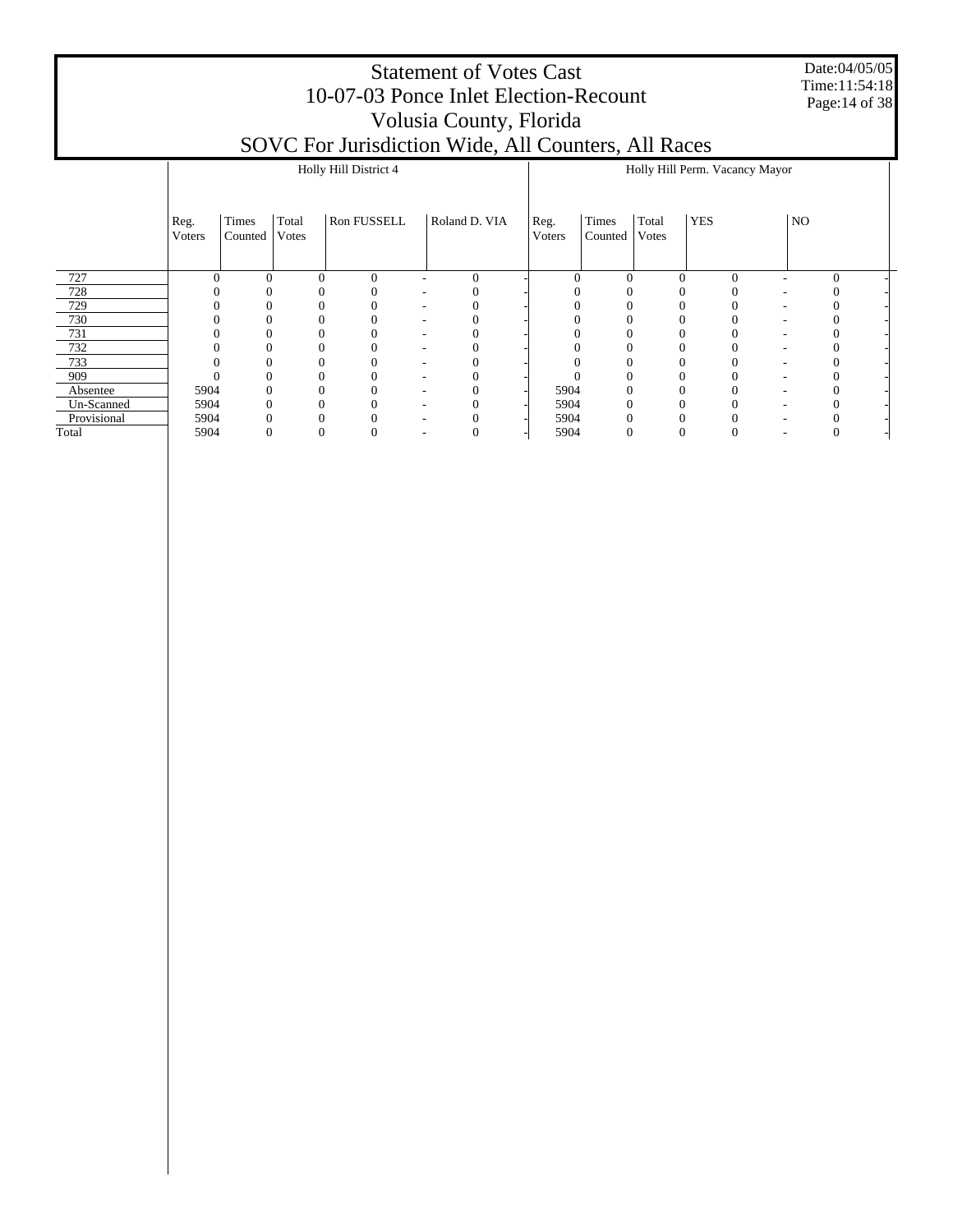Date:04/05/05 Time:11:54:18 Page:14 of 38

|             |                |                  |                | Holly Hill District 4 |               |                |                  |                |            | Holly Hill Perm. Vacancy Mayor |    |  |
|-------------|----------------|------------------|----------------|-----------------------|---------------|----------------|------------------|----------------|------------|--------------------------------|----|--|
|             | Reg.<br>Voters | Times<br>Counted | Total<br>Votes | Ron FUSSELL           | Roland D. VIA | Reg.<br>Voters | Times<br>Counted | Total<br>Votes | <b>YES</b> |                                | NO |  |
| 727         |                |                  | $\Omega$       | $\overline{0}$        | $\mathbf{0}$  |                |                  | $\theta$       |            | $\Omega$                       |    |  |
| 728         |                |                  |                |                       |               |                |                  |                |            |                                |    |  |
| 729         |                |                  |                |                       |               |                |                  |                |            |                                |    |  |
| 730         |                |                  |                |                       |               |                |                  |                |            |                                |    |  |
| 731         |                |                  |                |                       |               |                |                  |                |            |                                |    |  |
| 732         |                |                  |                |                       |               |                |                  |                |            |                                |    |  |
| 733         |                |                  | 0              |                       |               |                |                  |                |            |                                |    |  |
| 909         |                |                  | 0              |                       |               |                |                  |                |            |                                |    |  |
| Absentee    | 5904           |                  | $^{(1)}$       |                       |               | 5904           |                  |                |            |                                |    |  |
| Un-Scanned  | 5904           |                  |                |                       |               | 5904           |                  |                |            |                                |    |  |
| Provisional | 5904           |                  |                |                       | 5904          |                |                  |                |            |                                |    |  |
| Total       | 5904           |                  | 0              |                       |               | 5904           | 0                | $\left($       |            |                                |    |  |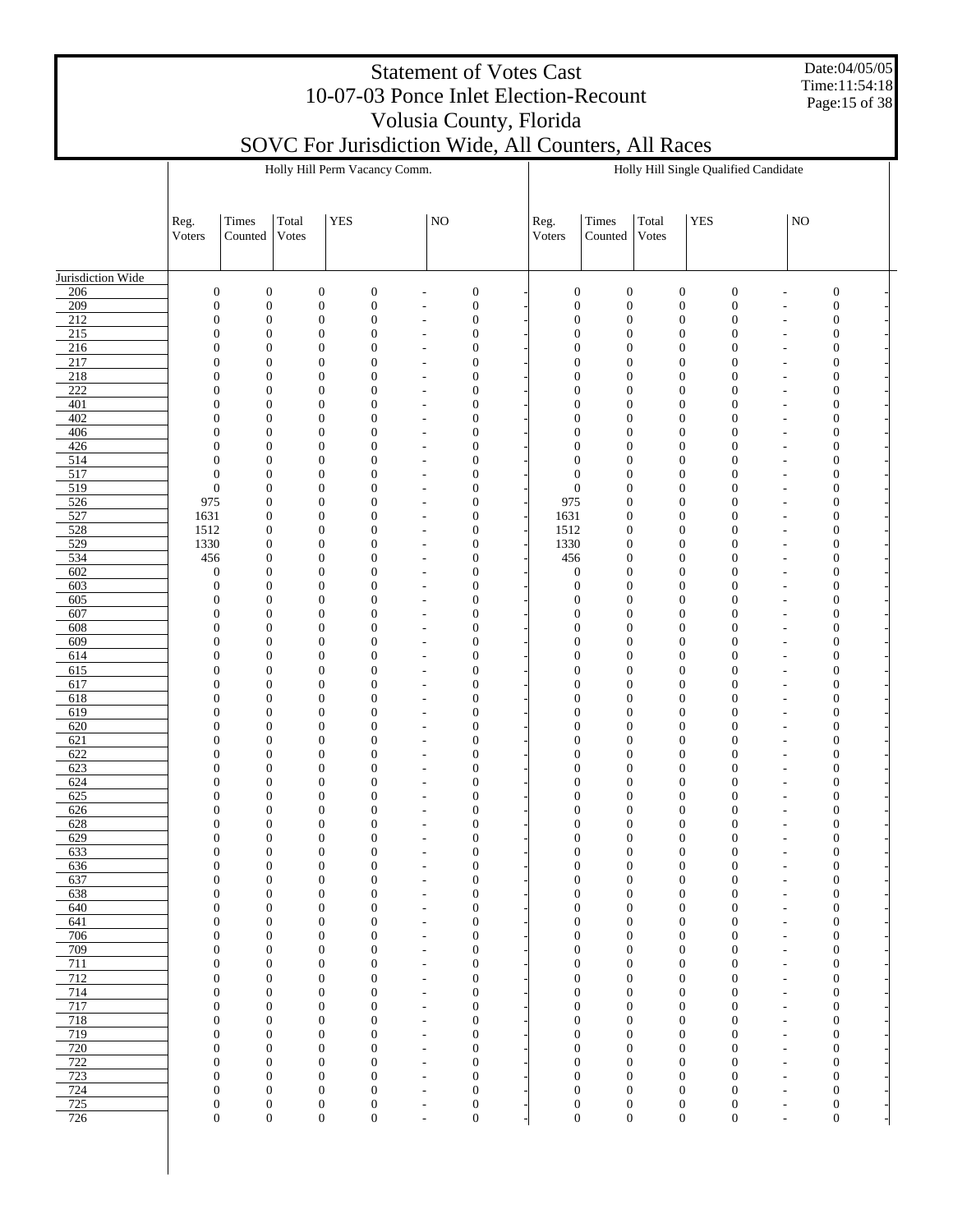Date:04/05/05 Time:11:54:18 Page:15 of 38

|                         |                                      |                                      |                |                                      | Holly Hill Perm Vacancy Comm.    |                                                      |                                      |                                  |                                      |                                      |            | Holly Hill Single Qualified Candidate |                                            |                                      |  |
|-------------------------|--------------------------------------|--------------------------------------|----------------|--------------------------------------|----------------------------------|------------------------------------------------------|--------------------------------------|----------------------------------|--------------------------------------|--------------------------------------|------------|---------------------------------------|--------------------------------------------|--------------------------------------|--|
|                         | Reg.<br>Voters                       | Times<br>Counted                     | Total<br>Votes | <b>YES</b>                           |                                  | N <sub>O</sub>                                       |                                      | Reg.<br>Voters                   | Times<br>Counted                     | Total<br>Votes                       | <b>YES</b> |                                       | NO                                         |                                      |  |
| Jurisdiction Wide       |                                      |                                      |                |                                      |                                  |                                                      |                                      |                                  |                                      |                                      |            |                                       |                                            |                                      |  |
| $\frac{206}{ }$         | $\boldsymbol{0}$                     | $\boldsymbol{0}$                     |                | $\boldsymbol{0}$                     | $\mathbf{0}$                     | Ĭ.                                                   | $\boldsymbol{0}$                     | $\mathbf{0}$                     | $\boldsymbol{0}$                     | $\boldsymbol{0}$                     |            | $\boldsymbol{0}$                      | ÷,                                         | $\boldsymbol{0}$                     |  |
| 209                     | $\mathbf{0}$                         | $\boldsymbol{0}$                     |                | $\boldsymbol{0}$                     | $\mathbf{0}$                     | $\overline{\phantom{m}}$                             | $\boldsymbol{0}$                     | $\mathbf{0}$                     | $\boldsymbol{0}$                     | $\boldsymbol{0}$                     |            | $\boldsymbol{0}$                      | $\overline{a}$                             | $\mathbf{0}$                         |  |
| $\frac{212}{ }$<br>215  | $\boldsymbol{0}$<br>$\boldsymbol{0}$ | $\boldsymbol{0}$<br>$\boldsymbol{0}$ |                | $\boldsymbol{0}$<br>$\boldsymbol{0}$ | $\mathbf{0}$<br>$\mathbf{0}$     | $\overline{a}$<br>$\overline{\phantom{a}}$           | $\boldsymbol{0}$<br>$\mathbf{0}$     | $\mathbf{0}$<br>$\mathbf{0}$     | $\boldsymbol{0}$<br>$\boldsymbol{0}$ | $\boldsymbol{0}$<br>$\boldsymbol{0}$ |            | $\boldsymbol{0}$<br>$\boldsymbol{0}$  | L,<br>$\overline{a}$                       | $\boldsymbol{0}$<br>$\boldsymbol{0}$ |  |
| 216                     | $\boldsymbol{0}$                     | $\boldsymbol{0}$                     |                | $\boldsymbol{0}$                     | $\overline{0}$                   | ÷,                                                   | $\boldsymbol{0}$                     | $\mathbf{0}$                     | $\boldsymbol{0}$                     | $\boldsymbol{0}$                     |            | $\mathbf{0}$                          | $\overline{a}$                             | $\boldsymbol{0}$                     |  |
| 217                     | $\mathbf{0}$                         | $\boldsymbol{0}$                     |                | $\boldsymbol{0}$                     | $\overline{0}$                   | $\overline{\phantom{m}}$                             | $\mathbf{0}$                         | $\mathbf{0}$                     | $\boldsymbol{0}$                     | $\boldsymbol{0}$                     |            | $\boldsymbol{0}$                      | $\overline{a}$                             | $\mathbf{0}$                         |  |
| 218                     | $\boldsymbol{0}$                     | $\boldsymbol{0}$                     |                | $\boldsymbol{0}$                     | $\mathbf{0}$                     | $\overline{a}$                                       | $\mathbf{0}$                         | $\mathbf{0}$                     | $\boldsymbol{0}$                     | $\boldsymbol{0}$                     |            | $\mathbf{0}$                          | $\overline{a}$                             | $\boldsymbol{0}$                     |  |
| $\overline{222}$<br>401 | $\mathbf{0}$<br>$\boldsymbol{0}$     | $\boldsymbol{0}$<br>$\boldsymbol{0}$ |                | $\boldsymbol{0}$<br>$\boldsymbol{0}$ | $\overline{0}$<br>$\mathbf{0}$   | $\overline{\phantom{m}}$<br>÷,                       | $\mathbf{0}$<br>$\mathbf{0}$         | $\mathbf{0}$<br>$\mathbf{0}$     | $\boldsymbol{0}$<br>$\boldsymbol{0}$ | $\boldsymbol{0}$<br>$\boldsymbol{0}$ |            | $\mathbf{0}$<br>$\boldsymbol{0}$      | $\overline{a}$<br>$\overline{a}$           | $\mathbf{0}$<br>$\boldsymbol{0}$     |  |
| 402                     | $\boldsymbol{0}$                     | $\boldsymbol{0}$                     |                | $\boldsymbol{0}$                     | $\mathbf{0}$                     | $\overline{\phantom{m}}$                             | $\mathbf{0}$                         | $\mathbf{0}$                     | $\boldsymbol{0}$                     | $\boldsymbol{0}$                     |            | $\boldsymbol{0}$                      | $\overline{a}$                             | $\mathbf{0}$                         |  |
| 406                     | $\boldsymbol{0}$                     | $\boldsymbol{0}$                     |                | $\boldsymbol{0}$                     | $\mathbf{0}$                     | $\overline{a}$                                       | $\mathbf{0}$                         | $\mathbf{0}$                     | $\boldsymbol{0}$                     | $\boldsymbol{0}$                     |            | $\boldsymbol{0}$                      | L,                                         | $\boldsymbol{0}$                     |  |
| 426                     | $\mathbf{0}$                         | $\boldsymbol{0}$                     |                | $\boldsymbol{0}$                     | $\overline{0}$                   | $\overline{\phantom{a}}$                             | $\mathbf{0}$                         | $\mathbf{0}$                     | $\boldsymbol{0}$                     | $\boldsymbol{0}$                     |            | $\mathbf{0}$                          | $\overline{a}$                             | $\boldsymbol{0}$                     |  |
| 514<br>517              | $\boldsymbol{0}$<br>$\mathbf{0}$     | $\boldsymbol{0}$<br>$\boldsymbol{0}$ |                | $\boldsymbol{0}$<br>$\boldsymbol{0}$ | $\mathbf{0}$<br>$\mathbf{0}$     | L,<br>$\overline{\phantom{m}}$                       | $\mathbf{0}$<br>$\mathbf{0}$         | $\mathbf{0}$<br>$\boldsymbol{0}$ | $\boldsymbol{0}$<br>$\boldsymbol{0}$ | $\boldsymbol{0}$<br>$\boldsymbol{0}$ |            | $\mathbf{0}$<br>$\boldsymbol{0}$      | $\overline{a}$<br>$\overline{a}$           | $\boldsymbol{0}$<br>$\mathbf{0}$     |  |
| 519                     | $\boldsymbol{0}$                     | $\boldsymbol{0}$                     |                | $\boldsymbol{0}$                     | $\mathbf{0}$                     | $\overline{a}$                                       | $\mathbf{0}$                         | $\boldsymbol{0}$                 | $\boldsymbol{0}$                     | $\boldsymbol{0}$                     |            | $\boldsymbol{0}$                      | $\overline{a}$                             | $\boldsymbol{0}$                     |  |
| 526                     | 975                                  | $\boldsymbol{0}$                     |                | $\boldsymbol{0}$                     | $\overline{0}$                   | $\overline{\phantom{m}}$                             | $\mathbf{0}$                         | 975                              | $\boldsymbol{0}$                     | $\boldsymbol{0}$                     |            | $\boldsymbol{0}$                      | $\overline{a}$                             | $\boldsymbol{0}$                     |  |
| 527                     | 1631                                 | $\boldsymbol{0}$                     |                | $\boldsymbol{0}$                     | $\mathbf{0}$                     | $\overline{a}$                                       | $\mathbf{0}$                         | 1631                             | $\boldsymbol{0}$                     | $\boldsymbol{0}$                     |            | $\boldsymbol{0}$                      | $\overline{a}$                             | $\boldsymbol{0}$                     |  |
| 528<br>529              | 1512<br>1330                         | $\boldsymbol{0}$<br>$\boldsymbol{0}$ |                | $\boldsymbol{0}$<br>$\boldsymbol{0}$ | $\mathbf{0}$<br>$\mathbf{0}$     | $\overline{\phantom{m}}$<br>$\overline{a}$           | $\mathbf{0}$<br>$\mathbf{0}$         | 1512<br>1330                     | $\boldsymbol{0}$<br>$\boldsymbol{0}$ | $\boldsymbol{0}$<br>$\boldsymbol{0}$ |            | $\boldsymbol{0}$<br>$\boldsymbol{0}$  | $\overline{a}$<br>L,                       | $\mathbf{0}$<br>$\boldsymbol{0}$     |  |
| 534                     | 456                                  | $\boldsymbol{0}$                     |                | $\boldsymbol{0}$                     | $\mathbf{0}$                     | $\overline{\phantom{a}}$                             | $\mathbf{0}$                         | 456                              | $\boldsymbol{0}$                     | $\boldsymbol{0}$                     |            | $\boldsymbol{0}$                      | $\overline{a}$                             | $\boldsymbol{0}$                     |  |
| 602                     | $\boldsymbol{0}$                     | $\mathbf{0}$                         |                | $\boldsymbol{0}$                     | $\mathbf{0}$                     | L,                                                   | $\mathbf{0}$                         | $\mathbf{0}$                     | $\mathbf{0}$                         | $\boldsymbol{0}$                     |            | $\boldsymbol{0}$                      | $\overline{a}$                             | $\boldsymbol{0}$                     |  |
| 603                     | $\boldsymbol{0}$                     | $\boldsymbol{0}$                     |                | $\boldsymbol{0}$                     | $\mathbf{0}$                     | $\overline{\phantom{m}}$                             | $\mathbf{0}$                         | $\mathbf{0}$                     | $\mathbf{0}$                         | $\boldsymbol{0}$                     |            | $\boldsymbol{0}$                      | $\overline{a}$                             | $\mathbf{0}$                         |  |
| 605<br>607              | $\mathbf{0}$<br>$\mathbf{0}$         | $\boldsymbol{0}$<br>$\boldsymbol{0}$ |                | $\boldsymbol{0}$<br>$\boldsymbol{0}$ | $\mathbf{0}$<br>$\overline{0}$   | $\overline{a}$<br>$\overline{\phantom{m}}$           | $\mathbf{0}$<br>$\mathbf{0}$         | $\mathbf{0}$<br>$\mathbf{0}$     | $\boldsymbol{0}$<br>$\boldsymbol{0}$ | $\boldsymbol{0}$<br>$\boldsymbol{0}$ |            | $\mathbf{0}$<br>$\boldsymbol{0}$      | $\overline{a}$<br>$\overline{a}$           | $\boldsymbol{0}$<br>$\boldsymbol{0}$ |  |
| 608                     | $\boldsymbol{0}$                     | $\boldsymbol{0}$                     |                | $\boldsymbol{0}$                     | $\mathbf{0}$                     | $\overline{a}$                                       | $\mathbf{0}$                         | $\mathbf{0}$                     | $\boldsymbol{0}$                     | $\boldsymbol{0}$                     |            | $\boldsymbol{0}$                      | $\overline{a}$                             | $\boldsymbol{0}$                     |  |
| 609                     | $\boldsymbol{0}$                     | $\boldsymbol{0}$                     |                | $\boldsymbol{0}$                     | $\mathbf{0}$                     | $\overline{\phantom{m}}$                             | $\mathbf{0}$                         | $\mathbf{0}$                     | $\mathbf{0}$                         | $\boldsymbol{0}$                     |            | $\boldsymbol{0}$                      | $\overline{a}$                             | $\mathbf{0}$                         |  |
| $\overline{614}$        | $\boldsymbol{0}$                     | $\boldsymbol{0}$                     |                | $\boldsymbol{0}$                     | $\mathbf{0}$                     | Ĭ.                                                   | $\mathbf{0}$                         | $\mathbf{0}$                     | $\boldsymbol{0}$                     | $\boldsymbol{0}$                     |            | $\boldsymbol{0}$                      | L,                                         | $\boldsymbol{0}$                     |  |
| 615<br>617              | $\mathbf{0}$<br>$\boldsymbol{0}$     | $\boldsymbol{0}$<br>$\boldsymbol{0}$ |                | $\boldsymbol{0}$<br>$\boldsymbol{0}$ | $\mathbf{0}$<br>$\mathbf{0}$     | $\overline{\phantom{a}}$<br>L,                       | $\mathbf{0}$<br>$\mathbf{0}$         | $\mathbf{0}$<br>$\mathbf{0}$     | $\boldsymbol{0}$<br>$\boldsymbol{0}$ | $\boldsymbol{0}$<br>$\boldsymbol{0}$ |            | $\boldsymbol{0}$<br>$\boldsymbol{0}$  | $\overline{a}$<br>$\overline{a}$           | $\boldsymbol{0}$<br>$\boldsymbol{0}$ |  |
| 618                     | $\boldsymbol{0}$                     | $\boldsymbol{0}$                     |                | $\boldsymbol{0}$                     | $\mathbf{0}$                     | $\overline{\phantom{a}}$                             | $\mathbf{0}$                         | $\mathbf{0}$                     | $\boldsymbol{0}$                     | $\boldsymbol{0}$                     |            | $\boldsymbol{0}$                      | $\overline{a}$                             | $\mathbf{0}$                         |  |
| 619                     | $\boldsymbol{0}$                     | $\boldsymbol{0}$                     |                | $\boldsymbol{0}$                     | $\mathbf{0}$                     | $\overline{\phantom{a}}$                             | $\mathbf{0}$                         | $\mathbf{0}$                     | $\boldsymbol{0}$                     | $\boldsymbol{0}$                     |            | $\mathbf{0}$                          | $\overline{a}$                             | $\boldsymbol{0}$                     |  |
| 620<br>621              | $\mathbf{0}$                         | $\boldsymbol{0}$<br>$\boldsymbol{0}$ |                | $\boldsymbol{0}$<br>$\boldsymbol{0}$ | $\overline{0}$<br>$\mathbf{0}$   | $\overline{\phantom{m}}$                             | $\mathbf{0}$<br>$\mathbf{0}$         | $\overline{0}$<br>$\mathbf{0}$   | $\boldsymbol{0}$<br>$\boldsymbol{0}$ | $\boldsymbol{0}$<br>$\boldsymbol{0}$ |            | $\boldsymbol{0}$<br>$\boldsymbol{0}$  | $\overline{a}$                             | $\boldsymbol{0}$                     |  |
| 622                     | $\boldsymbol{0}$<br>$\mathbf{0}$     | $\boldsymbol{0}$                     |                | $\boldsymbol{0}$                     | $\mathbf{0}$                     | $\overline{a}$<br>$\overline{\phantom{m}}$           | $\mathbf{0}$                         | $\mathbf{0}$                     | $\mathbf{0}$                         | $\boldsymbol{0}$                     |            | $\boldsymbol{0}$                      | $\overline{a}$<br>$\overline{a}$           | $\boldsymbol{0}$<br>$\mathbf{0}$     |  |
| 623                     | $\boldsymbol{0}$                     | $\boldsymbol{0}$                     |                | $\boldsymbol{0}$                     | $\mathbf{0}$                     | ÷,                                                   | $\mathbf{0}$                         | $\mathbf{0}$                     | $\boldsymbol{0}$                     | $\boldsymbol{0}$                     |            | $\boldsymbol{0}$                      | $\overline{a}$                             | $\boldsymbol{0}$                     |  |
| 624                     | $\mathbf{0}$                         | $\boldsymbol{0}$                     |                | $\boldsymbol{0}$                     | $\overline{0}$                   | $\overline{\phantom{a}}$                             | $\mathbf{0}$                         | $\theta$                         | $\boldsymbol{0}$                     | $\boldsymbol{0}$                     |            | $\boldsymbol{0}$                      | $\overline{a}$                             | $\boldsymbol{0}$                     |  |
| 625<br>626              | $\boldsymbol{0}$<br>$\boldsymbol{0}$ | $\boldsymbol{0}$<br>$\boldsymbol{0}$ |                | $\boldsymbol{0}$<br>$\mathbf{0}$     | $\mathbf{0}$<br>$\overline{0}$   | L,<br>$\overline{\phantom{a}}$                       | $\boldsymbol{0}$<br>$\mathbf{0}$     | 0<br>$\theta$                    | $\boldsymbol{0}$<br>$\boldsymbol{0}$ | $\boldsymbol{0}$<br>$\boldsymbol{0}$ |            | $\boldsymbol{0}$<br>$\boldsymbol{0}$  | $\overline{a}$<br>$\overline{a}$           | $\boldsymbol{0}$<br>$\mathbf{0}$     |  |
| $\overline{628}$        | $\boldsymbol{0}$                     | $\boldsymbol{0}$                     |                | $\boldsymbol{0}$                     | $\mathbf{0}$                     | ÷,                                                   | $\boldsymbol{0}$                     | 0                                | $\boldsymbol{0}$                     | $\boldsymbol{0}$                     |            | $\boldsymbol{0}$                      | $\overline{a}$                             | $\boldsymbol{0}$                     |  |
| 629                     | $\boldsymbol{0}$                     | $\boldsymbol{0}$                     |                | $\boldsymbol{0}$                     | $\boldsymbol{0}$                 | $\overline{\phantom{m}}$                             | $\boldsymbol{0}$                     | $\mathbf{0}$                     | $\mathbf{0}$                         | $\boldsymbol{0}$                     |            | $\boldsymbol{0}$                      | $\overline{a}$                             | $\boldsymbol{0}$                     |  |
| 633                     | $\boldsymbol{0}$                     | $\boldsymbol{0}$                     |                | $\boldsymbol{0}$                     | $\mathbf{0}$                     | $\overline{\phantom{m}}$                             | $\mathbf{0}$                         | $\mathbf{0}$                     | $\mathbf{0}$                         | $\boldsymbol{0}$                     |            | $\boldsymbol{0}$                      | $\overline{\phantom{m}}$                   | $\mathbf{0}$                         |  |
| 636<br>637              | 0<br>$\boldsymbol{0}$                | 0<br>$\boldsymbol{0}$                |                | $\mathbf 0$<br>$\mathbf{0}$          | $\boldsymbol{0}$<br>$\mathbf{0}$ | ÷,                                                   | 0<br>$\boldsymbol{0}$                | $\mathbf{0}$<br>$\mathbf{0}$     | $\mathbf 0$<br>$\boldsymbol{0}$      | $\mathbf 0$<br>$\boldsymbol{0}$      |            | 0<br>$\boldsymbol{0}$                 | $\overline{a}$                             | $\theta$<br>$\boldsymbol{0}$         |  |
| 638                     | $\boldsymbol{0}$                     | $\boldsymbol{0}$                     |                | $\mathbf{0}$                         | $\mathbf{0}$                     | $\overline{\phantom{a}}$                             | $\mathbf{0}$                         | $\mathbf{0}$                     | $\boldsymbol{0}$                     | $\boldsymbol{0}$                     |            | $\boldsymbol{0}$                      | $\overline{\phantom{a}}$                   | $\mathbf{0}$                         |  |
| 640                     | $\boldsymbol{0}$                     | $\boldsymbol{0}$                     |                | $\mathbf{0}$                         | $\mathbf{0}$                     | $\overline{\phantom{a}}$                             | $\boldsymbol{0}$                     | $\boldsymbol{0}$                 | $\boldsymbol{0}$                     | $\boldsymbol{0}$                     |            | $\boldsymbol{0}$                      | $\overline{\phantom{a}}$                   | $\boldsymbol{0}$                     |  |
| 641                     | $\boldsymbol{0}$                     | $\boldsymbol{0}$                     |                | $\mathbf{0}$                         | $\mathbf{0}$                     | $\overline{\phantom{a}}$                             | $\boldsymbol{0}$                     | $\mathbf{0}$                     | $\boldsymbol{0}$                     | $\boldsymbol{0}$                     |            | $\mathbf{0}$                          | $\overline{\phantom{a}}$                   | $\boldsymbol{0}$                     |  |
| 706<br>709              | $\boldsymbol{0}$<br>$\boldsymbol{0}$ | $\boldsymbol{0}$<br>$\boldsymbol{0}$ |                | $\mathbf{0}$<br>$\mathbf{0}$         | $\boldsymbol{0}$<br>$\mathbf{0}$ | $\overline{\phantom{a}}$<br>$\overline{\phantom{m}}$ | $\boldsymbol{0}$<br>$\boldsymbol{0}$ | $\boldsymbol{0}$<br>$\mathbf{0}$ | $\boldsymbol{0}$<br>$\boldsymbol{0}$ | $\boldsymbol{0}$<br>$\boldsymbol{0}$ |            | $\mathbf{0}$<br>$\boldsymbol{0}$      | $\overline{a}$<br>$\overline{\phantom{m}}$ | $\boldsymbol{0}$<br>$\boldsymbol{0}$ |  |
| 711                     | $\boldsymbol{0}$                     | $\boldsymbol{0}$                     |                | $\boldsymbol{0}$                     | $\mathbf{0}$                     | $\overline{\phantom{m}}$                             | $\boldsymbol{0}$                     | $\mathbf{0}$                     | $\boldsymbol{0}$                     | $\boldsymbol{0}$                     |            | $\mathbf{0}$                          | $\overline{a}$                             | $\boldsymbol{0}$                     |  |
| 712                     | $\boldsymbol{0}$                     | $\boldsymbol{0}$                     |                | $\boldsymbol{0}$                     | $\mathbf{0}$                     | $\overline{\phantom{m}}$                             | $\boldsymbol{0}$                     | $\mathbf{0}$                     | $\boldsymbol{0}$                     | $\boldsymbol{0}$                     |            | $\mathbf{0}$                          | $\overline{a}$                             | $\boldsymbol{0}$                     |  |
| 714                     | $\boldsymbol{0}$                     | $\boldsymbol{0}$                     |                | $\boldsymbol{0}$                     | $\boldsymbol{0}$                 | $\overline{\phantom{a}}$                             | $\boldsymbol{0}$                     | $\mathbf{0}$                     | $\boldsymbol{0}$                     | $\boldsymbol{0}$                     |            | $\mathbf{0}$                          | $\overline{a}$                             | $\boldsymbol{0}$                     |  |
| 717<br>718              | $\boldsymbol{0}$<br>$\boldsymbol{0}$ | $\boldsymbol{0}$<br>$\boldsymbol{0}$ |                | $\mathbf{0}$<br>$\mathbf{0}$         | $\mathbf{0}$<br>$\mathbf{0}$     | $\overline{\phantom{a}}$<br>$\overline{\phantom{a}}$ | $\boldsymbol{0}$<br>$\boldsymbol{0}$ | $\mathbf{0}$<br>$\mathbf{0}$     | $\boldsymbol{0}$<br>$\boldsymbol{0}$ | $\boldsymbol{0}$<br>$\boldsymbol{0}$ |            | $\boldsymbol{0}$<br>0                 | $\overline{\phantom{a}}$<br>$\overline{a}$ | $\boldsymbol{0}$<br>$\boldsymbol{0}$ |  |
| 719                     | $\boldsymbol{0}$                     | $\boldsymbol{0}$                     |                | $\mathbf{0}$                         | $\mathbf{0}$                     | $\overline{\phantom{a}}$                             | $\mathbf{0}$                         | $\mathbf{0}$                     | $\boldsymbol{0}$                     | $\boldsymbol{0}$                     |            | $\mathbf{0}$                          | $\overline{\phantom{a}}$                   | $\boldsymbol{0}$                     |  |
| 720                     | $\boldsymbol{0}$                     | $\boldsymbol{0}$                     |                | $\boldsymbol{0}$                     | $\boldsymbol{0}$                 | $\overline{\phantom{a}}$                             | $\boldsymbol{0}$                     | $\boldsymbol{0}$                 | $\boldsymbol{0}$                     | $\boldsymbol{0}$                     |            | $\mathbf{0}$                          | $\overline{a}$                             | $\boldsymbol{0}$                     |  |
| 722                     | $\boldsymbol{0}$                     | $\boldsymbol{0}$                     |                | $\mathbf{0}$                         | $\mathbf{0}$                     | $\overline{\phantom{m}}$                             | $\mathbf{0}$                         | $\mathbf{0}$                     | $\boldsymbol{0}$                     | $\boldsymbol{0}$                     |            | $\mathbf{0}$                          | $\overline{\phantom{a}}$                   | $\mathbf{0}$                         |  |
| 723<br>724              | $\boldsymbol{0}$<br>$\mathbf{0}$     | $\boldsymbol{0}$<br>$\boldsymbol{0}$ |                | $\boldsymbol{0}$<br>$\boldsymbol{0}$ | $\overline{0}$<br>$\overline{0}$ | $\overline{\phantom{m}}$<br>$\overline{\phantom{m}}$ | $\boldsymbol{0}$<br>$\mathbf{0}$     | $\mathbf{0}$<br>$\mathbf{0}$     | $\boldsymbol{0}$<br>$\boldsymbol{0}$ | $\boldsymbol{0}$<br>$\boldsymbol{0}$ |            | $\mathbf{0}$<br>$\mathbf{0}$          | $\overline{a}$<br>$\overline{a}$           | $\boldsymbol{0}$<br>$\mathbf{0}$     |  |
| 725                     | $\boldsymbol{0}$                     | $\boldsymbol{0}$                     |                | $\boldsymbol{0}$                     | $\mathbf{0}$                     | $\overline{a}$                                       | $\boldsymbol{0}$                     | $\mathbf{0}$                     | $\boldsymbol{0}$                     | $\boldsymbol{0}$                     |            | $\boldsymbol{0}$                      | $\overline{a}$                             | $\boldsymbol{0}$                     |  |
| 726                     | $\boldsymbol{0}$                     | $\boldsymbol{0}$                     |                | $\boldsymbol{0}$                     | $\boldsymbol{0}$                 | $\overline{\phantom{a}}$                             | $\mathbf{0}$                         | $\boldsymbol{0}$                 | $\boldsymbol{0}$                     | $\boldsymbol{0}$                     |            | $\boldsymbol{0}$                      | $\overline{a}$                             | $\boldsymbol{0}$                     |  |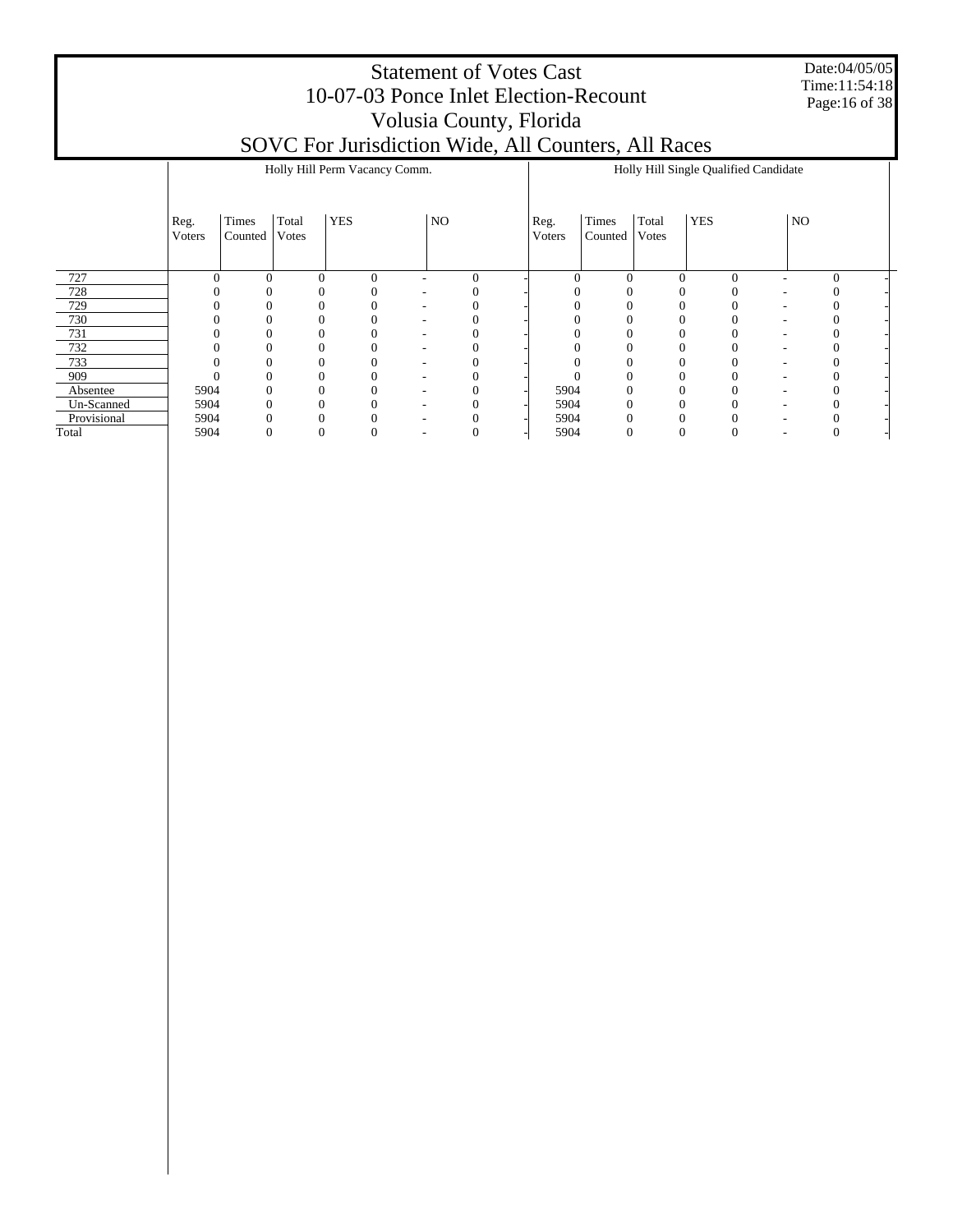Date:04/05/05 Time:11:54:18 Page:16 of 38

|             |                |                  |                |            | Holly Hill Perm Vacancy Comm. |                          |            |                |                  |                |            | Holly Hill Single Qualified Candidate |    |   |
|-------------|----------------|------------------|----------------|------------|-------------------------------|--------------------------|------------|----------------|------------------|----------------|------------|---------------------------------------|----|---|
|             | Reg.<br>Voters | Times<br>Counted | Total<br>Votes | <b>YES</b> |                               | NO                       |            | Reg.<br>Voters | Times<br>Counted | Total<br>Votes | <b>YES</b> |                                       | NO |   |
| 727         |                | $\Omega$         |                | $\theta$   | $\overline{0}$                |                          | $\sqrt{ }$ | $\mathcal{C}$  | 0                | $\theta$       |            | $\Omega$                              |    | 0 |
| 728         |                |                  |                |            |                               |                          |            |                |                  |                |            |                                       |    |   |
| 729         |                |                  |                |            |                               |                          |            |                |                  |                |            |                                       |    |   |
| 730         |                |                  |                |            |                               |                          |            |                |                  |                |            |                                       |    |   |
| 731         |                |                  |                |            |                               |                          |            |                |                  |                |            |                                       |    |   |
| 732         |                |                  |                |            |                               |                          |            |                |                  |                |            |                                       |    |   |
| 733         |                |                  |                |            |                               |                          |            |                |                  |                |            |                                       |    |   |
| 909         |                |                  |                |            |                               | $\overline{\phantom{a}}$ |            |                |                  |                |            | ۰                                     |    |   |
| Absentee    | 5904           | $\Omega$         |                |            |                               | $\overline{\phantom{a}}$ |            | 5904           | 0                |                |            |                                       |    |   |
| Un-Scanned  | 5904           |                  |                |            |                               | $\overline{\phantom{a}}$ |            | 5904           |                  |                |            |                                       |    |   |
| Provisional | 5904           |                  |                |            |                               |                          |            | 5904           |                  |                |            |                                       |    |   |
| Total       | 5904           | 0                |                | 0          |                               |                          |            | 5904           | 0                | 0              |            |                                       |    |   |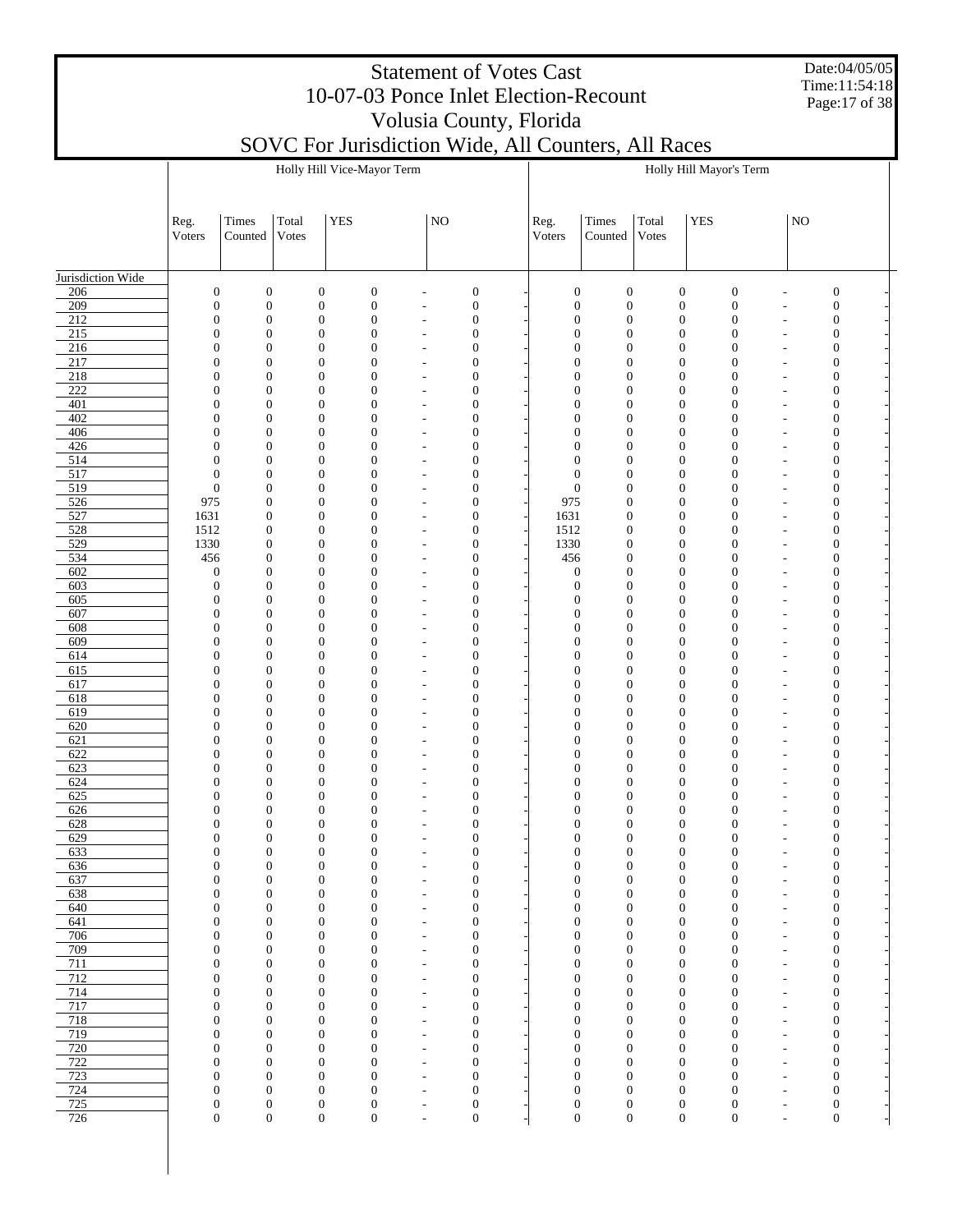Date:04/05/05 Time:11:54:18 Page:17 of 38

|                         |                                      |                                      |                |                                      | Holly Hill Vice-Mayor Term           |                                                      |                                      |                                      |                                      |                | Holly Hill Mayor's Term              |                                      |                                                      |                                      |  |
|-------------------------|--------------------------------------|--------------------------------------|----------------|--------------------------------------|--------------------------------------|------------------------------------------------------|--------------------------------------|--------------------------------------|--------------------------------------|----------------|--------------------------------------|--------------------------------------|------------------------------------------------------|--------------------------------------|--|
|                         | Reg.<br>Voters                       | Times<br>Counted                     | Total<br>Votes | YES                                  |                                      | NO                                                   |                                      | Reg.<br>Voters                       | Times<br>Counted                     | Total<br>Votes | <b>YES</b>                           |                                      | NO                                                   |                                      |  |
| Jurisdiction Wide       |                                      |                                      |                |                                      |                                      |                                                      |                                      |                                      |                                      |                |                                      |                                      |                                                      |                                      |  |
| 206                     | $\boldsymbol{0}$                     | $\boldsymbol{0}$                     |                | $\boldsymbol{0}$                     | $\boldsymbol{0}$                     | $\overline{a}$                                       | $\boldsymbol{0}$                     | $\mathbf{0}$                         | $\boldsymbol{0}$                     |                | $\boldsymbol{0}$                     | $\boldsymbol{0}$                     |                                                      | $\boldsymbol{0}$                     |  |
| 209<br>$\overline{212}$ | $\boldsymbol{0}$<br>$\boldsymbol{0}$ | $\mathbf{0}$<br>$\mathbf{0}$         |                | $\boldsymbol{0}$<br>$\boldsymbol{0}$ | $\boldsymbol{0}$<br>$\boldsymbol{0}$ | $\overline{a}$<br>$\overline{\phantom{a}}$           | $\boldsymbol{0}$<br>$\mathbf{0}$     | $\boldsymbol{0}$<br>$\boldsymbol{0}$ | $\boldsymbol{0}$<br>$\boldsymbol{0}$ |                | $\boldsymbol{0}$<br>$\boldsymbol{0}$ | $\boldsymbol{0}$<br>$\mathbf{0}$     | $\overline{\phantom{a}}$<br>$\overline{\phantom{a}}$ | $\boldsymbol{0}$<br>$\boldsymbol{0}$ |  |
| 215                     | $\boldsymbol{0}$                     | $\mathbf{0}$                         |                | $\boldsymbol{0}$                     | $\boldsymbol{0}$                     | $\overline{a}$                                       | $\mathbf{0}$                         | $\mathbf{0}$                         | $\boldsymbol{0}$                     |                | $\boldsymbol{0}$                     | $\boldsymbol{0}$                     | $\overline{\phantom{a}}$                             | $\boldsymbol{0}$                     |  |
| 216                     | $\boldsymbol{0}$                     | $\mathbf{0}$                         |                | $\boldsymbol{0}$                     | $\boldsymbol{0}$                     | $\overline{\phantom{a}}$                             | $\boldsymbol{0}$                     | $\mathbf{0}$                         | $\boldsymbol{0}$                     |                | $\boldsymbol{0}$                     | $\mathbf{0}$                         | $\overline{a}$                                       | $\boldsymbol{0}$                     |  |
| 217                     | $\boldsymbol{0}$                     | $\mathbf{0}$                         |                | $\boldsymbol{0}$                     | $\boldsymbol{0}$                     | $\overline{a}$                                       | $\mathbf{0}$                         | $\mathbf{0}$                         | $\boldsymbol{0}$                     |                | $\boldsymbol{0}$                     | $\boldsymbol{0}$                     | $\overline{\phantom{a}}$                             | $\boldsymbol{0}$                     |  |
| 218<br>222              | $\boldsymbol{0}$<br>$\boldsymbol{0}$ | $\mathbf{0}$<br>$\mathbf{0}$         |                | $\boldsymbol{0}$<br>$\boldsymbol{0}$ | $\boldsymbol{0}$<br>$\boldsymbol{0}$ | $\overline{\phantom{a}}$                             | $\boldsymbol{0}$<br>$\mathbf{0}$     | $\mathbf{0}$<br>$\mathbf{0}$         | $\boldsymbol{0}$<br>$\boldsymbol{0}$ |                | $\boldsymbol{0}$<br>$\boldsymbol{0}$ | $\mathbf{0}$<br>$\boldsymbol{0}$     | $\overline{\phantom{a}}$                             | $\boldsymbol{0}$                     |  |
| 401                     | $\boldsymbol{0}$                     | $\mathbf{0}$                         |                | $\boldsymbol{0}$                     | $\boldsymbol{0}$                     | $\overline{a}$<br>$\overline{\phantom{a}}$           | $\boldsymbol{0}$                     | $\mathbf{0}$                         | $\boldsymbol{0}$                     |                | $\boldsymbol{0}$                     | $\mathbf{0}$                         | $\overline{\phantom{a}}$<br>$\overline{a}$           | $\boldsymbol{0}$<br>$\boldsymbol{0}$ |  |
| 402                     | $\boldsymbol{0}$                     | $\mathbf{0}$                         |                | $\boldsymbol{0}$                     | $\boldsymbol{0}$                     | $\overline{a}$                                       | $\mathbf{0}$                         | $\mathbf{0}$                         | $\boldsymbol{0}$                     |                | $\boldsymbol{0}$                     | $\boldsymbol{0}$                     | $\overline{\phantom{a}}$                             | $\boldsymbol{0}$                     |  |
| 406                     | $\boldsymbol{0}$                     | $\mathbf{0}$                         |                | $\boldsymbol{0}$                     | $\boldsymbol{0}$                     | $\overline{\phantom{a}}$                             | $\boldsymbol{0}$                     | $\mathbf{0}$                         | $\boldsymbol{0}$                     |                | $\boldsymbol{0}$                     | $\mathbf{0}$                         | $\overline{\phantom{a}}$                             | $\boldsymbol{0}$                     |  |
| 426                     | $\boldsymbol{0}$                     | $\mathbf{0}$                         |                | $\boldsymbol{0}$                     | $\boldsymbol{0}$                     | $\overline{a}$                                       | $\mathbf{0}$                         | $\mathbf{0}$                         | $\boldsymbol{0}$                     |                | $\boldsymbol{0}$                     | $\boldsymbol{0}$                     | $\overline{\phantom{a}}$                             | $\mathbf{0}$                         |  |
| 514<br>517              | $\boldsymbol{0}$<br>$\boldsymbol{0}$ | $\mathbf{0}$<br>$\mathbf{0}$         |                | $\boldsymbol{0}$<br>$\boldsymbol{0}$ | $\boldsymbol{0}$<br>$\boldsymbol{0}$ | $\overline{\phantom{a}}$<br>$\overline{a}$           | $\boldsymbol{0}$<br>$\mathbf{0}$     | $\mathbf{0}$<br>$\mathbf{0}$         | $\boldsymbol{0}$<br>$\boldsymbol{0}$ |                | $\boldsymbol{0}$<br>$\boldsymbol{0}$ | $\mathbf{0}$<br>$\boldsymbol{0}$     | $\overline{a}$<br>$\overline{\phantom{a}}$           | $\boldsymbol{0}$<br>$\boldsymbol{0}$ |  |
| 519                     | $\boldsymbol{0}$                     | $\mathbf{0}$                         |                | $\boldsymbol{0}$                     | $\boldsymbol{0}$                     | $\overline{\phantom{a}}$                             | $\boldsymbol{0}$                     | $\mathbf{0}$                         | $\boldsymbol{0}$                     |                | $\boldsymbol{0}$                     | $\mathbf{0}$                         | $\overline{a}$                                       | $\boldsymbol{0}$                     |  |
| 526                     | 975                                  | $\boldsymbol{0}$                     |                | $\boldsymbol{0}$                     | $\boldsymbol{0}$                     | $\overline{a}$                                       | $\mathbf{0}$                         | 975                                  | $\boldsymbol{0}$                     |                | $\boldsymbol{0}$                     | $\boldsymbol{0}$                     | $\overline{\phantom{a}}$                             | $\mathbf{0}$                         |  |
| 527                     | 1631                                 | $\boldsymbol{0}$                     |                | $\boldsymbol{0}$                     | $\boldsymbol{0}$                     | $\overline{a}$                                       | $\boldsymbol{0}$                     | 1631                                 | $\boldsymbol{0}$                     |                | $\boldsymbol{0}$                     | $\mathbf{0}$                         | ٠                                                    | $\boldsymbol{0}$                     |  |
| 528<br>529              | 1512<br>1330                         | $\boldsymbol{0}$<br>$\boldsymbol{0}$ |                | $\boldsymbol{0}$<br>$\boldsymbol{0}$ | $\boldsymbol{0}$<br>$\boldsymbol{0}$ | $\overline{a}$<br>$\overline{\phantom{a}}$           | $\mathbf{0}$<br>$\mathbf{0}$         | 1512<br>1330                         | $\boldsymbol{0}$<br>$\boldsymbol{0}$ |                | $\boldsymbol{0}$<br>$\boldsymbol{0}$ | $\boldsymbol{0}$<br>$\mathbf{0}$     | $\overline{\phantom{a}}$<br>٠                        | $\boldsymbol{0}$<br>$\boldsymbol{0}$ |  |
| 534                     | 456                                  | $\boldsymbol{0}$                     |                | $\boldsymbol{0}$                     | $\boldsymbol{0}$                     | $\overline{a}$                                       | $\mathbf{0}$                         | 456                                  | $\boldsymbol{0}$                     |                | $\boldsymbol{0}$                     | $\boldsymbol{0}$                     | $\overline{\phantom{a}}$                             | $\boldsymbol{0}$                     |  |
| 602                     | $\boldsymbol{0}$                     | $\mathbf{0}$                         |                | $\boldsymbol{0}$                     | $\boldsymbol{0}$                     | $\overline{\phantom{a}}$                             | $\boldsymbol{0}$                     | $\boldsymbol{0}$                     | $\mathbf{0}$                         |                | $\boldsymbol{0}$                     | $\mathbf{0}$                         | ٠                                                    | $\boldsymbol{0}$                     |  |
| 603                     | $\boldsymbol{0}$                     | $\mathbf{0}$                         |                | $\boldsymbol{0}$                     | $\boldsymbol{0}$                     | $\overline{a}$                                       | $\mathbf{0}$                         | $\boldsymbol{0}$                     | $\mathbf{0}$                         |                | $\boldsymbol{0}$                     | $\boldsymbol{0}$                     | $\overline{\phantom{a}}$                             | $\boldsymbol{0}$                     |  |
| 605                     | $\boldsymbol{0}$                     | $\mathbf{0}$                         |                | $\boldsymbol{0}$                     | $\boldsymbol{0}$                     | $\overline{\phantom{a}}$                             | $\mathbf{0}$                         | $\mathbf{0}$                         | $\mathbf{0}$                         |                | $\boldsymbol{0}$                     | $\mathbf{0}$                         | $\overline{a}$                                       | $\boldsymbol{0}$                     |  |
| 607<br>608              | $\boldsymbol{0}$<br>$\boldsymbol{0}$ | $\mathbf{0}$<br>$\mathbf{0}$         |                | $\boldsymbol{0}$<br>$\boldsymbol{0}$ | $\boldsymbol{0}$<br>$\boldsymbol{0}$ | $\overline{a}$<br>$\overline{\phantom{a}}$           | $\mathbf{0}$<br>$\boldsymbol{0}$     | $\mathbf{0}$<br>$\mathbf{0}$         | $\mathbf{0}$<br>$\mathbf{0}$         |                | $\boldsymbol{0}$<br>$\boldsymbol{0}$ | $\boldsymbol{0}$<br>$\mathbf{0}$     | $\overline{\phantom{a}}$<br>$\overline{a}$           | $\boldsymbol{0}$<br>$\boldsymbol{0}$ |  |
| 609                     | $\boldsymbol{0}$                     | $\mathbf{0}$                         |                | $\boldsymbol{0}$                     | $\boldsymbol{0}$                     | $\overline{\phantom{a}}$                             | $\mathbf{0}$                         | $\mathbf{0}$                         | $\mathbf{0}$                         |                | $\boldsymbol{0}$                     | $\boldsymbol{0}$                     | $\overline{\phantom{a}}$                             | $\boldsymbol{0}$                     |  |
| 614                     | $\boldsymbol{0}$                     | $\mathbf{0}$                         |                | $\boldsymbol{0}$                     | $\boldsymbol{0}$                     | $\overline{\phantom{a}}$                             | $\boldsymbol{0}$                     | $\mathbf{0}$                         | $\mathbf{0}$                         |                | $\boldsymbol{0}$                     | $\mathbf{0}$                         | $\overline{a}$                                       | $\boldsymbol{0}$                     |  |
| 615                     | $\boldsymbol{0}$                     | $\mathbf{0}$                         |                | $\boldsymbol{0}$                     | $\boldsymbol{0}$                     | $\overline{a}$                                       | $\mathbf{0}$                         | $\mathbf{0}$                         | $\mathbf{0}$                         |                | $\boldsymbol{0}$                     | $\boldsymbol{0}$                     | $\overline{\phantom{a}}$                             | $\boldsymbol{0}$                     |  |
| 617<br>618              | $\boldsymbol{0}$<br>$\boldsymbol{0}$ | $\mathbf{0}$<br>$\mathbf{0}$         |                | $\boldsymbol{0}$<br>$\boldsymbol{0}$ | $\boldsymbol{0}$<br>$\boldsymbol{0}$ | $\overline{\phantom{a}}$<br>$\overline{\phantom{a}}$ | $\boldsymbol{0}$<br>$\mathbf{0}$     | $\mathbf{0}$<br>$\mathbf{0}$         | $\mathbf{0}$<br>$\mathbf{0}$         |                | $\boldsymbol{0}$<br>$\boldsymbol{0}$ | $\mathbf{0}$<br>$\boldsymbol{0}$     | $\overline{a}$<br>$\overline{\phantom{a}}$           | $\boldsymbol{0}$<br>$\boldsymbol{0}$ |  |
| 619                     | $\boldsymbol{0}$                     | $\mathbf{0}$                         |                | $\boldsymbol{0}$                     | $\boldsymbol{0}$                     | $\overline{\phantom{a}}$                             | $\boldsymbol{0}$                     | $\mathbf{0}$                         | $\mathbf{0}$                         |                | $\boldsymbol{0}$                     | $\mathbf{0}$                         | $\overline{\phantom{a}}$                             | $\boldsymbol{0}$                     |  |
| 620                     | $\boldsymbol{0}$                     | $\mathbf{0}$                         |                | $\boldsymbol{0}$                     | $\boldsymbol{0}$                     | $\overline{a}$                                       | $\mathbf{0}$                         | $\mathbf{0}$                         | $\boldsymbol{0}$                     |                | $\boldsymbol{0}$                     | $\boldsymbol{0}$                     | $\overline{\phantom{a}}$                             | $\boldsymbol{0}$                     |  |
| 621                     | $\boldsymbol{0}$                     | $\mathbf{0}$                         |                | $\boldsymbol{0}$                     | $\boldsymbol{0}$                     | $\overline{\phantom{a}}$                             | $\boldsymbol{0}$                     | $\mathbf{0}$                         | $\boldsymbol{0}$                     |                | $\boldsymbol{0}$                     | $\mathbf{0}$                         | $\overline{a}$                                       | $\boldsymbol{0}$                     |  |
| 622                     | $\boldsymbol{0}$                     | $\mathbf{0}$                         |                | $\boldsymbol{0}$                     | $\boldsymbol{0}$                     | $\overline{\phantom{a}}$                             | $\mathbf{0}$                         | $\mathbf{0}$                         | $\boldsymbol{0}$                     |                | $\boldsymbol{0}$                     | $\boldsymbol{0}$                     | $\overline{\phantom{a}}$                             | $\boldsymbol{0}$                     |  |
| 623<br>624              | $\boldsymbol{0}$<br>$\boldsymbol{0}$ | $\mathbf{0}$<br>$\mathbf{0}$         |                | $\boldsymbol{0}$<br>$\boldsymbol{0}$ | $\boldsymbol{0}$<br>$\boldsymbol{0}$ | $\overline{\phantom{a}}$<br>$\overline{a}$           | $\boldsymbol{0}$<br>$\mathbf{0}$     | $\mathbf{0}$<br>$\mathbf{0}$         | $\boldsymbol{0}$<br>$\boldsymbol{0}$ |                | $\boldsymbol{0}$<br>$\boldsymbol{0}$ | $\mathbf{0}$<br>$\boldsymbol{0}$     | $\overline{\phantom{a}}$<br>$\overline{\phantom{a}}$ | $\mathbf{0}$<br>$\mathbf{0}$         |  |
| 625                     | $\mathbf{0}$                         | $\mathbf{0}$                         |                | $\boldsymbol{0}$                     | $\boldsymbol{0}$                     | $\overline{a}$                                       | $\boldsymbol{0}$                     | $\mathbf{0}$                         | $\boldsymbol{0}$                     |                | $\boldsymbol{0}$                     | $\mathbf{0}$                         | $\overline{a}$                                       | $\mathbf{0}$                         |  |
| 626                     | $\boldsymbol{0}$                     | $\mathbf{0}$                         |                | $\boldsymbol{0}$                     | $\boldsymbol{0}$                     | $\overline{a}$                                       | $\mathbf{0}$                         | $\mathbf{0}$                         | $\boldsymbol{0}$                     |                | $\boldsymbol{0}$                     | $\boldsymbol{0}$                     | $\overline{\phantom{a}}$                             | $\boldsymbol{0}$                     |  |
| 628                     | $\boldsymbol{0}$                     | $\mathbf{0}$                         |                | $\boldsymbol{0}$                     | $\boldsymbol{0}$                     | $\overline{a}$                                       | $\mathbf{0}$                         | $\mathbf{0}$                         | $\boldsymbol{0}$                     |                | $\boldsymbol{0}$                     | $\mathbf{0}$                         | ٠                                                    | $\boldsymbol{0}$                     |  |
| 629<br>633              | $\boldsymbol{0}$<br>$\boldsymbol{0}$ | $\boldsymbol{0}$<br>$\boldsymbol{0}$ |                | $\boldsymbol{0}$<br>$\boldsymbol{0}$ | $\boldsymbol{0}$<br>$\boldsymbol{0}$ | ٠<br>$\overline{a}$                                  | $\mathbf{0}$<br>$\boldsymbol{0}$     | $\mathbf{0}$<br>$\mathbf{0}$         | $\boldsymbol{0}$<br>$\boldsymbol{0}$ |                | $\boldsymbol{0}$<br>$\boldsymbol{0}$ | $\mathbf{0}$<br>$\boldsymbol{0}$     | ٠<br>$\overline{\phantom{a}}$                        | $\boldsymbol{0}$<br>$\boldsymbol{0}$ |  |
| 636                     | $\boldsymbol{0}$                     | 0                                    |                | $\bf{0}$                             | $\bf{0}$                             |                                                      | $\bf{0}$                             | $\bf{0}$                             | $\boldsymbol{0}$                     |                | $\bf{0}$                             | 0                                    |                                                      | 0                                    |  |
| 637                     | $\boldsymbol{0}$                     | $\mathbf{0}$                         |                | $\boldsymbol{0}$                     | $\boldsymbol{0}$                     | $\overline{a}$                                       | $\boldsymbol{0}$                     | $\mathbf{0}$                         | $\boldsymbol{0}$                     |                | $\boldsymbol{0}$                     | $\boldsymbol{0}$                     |                                                      | $\mathbf{0}$                         |  |
| 638                     | $\boldsymbol{0}$                     | $\boldsymbol{0}$                     |                | $\boldsymbol{0}$                     | $\boldsymbol{0}$                     | $\overline{a}$                                       | $\boldsymbol{0}$                     | $\mathbf{0}$                         | $\boldsymbol{0}$                     |                | $\boldsymbol{0}$                     | $\boldsymbol{0}$                     | $\overline{\phantom{a}}$                             | $\mathbf{0}$                         |  |
| 640<br>641              | $\boldsymbol{0}$<br>$\boldsymbol{0}$ | $\boldsymbol{0}$<br>$\boldsymbol{0}$ |                | $\boldsymbol{0}$<br>$\boldsymbol{0}$ | $\boldsymbol{0}$<br>$\boldsymbol{0}$ | $\overline{\phantom{a}}$                             | $\boldsymbol{0}$<br>$\boldsymbol{0}$ | $\mathbf{0}$<br>$\mathbf{0}$         | $\boldsymbol{0}$<br>$\boldsymbol{0}$ |                | $\boldsymbol{0}$<br>$\boldsymbol{0}$ | $\boldsymbol{0}$<br>$\boldsymbol{0}$ | $\overline{\phantom{a}}$                             | $\mathbf{0}$<br>$\mathbf{0}$         |  |
| 706                     | $\boldsymbol{0}$                     | $\boldsymbol{0}$                     |                | $\boldsymbol{0}$                     | $\boldsymbol{0}$                     | $\overline{a}$<br>$\overline{a}$                     | $\boldsymbol{0}$                     | $\mathbf{0}$                         | $\boldsymbol{0}$                     |                | $\boldsymbol{0}$                     | $\boldsymbol{0}$                     | $\overline{\phantom{a}}$<br>$\overline{\phantom{a}}$ | $\mathbf{0}$                         |  |
| 709                     | $\boldsymbol{0}$                     | $\boldsymbol{0}$                     |                | $\boldsymbol{0}$                     | $\boldsymbol{0}$                     | $\overline{a}$                                       | $\boldsymbol{0}$                     | $\mathbf{0}$                         | $\boldsymbol{0}$                     |                | $\boldsymbol{0}$                     | $\boldsymbol{0}$                     | $\overline{\phantom{a}}$                             | $\mathbf{0}$                         |  |
| 711                     | $\boldsymbol{0}$                     | $\boldsymbol{0}$                     |                | $\boldsymbol{0}$                     | $\boldsymbol{0}$                     | $\overline{\phantom{a}}$                             | $\boldsymbol{0}$                     | $\mathbf{0}$                         | $\boldsymbol{0}$                     |                | $\boldsymbol{0}$                     | $\boldsymbol{0}$                     | $\overline{\phantom{a}}$                             | $\boldsymbol{0}$                     |  |
| 712                     | $\boldsymbol{0}$                     | $\boldsymbol{0}$                     |                | $\boldsymbol{0}$                     | $\boldsymbol{0}$                     | $\overline{a}$                                       | $\boldsymbol{0}$                     | $\mathbf{0}$                         | $\boldsymbol{0}$                     |                | $\boldsymbol{0}$                     | $\boldsymbol{0}$                     | $\overline{\phantom{a}}$                             | $\mathbf{0}$                         |  |
| 714<br>717              | $\boldsymbol{0}$<br>$\boldsymbol{0}$ | $\boldsymbol{0}$<br>$\boldsymbol{0}$ |                | $\boldsymbol{0}$<br>$\boldsymbol{0}$ | $\boldsymbol{0}$<br>$\boldsymbol{0}$ | $\overline{\phantom{a}}$<br>$\overline{\phantom{a}}$ | $\boldsymbol{0}$<br>$\boldsymbol{0}$ | $\mathbf{0}$<br>$\mathbf{0}$         | $\boldsymbol{0}$<br>$\boldsymbol{0}$ |                | $\boldsymbol{0}$<br>$\boldsymbol{0}$ | $\boldsymbol{0}$<br>$\boldsymbol{0}$ | $\overline{\phantom{a}}$<br>$\overline{\phantom{a}}$ | $\boldsymbol{0}$<br>$\mathbf{0}$     |  |
| 718                     | $\boldsymbol{0}$                     | $\boldsymbol{0}$                     |                | $\boldsymbol{0}$                     | $\boldsymbol{0}$                     | $\overline{\phantom{a}}$                             | $\boldsymbol{0}$                     | $\mathbf{0}$                         | $\boldsymbol{0}$                     |                | $\boldsymbol{0}$                     | $\boldsymbol{0}$                     | $\overline{\phantom{a}}$                             | $\boldsymbol{0}$                     |  |
| 719                     | $\boldsymbol{0}$                     | $\boldsymbol{0}$                     |                | $\boldsymbol{0}$                     | $\boldsymbol{0}$                     | $\overline{a}$                                       | $\boldsymbol{0}$                     | $\mathbf{0}$                         | $\boldsymbol{0}$                     |                | $\boldsymbol{0}$                     | $\boldsymbol{0}$                     | $\overline{\phantom{a}}$                             | $\mathbf{0}$                         |  |
| 720                     | $\boldsymbol{0}$                     | $\boldsymbol{0}$                     |                | $\boldsymbol{0}$                     | $\boldsymbol{0}$                     | $\overline{\phantom{a}}$                             | $\boldsymbol{0}$                     | $\mathbf{0}$                         | $\boldsymbol{0}$                     |                | $\boldsymbol{0}$                     | $\boldsymbol{0}$                     | $\overline{\phantom{a}}$                             | $\mathbf{0}$                         |  |
| 722                     | $\boldsymbol{0}$                     | $\boldsymbol{0}$                     |                | $\boldsymbol{0}$                     | $\boldsymbol{0}$                     | $\overline{\phantom{a}}$                             | $\boldsymbol{0}$                     | $\mathbf{0}$                         | $\boldsymbol{0}$                     |                | $\boldsymbol{0}$                     | $\boldsymbol{0}$                     | $\overline{\phantom{a}}$                             | $\mathbf{0}$                         |  |
| 723<br>724              | $\boldsymbol{0}$<br>$\boldsymbol{0}$ | $\boldsymbol{0}$<br>$\boldsymbol{0}$ |                | $\boldsymbol{0}$<br>$\boldsymbol{0}$ | $\boldsymbol{0}$<br>$\boldsymbol{0}$ | $\overline{\phantom{a}}$<br>$\overline{a}$           | $\boldsymbol{0}$<br>$\boldsymbol{0}$ | $\mathbf{0}$<br>$\mathbf{0}$         | $\boldsymbol{0}$<br>$\boldsymbol{0}$ |                | $\boldsymbol{0}$<br>$\boldsymbol{0}$ | $\boldsymbol{0}$<br>$\boldsymbol{0}$ | $\overline{\phantom{a}}$<br>$\overline{\phantom{a}}$ | $\mathbf{0}$<br>$\mathbf{0}$         |  |
| 725                     | $\boldsymbol{0}$                     | $\boldsymbol{0}$                     |                | $\boldsymbol{0}$                     | $\boldsymbol{0}$                     | $\overline{\phantom{a}}$                             | $\boldsymbol{0}$                     | $\boldsymbol{0}$                     | $\boldsymbol{0}$                     |                | $\boldsymbol{0}$                     | $\boldsymbol{0}$                     | $\overline{\phantom{a}}$                             | $\boldsymbol{0}$                     |  |
| 726                     | $\boldsymbol{0}$                     | $\boldsymbol{0}$                     |                | $\overline{0}$                       | $\boldsymbol{0}$                     | $\overline{a}$                                       | $\boldsymbol{0}$                     | $\boldsymbol{0}$                     | $\overline{0}$                       |                | $\boldsymbol{0}$                     | $\boldsymbol{0}$                     | $\overline{\phantom{a}}$                             | $\boldsymbol{0}$                     |  |
|                         |                                      |                                      |                |                                      |                                      |                                                      |                                      |                                      |                                      |                |                                      |                                      |                                                      |                                      |  |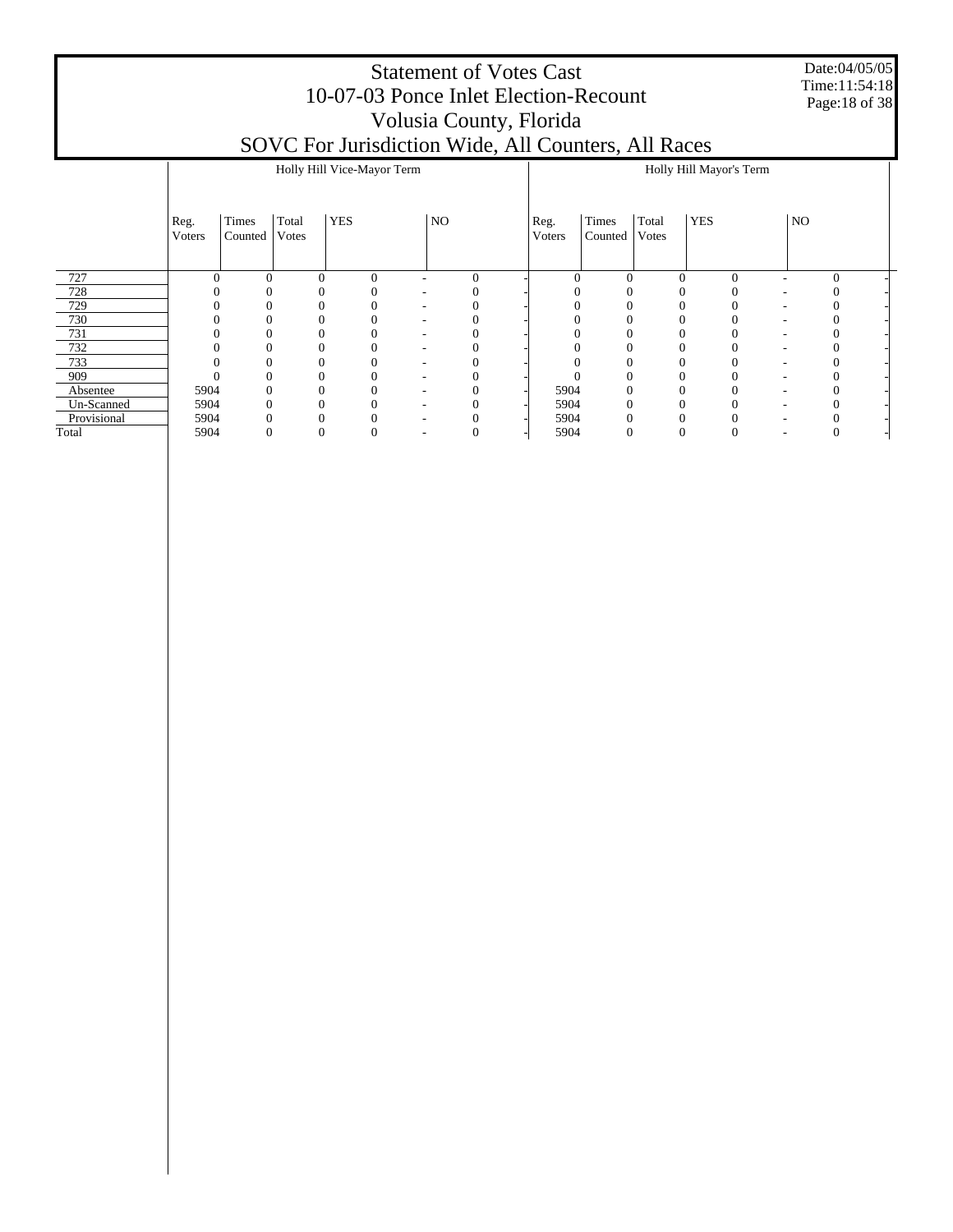Date:04/05/05 Time:11:54:18 Page:18 of 38

|             |                |                  | Holly Hill Vice-Mayor Term   |          |    |   |                |                  |                | Holly Hill Mayor's Term |              |  |
|-------------|----------------|------------------|------------------------------|----------|----|---|----------------|------------------|----------------|-------------------------|--------------|--|
|             | Reg.<br>Voters | Times<br>Counted | <b>YES</b><br>Total<br>Votes |          | NO |   | Reg.<br>Voters | Times<br>Counted | Total<br>Votes | <b>YES</b>              | NO           |  |
| 727         | $\Omega$       | $\theta$         | $\Omega$                     | $\theta$ |    | 0 | 0              |                  | $\theta$       | $\mathbf{0}$            | $\mathbf{0}$ |  |
| 728         |                |                  |                              |          |    |   |                |                  |                |                         |              |  |
| 729         |                |                  |                              |          |    |   |                |                  |                |                         |              |  |
| 730         |                |                  |                              |          |    |   |                |                  |                |                         |              |  |
| 731         |                |                  | $\Omega$                     |          |    |   |                |                  | 0              |                         |              |  |
| 732         |                |                  |                              |          |    |   |                |                  | 0              |                         |              |  |
| 733         |                |                  |                              |          |    |   |                |                  | 0              |                         |              |  |
| 909         |                |                  | $\Omega$                     |          |    |   |                |                  | 0              |                         |              |  |
| Absentee    | 5904           |                  | $\Omega$                     |          |    |   | 5904           |                  | $\theta$       |                         |              |  |
| Un-Scanned  | 5904           |                  |                              |          |    |   | 5904           |                  |                |                         |              |  |
| Provisional | 5904           |                  |                              |          |    |   | 5904           |                  |                |                         |              |  |
| Total       | 5904           |                  | 0                            |          |    |   | 5904           |                  | 0              |                         |              |  |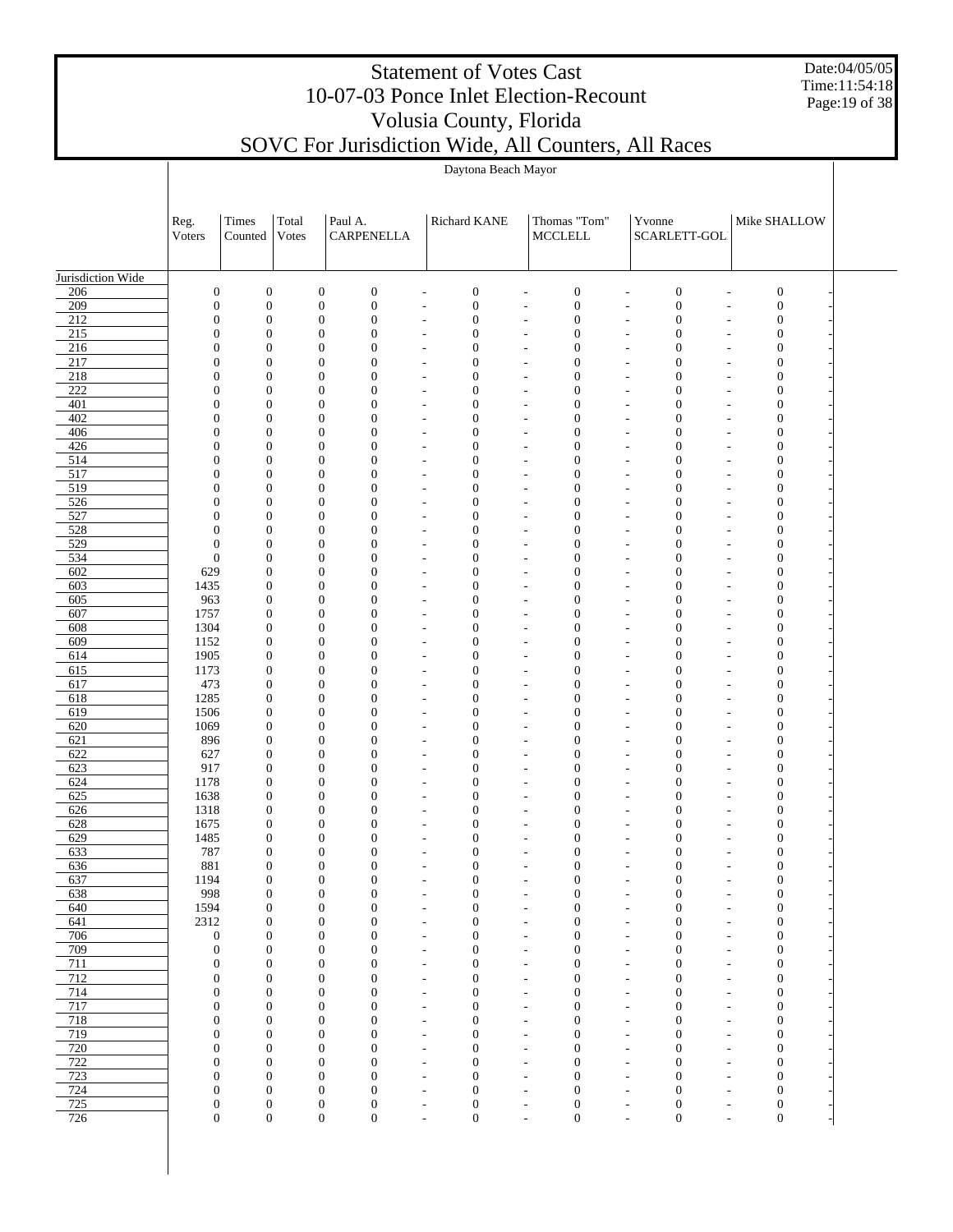Date:04/05/05 Time:11:54:18 Page:19 of 38

|                   | Daytona Beach Mayor                  |                                      |                                      |                                      |  |                                                      |                                      |                                                                                    |                                                      |                                      |                                            |                                      |  |  |
|-------------------|--------------------------------------|--------------------------------------|--------------------------------------|--------------------------------------|--|------------------------------------------------------|--------------------------------------|------------------------------------------------------------------------------------|------------------------------------------------------|--------------------------------------|--------------------------------------------|--------------------------------------|--|--|
|                   |                                      |                                      |                                      |                                      |  |                                                      |                                      |                                                                                    |                                                      |                                      |                                            |                                      |  |  |
|                   |                                      |                                      |                                      |                                      |  |                                                      |                                      |                                                                                    |                                                      |                                      |                                            |                                      |  |  |
|                   | Reg.                                 | Times                                | Total                                | Paul A.                              |  | Richard KANE                                         |                                      | Thomas "Tom"                                                                       |                                                      | Yvonne                               |                                            | Mike SHALLOW                         |  |  |
|                   | Voters                               | Counted                              | Votes                                | CARPENELLA                           |  |                                                      |                                      | <b>MCCLELL</b>                                                                     |                                                      | SCARLETT-GOL                         |                                            |                                      |  |  |
|                   |                                      |                                      |                                      |                                      |  |                                                      |                                      |                                                                                    |                                                      |                                      |                                            |                                      |  |  |
| Jurisdiction Wide |                                      |                                      |                                      |                                      |  |                                                      |                                      |                                                                                    |                                                      |                                      |                                            |                                      |  |  |
| 206               | $\boldsymbol{0}$                     | $\boldsymbol{0}$                     | $\boldsymbol{0}$                     | $\boldsymbol{0}$                     |  | $\overline{a}$                                       | $\boldsymbol{0}$                     | $\boldsymbol{0}$<br>$\overline{a}$                                                 | $\overline{a}$                                       | $\boldsymbol{0}$                     | $\overline{a}$                             | $\boldsymbol{0}$                     |  |  |
| 209<br>212        | $\mathbf{0}$<br>$\overline{0}$       | $\boldsymbol{0}$<br>$\boldsymbol{0}$ | $\boldsymbol{0}$<br>$\boldsymbol{0}$ | $\boldsymbol{0}$<br>$\boldsymbol{0}$ |  | $\overline{a}$<br>$\overline{a}$                     | $\boldsymbol{0}$<br>$\boldsymbol{0}$ | $\boldsymbol{0}$<br>$\overline{a}$<br>$\boldsymbol{0}$<br>$\overline{a}$           | $\overline{a}$<br>$\overline{a}$                     | $\boldsymbol{0}$<br>$\boldsymbol{0}$ | Ĭ.<br>$\overline{a}$                       | $\boldsymbol{0}$<br>$\boldsymbol{0}$ |  |  |
| 215               | $\overline{0}$                       | $\boldsymbol{0}$                     | $\boldsymbol{0}$                     | $\mathbf{0}$                         |  | L,                                                   | $\mathbf{0}$                         | $\boldsymbol{0}$<br>L,                                                             | L,                                                   | $\mathbf{0}$                         | Ĭ.                                         | $\boldsymbol{0}$                     |  |  |
| 216               | $\overline{0}$                       | $\mathbf{0}$                         | $\boldsymbol{0}$                     | $\mathbf{0}$                         |  | $\overline{a}$                                       | $\mathbf{0}$                         | $\mathbf{0}$<br>L,                                                                 | $\overline{a}$                                       | $\mathbf{0}$                         | L,                                         | $\mathbf{0}$                         |  |  |
| 217               | $\overline{0}$                       | $\mathbf{0}$                         | $\boldsymbol{0}$                     | $\mathbf{0}$                         |  | L,                                                   | $\mathbf{0}$                         | $\boldsymbol{0}$<br>L,                                                             | L,                                                   | $\mathbf{0}$                         | L,                                         | $\boldsymbol{0}$                     |  |  |
| 218<br>222        | $\overline{0}$<br>$\overline{0}$     | $\mathbf{0}$<br>$\boldsymbol{0}$     | $\boldsymbol{0}$<br>$\boldsymbol{0}$ | $\mathbf{0}$<br>$\mathbf{0}$         |  | $\overline{a}$<br>$\overline{a}$                     | $\mathbf{0}$<br>$\mathbf{0}$         | $\boldsymbol{0}$<br>$\overline{a}$<br>$\boldsymbol{0}$<br>$\overline{a}$           | $\overline{a}$<br>$\overline{a}$                     | $\mathbf{0}$<br>$\mathbf{0}$         | $\overline{a}$<br>$\overline{a}$           | $\mathbf{0}$<br>$\boldsymbol{0}$     |  |  |
| 401               | $\overline{0}$                       | $\mathbf{0}$                         | $\boldsymbol{0}$                     | $\mathbf{0}$                         |  | $\overline{a}$                                       | $\mathbf{0}$                         | $\mathbf{0}$<br>$\overline{a}$                                                     | $\overline{a}$                                       | $\mathbf{0}$                         | $\overline{a}$                             | $\boldsymbol{0}$                     |  |  |
| 402               | $\overline{0}$                       | $\boldsymbol{0}$                     | $\boldsymbol{0}$                     | $\mathbf{0}$                         |  | L,                                                   | $\mathbf{0}$                         | $\boldsymbol{0}$<br>L,                                                             | L,                                                   | $\mathbf{0}$                         | ÷,                                         | $\boldsymbol{0}$                     |  |  |
| 406               | $\overline{0}$                       | $\mathbf{0}$                         | $\boldsymbol{0}$                     | $\mathbf{0}$                         |  | $\overline{a}$                                       | $\mathbf{0}$                         | $\boldsymbol{0}$<br>$\overline{a}$                                                 | $\overline{a}$                                       | $\mathbf{0}$                         | $\overline{a}$                             | $\boldsymbol{0}$                     |  |  |
| 426<br>514        | $\overline{0}$<br>$\overline{0}$     | $\boldsymbol{0}$<br>$\mathbf{0}$     | $\boldsymbol{0}$<br>$\boldsymbol{0}$ | $\mathbf{0}$<br>$\mathbf{0}$         |  | $\overline{a}$<br>$\overline{a}$                     | $\mathbf{0}$<br>$\mathbf{0}$         | $\boldsymbol{0}$<br>L,<br>$\mathbf{0}$<br>$\overline{a}$                           | $\overline{a}$<br>$\overline{a}$                     | $\mathbf{0}$<br>$\mathbf{0}$         | L,<br>L,                                   | $\boldsymbol{0}$<br>$\mathbf{0}$     |  |  |
| 517               | $\overline{0}$                       | $\mathbf{0}$                         | $\boldsymbol{0}$                     | $\mathbf{0}$                         |  | L,                                                   | $\mathbf{0}$                         | $\boldsymbol{0}$<br>L,                                                             | L,                                                   | $\mathbf{0}$                         | Ĭ.                                         | $\boldsymbol{0}$                     |  |  |
| 519               | $\overline{0}$                       | $\mathbf{0}$                         | $\boldsymbol{0}$                     | $\mathbf{0}$                         |  | $\overline{a}$                                       | $\mathbf{0}$                         | $\boldsymbol{0}$<br>$\overline{\phantom{m}}$                                       | $\overline{a}$                                       | $\mathbf{0}$                         | $\overline{a}$                             | $\boldsymbol{0}$                     |  |  |
| 526               | $\overline{0}$                       | $\boldsymbol{0}$                     | $\boldsymbol{0}$                     | $\mathbf{0}$                         |  | $\overline{a}$                                       | $\mathbf{0}$                         | $\boldsymbol{0}$<br>$\overline{a}$                                                 | $\overline{a}$                                       | $\mathbf{0}$                         | $\overline{a}$                             | $\boldsymbol{0}$                     |  |  |
| 527<br>528        | $\overline{0}$<br>$\overline{0}$     | $\mathbf{0}$<br>$\boldsymbol{0}$     | $\boldsymbol{0}$<br>$\boldsymbol{0}$ | $\mathbf{0}$<br>$\mathbf{0}$         |  | $\overline{a}$<br>L,                                 | $\mathbf{0}$<br>$\mathbf{0}$         | $\mathbf{0}$<br>$\overline{a}$<br>$\boldsymbol{0}$<br>L,                           | $\overline{a}$<br>L,                                 | $\mathbf{0}$<br>$\mathbf{0}$         | $\overline{a}$<br>Ĭ.                       | $\boldsymbol{0}$<br>$\boldsymbol{0}$ |  |  |
| 529               | $\mathbf{0}$                         | $\mathbf{0}$                         | $\boldsymbol{0}$                     | $\mathbf{0}$                         |  | $\overline{a}$                                       | $\mathbf{0}$                         | $\boldsymbol{0}$<br>$\overline{a}$                                                 | $\overline{a}$                                       | $\mathbf{0}$                         | L,                                         | $\boldsymbol{0}$                     |  |  |
| 534               | $\boldsymbol{0}$                     | $\boldsymbol{0}$                     | $\boldsymbol{0}$                     | $\mathbf{0}$                         |  | $\overline{a}$                                       | $\mathbf{0}$                         | $\boldsymbol{0}$<br>L,                                                             | $\overline{a}$                                       | $\mathbf{0}$                         | L,                                         | $\boldsymbol{0}$                     |  |  |
| 602               | 629                                  | $\boldsymbol{0}$                     | $\boldsymbol{0}$                     | $\mathbf{0}$                         |  | $\overline{a}$                                       | $\mathbf{0}$                         | $\mathbf{0}$<br>$\overline{a}$                                                     | $\overline{a}$                                       | $\mathbf{0}$                         | $\overline{a}$                             | $\mathbf{0}$                         |  |  |
| 603               | 1435                                 | $\boldsymbol{0}$                     | $\boldsymbol{0}$                     | $\mathbf{0}$<br>$\mathbf{0}$         |  | L,                                                   | $\mathbf{0}$<br>$\mathbf{0}$         | $\boldsymbol{0}$<br>L,                                                             | L,                                                   | $\mathbf{0}$<br>$\mathbf{0}$         | ÷,                                         | $\boldsymbol{0}$                     |  |  |
| 605<br>607        | 963<br>1757                          | $\boldsymbol{0}$<br>$\boldsymbol{0}$ | $\boldsymbol{0}$<br>$\boldsymbol{0}$ | $\mathbf{0}$                         |  | $\overline{a}$<br>$\overline{a}$                     | $\mathbf{0}$                         | $\boldsymbol{0}$<br>$\overline{a}$<br>$\boldsymbol{0}$<br>L,                       | $\overline{a}$<br>L,                                 | $\mathbf{0}$                         | $\overline{a}$<br>$\overline{a}$           | $\boldsymbol{0}$<br>$\boldsymbol{0}$ |  |  |
| 608               | 1304                                 | $\boldsymbol{0}$                     | $\boldsymbol{0}$                     | $\mathbf{0}$                         |  | $\overline{a}$                                       | $\mathbf{0}$                         | $\mathbf{0}$<br>$\overline{a}$                                                     | $\overline{a}$                                       | $\mathbf{0}$                         | $\overline{a}$                             | $\mathbf{0}$                         |  |  |
| 609               | 1152                                 | $\boldsymbol{0}$                     | $\boldsymbol{0}$                     | $\mathbf{0}$                         |  | L,                                                   | $\mathbf{0}$                         | $\boldsymbol{0}$<br>L,                                                             | L,                                                   | $\mathbf{0}$                         | L,                                         | $\boldsymbol{0}$                     |  |  |
| 614               | 1905                                 | $\boldsymbol{0}$                     | $\boldsymbol{0}$                     | $\mathbf{0}$                         |  | $\overline{a}$                                       | $\mathbf{0}$                         | $\boldsymbol{0}$<br>$\overline{a}$                                                 | $\overline{a}$                                       | $\mathbf{0}$                         | L,                                         | $\boldsymbol{0}$                     |  |  |
| 615<br>617        | 1173<br>473                          | $\boldsymbol{0}$<br>$\boldsymbol{0}$ | $\boldsymbol{0}$<br>$\boldsymbol{0}$ | $\mathbf{0}$<br>$\mathbf{0}$         |  | L,<br>$\overline{a}$                                 | $\mathbf{0}$<br>$\mathbf{0}$         | $\mathbf{0}$<br>L,<br>$\mathbf{0}$<br>$\overline{a}$                               | L,<br>$\overline{a}$                                 | $\mathbf{0}$<br>$\mathbf{0}$         | L,<br>$\overline{a}$                       | $\boldsymbol{0}$<br>$\mathbf{0}$     |  |  |
| 618               | 1285                                 | $\boldsymbol{0}$                     | $\boldsymbol{0}$                     | $\mathbf{0}$                         |  | $\overline{a}$                                       | $\mathbf{0}$                         | $\boldsymbol{0}$<br>$\overline{a}$                                                 | $\overline{a}$                                       | $\mathbf{0}$                         | ÷,                                         | $\boldsymbol{0}$                     |  |  |
| 619               | 1506                                 | $\boldsymbol{0}$                     | $\boldsymbol{0}$                     | $\mathbf{0}$                         |  | $\overline{a}$                                       | $\mathbf{0}$                         | $\boldsymbol{0}$<br>$\overline{\phantom{m}}$                                       | $\overline{a}$                                       | $\mathbf{0}$                         | $\overline{a}$                             | $\boldsymbol{0}$                     |  |  |
| 620               | 1069                                 | $\boldsymbol{0}$                     | $\boldsymbol{0}$                     | $\mathbf{0}$                         |  | L,                                                   | $\mathbf{0}$                         | $\boldsymbol{0}$<br>L,                                                             | L,                                                   | $\mathbf{0}$                         | L,                                         | $\boldsymbol{0}$                     |  |  |
| 621<br>622        | 896<br>627                           | $\boldsymbol{0}$<br>$\boldsymbol{0}$ | $\boldsymbol{0}$<br>$\boldsymbol{0}$ | $\mathbf{0}$<br>$\mathbf{0}$         |  | $\overline{a}$<br>L,                                 | $\mathbf{0}$<br>$\mathbf{0}$         | $\mathbf{0}$<br>$\overline{a}$<br>$\boldsymbol{0}$<br>L,                           | $\overline{a}$<br>$\overline{a}$                     | $\mathbf{0}$<br>$\mathbf{0}$         | L,<br>L,                                   | $\boldsymbol{0}$<br>$\boldsymbol{0}$ |  |  |
| 623               | 917                                  | $\boldsymbol{0}$                     | $\boldsymbol{0}$                     | $\mathbf{0}$                         |  | $\overline{a}$                                       | $\mathbf{0}$                         | $\boldsymbol{0}$<br>$\overline{a}$                                                 | $\overline{a}$                                       | $\mathbf{0}$                         | $\overline{a}$                             | $\boldsymbol{0}$                     |  |  |
| 624               | 1178                                 | $\boldsymbol{0}$                     | $\boldsymbol{0}$                     | $\mathbf{0}$                         |  | L,                                                   | $\mathbf{0}$                         | $\boldsymbol{0}$<br>L,                                                             | L,                                                   | $\mathbf{0}$                         | ÷,                                         | $\boldsymbol{0}$                     |  |  |
| 625               | 1638                                 | $\boldsymbol{0}$                     | $\boldsymbol{0}$                     | $\mathbf{0}$                         |  | $\overline{a}$                                       | $\mathbf{0}$                         | $\boldsymbol{0}$<br>$\overline{a}$                                                 | $\overline{a}$                                       | $\mathbf{0}$                         | $\overline{a}$                             | $\boldsymbol{0}$                     |  |  |
| 626<br>628        | 1318<br>1675                         | $\boldsymbol{0}$<br>$\boldsymbol{0}$ | $\boldsymbol{0}$<br>$\boldsymbol{0}$ | $\mathbf{0}$<br>$\mathbf{0}$         |  | $\overline{a}$<br>$\overline{a}$                     | $\boldsymbol{0}$<br>$\mathbf{0}$     | $\boldsymbol{0}$<br>$\overline{a}$<br>$\boldsymbol{0}$<br>$\overline{a}$           | $\overline{a}$<br>$\overline{a}$                     | $\mathbf{0}$<br>$\mathbf{0}$         | ÷,<br>÷,                                   | $\boldsymbol{0}$<br>$\boldsymbol{0}$ |  |  |
| 629               | 1485                                 | $\boldsymbol{0}$                     | $\boldsymbol{0}$                     | $\mathbf{0}$                         |  | $\overline{a}$                                       | $\mathbf{0}$                         | $\mathbf{0}$<br>L,                                                                 | $\overline{a}$                                       | $\mathbf{0}$                         |                                            | $\mathbf{0}$                         |  |  |
| 633               | 787                                  | $\mathbf{0}$                         | $\Omega$                             | $\Omega$                             |  | $\overline{a}$                                       | $\overline{0}$                       | $\Omega$<br>$\overline{a}$                                                         | $\overline{a}$                                       | $\overline{0}$                       |                                            | $\Omega$                             |  |  |
| 636               | 881                                  | $\boldsymbol{0}$                     | $\boldsymbol{0}$                     | $\mathbf{0}$                         |  | $\overline{a}$                                       | $\boldsymbol{0}$                     | $\boldsymbol{0}$<br>$\overline{a}$                                                 | $\overline{a}$                                       | $\boldsymbol{0}$                     | ÷,                                         | $\boldsymbol{0}$                     |  |  |
| 637<br>638        | 1194<br>998                          | $\boldsymbol{0}$<br>$\boldsymbol{0}$ | $\boldsymbol{0}$<br>$\boldsymbol{0}$ | $\boldsymbol{0}$<br>$\boldsymbol{0}$ |  | $\overline{\phantom{a}}$<br>$\overline{\phantom{m}}$ | $\boldsymbol{0}$<br>$\boldsymbol{0}$ | $\boldsymbol{0}$<br>$\overline{\phantom{a}}$<br>$\boldsymbol{0}$<br>$\overline{a}$ | $\overline{\phantom{a}}$<br>$\overline{\phantom{m}}$ | $\boldsymbol{0}$<br>$\boldsymbol{0}$ | $\overline{\phantom{a}}$<br>$\overline{a}$ | $\boldsymbol{0}$<br>$\boldsymbol{0}$ |  |  |
| 640               | 1594                                 | $\boldsymbol{0}$                     | $\boldsymbol{0}$                     | $\mathbf{0}$                         |  | $\overline{\phantom{a}}$                             | $\mathbf{0}$                         | $\mathbf{0}$<br>$\overline{\phantom{m}}$                                           | $\overline{\phantom{a}}$                             | $\mathbf{0}$                         | $\overline{a}$                             | $\boldsymbol{0}$                     |  |  |
| 641               | 2312                                 | $\boldsymbol{0}$                     | $\boldsymbol{0}$                     | $\mathbf{0}$                         |  | $\overline{a}$                                       | $\mathbf{0}$                         | $\mathbf{0}$<br>$\overline{a}$                                                     | $\overline{a}$                                       | $\mathbf{0}$                         | $\overline{a}$                             | $\boldsymbol{0}$                     |  |  |
| 706               | $\boldsymbol{0}$                     | $\boldsymbol{0}$                     | $\boldsymbol{0}$                     | $\mathbf{0}$                         |  | $\overline{a}$                                       | $\mathbf{0}$                         | $\mathbf{0}$<br>$\overline{\phantom{m}}$                                           | $\overline{a}$                                       | $\mathbf{0}$                         | $\overline{a}$                             | $\boldsymbol{0}$                     |  |  |
| 709<br>711        | $\boldsymbol{0}$<br>$\boldsymbol{0}$ | $\boldsymbol{0}$<br>$\boldsymbol{0}$ | $\boldsymbol{0}$<br>$\boldsymbol{0}$ | $\mathbf{0}$<br>$\mathbf{0}$         |  | $\overline{a}$                                       | $\mathbf{0}$<br>$\mathbf{0}$         | $\mathbf{0}$<br>L,<br>$\mathbf{0}$                                                 | $\overline{a}$                                       | $\mathbf{0}$<br>$\mathbf{0}$         | $\overline{a}$                             | $\boldsymbol{0}$<br>$\boldsymbol{0}$ |  |  |
| 712               | $\boldsymbol{0}$                     | $\boldsymbol{0}$                     | $\boldsymbol{0}$                     | $\mathbf{0}$                         |  | $\overline{a}$<br>$\overline{a}$                     | $\mathbf{0}$                         | $\overline{a}$<br>$\mathbf{0}$<br>$\overline{a}$                                   | $\overline{a}$<br>$\overline{a}$                     | $\mathbf{0}$                         | $\overline{a}$<br>$\overline{a}$           | $\boldsymbol{0}$                     |  |  |
| 714               | $\mathbf{0}$                         | $\boldsymbol{0}$                     | $\boldsymbol{0}$                     | $\mathbf{0}$                         |  | $\overline{\phantom{m}}$                             | $\mathbf{0}$                         | $\mathbf{0}$<br>$\overline{\phantom{m}}$                                           | $\overline{\phantom{m}}$                             | $\mathbf{0}$                         | $\overline{a}$                             | $\boldsymbol{0}$                     |  |  |
| 717               | $\mathbf{0}$                         | $\boldsymbol{0}$                     | $\boldsymbol{0}$                     | $\mathbf{0}$                         |  | $\overline{\phantom{m}}$                             | $\mathbf{0}$                         | $\boldsymbol{0}$<br>$\overline{a}$                                                 | $\overline{\phantom{m}}$                             | $\mathbf{0}$                         | $\overline{a}$                             | $\boldsymbol{0}$                     |  |  |
| 718               | $\mathbf{0}$                         | $\boldsymbol{0}$                     | $\boldsymbol{0}$                     | $\mathbf{0}$<br>$\mathbf{0}$         |  | $\overline{\phantom{a}}$                             | $\mathbf{0}$<br>$\mathbf{0}$         | $\mathbf{0}$<br>$\overline{\phantom{m}}$<br>$\mathbf{0}$                           | $\overline{\phantom{a}}$                             | $\mathbf{0}$                         | $\overline{a}$                             | $\boldsymbol{0}$                     |  |  |
| 719<br>720        | $\boldsymbol{0}$<br>$\mathbf{0}$     | $\boldsymbol{0}$<br>$\boldsymbol{0}$ | $\boldsymbol{0}$<br>$\boldsymbol{0}$ | $\mathbf{0}$                         |  | $\overline{a}$<br>$\overline{a}$                     | $\mathbf{0}$                         | $\overline{a}$<br>$\mathbf{0}$<br>$\overline{a}$                                   | $\overline{a}$<br>$\overline{a}$                     | $\mathbf{0}$<br>$\mathbf{0}$         | $\overline{a}$<br>$\overline{a}$           | $\boldsymbol{0}$<br>$\boldsymbol{0}$ |  |  |
| 722               | $\mathbf{0}$                         | $\boldsymbol{0}$                     | $\boldsymbol{0}$                     | $\mathbf{0}$                         |  | $\overline{a}$                                       | $\mathbf{0}$                         | $\mathbf{0}$<br>L,                                                                 | $\overline{a}$                                       | $\mathbf{0}$                         | L,                                         | $\boldsymbol{0}$                     |  |  |
| 723               | $\mathbf{0}$                         | $\mathbf{0}$                         | $\boldsymbol{0}$                     | $\mathbf{0}$                         |  | $\overline{a}$                                       | $\mathbf{0}$                         | $\mathbf{0}$<br>$\overline{\phantom{m}}$                                           | $\overline{a}$                                       | $\mathbf{0}$                         | $\overline{a}$                             | $\boldsymbol{0}$                     |  |  |
| 724               | $\mathbf{0}$                         | $\boldsymbol{0}$<br>$\boldsymbol{0}$ | $\boldsymbol{0}$<br>$\mathbf{0}$     | $\mathbf{0}$<br>$\boldsymbol{0}$     |  | $\overline{a}$                                       | $\boldsymbol{0}$<br>$\boldsymbol{0}$ | $\boldsymbol{0}$<br>$\overline{a}$<br>$\boldsymbol{0}$                             | $\overline{a}$                                       | $\boldsymbol{0}$<br>$\boldsymbol{0}$ | $\overline{a}$                             | $\boldsymbol{0}$                     |  |  |
| 725<br>726        | $\boldsymbol{0}$<br>$\boldsymbol{0}$ | $\boldsymbol{0}$                     | $\boldsymbol{0}$                     | $\boldsymbol{0}$                     |  | $\overline{\phantom{m}}$<br>$\overline{a}$           | $\boldsymbol{0}$                     | $\overline{\phantom{m}}$<br>$\boldsymbol{0}$<br>$\overline{a}$                     | $\overline{\phantom{m}}$<br>$\overline{a}$           | $\boldsymbol{0}$                     | $\overline{\phantom{m}}$<br>$\overline{a}$ | $\boldsymbol{0}$<br>$\boldsymbol{0}$ |  |  |
|                   |                                      |                                      |                                      |                                      |  |                                                      |                                      |                                                                                    |                                                      |                                      |                                            |                                      |  |  |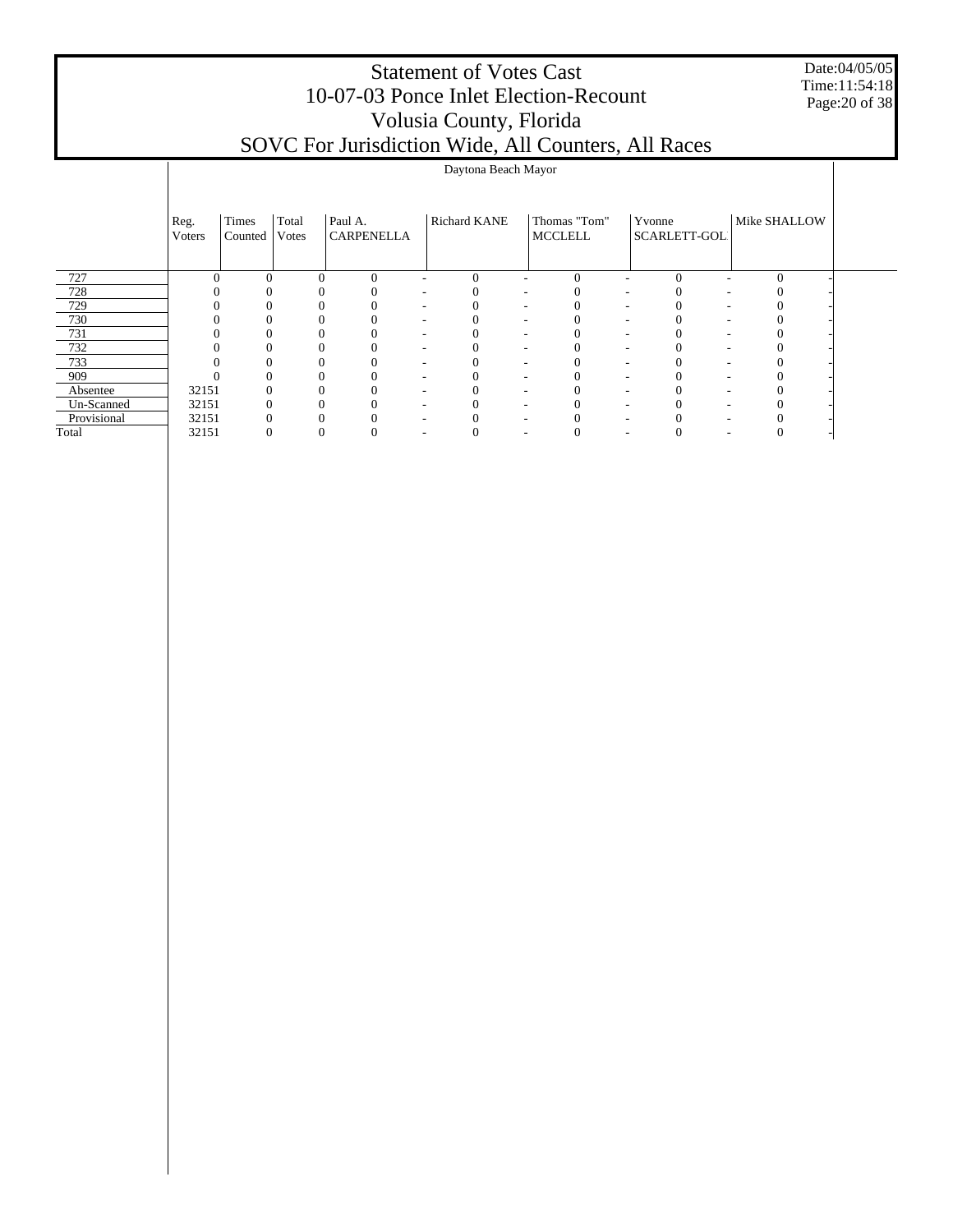Date:04/05/05 Time:11:54:18 Page:20 of 38

|             |                |                  |                |                       |              | Daytona Beach Mayor |                                |                        |              |  |
|-------------|----------------|------------------|----------------|-----------------------|--------------|---------------------|--------------------------------|------------------------|--------------|--|
|             | Reg.<br>Voters | Times<br>Counted | Total<br>Votes | Paul A.<br>CARPENELLA | Richard KANE |                     | Thomas "Tom"<br><b>MCCLELL</b> | Yvonne<br>SCARLETT-GOL | Mike SHALLOW |  |
| 727         |                | 0                |                | $\Omega$<br>$\Omega$  |              | 0                   | $\Omega$                       | $\Omega$               |              |  |
| 728         |                |                  |                |                       |              |                     |                                |                        |              |  |
| 729         |                |                  |                |                       |              |                     |                                |                        |              |  |
| 730         |                |                  |                |                       |              |                     |                                |                        |              |  |
| 731         |                |                  |                | $\Omega$              |              |                     |                                |                        |              |  |
| 732         |                |                  |                | 0                     |              |                     |                                |                        |              |  |
| 733         |                |                  |                | 0                     |              |                     |                                |                        |              |  |
| 909         |                |                  |                |                       |              |                     |                                |                        |              |  |
| Absentee    | 32151          |                  |                | 0                     |              |                     |                                |                        |              |  |
| Un-Scanned  | 32151          |                  |                |                       |              |                     |                                |                        |              |  |
| Provisional | 32151          |                  |                |                       |              |                     |                                |                        |              |  |
| Total       | 32151          |                  |                | $\Omega$              |              |                     |                                |                        |              |  |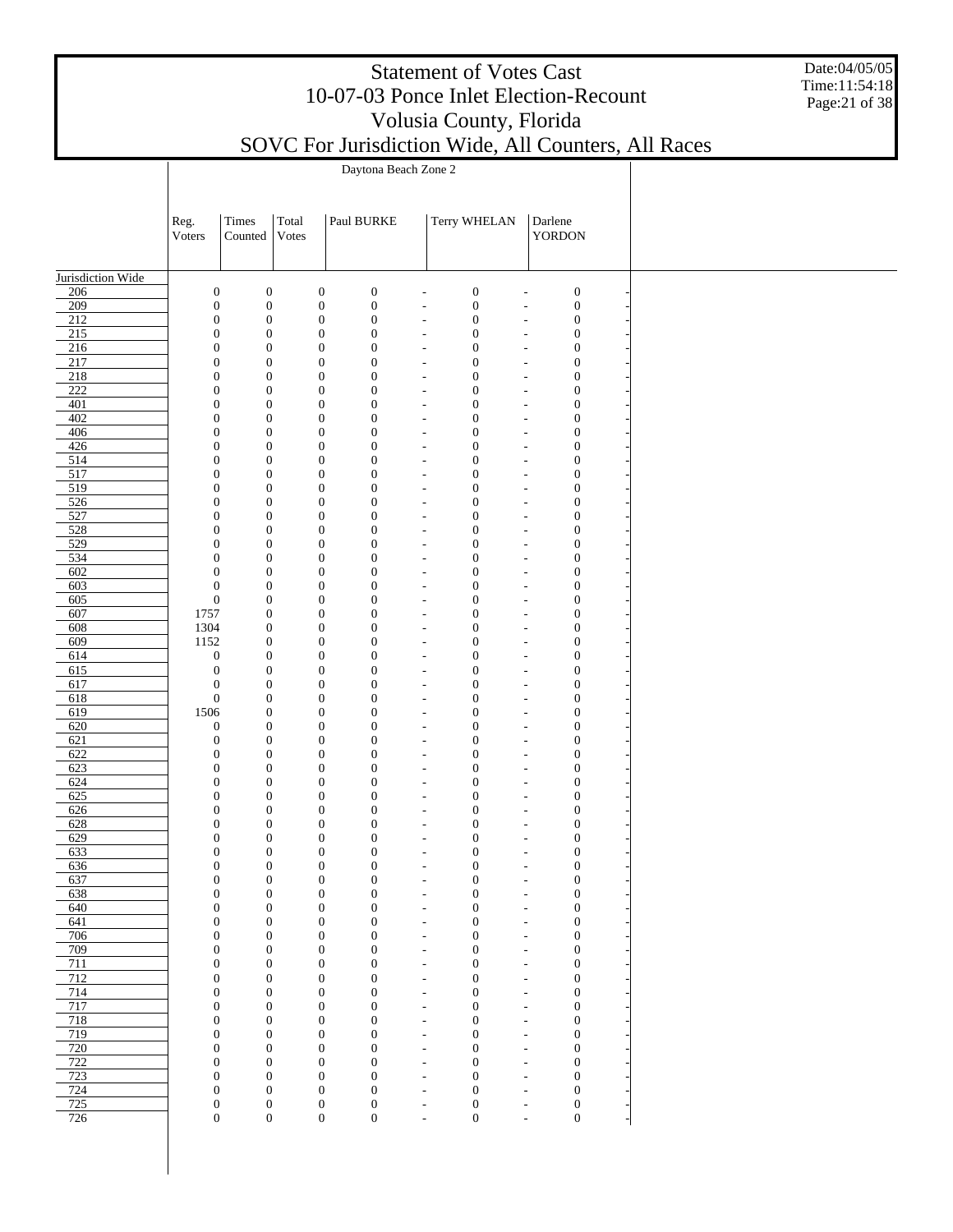|                         | <b>Statement of Votes Cast</b><br>10-07-03 Ponce Inlet Election-Recount<br>Volusia County, Florida<br>SOVC For Jurisdiction Wide, All Counters, All Races<br>Daytona Beach Zone 2 |                                      |                                      |                                                                              |                                                      |                                      |                                                      |                                      |  |  |  |  |  |  |  |
|-------------------------|-----------------------------------------------------------------------------------------------------------------------------------------------------------------------------------|--------------------------------------|--------------------------------------|------------------------------------------------------------------------------|------------------------------------------------------|--------------------------------------|------------------------------------------------------|--------------------------------------|--|--|--|--|--|--|--|
|                         |                                                                                                                                                                                   |                                      |                                      |                                                                              |                                                      |                                      |                                                      |                                      |  |  |  |  |  |  |  |
|                         |                                                                                                                                                                                   |                                      |                                      |                                                                              |                                                      |                                      |                                                      |                                      |  |  |  |  |  |  |  |
|                         | Reg.<br>Voters                                                                                                                                                                    | Times<br>Counted                     | Total<br>Votes                       | Paul BURKE                                                                   |                                                      | Terry WHELAN                         |                                                      | Darlene<br>YORDON                    |  |  |  |  |  |  |  |
| Jurisdiction Wide       |                                                                                                                                                                                   |                                      |                                      |                                                                              |                                                      |                                      |                                                      |                                      |  |  |  |  |  |  |  |
| 206                     | $\boldsymbol{0}$                                                                                                                                                                  | $\boldsymbol{0}$                     | $\boldsymbol{0}$                     | $\boldsymbol{0}$                                                             |                                                      | $\boldsymbol{0}$                     |                                                      | $\boldsymbol{0}$                     |  |  |  |  |  |  |  |
| 209<br>$\overline{212}$ | $\boldsymbol{0}$<br>$\boldsymbol{0}$                                                                                                                                              | $\boldsymbol{0}$<br>$\boldsymbol{0}$ | $\boldsymbol{0}$<br>$\boldsymbol{0}$ | $\boldsymbol{0}$<br>$\boldsymbol{0}$                                         |                                                      | $\boldsymbol{0}$<br>$\boldsymbol{0}$ | ÷,                                                   | $\boldsymbol{0}$<br>$\boldsymbol{0}$ |  |  |  |  |  |  |  |
| 215                     | $\boldsymbol{0}$                                                                                                                                                                  | $\boldsymbol{0}$                     | $\boldsymbol{0}$                     | $\boldsymbol{0}$                                                             |                                                      | $\boldsymbol{0}$                     |                                                      | $\mathbf{0}$                         |  |  |  |  |  |  |  |
| 216                     | $\mathbf{0}$                                                                                                                                                                      | $\boldsymbol{0}$                     | $\boldsymbol{0}$                     | $\mathbf{0}$                                                                 |                                                      | $\boldsymbol{0}$                     |                                                      | $\boldsymbol{0}$                     |  |  |  |  |  |  |  |
| 217<br>218              | $\mathbf{0}$<br>$\mathbf{0}$                                                                                                                                                      | $\boldsymbol{0}$<br>$\boldsymbol{0}$ | $\boldsymbol{0}$<br>$\boldsymbol{0}$ | $\overline{0}$<br>$\overline{0}$                                             |                                                      | $\boldsymbol{0}$<br>$\boldsymbol{0}$ |                                                      | $\mathbf{0}$<br>$\boldsymbol{0}$     |  |  |  |  |  |  |  |
| 222                     | $\mathbf{0}$                                                                                                                                                                      | $\boldsymbol{0}$                     | $\boldsymbol{0}$                     | $\overline{0}$                                                               |                                                      | $\boldsymbol{0}$                     |                                                      | $\boldsymbol{0}$                     |  |  |  |  |  |  |  |
| 401                     | $\mathbf{0}$                                                                                                                                                                      | $\boldsymbol{0}$                     | $\boldsymbol{0}$                     | $\overline{0}$                                                               |                                                      | $\boldsymbol{0}$                     |                                                      | $\boldsymbol{0}$                     |  |  |  |  |  |  |  |
| 402<br>406              | $\mathbf{0}$<br>$\mathbf{0}$                                                                                                                                                      | $\boldsymbol{0}$<br>$\boldsymbol{0}$ | $\boldsymbol{0}$<br>$\boldsymbol{0}$ | $\overline{0}$<br>$\overline{0}$                                             |                                                      | $\boldsymbol{0}$<br>$\boldsymbol{0}$ |                                                      | $\mathbf{0}$<br>$\boldsymbol{0}$     |  |  |  |  |  |  |  |
| 426                     | $\mathbf{0}$                                                                                                                                                                      | $\boldsymbol{0}$                     | $\boldsymbol{0}$                     | $\overline{0}$                                                               |                                                      | $\boldsymbol{0}$                     |                                                      | $\boldsymbol{0}$                     |  |  |  |  |  |  |  |
| 514                     | $\mathbf{0}$                                                                                                                                                                      | $\boldsymbol{0}$                     | $\boldsymbol{0}$                     | $\theta$                                                                     |                                                      | $\boldsymbol{0}$                     |                                                      | $\boldsymbol{0}$                     |  |  |  |  |  |  |  |
| 517<br>519              | $\mathbf{0}$<br>$\mathbf{0}$                                                                                                                                                      | $\boldsymbol{0}$<br>$\boldsymbol{0}$ | $\boldsymbol{0}$<br>$\boldsymbol{0}$ | $\theta$<br>$\theta$                                                         |                                                      | $\boldsymbol{0}$<br>$\boldsymbol{0}$ |                                                      | $\mathbf{0}$<br>$\boldsymbol{0}$     |  |  |  |  |  |  |  |
| 526                     | $\mathbf{0}$                                                                                                                                                                      | $\boldsymbol{0}$                     | $\boldsymbol{0}$                     | $\overline{0}$                                                               |                                                      | $\boldsymbol{0}$                     |                                                      | $\boldsymbol{0}$                     |  |  |  |  |  |  |  |
| 527                     | $\mathbf{0}$                                                                                                                                                                      | $\boldsymbol{0}$                     | $\boldsymbol{0}$                     | $\theta$                                                                     |                                                      | $\boldsymbol{0}$                     |                                                      | $\boldsymbol{0}$                     |  |  |  |  |  |  |  |
| 528<br>529              | $\mathbf{0}$<br>$\mathbf{0}$                                                                                                                                                      | $\boldsymbol{0}$<br>$\boldsymbol{0}$ | $\boldsymbol{0}$<br>$\boldsymbol{0}$ | $\theta$<br>$\theta$                                                         |                                                      | $\boldsymbol{0}$<br>$\boldsymbol{0}$ |                                                      | $\mathbf{0}$<br>$\boldsymbol{0}$     |  |  |  |  |  |  |  |
| 534                     | $\mathbf{0}$                                                                                                                                                                      | $\boldsymbol{0}$                     | $\boldsymbol{0}$                     | $\theta$                                                                     |                                                      | $\boldsymbol{0}$                     |                                                      | $\boldsymbol{0}$                     |  |  |  |  |  |  |  |
| 602                     | $\mathbf{0}$                                                                                                                                                                      | $\boldsymbol{0}$                     | $\boldsymbol{0}$                     | $\theta$                                                                     |                                                      | $\boldsymbol{0}$                     |                                                      | $\boldsymbol{0}$                     |  |  |  |  |  |  |  |
| 603                     | $\boldsymbol{0}$                                                                                                                                                                  | $\boldsymbol{0}$                     | $\boldsymbol{0}$                     | $\theta$                                                                     |                                                      | $\boldsymbol{0}$                     |                                                      | $\mathbf{0}$                         |  |  |  |  |  |  |  |
| 605<br>607              | $\boldsymbol{0}$<br>1757                                                                                                                                                          | $\boldsymbol{0}$<br>$\boldsymbol{0}$ | $\boldsymbol{0}$<br>$\boldsymbol{0}$ | $\theta$<br>$\theta$                                                         |                                                      | $\boldsymbol{0}$<br>$\boldsymbol{0}$ |                                                      | $\boldsymbol{0}$<br>$\boldsymbol{0}$ |  |  |  |  |  |  |  |
| 608                     | 1304                                                                                                                                                                              | $\boldsymbol{0}$                     | $\boldsymbol{0}$                     | $\theta$                                                                     |                                                      | $\boldsymbol{0}$                     |                                                      | $\boldsymbol{0}$                     |  |  |  |  |  |  |  |
| 609                     | 1152                                                                                                                                                                              | $\boldsymbol{0}$                     | $\boldsymbol{0}$                     | $\theta$                                                                     |                                                      | $\boldsymbol{0}$                     |                                                      | $\mathbf{0}$                         |  |  |  |  |  |  |  |
| 614<br>615              | $\mathbf{0}$<br>$\mathbf{0}$                                                                                                                                                      | $\boldsymbol{0}$<br>$\boldsymbol{0}$ | $\boldsymbol{0}$<br>$\boldsymbol{0}$ | $\theta$<br>$\theta$                                                         |                                                      | $\boldsymbol{0}$<br>$\boldsymbol{0}$ |                                                      | $\boldsymbol{0}$<br>$\mathbf{0}$     |  |  |  |  |  |  |  |
| 617                     | $\boldsymbol{0}$                                                                                                                                                                  | $\boldsymbol{0}$                     | $\boldsymbol{0}$                     | $\theta$                                                                     |                                                      | $\boldsymbol{0}$                     |                                                      | $\boldsymbol{0}$                     |  |  |  |  |  |  |  |
| 618                     | $\boldsymbol{0}$                                                                                                                                                                  | $\boldsymbol{0}$                     | $\boldsymbol{0}$                     | $\theta$                                                                     |                                                      | $\boldsymbol{0}$                     |                                                      | $\mathbf{0}$                         |  |  |  |  |  |  |  |
| 619                     | 1506                                                                                                                                                                              | $\boldsymbol{0}$                     | $\boldsymbol{0}$                     | $\overline{0}$                                                               |                                                      | $\boldsymbol{0}$                     |                                                      | $\boldsymbol{0}$                     |  |  |  |  |  |  |  |
| 620<br>621              | $\mathbf{0}$<br>$\mathbf{0}$                                                                                                                                                      | $\boldsymbol{0}$<br>$\boldsymbol{0}$ | $\boldsymbol{0}$<br>$\boldsymbol{0}$ | $\boldsymbol{0}$<br>$\overline{0}$                                           |                                                      | $\boldsymbol{0}$<br>$\boldsymbol{0}$ |                                                      | $\boldsymbol{0}$<br>$\boldsymbol{0}$ |  |  |  |  |  |  |  |
| 622                     | $\Omega$                                                                                                                                                                          | $\Omega$                             | $\Omega$                             | $\Omega$                                                                     |                                                      | $\mathbf{0}$                         |                                                      | $\mathbf{0}$                         |  |  |  |  |  |  |  |
| 623                     | $\boldsymbol{0}$                                                                                                                                                                  | $\boldsymbol{0}$                     |                                      | $\boldsymbol{0}$<br>$\mathbf{0}$                                             | $\overline{\phantom{a}}$                             | $\boldsymbol{0}$                     | $\overline{\phantom{a}}$                             | $\mathbf{0}$                         |  |  |  |  |  |  |  |
| 624<br>625              | $\boldsymbol{0}$<br>$\boldsymbol{0}$                                                                                                                                              | $\boldsymbol{0}$<br>$\boldsymbol{0}$ |                                      | $\boldsymbol{0}$<br>$\boldsymbol{0}$<br>$\boldsymbol{0}$<br>$\boldsymbol{0}$ | $\overline{\phantom{m}}$<br>$\overline{\phantom{a}}$ | $\boldsymbol{0}$<br>$\boldsymbol{0}$ | $\overline{\phantom{a}}$<br>$\overline{\phantom{a}}$ | $\boldsymbol{0}$<br>$\boldsymbol{0}$ |  |  |  |  |  |  |  |
| 626                     | $\boldsymbol{0}$                                                                                                                                                                  | $\boldsymbol{0}$                     |                                      | $\boldsymbol{0}$<br>$\boldsymbol{0}$                                         | $\overline{\phantom{a}}$                             | $\boldsymbol{0}$                     | $\overline{a}$                                       | $\boldsymbol{0}$                     |  |  |  |  |  |  |  |
| 628                     | $\boldsymbol{0}$                                                                                                                                                                  | $\boldsymbol{0}$                     |                                      | $\boldsymbol{0}$<br>$\boldsymbol{0}$                                         | $\overline{\phantom{m}}$                             | $\boldsymbol{0}$                     | $\overline{a}$                                       | $\boldsymbol{0}$                     |  |  |  |  |  |  |  |
| 629<br>633              | $\boldsymbol{0}$<br>$\boldsymbol{0}$                                                                                                                                              | $\boldsymbol{0}$<br>$\boldsymbol{0}$ |                                      | $\boldsymbol{0}$<br>$\boldsymbol{0}$<br>$\boldsymbol{0}$<br>$\boldsymbol{0}$ | $\overline{\phantom{a}}$<br>$\overline{\phantom{m}}$ | $\boldsymbol{0}$<br>$\boldsymbol{0}$ | $\overline{a}$<br>$\overline{a}$                     | $\boldsymbol{0}$<br>$\boldsymbol{0}$ |  |  |  |  |  |  |  |
| 636                     | $\boldsymbol{0}$                                                                                                                                                                  | $\boldsymbol{0}$                     |                                      | $\boldsymbol{0}$<br>$\boldsymbol{0}$                                         | $\overline{\phantom{a}}$                             | $\boldsymbol{0}$                     | $\overline{a}$                                       | $\boldsymbol{0}$                     |  |  |  |  |  |  |  |
| 637                     | $\boldsymbol{0}$                                                                                                                                                                  | $\boldsymbol{0}$                     |                                      | $\boldsymbol{0}$<br>$\boldsymbol{0}$                                         | $\overline{\phantom{a}}$                             | $\boldsymbol{0}$                     | $\overline{a}$                                       | $\boldsymbol{0}$                     |  |  |  |  |  |  |  |
| 638<br>640              | $\boldsymbol{0}$<br>$\boldsymbol{0}$                                                                                                                                              | $\boldsymbol{0}$<br>$\boldsymbol{0}$ |                                      | $\boldsymbol{0}$<br>$\boldsymbol{0}$<br>$\boldsymbol{0}$<br>$\boldsymbol{0}$ | $\overline{\phantom{a}}$<br>$\overline{\phantom{a}}$ | $\boldsymbol{0}$<br>$\boldsymbol{0}$ | $\overline{a}$<br>$\overline{\phantom{a}}$           | $\boldsymbol{0}$<br>$\boldsymbol{0}$ |  |  |  |  |  |  |  |
| 641                     | $\boldsymbol{0}$                                                                                                                                                                  | $\boldsymbol{0}$                     |                                      | $\boldsymbol{0}$<br>$\boldsymbol{0}$                                         | $\overline{\phantom{a}}$                             | $\boldsymbol{0}$                     | $\overline{\phantom{a}}$                             | $\boldsymbol{0}$                     |  |  |  |  |  |  |  |
| 706                     | $\boldsymbol{0}$                                                                                                                                                                  | $\boldsymbol{0}$                     |                                      | $\boldsymbol{0}$<br>$\boldsymbol{0}$                                         | $\overline{\phantom{a}}$                             | $\boldsymbol{0}$                     | $\overline{\phantom{a}}$                             | $\boldsymbol{0}$                     |  |  |  |  |  |  |  |
| 709<br>711              | $\boldsymbol{0}$                                                                                                                                                                  | $\boldsymbol{0}$                     |                                      | $\boldsymbol{0}$<br>$\boldsymbol{0}$                                         | $\overline{\phantom{a}}$                             | $\boldsymbol{0}$                     | $\overline{\phantom{a}}$                             | $\boldsymbol{0}$                     |  |  |  |  |  |  |  |
| 712                     | $\boldsymbol{0}$<br>$\boldsymbol{0}$                                                                                                                                              | $\boldsymbol{0}$<br>$\boldsymbol{0}$ |                                      | $\boldsymbol{0}$<br>$\boldsymbol{0}$<br>$\boldsymbol{0}$<br>$\boldsymbol{0}$ | ٠<br>$\overline{\phantom{a}}$                        | $\boldsymbol{0}$<br>$\boldsymbol{0}$ | $\overline{\phantom{a}}$<br>$\overline{\phantom{a}}$ | $\boldsymbol{0}$<br>$\boldsymbol{0}$ |  |  |  |  |  |  |  |
| 714                     | $\boldsymbol{0}$                                                                                                                                                                  | $\boldsymbol{0}$                     |                                      | $\boldsymbol{0}$<br>$\boldsymbol{0}$                                         | $\overline{\phantom{a}}$                             | $\boldsymbol{0}$                     | $\overline{\phantom{a}}$                             | $\boldsymbol{0}$                     |  |  |  |  |  |  |  |
| 717                     | $\boldsymbol{0}$                                                                                                                                                                  | $\boldsymbol{0}$                     |                                      | $\boldsymbol{0}$<br>$\boldsymbol{0}$                                         | $\overline{\phantom{a}}$                             | $\boldsymbol{0}$                     | $\overline{\phantom{a}}$                             | $\boldsymbol{0}$                     |  |  |  |  |  |  |  |
| 718<br>719              | $\boldsymbol{0}$<br>$\boldsymbol{0}$                                                                                                                                              | $\boldsymbol{0}$<br>$\boldsymbol{0}$ |                                      | $\boldsymbol{0}$<br>$\boldsymbol{0}$<br>$\boldsymbol{0}$<br>$\boldsymbol{0}$ | $\overline{\phantom{a}}$<br>$\overline{\phantom{a}}$ | $\boldsymbol{0}$<br>$\boldsymbol{0}$ | $\overline{\phantom{a}}$<br>$\overline{a}$           | $\boldsymbol{0}$<br>$\boldsymbol{0}$ |  |  |  |  |  |  |  |
| 720                     | $\boldsymbol{0}$                                                                                                                                                                  | $\boldsymbol{0}$                     |                                      | $\boldsymbol{0}$<br>$\boldsymbol{0}$                                         | $\overline{\phantom{m}}$                             | $\boldsymbol{0}$                     | $\overline{a}$                                       | $\boldsymbol{0}$                     |  |  |  |  |  |  |  |
| 722                     | $\boldsymbol{0}$                                                                                                                                                                  | $\boldsymbol{0}$                     |                                      | $\boldsymbol{0}$<br>$\boldsymbol{0}$                                         | $\overline{\phantom{a}}$                             | $\boldsymbol{0}$                     | $\overline{a}$                                       | $\boldsymbol{0}$                     |  |  |  |  |  |  |  |
| 723<br>724              | $\boldsymbol{0}$<br>$\boldsymbol{0}$                                                                                                                                              | $\boldsymbol{0}$<br>$\boldsymbol{0}$ |                                      | $\boldsymbol{0}$<br>$\mathbf{0}$<br>$\boldsymbol{0}$<br>$\boldsymbol{0}$     | $\overline{\phantom{m}}$<br>$\overline{\phantom{a}}$ | $\boldsymbol{0}$<br>$\boldsymbol{0}$ | $\overline{a}$<br>$\overline{a}$                     | $\boldsymbol{0}$<br>$\boldsymbol{0}$ |  |  |  |  |  |  |  |
| 725                     | $\boldsymbol{0}$                                                                                                                                                                  | $\boldsymbol{0}$                     | $\boldsymbol{0}$                     | $\boldsymbol{0}$                                                             | $\overline{\phantom{m}}$                             | $\boldsymbol{0}$                     | $\overline{a}$                                       | $\boldsymbol{0}$                     |  |  |  |  |  |  |  |
| 726                     | $\boldsymbol{0}$                                                                                                                                                                  | $\boldsymbol{0}$                     |                                      | $\overline{0}$<br>$\boldsymbol{0}$                                           | $\overline{\phantom{a}}$                             | $\boldsymbol{0}$                     | ÷,                                                   | $\boldsymbol{0}$                     |  |  |  |  |  |  |  |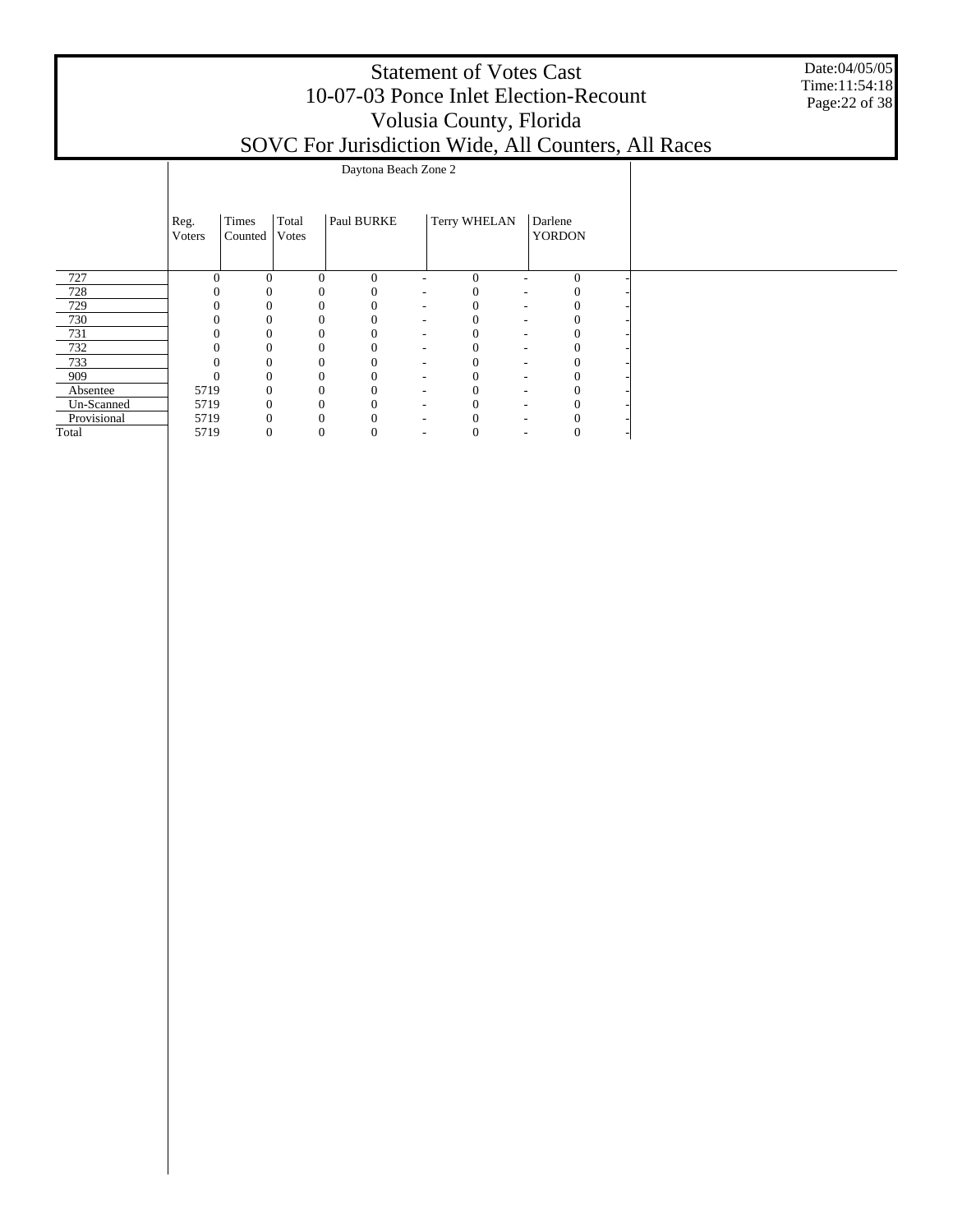|             |                        |                  |                |            |                      | <b>Statement of Votes Cast</b><br>Volusia County, Florida | 10-07-03 Ponce Inlet Election-Recount | SOVC For Jurisdiction Wide, All Counters, All Races | Date:04/05/05<br>Time:11:54:18<br>Page: 22 of 38 |
|-------------|------------------------|------------------|----------------|------------|----------------------|-----------------------------------------------------------|---------------------------------------|-----------------------------------------------------|--------------------------------------------------|
|             |                        |                  |                |            | Daytona Beach Zone 2 |                                                           |                                       |                                                     |                                                  |
|             | Reg.<br><b>V</b> oters | Times<br>Counted | Total<br>Votes | Paul BURKE |                      | Terry WHELAN                                              | Darlene<br><b>YORDON</b>              |                                                     |                                                  |
| 727         |                        | $\Omega$         | $\Omega$       | $\theta$   |                      | $\theta$                                                  | $\Omega$                              |                                                     |                                                  |
| 728         |                        |                  |                |            |                      |                                                           |                                       |                                                     |                                                  |
| 729         |                        |                  |                |            |                      |                                                           |                                       |                                                     |                                                  |
| 730         |                        |                  |                |            |                      |                                                           |                                       |                                                     |                                                  |
| 731         |                        |                  |                |            |                      |                                                           |                                       |                                                     |                                                  |
| 732         |                        |                  | $\Omega$       |            |                      |                                                           |                                       |                                                     |                                                  |
| 733         |                        |                  | 0              |            |                      |                                                           | 0                                     |                                                     |                                                  |
| 909         |                        |                  |                |            |                      | 0                                                         | 0                                     |                                                     |                                                  |
| Absentee    | 5719                   |                  |                |            |                      |                                                           |                                       |                                                     |                                                  |
| Un-Scanned  | 5719                   |                  |                |            |                      |                                                           |                                       |                                                     |                                                  |
| Provisional | 5719                   |                  |                |            |                      |                                                           | 0                                     |                                                     |                                                  |

5719 0 0 0 - 0 - 0 -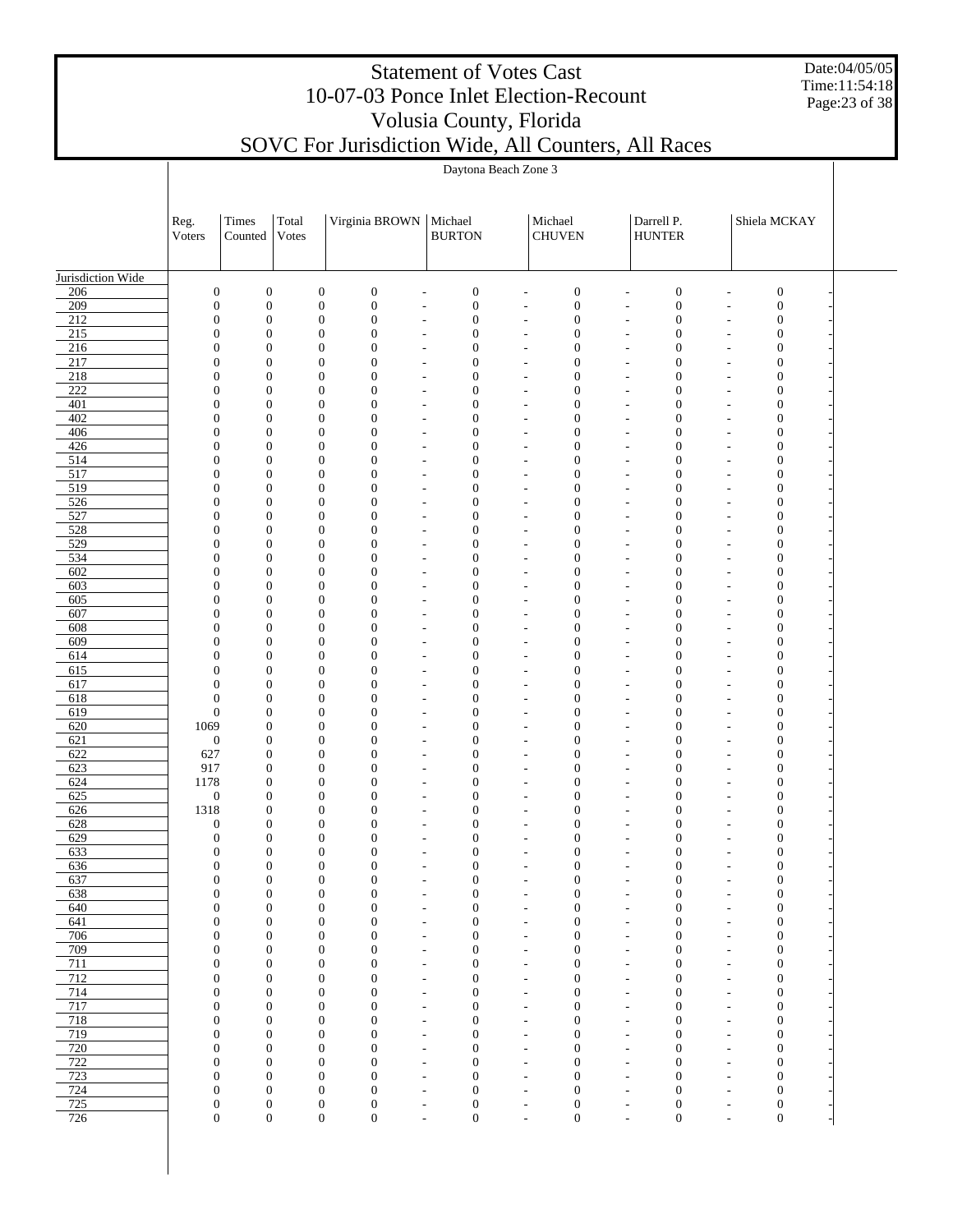Date:04/05/05 Time:11:54:18 Page:23 of 38

|                         |                                      |                                      |                                      |                                                          | Daytona Beach Zone 3                                                                         |                                            |                                      |                                                                                              |                                                                                    |  |
|-------------------------|--------------------------------------|--------------------------------------|--------------------------------------|----------------------------------------------------------|----------------------------------------------------------------------------------------------|--------------------------------------------|--------------------------------------|----------------------------------------------------------------------------------------------|------------------------------------------------------------------------------------|--|
|                         |                                      |                                      |                                      |                                                          |                                                                                              |                                            |                                      |                                                                                              |                                                                                    |  |
|                         | Reg.<br>Voters                       | Times<br>Counted                     | Total<br>Votes                       | Virginia BROWN                                           | Michael<br><b>BURTON</b>                                                                     |                                            | Michael<br><b>CHUVEN</b>             | Darrell P.<br><b>HUNTER</b>                                                                  | Shiela MCKAY                                                                       |  |
| Jurisdiction Wide       |                                      |                                      |                                      |                                                          |                                                                                              |                                            |                                      |                                                                                              |                                                                                    |  |
| 206                     | $\boldsymbol{0}$                     | $\boldsymbol{0}$                     | $\boldsymbol{0}$                     | $\boldsymbol{0}$                                         | $\boldsymbol{0}$<br>$\overline{a}$                                                           | $\overline{a}$                             | $\boldsymbol{0}$                     | $\boldsymbol{0}$<br>$\overline{a}$                                                           | $\boldsymbol{0}$<br>$\overline{a}$                                                 |  |
| 209                     | $\boldsymbol{0}$                     | $\boldsymbol{0}$                     | $\boldsymbol{0}$                     | $\boldsymbol{0}$                                         | $\boldsymbol{0}$<br>$\overline{\phantom{a}}$                                                 | $\overline{\phantom{a}}$                   | $\boldsymbol{0}$                     | $\boldsymbol{0}$<br>$\overline{\phantom{a}}$                                                 | $\boldsymbol{0}$<br>$\overline{\phantom{a}}$                                       |  |
| $\overline{212}$<br>215 | $\boldsymbol{0}$<br>$\mathbf{0}$     | $\boldsymbol{0}$<br>$\boldsymbol{0}$ | $\boldsymbol{0}$<br>$\boldsymbol{0}$ | $\boldsymbol{0}$<br>$\boldsymbol{0}$                     | $\boldsymbol{0}$<br>$\overline{\phantom{a}}$<br>$\boldsymbol{0}$                             | $\overline{\phantom{a}}$                   | $\boldsymbol{0}$<br>$\boldsymbol{0}$ | $\boldsymbol{0}$<br>$\overline{\phantom{a}}$<br>$\boldsymbol{0}$                             | $\boldsymbol{0}$<br>$\overline{\phantom{a}}$<br>$\boldsymbol{0}$                   |  |
| 216                     | $\boldsymbol{0}$                     | $\boldsymbol{0}$                     | $\boldsymbol{0}$                     | $\boldsymbol{0}$                                         | $\overline{\phantom{a}}$<br>$\boldsymbol{0}$<br>$\overline{a}$                               | $\overline{\phantom{a}}$<br>$\overline{a}$ | $\boldsymbol{0}$                     | $\overline{\phantom{a}}$<br>$\boldsymbol{0}$<br>$\overline{a}$                               | $\overline{\phantom{a}}$<br>$\boldsymbol{0}$<br>$\overline{a}$                     |  |
| 217                     | $\mathbf{0}$                         | $\boldsymbol{0}$                     | $\boldsymbol{0}$                     | $\boldsymbol{0}$                                         | $\boldsymbol{0}$<br>$\overline{\phantom{a}}$                                                 | $\overline{\phantom{m}}$                   | $\boldsymbol{0}$                     | $\boldsymbol{0}$<br>$\overline{\phantom{a}}$                                                 | $\boldsymbol{0}$<br>$\overline{a}$                                                 |  |
| 218                     | $\boldsymbol{0}$                     | $\boldsymbol{0}$                     | $\boldsymbol{0}$                     | $\boldsymbol{0}$                                         | $\boldsymbol{0}$<br>$\overline{\phantom{a}}$                                                 | $\overline{a}$                             | $\boldsymbol{0}$                     | $\boldsymbol{0}$<br>$\overline{a}$                                                           | $\boldsymbol{0}$<br>$\overline{a}$                                                 |  |
| $\overline{222}$<br>401 | $\mathbf{0}$<br>$\boldsymbol{0}$     | $\boldsymbol{0}$<br>$\boldsymbol{0}$ | $\boldsymbol{0}$<br>$\boldsymbol{0}$ | $\boldsymbol{0}$<br>$\boldsymbol{0}$                     | $\boldsymbol{0}$<br>$\overline{\phantom{a}}$<br>$\boldsymbol{0}$<br>$\overline{\phantom{a}}$ | $\overline{\phantom{a}}$                   | $\boldsymbol{0}$<br>$\boldsymbol{0}$ | $\boldsymbol{0}$<br>$\overline{\phantom{a}}$<br>$\boldsymbol{0}$<br>$\overline{\phantom{a}}$ | $\boldsymbol{0}$<br>$\overline{\phantom{a}}$<br>$\boldsymbol{0}$                   |  |
| 402                     | $\mathbf{0}$                         | $\boldsymbol{0}$                     | $\boldsymbol{0}$                     | $\boldsymbol{0}$                                         | $\boldsymbol{0}$<br>$\tilde{\phantom{a}}$                                                    | $\overline{a}$<br>$\overline{\phantom{a}}$ | $\boldsymbol{0}$                     | $\boldsymbol{0}$<br>$\tilde{\phantom{a}}$                                                    | $\overline{a}$<br>$\boldsymbol{0}$<br>$\overline{\phantom{a}}$                     |  |
| 406                     | $\boldsymbol{0}$                     | $\boldsymbol{0}$                     | $\boldsymbol{0}$                     | $\boldsymbol{0}$                                         | $\boldsymbol{0}$<br>$\overline{\phantom{a}}$                                                 | $\overline{\phantom{a}}$                   | $\boldsymbol{0}$                     | $\boldsymbol{0}$<br>$\overline{\phantom{a}}$                                                 | $\boldsymbol{0}$<br>$\overline{a}$                                                 |  |
| 426                     | $\mathbf{0}$                         | $\boldsymbol{0}$                     | $\boldsymbol{0}$                     | $\boldsymbol{0}$                                         | $\boldsymbol{0}$<br>$\overline{\phantom{a}}$                                                 | $\overline{\phantom{m}}$                   | $\boldsymbol{0}$                     | $\boldsymbol{0}$<br>$\overline{\phantom{a}}$                                                 | $\boldsymbol{0}$<br>$\overline{\phantom{m}}$                                       |  |
| 514<br>517              | $\boldsymbol{0}$<br>$\mathbf{0}$     | $\boldsymbol{0}$<br>$\boldsymbol{0}$ | $\boldsymbol{0}$<br>$\boldsymbol{0}$ | $\boldsymbol{0}$<br>$\boldsymbol{0}$                     | $\boldsymbol{0}$<br>$\overline{a}$<br>$\boldsymbol{0}$                                       | $\overline{a}$                             | $\boldsymbol{0}$<br>$\boldsymbol{0}$ | $\boldsymbol{0}$<br>$\overline{a}$<br>$\boldsymbol{0}$                                       | $\boldsymbol{0}$<br>$\overline{a}$<br>$\boldsymbol{0}$                             |  |
| 519                     | $\boldsymbol{0}$                     | $\boldsymbol{0}$                     | $\boldsymbol{0}$                     | $\boldsymbol{0}$                                         | $\overline{\phantom{a}}$<br>$\boldsymbol{0}$<br>$\tilde{\phantom{a}}$                        | $\overline{\phantom{m}}$<br>$\overline{a}$ | $\boldsymbol{0}$                     | $\overline{\phantom{a}}$<br>$\boldsymbol{0}$<br>$\overline{\phantom{a}}$                     | $\overline{\phantom{m}}$<br>$\boldsymbol{0}$<br>$\overline{a}$                     |  |
| 526                     | $\mathbf{0}$                         | $\boldsymbol{0}$                     | $\boldsymbol{0}$                     | $\boldsymbol{0}$                                         | $\boldsymbol{0}$<br>$\tilde{\phantom{a}}$                                                    | $\tilde{\phantom{a}}$                      | $\boldsymbol{0}$                     | $\boldsymbol{0}$<br>$\tilde{\phantom{a}}$                                                    | $\boldsymbol{0}$<br>$\overline{\phantom{a}}$                                       |  |
| 527                     | $\boldsymbol{0}$                     | $\boldsymbol{0}$                     | $\boldsymbol{0}$                     | $\boldsymbol{0}$                                         | $\boldsymbol{0}$<br>$\tilde{\phantom{a}}$                                                    | $\overline{a}$                             | $\boldsymbol{0}$                     | $\boldsymbol{0}$<br>$\overline{\phantom{a}}$                                                 | $\boldsymbol{0}$<br>$\overline{a}$                                                 |  |
| 528<br>529              | $\mathbf{0}$                         | $\boldsymbol{0}$<br>$\boldsymbol{0}$ | $\boldsymbol{0}$                     | $\boldsymbol{0}$                                         | $\boldsymbol{0}$<br>$\overline{\phantom{a}}$                                                 | $\overline{\phantom{a}}$                   | $\boldsymbol{0}$                     | $\boldsymbol{0}$<br>$\overline{\phantom{a}}$                                                 | $\boldsymbol{0}$<br>$\overline{\phantom{a}}$                                       |  |
| 534                     | $\boldsymbol{0}$<br>$\mathbf{0}$     | $\boldsymbol{0}$                     | $\boldsymbol{0}$<br>$\boldsymbol{0}$ | $\boldsymbol{0}$<br>$\boldsymbol{0}$                     | $\boldsymbol{0}$<br>$\overline{\phantom{a}}$<br>$\boldsymbol{0}$<br>$\overline{\phantom{m}}$ | $\overline{a}$<br>$\overline{\phantom{m}}$ | $\boldsymbol{0}$<br>$\boldsymbol{0}$ | $\boldsymbol{0}$<br>$\overline{\phantom{a}}$<br>$\boldsymbol{0}$<br>$\overline{\phantom{m}}$ | $\boldsymbol{0}$<br>$\overline{a}$<br>$\boldsymbol{0}$<br>$\overline{\phantom{m}}$ |  |
| 602                     | $\boldsymbol{0}$                     | $\boldsymbol{0}$                     | $\boldsymbol{0}$                     | $\boldsymbol{0}$                                         | $\boldsymbol{0}$<br>$\overline{a}$                                                           | $\overline{a}$                             | $\boldsymbol{0}$                     | $\boldsymbol{0}$<br>$\overline{a}$                                                           | $\boldsymbol{0}$<br>$\overline{a}$                                                 |  |
| 603                     | $\boldsymbol{0}$                     | $\boldsymbol{0}$                     | $\boldsymbol{0}$                     | $\boldsymbol{0}$                                         | $\boldsymbol{0}$<br>$\overline{\phantom{a}}$                                                 | $\overline{\phantom{a}}$                   | $\boldsymbol{0}$                     | $\boldsymbol{0}$<br>$\overline{\phantom{a}}$                                                 | $\boldsymbol{0}$<br>$\overline{\phantom{a}}$                                       |  |
| 605                     | $\boldsymbol{0}$                     | $\boldsymbol{0}$                     | $\boldsymbol{0}$                     | $\boldsymbol{0}$                                         | $\boldsymbol{0}$<br>$\overline{\phantom{a}}$                                                 | $\tilde{\phantom{a}}$                      | $\boldsymbol{0}$                     | $\boldsymbol{0}$<br>$\overline{\phantom{a}}$                                                 | $\boldsymbol{0}$<br>$\overline{a}$                                                 |  |
| 607<br>608              | $\mathbf{0}$<br>$\boldsymbol{0}$     | $\boldsymbol{0}$<br>$\boldsymbol{0}$ | $\boldsymbol{0}$<br>$\boldsymbol{0}$ | $\boldsymbol{0}$<br>$\boldsymbol{0}$                     | $\boldsymbol{0}$<br>$\tilde{\phantom{a}}$<br>$\boldsymbol{0}$<br>$\overline{\phantom{a}}$    | $\tilde{\phantom{a}}$<br>$\overline{a}$    | $\boldsymbol{0}$<br>$\boldsymbol{0}$ | $\boldsymbol{0}$<br>$\tilde{\phantom{a}}$<br>$\boldsymbol{0}$<br>$\overline{\phantom{a}}$    | $\boldsymbol{0}$<br>$\overline{\phantom{a}}$<br>$\boldsymbol{0}$<br>$\overline{a}$ |  |
| 609                     | $\mathbf{0}$                         | $\boldsymbol{0}$                     | $\boldsymbol{0}$                     | $\boldsymbol{0}$                                         | $\boldsymbol{0}$<br>$\overline{\phantom{a}}$                                                 | $\overline{\phantom{m}}$                   | $\boldsymbol{0}$                     | $\boldsymbol{0}$<br>$\overline{\phantom{a}}$                                                 | $\boldsymbol{0}$<br>$\overline{\phantom{m}}$                                       |  |
| 614                     | $\boldsymbol{0}$                     | $\boldsymbol{0}$                     | $\boldsymbol{0}$                     | $\boldsymbol{0}$                                         | $\boldsymbol{0}$<br>$\overline{a}$                                                           | $\overline{a}$                             | $\boldsymbol{0}$                     | $\boldsymbol{0}$<br>$\overline{a}$                                                           | $\boldsymbol{0}$<br>$\overline{a}$                                                 |  |
| 615                     | $\mathbf{0}$                         | $\boldsymbol{0}$                     | $\boldsymbol{0}$                     | $\boldsymbol{0}$                                         | $\boldsymbol{0}$<br>$\overline{\phantom{a}}$                                                 | $\overline{\phantom{m}}$                   | $\boldsymbol{0}$                     | $\boldsymbol{0}$<br>$\overline{\phantom{a}}$                                                 | $\boldsymbol{0}$<br>$\overline{\phantom{m}}$                                       |  |
| 617<br>618              | $\boldsymbol{0}$<br>$\boldsymbol{0}$ | $\boldsymbol{0}$<br>$\boldsymbol{0}$ | $\boldsymbol{0}$<br>$\boldsymbol{0}$ | $\boldsymbol{0}$<br>$\boldsymbol{0}$                     | $\boldsymbol{0}$<br>$\overline{a}$<br>$\boldsymbol{0}$<br>$\tilde{\phantom{a}}$              | $\overline{a}$<br>$\overline{\phantom{a}}$ | $\boldsymbol{0}$<br>$\boldsymbol{0}$ | $\boldsymbol{0}$<br>$\overline{a}$<br>$\boldsymbol{0}$<br>$\tilde{\phantom{a}}$              | $\boldsymbol{0}$<br>$\overline{a}$<br>$\boldsymbol{0}$<br>$\overline{\phantom{a}}$ |  |
| 619                     | $\boldsymbol{0}$                     | $\boldsymbol{0}$                     | $\boldsymbol{0}$                     | $\boldsymbol{0}$                                         | $\boldsymbol{0}$<br>$\overline{\phantom{a}}$                                                 | $\overline{\phantom{a}}$                   | $\boldsymbol{0}$                     | $\boldsymbol{0}$<br>$\overline{\phantom{a}}$                                                 | $\boldsymbol{0}$<br>$\overline{a}$                                                 |  |
| 620                     | 1069                                 | $\boldsymbol{0}$                     | $\boldsymbol{0}$                     | $\boldsymbol{0}$                                         | $\boldsymbol{0}$<br>$\overline{\phantom{a}}$                                                 | $\overline{\phantom{a}}$                   | $\boldsymbol{0}$                     | $\boldsymbol{0}$<br>$\overline{\phantom{a}}$                                                 | $\boldsymbol{0}$<br>$\overline{\phantom{a}}$                                       |  |
| 621<br>622              | $\boldsymbol{0}$                     | $\boldsymbol{0}$                     | $\boldsymbol{0}$                     | $\boldsymbol{0}$                                         | $\boldsymbol{0}$<br>$\overline{\phantom{a}}$                                                 | $\overline{a}$                             | $\boldsymbol{0}$                     | $\boldsymbol{0}$<br>$\overline{\phantom{a}}$                                                 | $\boldsymbol{0}$<br>$\overline{a}$                                                 |  |
| 623                     | 627<br>917                           | $\boldsymbol{0}$<br>$\boldsymbol{0}$ | $\boldsymbol{0}$<br>$\boldsymbol{0}$ | $\boldsymbol{0}$<br>$\boldsymbol{0}$                     | $\boldsymbol{0}$<br>$\overline{\phantom{m}}$<br>$\boldsymbol{0}$<br>$\overline{a}$           | $\overline{\phantom{m}}$<br>$\overline{a}$ | $\boldsymbol{0}$<br>$\boldsymbol{0}$ | $\boldsymbol{0}$<br>$\overline{\phantom{m}}$<br>$\boldsymbol{0}$<br>$\overline{a}$           | $\boldsymbol{0}$<br>$\overline{\phantom{m}}$<br>$\boldsymbol{0}$<br>$\overline{a}$ |  |
| 624                     | 1178                                 | $\boldsymbol{0}$                     | $\boldsymbol{0}$                     | $\boldsymbol{0}$                                         | $\boldsymbol{0}$<br>$\overline{\phantom{a}}$                                                 | $\overline{\phantom{a}}$                   | $\boldsymbol{0}$                     | $\boldsymbol{0}$<br>$\overline{\phantom{a}}$                                                 | $\boldsymbol{0}$<br>$\overline{\phantom{a}}$                                       |  |
| 625                     | $\boldsymbol{0}$                     | $\boldsymbol{0}$                     | $\boldsymbol{0}$                     | $\boldsymbol{0}$                                         | $\boldsymbol{0}$<br>$\sim$                                                                   | $\overline{a}$                             | $\boldsymbol{0}$                     | $\boldsymbol{0}$<br>$\overline{\phantom{a}}$                                                 | $\boldsymbol{0}$<br>$\overline{a}$                                                 |  |
| 626                     | 1318                                 | $\boldsymbol{0}$                     | $\boldsymbol{0}$                     | $\boldsymbol{0}$                                         | $\boldsymbol{0}$<br>$\sim$                                                                   | $\sim$                                     | $\boldsymbol{0}$                     | $\boldsymbol{0}$<br>$\sim$                                                                   | $\boldsymbol{0}$<br>$\overline{\phantom{a}}$                                       |  |
| 628<br>629              | $\boldsymbol{0}$<br>$\boldsymbol{0}$ | $\boldsymbol{0}$<br>$\boldsymbol{0}$ | $\boldsymbol{0}$<br>$\boldsymbol{0}$ | $\boldsymbol{0}$<br>$\boldsymbol{0}$                     | $\boldsymbol{0}$<br>$\sim$<br>$\boldsymbol{0}$<br>$\overline{\phantom{a}}$                   | $\sim$<br>$\overline{\phantom{m}}$         | $\boldsymbol{0}$<br>$\boldsymbol{0}$ | $\boldsymbol{0}$<br>$\overline{\phantom{a}}$<br>$\boldsymbol{0}$<br>$\overline{\phantom{a}}$ | $\boldsymbol{0}$<br>$\overline{a}$<br>$\boldsymbol{0}$<br>$\overline{\phantom{m}}$ |  |
| 633                     | $\boldsymbol{0}$                     | $\boldsymbol{0}$                     |                                      | $\boldsymbol{0}$<br>$\boldsymbol{0}$                     | $\boldsymbol{0}$<br>$\overline{\phantom{a}}$                                                 | $\overline{\phantom{a}}$                   | $\boldsymbol{0}$                     | $\boldsymbol{0}$<br>$\overline{\phantom{a}}$                                                 | $\boldsymbol{0}$<br>$\overline{\phantom{a}}$                                       |  |
| 636                     | 0                                    | 0                                    | $\bf{0}$                             | 0                                                        | 0                                                                                            | $\overline{a}$                             | $\boldsymbol{0}$                     | 0                                                                                            | $\boldsymbol{0}$                                                                   |  |
| 637<br>638              | $\boldsymbol{0}$<br>$\boldsymbol{0}$ | $\boldsymbol{0}$<br>$\boldsymbol{0}$ | $\mathbf{0}$<br>$\mathbf{0}$         | $\boldsymbol{0}$                                         | $\boldsymbol{0}$<br>$\overline{a}$                                                           | $\overline{a}$                             | $\boldsymbol{0}$                     | $\boldsymbol{0}$<br>$\overline{a}$                                                           | $\boldsymbol{0}$<br>$\overline{a}$<br>$\boldsymbol{0}$                             |  |
| 640                     | $\boldsymbol{0}$                     | $\boldsymbol{0}$                     | $\mathbf{0}$                         | $\boldsymbol{0}$<br>$\boldsymbol{0}$                     | $\boldsymbol{0}$<br>$\overline{\phantom{a}}$<br>$\boldsymbol{0}$<br>$\sim$                   | $\overline{\phantom{a}}$<br>$\sim$         | $\boldsymbol{0}$<br>$\boldsymbol{0}$ | $\boldsymbol{0}$<br>$\overline{\phantom{a}}$<br>$\boldsymbol{0}$<br>$\sim$                   | $\overline{a}$<br>$\boldsymbol{0}$<br>$\overline{\phantom{a}}$                     |  |
| 641                     | $\overline{0}$                       | $\boldsymbol{0}$                     | $\mathbf{0}$                         | $\boldsymbol{0}$                                         | $\boldsymbol{0}$<br>$\overline{\phantom{a}}$                                                 | $\overline{\phantom{a}}$                   | $\boldsymbol{0}$                     | $\boldsymbol{0}$<br>$\overline{\phantom{a}}$                                                 | $\boldsymbol{0}$<br>$\overline{\phantom{a}}$                                       |  |
| 706                     | $\boldsymbol{0}$                     | $\boldsymbol{0}$                     | $\mathbf{0}$                         | $\boldsymbol{0}$                                         | $\boldsymbol{0}$<br>$\overline{\phantom{a}}$                                                 | $\overline{a}$                             | $\boldsymbol{0}$                     | $\boldsymbol{0}$<br>$\overline{\phantom{a}}$                                                 | $\boldsymbol{0}$<br>$\overline{a}$                                                 |  |
| 709                     | $\boldsymbol{0}$                     | $\boldsymbol{0}$                     | $\mathbf{0}$                         | $\boldsymbol{0}$                                         | $\boldsymbol{0}$<br>$\overline{\phantom{m}}$                                                 | $\overline{a}$                             | $\boldsymbol{0}$                     | $\boldsymbol{0}$<br>$\overline{\phantom{m}}$                                                 | $\boldsymbol{0}$<br>$\overline{a}$                                                 |  |
| 711<br>712              | $\boldsymbol{0}$<br>$\boldsymbol{0}$ | $\boldsymbol{0}$<br>$\boldsymbol{0}$ | $\mathbf{0}$<br>$\mathbf{0}$         | $\boldsymbol{0}$<br>$\boldsymbol{0}$                     | $\boldsymbol{0}$<br>$\overline{\phantom{a}}$<br>$\boldsymbol{0}$<br>$\overline{\phantom{a}}$ | $\overline{a}$<br>$\overline{a}$           | $\boldsymbol{0}$<br>$\boldsymbol{0}$ | $\boldsymbol{0}$<br>$\overline{\phantom{m}}$<br>$\boldsymbol{0}$<br>$\overline{\phantom{a}}$ | $\boldsymbol{0}$<br>$\overline{a}$<br>$\boldsymbol{0}$<br>$\overline{a}$           |  |
| 714                     | 0                                    | $\boldsymbol{0}$                     | $\mathbf{0}$                         | $\boldsymbol{0}$                                         | $\boldsymbol{0}$<br>$\tilde{\phantom{a}}$                                                    | $\overline{a}$                             | $\boldsymbol{0}$                     | $\boldsymbol{0}$<br>$\tilde{\phantom{a}}$                                                    | $\boldsymbol{0}$<br>$\overline{a}$                                                 |  |
| 717                     | $\boldsymbol{0}$                     | $\boldsymbol{0}$                     | $\mathbf{0}$                         | $\boldsymbol{0}$                                         | $\boldsymbol{0}$<br>$\overline{\phantom{a}}$                                                 | $\overline{\phantom{a}}$                   | $\boldsymbol{0}$                     | $\boldsymbol{0}$<br>$\tilde{\phantom{a}}$                                                    | $\boldsymbol{0}$<br>$\overline{a}$                                                 |  |
| 718<br>719              | $\boldsymbol{0}$                     | $\boldsymbol{0}$                     | $\mathbf{0}$                         | $\boldsymbol{0}$                                         | $\boldsymbol{0}$<br>$\overline{\phantom{a}}$                                                 | $\tilde{\phantom{a}}$                      | $\boldsymbol{0}$                     | $\boldsymbol{0}$<br>$\tilde{\phantom{a}}$                                                    | $\boldsymbol{0}$<br>$\overline{a}$                                                 |  |
| 720                     | $\boldsymbol{0}$<br>$\boldsymbol{0}$ | $\boldsymbol{0}$<br>$\boldsymbol{0}$ | $\mathbf{0}$<br>$\mathbf{0}$         | $\boldsymbol{0}$<br>$\boldsymbol{0}$                     | $\boldsymbol{0}$<br>$\overline{\phantom{a}}$<br>$\boldsymbol{0}$<br>$\overline{\phantom{a}}$ | $\overline{\phantom{a}}$<br>$\overline{a}$ | $\boldsymbol{0}$<br>$\boldsymbol{0}$ | $\boldsymbol{0}$<br>$\overline{\phantom{a}}$<br>$\boldsymbol{0}$<br>$\overline{a}$           | $\boldsymbol{0}$<br>$\overline{a}$<br>$\boldsymbol{0}$<br>$\overline{a}$           |  |
| 722                     | $\boldsymbol{0}$                     | $\boldsymbol{0}$                     | $\mathbf{0}$                         | $\boldsymbol{0}$                                         | $\boldsymbol{0}$<br>$\overline{\phantom{m}}$                                                 | $\overline{a}$                             | $\boldsymbol{0}$                     | $\boldsymbol{0}$<br>$\overline{\phantom{m}}$                                                 | $\boldsymbol{0}$<br>$\overline{a}$                                                 |  |
| 723                     | $\boldsymbol{0}$                     | $\boldsymbol{0}$                     | $\mathbf{0}$                         | $\boldsymbol{0}$                                         | $\boldsymbol{0}$<br>$\overline{\phantom{a}}$                                                 | $\overline{a}$                             | $\boldsymbol{0}$                     | $\boldsymbol{0}$<br>$\overline{\phantom{a}}$                                                 | $\boldsymbol{0}$<br>$\overline{a}$                                                 |  |
| 724<br>725              | $\boldsymbol{0}$                     | $\boldsymbol{0}$<br>$\boldsymbol{0}$ | $\mathbf{0}$                         | $\boldsymbol{0}$                                         | $\boldsymbol{0}$<br>$\overline{\phantom{a}}$                                                 | $\overline{a}$                             | $\boldsymbol{0}$                     | $\boldsymbol{0}$<br>$\overline{\phantom{a}}$                                                 | $\boldsymbol{0}$<br>$\overline{a}$<br>$\overline{a}$                               |  |
| 726                     | $\boldsymbol{0}$<br>$\boldsymbol{0}$ | $\boldsymbol{0}$                     | $\boldsymbol{0}$                     | $\boldsymbol{0}$<br>$\boldsymbol{0}$<br>$\boldsymbol{0}$ | $\boldsymbol{0}$<br>$\tilde{\phantom{a}}$<br>$\boldsymbol{0}$<br>$\overline{\phantom{a}}$    | $\overline{a}$<br>$\overline{\phantom{a}}$ | $\boldsymbol{0}$<br>$\boldsymbol{0}$ | $\boldsymbol{0}$<br>$\tilde{\phantom{a}}$<br>$\boldsymbol{0}$<br>$\overline{\phantom{a}}$    | $\boldsymbol{0}$<br>$\boldsymbol{0}$<br>$\overline{\phantom{a}}$                   |  |
|                         |                                      |                                      |                                      |                                                          |                                                                                              |                                            |                                      |                                                                                              |                                                                                    |  |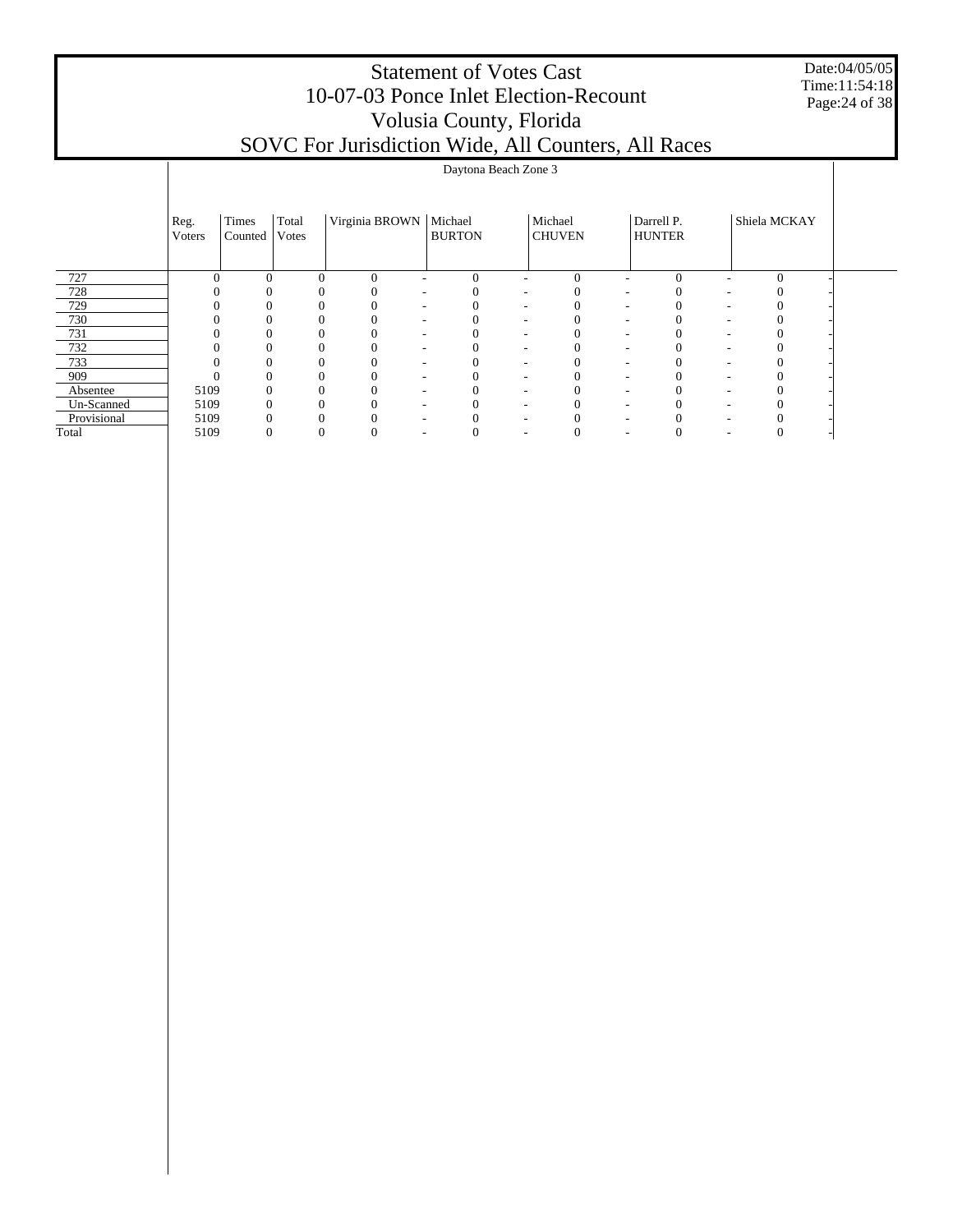Date:04/05/05 Time:11:54:18 Page:24 of 38

| SOVC For Jurisdiction Wide, All Counters, All Races |
|-----------------------------------------------------|
|                                                     |

|             |                |                  |                |                          | Daytona Beach Zone 3     |                          |                          |                          |                             |              |  |
|-------------|----------------|------------------|----------------|--------------------------|--------------------------|--------------------------|--------------------------|--------------------------|-----------------------------|--------------|--|
|             | Reg.<br>Voters | Times<br>Counted | Total<br>Votes | Virginia BROWN   Michael | <b>BURTON</b>            |                          | Michael<br><b>CHUVEN</b> |                          | Darrell P.<br><b>HUNTER</b> | Shiela MCKAY |  |
| 727         |                | $\Omega$         | $\Omega$       | $\theta$                 | $\Omega$                 |                          | $\Omega$                 |                          | $\Omega$                    | $\Omega$     |  |
| 728         |                |                  |                |                          |                          |                          |                          |                          |                             |              |  |
| 729         |                |                  |                |                          |                          |                          |                          |                          |                             |              |  |
| 730         |                |                  |                |                          |                          |                          |                          |                          |                             |              |  |
| 731         |                |                  |                |                          |                          |                          |                          |                          |                             |              |  |
| 732         |                |                  |                |                          |                          |                          |                          |                          |                             |              |  |
| 733         |                |                  |                |                          | $\overline{\phantom{a}}$ | $\overline{\phantom{a}}$ |                          | $\overline{\phantom{a}}$ |                             |              |  |
| 909         |                |                  |                |                          | $\overline{\phantom{a}}$ |                          |                          |                          |                             |              |  |
| Absentee    | 5109           | 0                |                |                          |                          |                          |                          |                          |                             |              |  |
| Un-Scanned  | 5109           |                  |                |                          |                          | $\overline{\phantom{a}}$ |                          |                          |                             |              |  |
| Provisional | 5109           |                  |                |                          |                          |                          |                          |                          |                             |              |  |
| Total       | 5109           | 0                | 0              |                          |                          |                          |                          |                          |                             |              |  |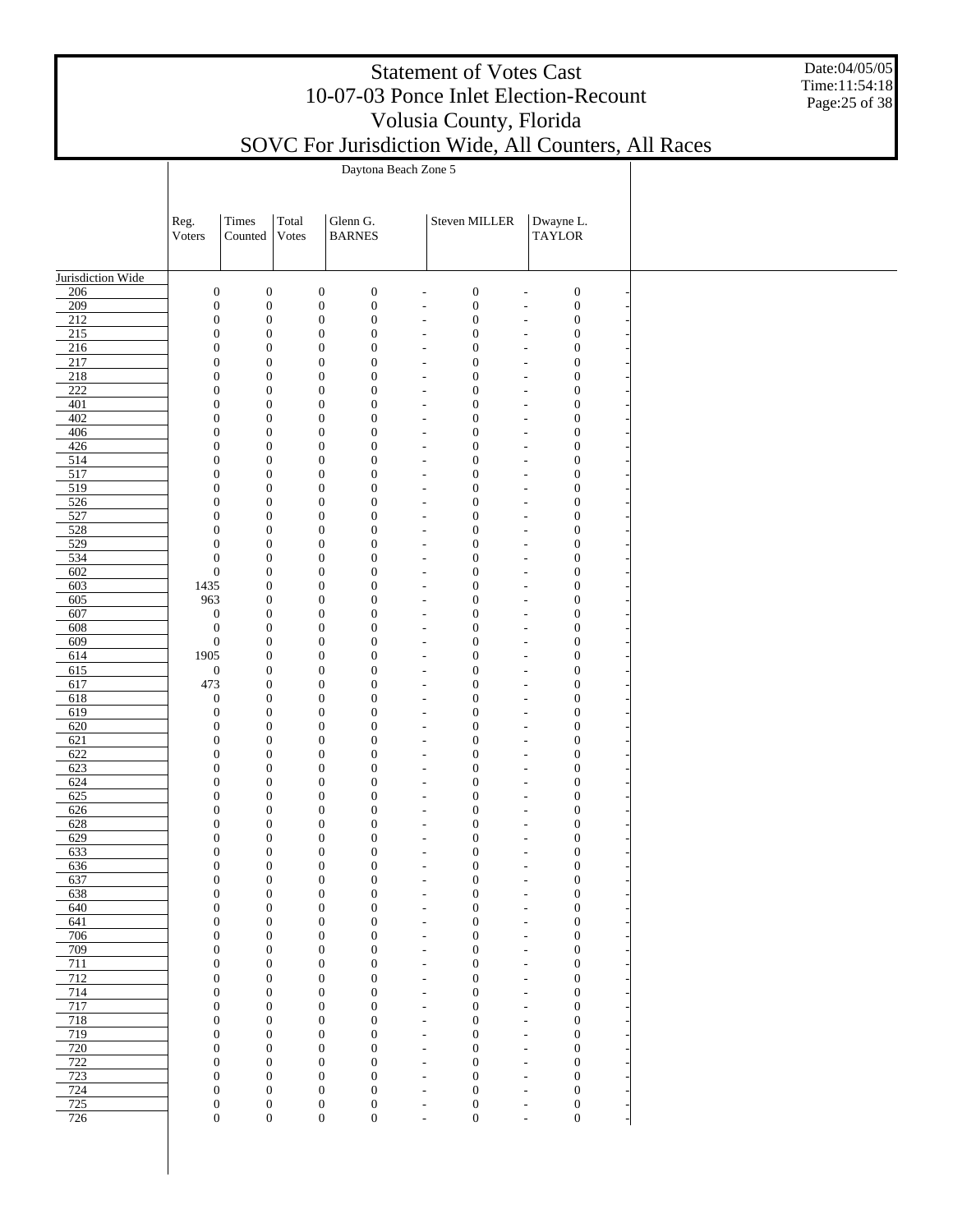|                         |                                      |                                      |                |                                                                          |                                                      | <b>Statement of Votes Cast</b><br>10-07-03 Ponce Inlet Election-Recount<br>Volusia County, Florida |                            |                                      | SOVC For Jurisdiction Wide, All Counters, All Races | Date:04/05/05<br>Time:11:54:18<br>Page: 25 of 38 |
|-------------------------|--------------------------------------|--------------------------------------|----------------|--------------------------------------------------------------------------|------------------------------------------------------|----------------------------------------------------------------------------------------------------|----------------------------|--------------------------------------|-----------------------------------------------------|--------------------------------------------------|
|                         |                                      |                                      |                | Daytona Beach Zone 5                                                     |                                                      |                                                                                                    |                            |                                      |                                                     |                                                  |
|                         |                                      |                                      |                |                                                                          |                                                      |                                                                                                    |                            |                                      |                                                     |                                                  |
|                         | Reg.<br>Voters                       | Times<br>Counted                     | Total<br>Votes | Glenn G.<br><b>BARNES</b>                                                |                                                      | Steven MILLER                                                                                      | Dwayne L.<br><b>TAYLOR</b> |                                      |                                                     |                                                  |
| Jurisdiction Wide       |                                      |                                      |                |                                                                          |                                                      |                                                                                                    |                            |                                      |                                                     |                                                  |
| 206                     | $\boldsymbol{0}$                     | $\boldsymbol{0}$                     |                | $\boldsymbol{0}$<br>$\boldsymbol{0}$                                     |                                                      | $\boldsymbol{0}$                                                                                   |                            | $\boldsymbol{0}$                     |                                                     |                                                  |
| 209<br>$\overline{212}$ | $\boldsymbol{0}$<br>$\boldsymbol{0}$ | $\boldsymbol{0}$                     |                | $\boldsymbol{0}$<br>$\boldsymbol{0}$<br>$\boldsymbol{0}$<br>$\mathbf{0}$ |                                                      | $\boldsymbol{0}$                                                                                   |                            | $\boldsymbol{0}$                     |                                                     |                                                  |
| 215                     | $\boldsymbol{0}$                     | $\boldsymbol{0}$<br>$\boldsymbol{0}$ |                | $\boldsymbol{0}$<br>$\mathbf{0}$                                         |                                                      | $\boldsymbol{0}$<br>$\boldsymbol{0}$                                                               |                            | $\boldsymbol{0}$<br>$\boldsymbol{0}$ |                                                     |                                                  |
| 216                     | $\boldsymbol{0}$                     | $\boldsymbol{0}$                     |                | $\mathbf{0}$<br>$\theta$                                                 |                                                      | $\boldsymbol{0}$                                                                                   |                            | $\boldsymbol{0}$                     |                                                     |                                                  |
| 217                     | $\mathbf{0}$                         | $\boldsymbol{0}$                     |                | $\mathbf{0}$<br>$\theta$                                                 |                                                      | $\boldsymbol{0}$                                                                                   |                            | $\boldsymbol{0}$                     |                                                     |                                                  |
| 218<br>$\overline{222}$ | $\overline{0}$<br>$\boldsymbol{0}$   | $\boldsymbol{0}$<br>$\boldsymbol{0}$ |                | $\mathbf{0}$<br>$\theta$<br>$\mathbf{0}$<br>$\overline{0}$               |                                                      | $\boldsymbol{0}$<br>$\boldsymbol{0}$                                                               |                            | $\boldsymbol{0}$<br>$\boldsymbol{0}$ |                                                     |                                                  |
| 401                     | $\boldsymbol{0}$                     | $\boldsymbol{0}$                     |                | $\mathbf{0}$<br>$\theta$                                                 |                                                      | $\boldsymbol{0}$                                                                                   |                            | $\boldsymbol{0}$                     |                                                     |                                                  |
| 402                     | $\mathbf{0}$                         | $\boldsymbol{0}$                     |                | $\mathbf{0}$<br>$\overline{0}$                                           |                                                      | $\boldsymbol{0}$                                                                                   |                            | $\boldsymbol{0}$                     |                                                     |                                                  |
| 406                     | $\mathbf{0}$                         | $\boldsymbol{0}$                     |                | $\mathbf{0}$<br>$\theta$                                                 |                                                      | $\boldsymbol{0}$                                                                                   |                            | $\boldsymbol{0}$                     |                                                     |                                                  |
| 426<br>514              | $\mathbf{0}$<br>$\overline{0}$       | $\boldsymbol{0}$<br>$\boldsymbol{0}$ |                | $\mathbf{0}$<br>$\overline{0}$<br>$\mathbf{0}$<br>$\theta$               |                                                      | $\boldsymbol{0}$<br>$\boldsymbol{0}$                                                               |                            | $\boldsymbol{0}$<br>$\boldsymbol{0}$ |                                                     |                                                  |
| 517                     | $\mathbf{0}$                         | $\boldsymbol{0}$                     |                | $\mathbf{0}$<br>$\overline{0}$                                           |                                                      | $\boldsymbol{0}$                                                                                   |                            | $\boldsymbol{0}$                     |                                                     |                                                  |
| 519                     | $\mathbf{0}$                         | $\boldsymbol{0}$                     |                | $\mathbf{0}$<br>$\theta$                                                 |                                                      | $\boldsymbol{0}$                                                                                   |                            | $\boldsymbol{0}$                     |                                                     |                                                  |
| 526<br>527              | $\boldsymbol{0}$<br>$\boldsymbol{0}$ | $\boldsymbol{0}$<br>$\boldsymbol{0}$ |                | $\mathbf{0}$<br>$\overline{0}$<br>$\mathbf{0}$<br>$\theta$               |                                                      | $\boldsymbol{0}$<br>$\boldsymbol{0}$                                                               |                            | $\boldsymbol{0}$<br>$\boldsymbol{0}$ |                                                     |                                                  |
| 528                     | $\boldsymbol{0}$                     | $\boldsymbol{0}$                     |                | $\mathbf{0}$<br>$\overline{0}$                                           |                                                      | $\boldsymbol{0}$                                                                                   |                            | $\boldsymbol{0}$                     |                                                     |                                                  |
| 529                     | $\boldsymbol{0}$                     | $\boldsymbol{0}$                     |                | $\mathbf{0}$<br>$\overline{0}$                                           |                                                      | $\boldsymbol{0}$                                                                                   |                            | $\boldsymbol{0}$                     |                                                     |                                                  |
| 534                     | $\boldsymbol{0}$                     | $\boldsymbol{0}$                     |                | $\mathbf{0}$<br>$\overline{0}$                                           |                                                      | $\boldsymbol{0}$                                                                                   |                            | $\boldsymbol{0}$                     |                                                     |                                                  |
| 602<br>603              | $\boldsymbol{0}$<br>1435             | $\boldsymbol{0}$<br>$\boldsymbol{0}$ |                | $\mathbf{0}$<br>$\overline{0}$<br>$\mathbf{0}$<br>$\overline{0}$         |                                                      | $\boldsymbol{0}$<br>$\boldsymbol{0}$                                                               |                            | $\boldsymbol{0}$<br>$\boldsymbol{0}$ |                                                     |                                                  |
| 605                     | 963                                  | $\boldsymbol{0}$                     |                | $\mathbf{0}$<br>$\overline{0}$                                           |                                                      | $\boldsymbol{0}$                                                                                   |                            | $\boldsymbol{0}$                     |                                                     |                                                  |
| 607                     | $\mathbf{0}$                         | $\boldsymbol{0}$                     |                | $\mathbf{0}$<br>$\overline{0}$                                           |                                                      | $\boldsymbol{0}$                                                                                   |                            | $\boldsymbol{0}$                     |                                                     |                                                  |
| 608                     | $\boldsymbol{0}$                     | $\boldsymbol{0}$                     |                | $\mathbf{0}$<br>$\theta$                                                 |                                                      | $\boldsymbol{0}$                                                                                   |                            | $\boldsymbol{0}$                     |                                                     |                                                  |
| 609<br>614              | $\boldsymbol{0}$<br>1905             | $\boldsymbol{0}$<br>$\boldsymbol{0}$ |                | $\mathbf{0}$<br>$\overline{0}$<br>$\mathbf{0}$<br>$\overline{0}$         |                                                      | $\boldsymbol{0}$<br>$\boldsymbol{0}$                                                               |                            | $\boldsymbol{0}$<br>$\boldsymbol{0}$ |                                                     |                                                  |
| 615                     | $\mathbf{0}$                         | $\boldsymbol{0}$                     |                | $\boldsymbol{0}$<br>$\overline{0}$                                       |                                                      | $\boldsymbol{0}$                                                                                   |                            | $\boldsymbol{0}$                     |                                                     |                                                  |
| 617                     | 473                                  | $\boldsymbol{0}$                     |                | $\boldsymbol{0}$<br>$\overline{0}$                                       |                                                      | $\boldsymbol{0}$                                                                                   |                            | $\boldsymbol{0}$                     |                                                     |                                                  |
| 618<br>619              | $\mathbf{0}$<br>$\theta$             | $\boldsymbol{0}$<br>$\boldsymbol{0}$ |                | $\boldsymbol{0}$<br>$\overline{0}$<br>$\boldsymbol{0}$<br>$\overline{0}$ |                                                      | $\boldsymbol{0}$<br>$\boldsymbol{0}$                                                               |                            | $\boldsymbol{0}$<br>$\boldsymbol{0}$ |                                                     |                                                  |
| 620                     | $\boldsymbol{0}$                     | $\boldsymbol{0}$                     |                | $\mathbf{0}$<br>$\overline{0}$                                           |                                                      | $\boldsymbol{0}$                                                                                   |                            | $\boldsymbol{0}$                     |                                                     |                                                  |
| 621                     | $\mathbf{0}$                         | $\boldsymbol{0}$                     |                | $\mathbf{0}$<br>$\overline{0}$                                           |                                                      | $\boldsymbol{0}$                                                                                   |                            | $\boldsymbol{0}$                     |                                                     |                                                  |
| 622                     | $\Omega$                             | $\Omega$                             |                | $\theta$<br>$\Omega$                                                     |                                                      | $\mathbf{0}$                                                                                       |                            | $\overline{0}$                       |                                                     |                                                  |
| 623<br>624              | $\boldsymbol{0}$<br>$\boldsymbol{0}$ | $\boldsymbol{0}$<br>$\boldsymbol{0}$ |                | $\boldsymbol{0}$<br>$\boldsymbol{0}$<br>$\boldsymbol{0}$<br>$\mathbf{0}$ | $\overline{\phantom{a}}$                             | $\boldsymbol{0}$<br>$\boldsymbol{0}$                                                               | ۰                          | $\boldsymbol{0}$<br>$\boldsymbol{0}$ |                                                     |                                                  |
| 625                     | $\boldsymbol{0}$                     | $\boldsymbol{0}$                     |                | $\boldsymbol{0}$<br>$\mathbf{0}$                                         | $\overline{\phantom{a}}$                             | $\boldsymbol{0}$                                                                                   | ٠                          | $\boldsymbol{0}$                     |                                                     |                                                  |
| 626                     | $\boldsymbol{0}$                     | $\boldsymbol{0}$                     |                | $\boldsymbol{0}$<br>$\boldsymbol{0}$                                     | $\overline{\phantom{a}}$                             | $\boldsymbol{0}$                                                                                   | $\overline{a}$             | $\boldsymbol{0}$                     |                                                     |                                                  |
| 628                     | $\boldsymbol{0}$<br>$\boldsymbol{0}$ | $\boldsymbol{0}$<br>$\boldsymbol{0}$ |                | $\boldsymbol{0}$<br>$\mathbf{0}$<br>$\boldsymbol{0}$                     | $\overline{\phantom{a}}$                             | $\boldsymbol{0}$                                                                                   | ٠                          | $\boldsymbol{0}$<br>$\boldsymbol{0}$ |                                                     |                                                  |
| 629<br>633              | $\boldsymbol{0}$                     | $\boldsymbol{0}$                     |                | $\mathbf{0}$<br>$\boldsymbol{0}$<br>$\mathbf{0}$                         | $\overline{\phantom{a}}$<br>$\overline{\phantom{a}}$ | $\boldsymbol{0}$<br>$\boldsymbol{0}$                                                               | $\overline{a}$<br>÷,       | $\boldsymbol{0}$                     |                                                     |                                                  |
| 636                     | $\boldsymbol{0}$                     | $\boldsymbol{0}$                     |                | $\boldsymbol{0}$<br>$\boldsymbol{0}$                                     | $\overline{\phantom{a}}$                             | $\boldsymbol{0}$                                                                                   | ÷,                         | $\boldsymbol{0}$                     |                                                     |                                                  |
| 637                     | $\boldsymbol{0}$                     | $\boldsymbol{0}$                     |                | $\boldsymbol{0}$<br>$\mathbf{0}$                                         | $\overline{\phantom{a}}$                             | $\boldsymbol{0}$                                                                                   | ÷,                         | $\boldsymbol{0}$                     |                                                     |                                                  |
| 638<br>640              | $\boldsymbol{0}$<br>$\boldsymbol{0}$ | $\boldsymbol{0}$<br>$\boldsymbol{0}$ |                | $\boldsymbol{0}$<br>$\boldsymbol{0}$<br>$\boldsymbol{0}$<br>$\mathbf{0}$ | ٠<br>$\overline{\phantom{a}}$                        | $\boldsymbol{0}$<br>$\boldsymbol{0}$                                                               | ٠<br>÷,                    | $\boldsymbol{0}$<br>$\boldsymbol{0}$ |                                                     |                                                  |
| 641                     | $\boldsymbol{0}$                     | $\boldsymbol{0}$                     |                | $\boldsymbol{0}$<br>$\boldsymbol{0}$                                     | ٠                                                    | $\boldsymbol{0}$                                                                                   | ÷,                         | $\boldsymbol{0}$                     |                                                     |                                                  |
| 706                     | $\boldsymbol{0}$                     | $\boldsymbol{0}$                     |                | $\boldsymbol{0}$<br>$\mathbf{0}$                                         | $\overline{\phantom{a}}$                             | $\boldsymbol{0}$                                                                                   | $\overline{\phantom{a}}$   | $\boldsymbol{0}$                     |                                                     |                                                  |
| 709                     | $\boldsymbol{0}$                     | $\boldsymbol{0}$                     |                | $\boldsymbol{0}$<br>$\boldsymbol{0}$                                     | ٠                                                    | $\boldsymbol{0}$                                                                                   | $\tilde{\phantom{a}}$      | $\boldsymbol{0}$                     |                                                     |                                                  |
| 711<br>712              | $\boldsymbol{0}$<br>$\boldsymbol{0}$ | $\boldsymbol{0}$<br>$\boldsymbol{0}$ |                | $\boldsymbol{0}$<br>$\mathbf{0}$<br>$\boldsymbol{0}$<br>$\boldsymbol{0}$ | $\overline{\phantom{a}}$<br>٠                        | $\boldsymbol{0}$<br>$\boldsymbol{0}$                                                               | ÷,<br>÷,                   | $\boldsymbol{0}$<br>$\boldsymbol{0}$ |                                                     |                                                  |
| 714                     | $\boldsymbol{0}$                     | $\boldsymbol{0}$                     |                | $\boldsymbol{0}$<br>$\mathbf{0}$                                         | $\overline{\phantom{a}}$                             | $\boldsymbol{0}$                                                                                   | $\overline{\phantom{a}}$   | $\boldsymbol{0}$                     |                                                     |                                                  |
| 717                     | $\boldsymbol{0}$                     | $\boldsymbol{0}$                     |                | $\boldsymbol{0}$<br>$\boldsymbol{0}$                                     | ٠                                                    | $\boldsymbol{0}$                                                                                   | ÷,                         | $\boldsymbol{0}$                     |                                                     |                                                  |
| 718<br>719              | $\boldsymbol{0}$<br>$\boldsymbol{0}$ | $\boldsymbol{0}$<br>$\boldsymbol{0}$ |                | $\boldsymbol{0}$<br>$\mathbf{0}$<br>$\boldsymbol{0}$<br>$\boldsymbol{0}$ | $\overline{\phantom{a}}$<br>$\overline{\phantom{a}}$ | $\boldsymbol{0}$<br>$\boldsymbol{0}$                                                               | ٠<br>$\overline{a}$        | $\boldsymbol{0}$<br>$\boldsymbol{0}$ |                                                     |                                                  |
| 720                     | $\boldsymbol{0}$                     | $\boldsymbol{0}$                     |                | $\boldsymbol{0}$<br>$\mathbf{0}$                                         | $\overline{\phantom{a}}$                             | $\boldsymbol{0}$                                                                                   | $\overline{\phantom{a}}$   | $\boldsymbol{0}$                     |                                                     |                                                  |
| 722                     | $\boldsymbol{0}$                     | $\boldsymbol{0}$                     |                | $\boldsymbol{0}$<br>$\mathbf{0}$                                         | ٠                                                    | $\boldsymbol{0}$                                                                                   | $\overline{a}$             | $\boldsymbol{0}$                     |                                                     |                                                  |
| 723<br>724              | $\boldsymbol{0}$<br>$\boldsymbol{0}$ | $\boldsymbol{0}$<br>$\boldsymbol{0}$ |                | $\boldsymbol{0}$<br>$\mathbf{0}$<br>$\boldsymbol{0}$<br>$\boldsymbol{0}$ | $\overline{\phantom{a}}$                             | $\boldsymbol{0}$                                                                                   | ٠                          | $\boldsymbol{0}$<br>$\boldsymbol{0}$ |                                                     |                                                  |
| 725                     | $\boldsymbol{0}$                     | $\boldsymbol{0}$                     |                | $\boldsymbol{0}$<br>$\boldsymbol{0}$                                     | $\overline{\phantom{a}}$<br>$\overline{\phantom{a}}$ | $\boldsymbol{0}$<br>$\boldsymbol{0}$                                                               | $\overline{a}$<br>÷,       | $\boldsymbol{0}$                     |                                                     |                                                  |
| 726                     | $\boldsymbol{0}$                     | $\boldsymbol{0}$                     |                | $\boldsymbol{0}$<br>$\boldsymbol{0}$                                     |                                                      | $\boldsymbol{0}$                                                                                   | ÷,                         | $\boldsymbol{0}$                     |                                                     |                                                  |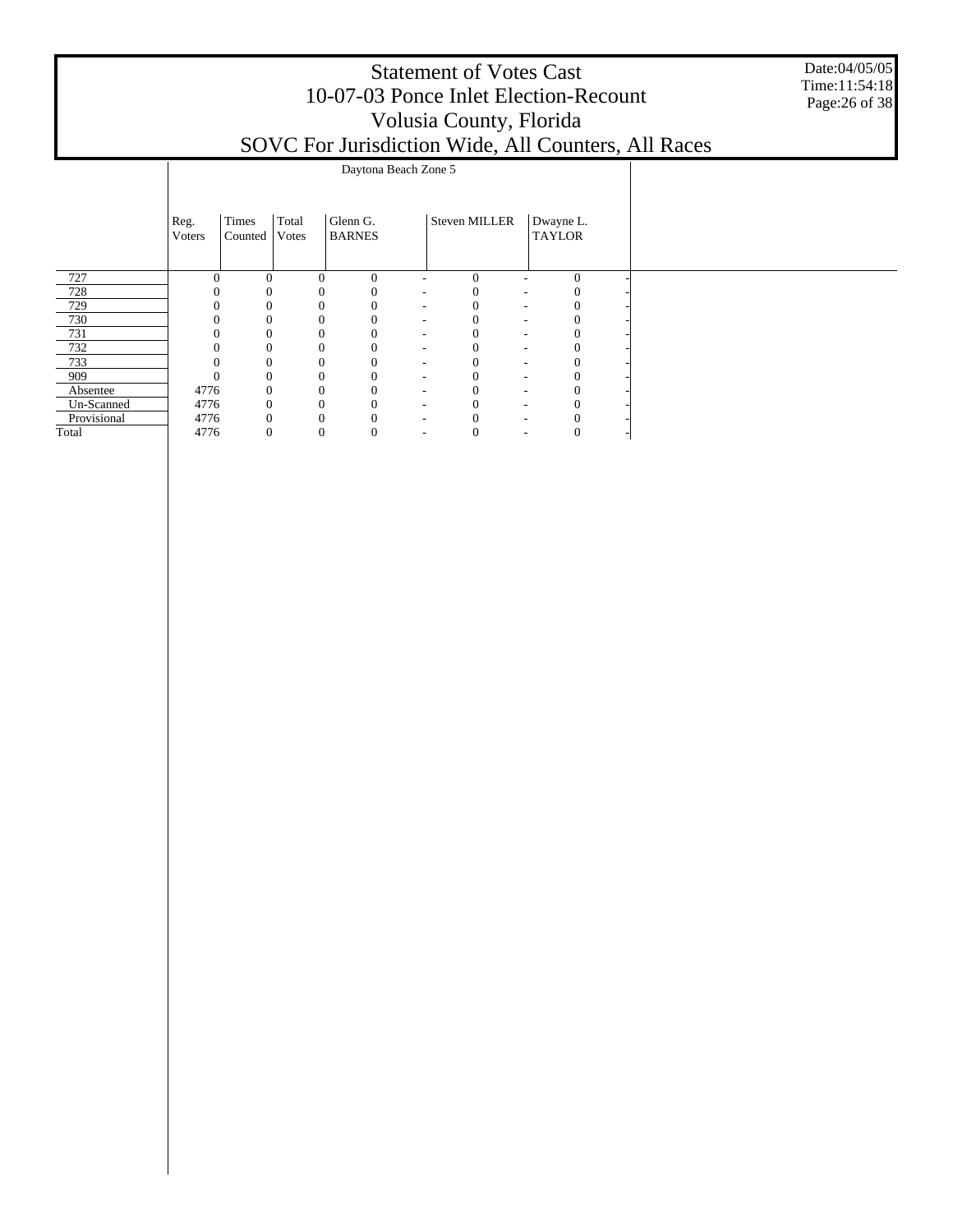|             |                        |                  |                |                           |                      | <b>Statement of Votes Cast</b><br>10-07-03 Ponce Inlet Election-Recount<br>Volusia County, Florida |                            | SOVC For Jurisdiction Wide, All Counters, All Races | Date:04/05/05<br>Time:11:54:18<br>Page: 26 of 38 |
|-------------|------------------------|------------------|----------------|---------------------------|----------------------|----------------------------------------------------------------------------------------------------|----------------------------|-----------------------------------------------------|--------------------------------------------------|
|             |                        |                  |                |                           | Daytona Beach Zone 5 |                                                                                                    |                            |                                                     |                                                  |
|             | Reg.<br><b>V</b> oters | Times<br>Counted | Total<br>Votes | Glenn G.<br><b>BARNES</b> |                      | Steven MILLER                                                                                      | Dwayne L.<br><b>TAYLOR</b> |                                                     |                                                  |
| 727         |                        | $\Omega$         | $\Omega$       | $\theta$<br>$\Omega$      |                      | $\theta$                                                                                           | $\mathbf{0}$               |                                                     |                                                  |
| 728         |                        |                  |                |                           |                      |                                                                                                    |                            |                                                     |                                                  |
| 729         |                        |                  |                |                           |                      |                                                                                                    | 0                          |                                                     |                                                  |
| 730         |                        |                  |                |                           |                      |                                                                                                    |                            |                                                     |                                                  |
| 731         |                        |                  |                |                           |                      |                                                                                                    |                            |                                                     |                                                  |
| 732         |                        |                  | $\Omega$       |                           |                      |                                                                                                    |                            |                                                     |                                                  |
| 733         |                        |                  | 0              |                           |                      | $\Omega$                                                                                           | 0                          |                                                     |                                                  |
| 909         |                        |                  | 0              |                           |                      | $\theta$                                                                                           | 0                          |                                                     |                                                  |
| Absentee    | 4776                   |                  |                |                           |                      |                                                                                                    |                            |                                                     |                                                  |
| Un-Scanned  | 4776                   |                  |                |                           |                      |                                                                                                    |                            |                                                     |                                                  |
| Provisional | 4776                   |                  | 0              |                           |                      | 0                                                                                                  | 0                          |                                                     |                                                  |

4776 0 0 0 - 0 - 0 -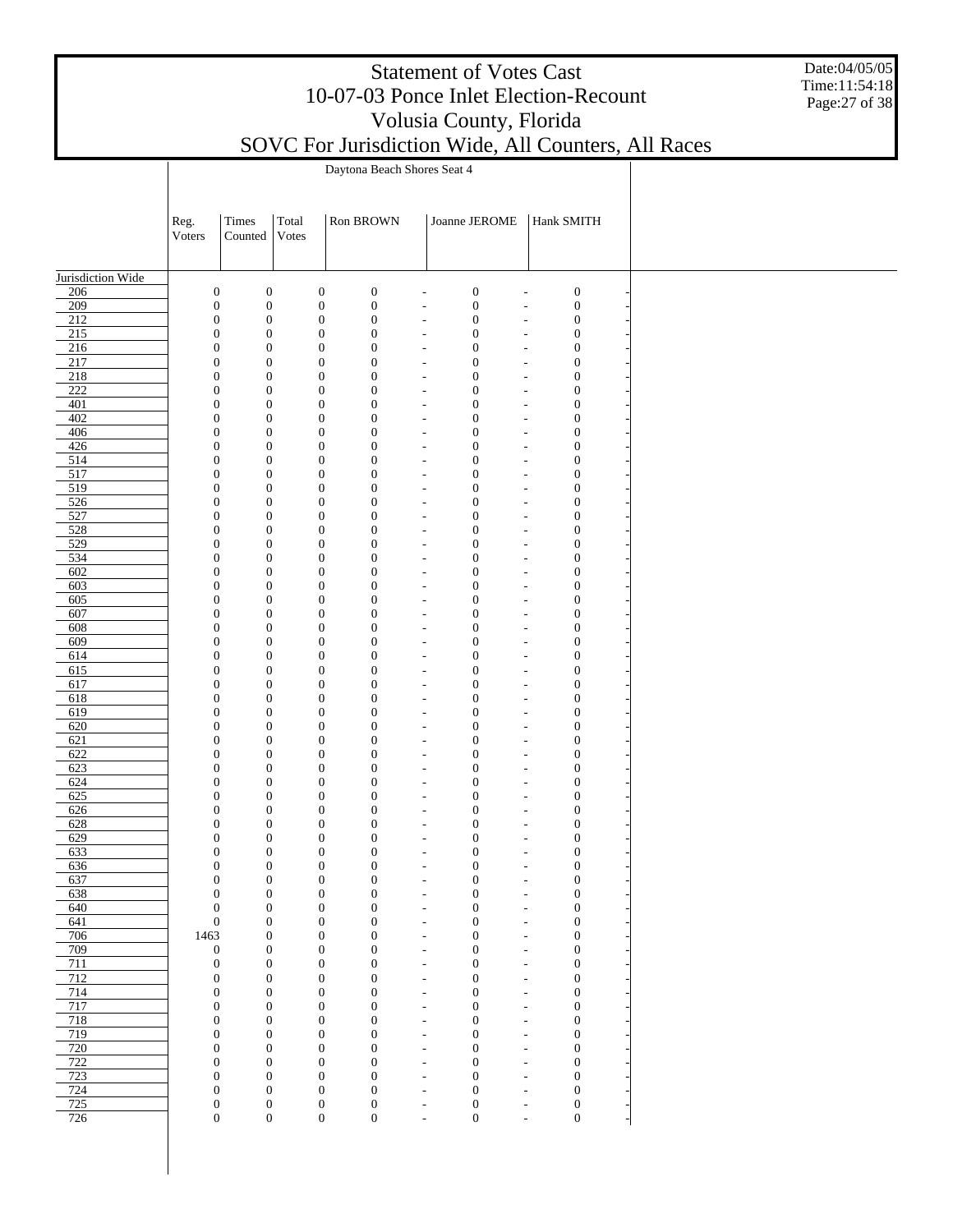|                   |                |                                                                              |                |                                                                            |                                                      | <b>Statement of Votes Cast</b>       |                                                      | 10-07-03 Ponce Inlet Election-Recount |                                                     | Date:04/05/05<br>Time:11:54:18<br>Page: 27 of 38 |
|-------------------|----------------|------------------------------------------------------------------------------|----------------|----------------------------------------------------------------------------|------------------------------------------------------|--------------------------------------|------------------------------------------------------|---------------------------------------|-----------------------------------------------------|--------------------------------------------------|
|                   |                |                                                                              |                |                                                                            |                                                      | Volusia County, Florida              |                                                      |                                       |                                                     |                                                  |
|                   |                |                                                                              |                |                                                                            |                                                      |                                      |                                                      |                                       | SOVC For Jurisdiction Wide, All Counters, All Races |                                                  |
|                   |                |                                                                              |                | Daytona Beach Shores Seat 4                                                |                                                      |                                      |                                                      |                                       |                                                     |                                                  |
|                   | Reg.<br>Voters | Times<br>Counted                                                             | Total<br>Votes | Ron BROWN                                                                  |                                                      | Joanne JEROME                        |                                                      | Hank SMITH                            |                                                     |                                                  |
| Jurisdiction Wide |                |                                                                              |                |                                                                            |                                                      |                                      |                                                      |                                       |                                                     |                                                  |
| 206               |                | $\boldsymbol{0}$<br>$\mathbf{0}$                                             |                | $\boldsymbol{0}$<br>$\boldsymbol{0}$                                       |                                                      | $\boldsymbol{0}$                     |                                                      | $\boldsymbol{0}$                      |                                                     |                                                  |
| 209               |                | $\boldsymbol{0}$<br>$\boldsymbol{0}$                                         |                | $\boldsymbol{0}$<br>$\boldsymbol{0}$                                       |                                                      | $\boldsymbol{0}$                     |                                                      | $\boldsymbol{0}$                      |                                                     |                                                  |
| 212<br>215        |                | $\boldsymbol{0}$<br>$\boldsymbol{0}$<br>$\mathbf{0}$<br>$\boldsymbol{0}$     |                | $\boldsymbol{0}$<br>$\boldsymbol{0}$<br>$\boldsymbol{0}$<br>$\mathbf{0}$   |                                                      | $\boldsymbol{0}$<br>$\boldsymbol{0}$ |                                                      | $\boldsymbol{0}$<br>$\boldsymbol{0}$  |                                                     |                                                  |
| 216               |                | $\boldsymbol{0}$<br>$\boldsymbol{0}$                                         |                | $\boldsymbol{0}$<br>$\boldsymbol{0}$                                       |                                                      | $\boldsymbol{0}$                     |                                                      | $\boldsymbol{0}$                      |                                                     |                                                  |
| 217               |                | $\mathbf{0}$<br>$\boldsymbol{0}$                                             |                | $\boldsymbol{0}$<br>$\overline{0}$                                         |                                                      | $\boldsymbol{0}$                     |                                                      | $\boldsymbol{0}$                      |                                                     |                                                  |
| 218<br>222        |                | $\boldsymbol{0}$<br>$\theta$<br>$\boldsymbol{0}$<br>$\mathbf{0}$             |                | $\boldsymbol{0}$<br>$\boldsymbol{0}$<br>$\boldsymbol{0}$<br>$\overline{0}$ |                                                      | $\boldsymbol{0}$<br>$\boldsymbol{0}$ |                                                      | $\boldsymbol{0}$<br>$\boldsymbol{0}$  |                                                     |                                                  |
| 401               |                | $\boldsymbol{0}$<br>$\mathbf{0}$                                             |                | $\boldsymbol{0}$<br>$\boldsymbol{0}$                                       |                                                      | $\boldsymbol{0}$                     |                                                      | $\boldsymbol{0}$                      |                                                     |                                                  |
| 402               |                | $\mathbf{0}$<br>$\boldsymbol{0}$                                             |                | $\boldsymbol{0}$<br>$\overline{0}$                                         |                                                      | $\boldsymbol{0}$                     |                                                      | $\boldsymbol{0}$                      |                                                     |                                                  |
| 406               |                | $\boldsymbol{0}$<br>$\theta$                                                 |                | $\boldsymbol{0}$<br>$\boldsymbol{0}$                                       |                                                      | $\boldsymbol{0}$                     |                                                      | $\boldsymbol{0}$                      |                                                     |                                                  |
| 426<br>514        |                | $\boldsymbol{0}$<br>$\mathbf{0}$<br>$\boldsymbol{0}$<br>$\boldsymbol{0}$     |                | $\boldsymbol{0}$<br>$\overline{0}$<br>$\boldsymbol{0}$<br>$\boldsymbol{0}$ |                                                      | $\boldsymbol{0}$<br>$\boldsymbol{0}$ |                                                      | $\boldsymbol{0}$<br>$\boldsymbol{0}$  |                                                     |                                                  |
| 517               |                | $\mathbf{0}$<br>$\boldsymbol{0}$                                             |                | $\boldsymbol{0}$<br>$\overline{0}$                                         |                                                      | $\boldsymbol{0}$                     |                                                      | $\boldsymbol{0}$                      |                                                     |                                                  |
| 519               |                | $\boldsymbol{0}$<br>$\theta$                                                 |                | $\boldsymbol{0}$<br>$\boldsymbol{0}$                                       |                                                      | $\boldsymbol{0}$                     |                                                      | $\boldsymbol{0}$                      |                                                     |                                                  |
| 526<br>527        |                | $\mathbf{0}$<br>$\boldsymbol{0}$<br>$\boldsymbol{0}$<br>$\boldsymbol{0}$     |                | $\boldsymbol{0}$<br>$\overline{0}$<br>$\boldsymbol{0}$<br>$\boldsymbol{0}$ |                                                      | $\boldsymbol{0}$                     |                                                      | $\boldsymbol{0}$                      |                                                     |                                                  |
| 528               |                | $\mathbf{0}$<br>$\boldsymbol{0}$                                             |                | $\boldsymbol{0}$<br>$\overline{0}$                                         |                                                      | $\boldsymbol{0}$<br>$\boldsymbol{0}$ |                                                      | $\boldsymbol{0}$<br>$\boldsymbol{0}$  |                                                     |                                                  |
| 529               |                | $\boldsymbol{0}$<br>$\theta$                                                 |                | $\boldsymbol{0}$<br>$\boldsymbol{0}$                                       |                                                      | $\boldsymbol{0}$                     |                                                      | $\boldsymbol{0}$                      |                                                     |                                                  |
| 534               |                | $\mathbf{0}$<br>$\boldsymbol{0}$                                             |                | $\boldsymbol{0}$<br>$\overline{0}$                                         |                                                      | $\boldsymbol{0}$                     |                                                      | $\boldsymbol{0}$                      |                                                     |                                                  |
| 602               |                | $\boldsymbol{0}$<br>$\boldsymbol{0}$<br>$\mathbf{0}$                         |                | $\boldsymbol{0}$<br>$\mathbf{0}$<br>$\boldsymbol{0}$<br>$\overline{0}$     |                                                      | $\boldsymbol{0}$<br>$\boldsymbol{0}$ |                                                      | $\boldsymbol{0}$                      |                                                     |                                                  |
| 603<br>605        |                | $\boldsymbol{0}$<br>$\boldsymbol{0}$<br>$\theta$                             |                | $\boldsymbol{0}$<br>$\mathbf{0}$                                           |                                                      | $\boldsymbol{0}$                     |                                                      | $\boldsymbol{0}$<br>$\boldsymbol{0}$  |                                                     |                                                  |
| 607               |                | $\boldsymbol{0}$<br>$\mathbf{0}$                                             |                | $\boldsymbol{0}$<br>$\overline{0}$                                         |                                                      | $\boldsymbol{0}$                     |                                                      | $\boldsymbol{0}$                      |                                                     |                                                  |
| 608               |                | $\boldsymbol{0}$<br>$\mathbf{0}$                                             |                | $\boldsymbol{0}$<br>$\mathbf{0}$                                           |                                                      | $\boldsymbol{0}$                     |                                                      | $\boldsymbol{0}$                      |                                                     |                                                  |
| 609               |                | $\mathbf{0}$<br>$\boldsymbol{0}$                                             |                | $\boldsymbol{0}$<br>$\overline{0}$                                         |                                                      | $\boldsymbol{0}$                     |                                                      | $\boldsymbol{0}$                      |                                                     |                                                  |
| 614<br>615        |                | $\boldsymbol{0}$<br>$\mathbf{0}$<br>$\mathbf{0}$<br>$\boldsymbol{0}$         |                | $\boldsymbol{0}$<br>$\boldsymbol{0}$<br>$\boldsymbol{0}$<br>$\mathbf{0}$   |                                                      | $\boldsymbol{0}$<br>$\boldsymbol{0}$ |                                                      | $\boldsymbol{0}$<br>$\boldsymbol{0}$  |                                                     |                                                  |
| 617               |                | $\boldsymbol{0}$<br>$\boldsymbol{0}$                                         |                | $\boldsymbol{0}$<br>$\boldsymbol{0}$                                       |                                                      | $\boldsymbol{0}$                     |                                                      | $\boldsymbol{0}$                      |                                                     |                                                  |
| 618               |                | $\boldsymbol{0}$<br>$\mathbf{0}$                                             |                | $\boldsymbol{0}$<br>$\overline{0}$                                         |                                                      | $\boldsymbol{0}$                     |                                                      | $\boldsymbol{0}$                      |                                                     |                                                  |
| 619               |                | $\boldsymbol{0}$<br>$\mathbf{0}$                                             |                | $\boldsymbol{0}$<br>$\mathbf{0}$                                           |                                                      | $\boldsymbol{0}$                     |                                                      | $\boldsymbol{0}$                      |                                                     |                                                  |
| 620<br>621        |                | $\overline{0}$<br>$\boldsymbol{0}$<br>$\boldsymbol{0}$<br>$\mathbf{0}$       |                | $\boldsymbol{0}$<br>0<br>$\boldsymbol{0}$<br>$\mathbf{0}$                  |                                                      | $\boldsymbol{0}$<br>$\boldsymbol{0}$ |                                                      | $\boldsymbol{0}$<br>$\boldsymbol{0}$  |                                                     |                                                  |
| 622               |                | $\Omega$<br>$\Omega$                                                         |                | $\mathbf{0}$<br>$\Omega$                                                   |                                                      | $\Omega$                             |                                                      | $\overline{0}$                        |                                                     |                                                  |
| 623               |                | $\boldsymbol{0}$<br>$\mathbf{0}$                                             |                | $\boldsymbol{0}$<br>$\mathbf{0}$                                           |                                                      | $\boldsymbol{0}$                     |                                                      | $\mathbf{0}$                          |                                                     |                                                  |
| 624<br>625        |                | $\boldsymbol{0}$<br>$\boldsymbol{0}$                                         |                | $\boldsymbol{0}$<br>$\mathbf{0}$                                           | $\overline{\phantom{m}}$                             | $\boldsymbol{0}$                     | $\overline{\phantom{a}}$                             | $\boldsymbol{0}$                      |                                                     |                                                  |
| 626               |                | $\boldsymbol{0}$<br>$\boldsymbol{0}$<br>$\boldsymbol{0}$<br>$\boldsymbol{0}$ |                | $\boldsymbol{0}$<br>$\boldsymbol{0}$<br>$\boldsymbol{0}$<br>$\mathbf{0}$   | $\overline{\phantom{a}}$<br>$\overline{\phantom{a}}$ | $\boldsymbol{0}$<br>$\mathbf{0}$     | ÷,<br>$\overline{\phantom{a}}$                       | $\boldsymbol{0}$<br>$\boldsymbol{0}$  |                                                     |                                                  |
| 628               |                | $\boldsymbol{0}$<br>$\boldsymbol{0}$                                         |                | $\boldsymbol{0}$<br>$\boldsymbol{0}$                                       | $\overline{\phantom{a}}$                             | $\boldsymbol{0}$                     | ٠                                                    | $\boldsymbol{0}$                      |                                                     |                                                  |
| 629               |                | $\boldsymbol{0}$<br>$\boldsymbol{0}$                                         |                | $\boldsymbol{0}$<br>$\overline{0}$                                         | $\overline{\phantom{a}}$                             | $\mathbf{0}$                         | $\overline{\phantom{a}}$                             | $\boldsymbol{0}$                      |                                                     |                                                  |
| 633               |                | $\boldsymbol{0}$<br>$\boldsymbol{0}$                                         |                | $\boldsymbol{0}$<br>$\boldsymbol{0}$                                       | $\overline{\phantom{a}}$                             | $\boldsymbol{0}$                     | $\overline{\phantom{a}}$                             | $\boldsymbol{0}$                      |                                                     |                                                  |
| 636<br>637        |                | $\boldsymbol{0}$<br>$\boldsymbol{0}$<br>$\boldsymbol{0}$<br>$\boldsymbol{0}$ |                | $\boldsymbol{0}$<br>$\overline{0}$<br>$\boldsymbol{0}$<br>$\boldsymbol{0}$ | $\sim$<br>$\overline{\phantom{a}}$                   | $\mathbf{0}$<br>$\boldsymbol{0}$     | $\overline{\phantom{a}}$<br>$\overline{\phantom{a}}$ | $\boldsymbol{0}$<br>$\boldsymbol{0}$  |                                                     |                                                  |
| 638               |                | $\boldsymbol{0}$<br>$\boldsymbol{0}$                                         |                | $\boldsymbol{0}$<br>$\mathbf{0}$                                           | $\sim$                                               | $\boldsymbol{0}$                     | $\overline{\phantom{a}}$                             | $\boldsymbol{0}$                      |                                                     |                                                  |
| 640               |                | $\boldsymbol{0}$<br>$\boldsymbol{0}$                                         |                | $\boldsymbol{0}$<br>$\boldsymbol{0}$                                       | $\overline{\phantom{a}}$                             | $\boldsymbol{0}$                     | $\overline{\phantom{a}}$                             | $\boldsymbol{0}$                      |                                                     |                                                  |
| 641<br>706        |                | $\boldsymbol{0}$<br>$\boldsymbol{0}$                                         |                | $\boldsymbol{0}$<br>$\mathbf{0}$                                           | $\overline{\phantom{a}}$                             | $\boldsymbol{0}$                     | $\overline{\phantom{a}}$                             | $\boldsymbol{0}$                      |                                                     |                                                  |
| 709               | 1463           | $\boldsymbol{0}$<br>$\boldsymbol{0}$<br>$\boldsymbol{0}$                     |                | $\boldsymbol{0}$<br>$\boldsymbol{0}$<br>$\boldsymbol{0}$<br>$\mathbf{0}$   | $\overline{\phantom{a}}$<br>$\overline{\phantom{a}}$ | $\boldsymbol{0}$<br>$\boldsymbol{0}$ | ٠<br>$\overline{\phantom{a}}$                        | $\boldsymbol{0}$<br>$\boldsymbol{0}$  |                                                     |                                                  |
| 711               |                | $\boldsymbol{0}$<br>$\boldsymbol{0}$                                         |                | $\boldsymbol{0}$<br>$\boldsymbol{0}$                                       | $\overline{\phantom{a}}$                             | $\boldsymbol{0}$                     | ÷,                                                   | $\boldsymbol{0}$                      |                                                     |                                                  |
| 712               |                | $\boldsymbol{0}$<br>$\boldsymbol{0}$                                         |                | $\boldsymbol{0}$<br>$\boldsymbol{0}$                                       | $\overline{\phantom{a}}$                             | $\boldsymbol{0}$                     | $\overline{\phantom{a}}$                             | $\boldsymbol{0}$                      |                                                     |                                                  |
| 714               |                | $\boldsymbol{0}$<br>$\boldsymbol{0}$                                         |                | $\boldsymbol{0}$<br>$\boldsymbol{0}$                                       | $\overline{\phantom{a}}$                             | $\boldsymbol{0}$                     | ÷,                                                   | $\boldsymbol{0}$                      |                                                     |                                                  |
| 717<br>718        |                | $\boldsymbol{0}$<br>$\boldsymbol{0}$<br>$\boldsymbol{0}$<br>$\boldsymbol{0}$ |                | $\boldsymbol{0}$<br>$\mathbf{0}$<br>$\boldsymbol{0}$<br>$\boldsymbol{0}$   | $\overline{\phantom{a}}$<br>$\overline{\phantom{a}}$ | $\boldsymbol{0}$<br>$\boldsymbol{0}$ | $\overline{\phantom{a}}$<br>÷,                       | $\boldsymbol{0}$<br>$\boldsymbol{0}$  |                                                     |                                                  |
| 719               |                | $\boldsymbol{0}$<br>$\boldsymbol{0}$                                         |                | $\boldsymbol{0}$<br>$\overline{0}$                                         | $\overline{\phantom{a}}$                             | $\boldsymbol{0}$                     | $\overline{\phantom{a}}$                             | $\boldsymbol{0}$                      |                                                     |                                                  |
| 720               |                | $\boldsymbol{0}$<br>$\boldsymbol{0}$                                         |                | $\boldsymbol{0}$<br>$\boldsymbol{0}$                                       | $\overline{\phantom{a}}$                             | $\boldsymbol{0}$                     | ٠                                                    | $\boldsymbol{0}$                      |                                                     |                                                  |
| 722               |                | $\boldsymbol{0}$<br>$\boldsymbol{0}$                                         |                | $\boldsymbol{0}$<br>$\overline{0}$                                         | $\overline{\phantom{a}}$                             | $\mathbf{0}$                         | $\overline{\phantom{a}}$                             | $\boldsymbol{0}$                      |                                                     |                                                  |
| 723<br>724        |                | $\boldsymbol{0}$<br>$\boldsymbol{0}$<br>$\boldsymbol{0}$<br>$\boldsymbol{0}$ |                | $\boldsymbol{0}$<br>$\boldsymbol{0}$<br>$\boldsymbol{0}$<br>$\overline{0}$ | ÷<br>$\overline{\phantom{a}}$                        | $\boldsymbol{0}$<br>$\boldsymbol{0}$ | ٠<br>$\overline{\phantom{a}}$                        | $\boldsymbol{0}$<br>$\boldsymbol{0}$  |                                                     |                                                  |
| 725               |                | $\boldsymbol{0}$<br>$\boldsymbol{0}$                                         |                | $\boldsymbol{0}$<br>$\boldsymbol{0}$                                       | $\overline{\phantom{a}}$                             | $\boldsymbol{0}$                     | $\overline{a}$                                       | $\boldsymbol{0}$                      |                                                     |                                                  |
| 726               |                | $\boldsymbol{0}$<br>$\boldsymbol{0}$                                         |                | $\boldsymbol{0}$<br>$\boldsymbol{0}$                                       | $\overline{\phantom{a}}$                             | $\overline{0}$                       | $\overline{\phantom{a}}$                             | $\boldsymbol{0}$                      |                                                     |                                                  |
|                   |                |                                                                              |                |                                                                            |                                                      |                                      |                                                      |                                       |                                                     |                                                  |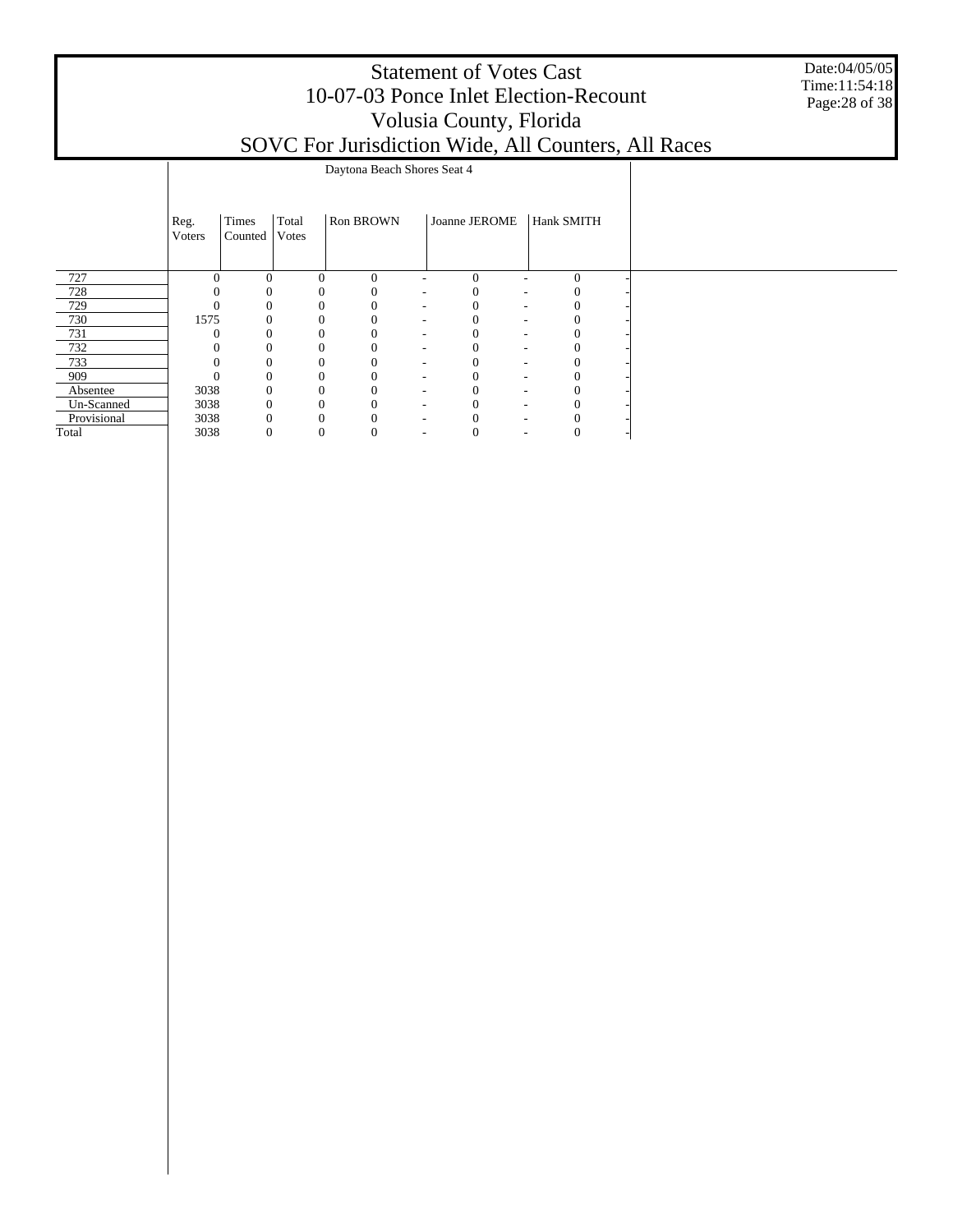|                      |                |                  |                        |                             |               | <b>Statement of Votes Cast</b><br>10-07-03 Ponce Inlet Election-Recount<br>Volusia County, Florida | SOVC For Jurisdiction Wide, All Counters, All Races | Date:04/05/05<br>Time:11:54:18<br>Page: 28 of 38 |
|----------------------|----------------|------------------|------------------------|-----------------------------|---------------|----------------------------------------------------------------------------------------------------|-----------------------------------------------------|--------------------------------------------------|
|                      |                |                  |                        | Daytona Beach Shores Seat 4 |               |                                                                                                    |                                                     |                                                  |
|                      | Reg.<br>Voters | Times<br>Counted | Total<br><b>V</b> otes | Ron BROWN                   | Joanne JEROME | Hank SMITH                                                                                         |                                                     |                                                  |
| 727                  | $\Omega$       | 0                | 0                      | $\Omega$                    | $\Omega$      | $\Omega$                                                                                           |                                                     |                                                  |
| 728                  |                |                  |                        |                             |               |                                                                                                    |                                                     |                                                  |
| 729                  |                |                  |                        |                             |               |                                                                                                    |                                                     |                                                  |
| 730                  | 1575           |                  |                        |                             |               |                                                                                                    |                                                     |                                                  |
| 731                  |                |                  |                        | 0                           |               |                                                                                                    |                                                     |                                                  |
| 732                  |                |                  |                        |                             |               |                                                                                                    |                                                     |                                                  |
| 733                  |                |                  |                        |                             |               |                                                                                                    |                                                     |                                                  |
| 909                  |                |                  |                        |                             |               |                                                                                                    |                                                     |                                                  |
| Absentee             | 3038           |                  | 0                      |                             |               |                                                                                                    |                                                     |                                                  |
| Un-Scanned           | 3038           |                  | $\Omega$               | $\Omega$                    |               | $\Omega$                                                                                           |                                                     |                                                  |
| Provisional<br>Total | 3038<br>3038   |                  | 0                      | $\mathbf{0}$<br>$\Omega$    |               | $\Omega$                                                                                           |                                                     |                                                  |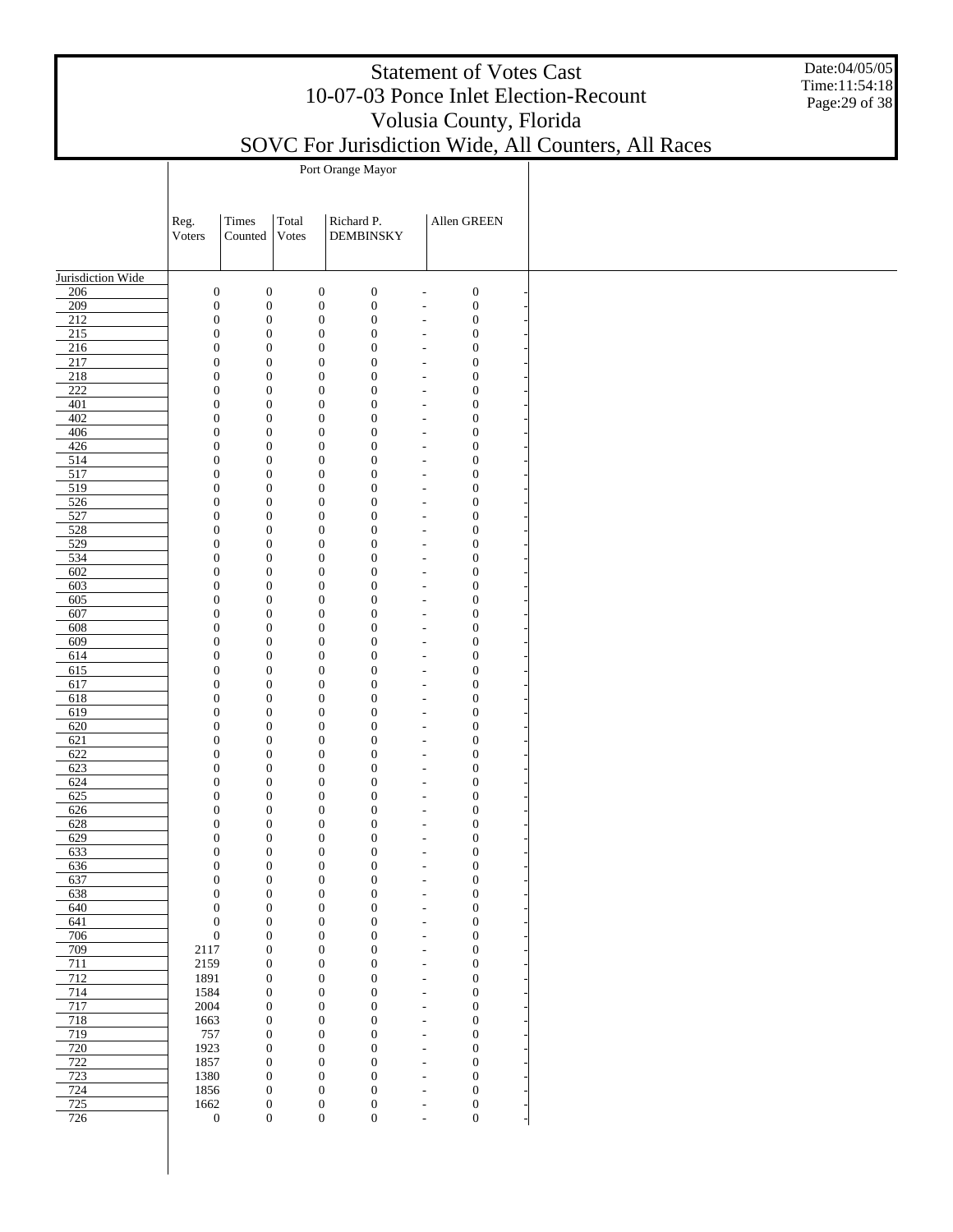Date:04/05/05 Time:11:54:18 Page:29 of 38

| SOVC For Jurisdiction Wide, All Counters, All Races |  |
|-----------------------------------------------------|--|
| Port Orange Mayor                                   |  |
|                                                     |  |

|                          | Reg.<br>Voters                       | Times<br>Counted                     | Total<br>Votes |                                      | Richard P.<br><b>DEMBINSKY</b> |                                                      | Allen GREEN                          |  |
|--------------------------|--------------------------------------|--------------------------------------|----------------|--------------------------------------|--------------------------------|------------------------------------------------------|--------------------------------------|--|
|                          |                                      |                                      |                |                                      |                                |                                                      |                                      |  |
| Jurisdiction Wide<br>206 | $\boldsymbol{0}$                     | $\boldsymbol{0}$                     |                | $\boldsymbol{0}$                     | $\boldsymbol{0}$               | $\overline{a}$                                       | $\boldsymbol{0}$                     |  |
| 209                      | $\boldsymbol{0}$                     | $\boldsymbol{0}$                     |                | $\boldsymbol{0}$                     | $\boldsymbol{0}$               | $\overline{\phantom{a}}$                             | $\boldsymbol{0}$                     |  |
| 212                      | $\boldsymbol{0}$                     | $\boldsymbol{0}$                     |                | $\boldsymbol{0}$                     | $\boldsymbol{0}$               | $\overline{a}$                                       | $\boldsymbol{0}$                     |  |
| 215                      | $\boldsymbol{0}$                     | $\boldsymbol{0}$                     |                | $\boldsymbol{0}$                     | $\mathbf{0}$                   | $\overline{a}$                                       | $\boldsymbol{0}$                     |  |
| 216<br>217               | $\boldsymbol{0}$<br>$\boldsymbol{0}$ | $\boldsymbol{0}$<br>$\boldsymbol{0}$ |                | $\boldsymbol{0}$<br>$\boldsymbol{0}$ | $\mathbf{0}$<br>$\mathbf{0}$   | $\overline{a}$<br>$\overline{a}$                     | $\boldsymbol{0}$<br>$\boldsymbol{0}$ |  |
| $\frac{218}{ }$          | $\boldsymbol{0}$                     | $\boldsymbol{0}$                     |                | $\boldsymbol{0}$                     | $\mathbf{0}$                   | $\overline{a}$                                       | $\boldsymbol{0}$                     |  |
| $\overline{222}$         | $\boldsymbol{0}$                     | $\boldsymbol{0}$                     |                | $\boldsymbol{0}$                     | $\mathbf{0}$                   | $\overline{a}$                                       | $\boldsymbol{0}$                     |  |
| 401                      | $\boldsymbol{0}$                     | $\boldsymbol{0}$                     |                | $\boldsymbol{0}$                     | $\mathbf{0}$                   | $\overline{a}$                                       | $\boldsymbol{0}$                     |  |
| 402                      | $\boldsymbol{0}$                     | $\boldsymbol{0}$                     |                | $\boldsymbol{0}$                     | $\mathbf{0}$                   | $\overline{a}$                                       | $\boldsymbol{0}$                     |  |
| 406<br>426               | $\boldsymbol{0}$<br>$\boldsymbol{0}$ | $\boldsymbol{0}$<br>$\boldsymbol{0}$ |                | $\boldsymbol{0}$<br>$\boldsymbol{0}$ | $\mathbf{0}$<br>$\mathbf{0}$   | $\overline{a}$<br>$\overline{a}$                     | $\boldsymbol{0}$<br>$\boldsymbol{0}$ |  |
| 514                      | $\boldsymbol{0}$                     | $\boldsymbol{0}$                     |                | $\boldsymbol{0}$                     | $\mathbf{0}$                   | $\overline{a}$                                       | $\boldsymbol{0}$                     |  |
| 517                      | $\boldsymbol{0}$                     | $\boldsymbol{0}$                     |                | $\boldsymbol{0}$                     | $\mathbf{0}$                   | $\overline{a}$                                       | $\boldsymbol{0}$                     |  |
| 519                      | $\boldsymbol{0}$                     | $\boldsymbol{0}$                     |                | $\boldsymbol{0}$                     | $\mathbf{0}$                   | $\overline{a}$                                       | $\boldsymbol{0}$                     |  |
| 526                      | $\boldsymbol{0}$                     | $\boldsymbol{0}$                     |                | $\boldsymbol{0}$                     | $\mathbf{0}$                   | $\overline{a}$                                       | $\boldsymbol{0}$                     |  |
| 527                      | $\boldsymbol{0}$                     | $\boldsymbol{0}$                     |                | $\boldsymbol{0}$                     | $\mathbf{0}$                   | $\overline{a}$                                       | $\boldsymbol{0}$                     |  |
| 528                      | $\boldsymbol{0}$                     | $\boldsymbol{0}$<br>$\boldsymbol{0}$ |                | $\boldsymbol{0}$                     | $\mathbf{0}$<br>$\mathbf{0}$   | $\overline{\phantom{a}}$                             | $\boldsymbol{0}$                     |  |
| 529<br>534               | $\boldsymbol{0}$<br>$\boldsymbol{0}$ | $\boldsymbol{0}$                     |                | $\boldsymbol{0}$<br>$\boldsymbol{0}$ | $\mathbf{0}$                   | $\overline{a}$<br>$\overline{a}$                     | $\boldsymbol{0}$<br>$\boldsymbol{0}$ |  |
| 602                      | $\boldsymbol{0}$                     | $\boldsymbol{0}$                     |                | $\boldsymbol{0}$                     | $\mathbf{0}$                   | $\overline{a}$                                       | $\boldsymbol{0}$                     |  |
| 603                      | $\boldsymbol{0}$                     | $\boldsymbol{0}$                     |                | $\boldsymbol{0}$                     | $\mathbf{0}$                   | $\overline{a}$                                       | $\boldsymbol{0}$                     |  |
| 605                      | $\boldsymbol{0}$                     | $\boldsymbol{0}$                     |                | $\boldsymbol{0}$                     | $\mathbf{0}$                   | $\overline{a}$                                       | $\boldsymbol{0}$                     |  |
| 607                      | $\boldsymbol{0}$                     | $\boldsymbol{0}$                     |                | $\boldsymbol{0}$                     | $\mathbf{0}$                   | $\overline{a}$                                       | $\boldsymbol{0}$                     |  |
| 608                      | $\boldsymbol{0}$                     | $\boldsymbol{0}$<br>$\boldsymbol{0}$ |                | $\boldsymbol{0}$                     | $\mathbf{0}$                   | $\overline{a}$                                       | $\boldsymbol{0}$                     |  |
| 609<br>614               | $\boldsymbol{0}$<br>$\boldsymbol{0}$ | $\boldsymbol{0}$                     |                | $\boldsymbol{0}$<br>$\boldsymbol{0}$ | $\mathbf{0}$<br>$\mathbf{0}$   | $\overline{\phantom{a}}$<br>$\overline{a}$           | $\boldsymbol{0}$<br>$\boldsymbol{0}$ |  |
| 615                      | $\boldsymbol{0}$                     | $\boldsymbol{0}$                     |                | $\boldsymbol{0}$                     | $\mathbf{0}$                   | $\overline{a}$                                       | $\boldsymbol{0}$                     |  |
| 617                      | $\boldsymbol{0}$                     | $\boldsymbol{0}$                     |                | $\boldsymbol{0}$                     | $\mathbf{0}$                   | $\overline{a}$                                       | $\boldsymbol{0}$                     |  |
| 618                      | $\boldsymbol{0}$                     | $\boldsymbol{0}$                     |                | $\boldsymbol{0}$                     | $\mathbf{0}$                   | $\overline{\phantom{a}}$                             | $\boldsymbol{0}$                     |  |
| 619                      | $\boldsymbol{0}$                     | $\boldsymbol{0}$                     |                | $\boldsymbol{0}$                     | $\mathbf{0}$                   | $\overline{a}$                                       | $\boldsymbol{0}$                     |  |
| 620                      | $\boldsymbol{0}$                     | $\boldsymbol{0}$                     |                | $\boldsymbol{0}$                     | $\mathbf{0}$                   | $\overline{\phantom{a}}$                             | $\boldsymbol{0}$                     |  |
| 621<br>622               | $\boldsymbol{0}$<br>$\boldsymbol{0}$ | $\boldsymbol{0}$<br>$\boldsymbol{0}$ |                | $\boldsymbol{0}$<br>$\boldsymbol{0}$ | $\mathbf{0}$<br>$\mathbf{0}$   | $\overline{a}$                                       | $\boldsymbol{0}$<br>$\boldsymbol{0}$ |  |
| 623                      | $\boldsymbol{0}$                     | $\boldsymbol{0}$                     |                | $\boldsymbol{0}$                     | $\mathbf{0}$                   | $\overline{\phantom{a}}$<br>$\overline{a}$           | $\boldsymbol{0}$                     |  |
| 624                      | $\boldsymbol{0}$                     | $\boldsymbol{0}$                     |                | $\boldsymbol{0}$                     | $\mathbf{0}$                   | $\overline{\phantom{a}}$                             | $\boldsymbol{0}$                     |  |
| 625                      | $\boldsymbol{0}$                     | $\boldsymbol{0}$                     |                | $\boldsymbol{0}$                     | $\mathbf{0}$                   | ä,                                                   | $\boldsymbol{0}$                     |  |
| 626                      | $\boldsymbol{0}$                     | $\boldsymbol{0}$                     |                | $\boldsymbol{0}$                     | $\mathbf{0}$                   | $\overline{\phantom{a}}$                             | $\boldsymbol{0}$                     |  |
| 628                      | $\boldsymbol{0}$                     | $\boldsymbol{0}$                     |                | $\boldsymbol{0}$                     | $\mathbf{0}$                   | $\overline{a}$                                       | $\boldsymbol{0}$                     |  |
| 629                      | $\boldsymbol{0}$                     | $\boldsymbol{0}$                     |                | $\boldsymbol{0}$                     | $\mathbf{0}$                   | $\overline{\phantom{a}}$                             | $\boldsymbol{0}$                     |  |
| 633<br>636               | $\boldsymbol{0}$<br>$\boldsymbol{0}$ | $\boldsymbol{0}$<br>$\boldsymbol{0}$ |                | $\boldsymbol{0}$<br>$\boldsymbol{0}$ | $\mathbf{0}$<br>$\mathbf{0}$   | ä,<br>$\overline{\phantom{a}}$                       | $\boldsymbol{0}$<br>$\boldsymbol{0}$ |  |
| 637                      | $\boldsymbol{0}$                     | $\boldsymbol{0}$                     |                | $\mathbf{0}$                         | $\mathbf{0}$                   | $\overline{\phantom{0}}$                             | $\boldsymbol{0}$                     |  |
| 638                      | $\Omega$                             | $\mathbf{0}$                         |                | $\mathbf{0}$                         | $\theta$                       | $\overline{\phantom{a}}$                             | $\mathbf{0}$                         |  |
| 640                      | $\boldsymbol{0}$                     | $\boldsymbol{0}$                     |                | $\boldsymbol{0}$                     | $\boldsymbol{0}$               | L,                                                   | $\boldsymbol{0}$                     |  |
| 641                      | $\boldsymbol{0}$                     | $\boldsymbol{0}$                     |                | $\boldsymbol{0}$                     | $\boldsymbol{0}$               | $\overline{\phantom{a}}$                             | $\boldsymbol{0}$                     |  |
| 706                      | $\boldsymbol{0}$                     | $\boldsymbol{0}$                     |                | $\boldsymbol{0}$                     | $\mathbf{0}$                   | $\overline{a}$                                       | $\boldsymbol{0}$                     |  |
| 709                      | 2117                                 | $\boldsymbol{0}$                     |                | $\mathbf{0}$                         | $\mathbf{0}$                   | $\overline{\phantom{a}}$                             | $\boldsymbol{0}$                     |  |
| 711<br>712               | 2159<br>1891                         | $\boldsymbol{0}$<br>$\boldsymbol{0}$ |                | $\boldsymbol{0}$<br>$\mathbf{0}$     | $\mathbf{0}$<br>$\mathbf{0}$   | $\overline{\phantom{a}}$<br>$\overline{\phantom{a}}$ | $\boldsymbol{0}$<br>$\boldsymbol{0}$ |  |
| 714                      | 1584                                 | $\boldsymbol{0}$                     |                | $\boldsymbol{0}$                     | $\mathbf{0}$                   | $\overline{a}$                                       | $\boldsymbol{0}$                     |  |
| 717                      | 2004                                 | $\boldsymbol{0}$                     |                | $\mathbf{0}$                         | $\mathbf{0}$                   | $\overline{\phantom{a}}$                             | $\boldsymbol{0}$                     |  |
| 718                      | 1663                                 | $\boldsymbol{0}$                     |                | $\boldsymbol{0}$                     | $\mathbf{0}$                   | $\overline{a}$                                       | $\boldsymbol{0}$                     |  |
| 719                      | 757                                  | $\boldsymbol{0}$                     |                | $\mathbf{0}$                         | $\mathbf{0}$                   | $\overline{\phantom{a}}$                             | $\boldsymbol{0}$                     |  |
| 720                      | 1923                                 | $\boldsymbol{0}$                     |                | $\mathbf{0}$                         | $\mathbf{0}$                   | $\overline{a}$                                       | $\boldsymbol{0}$                     |  |
| 722<br>723               | 1857<br>1380                         | $\boldsymbol{0}$<br>$\boldsymbol{0}$ |                | $\mathbf{0}$                         | $\mathbf{0}$<br>$\mathbf{0}$   | $\overline{\phantom{a}}$                             | $\boldsymbol{0}$                     |  |
| 724                      | 1856                                 | $\boldsymbol{0}$                     |                | $\boldsymbol{0}$<br>$\boldsymbol{0}$ | $\mathbf{0}$                   | $\overline{a}$<br>$\overline{\phantom{a}}$           | $\boldsymbol{0}$<br>$\boldsymbol{0}$ |  |
| 725                      | 1662                                 | $\boldsymbol{0}$                     |                | $\boldsymbol{0}$                     | $\boldsymbol{0}$               | $\overline{a}$                                       | $\boldsymbol{0}$                     |  |
| 726                      | $\boldsymbol{0}$                     | $\boldsymbol{0}$                     |                | $\boldsymbol{0}$                     | $\boldsymbol{0}$               | $\overline{\phantom{a}}$                             | $\boldsymbol{0}$                     |  |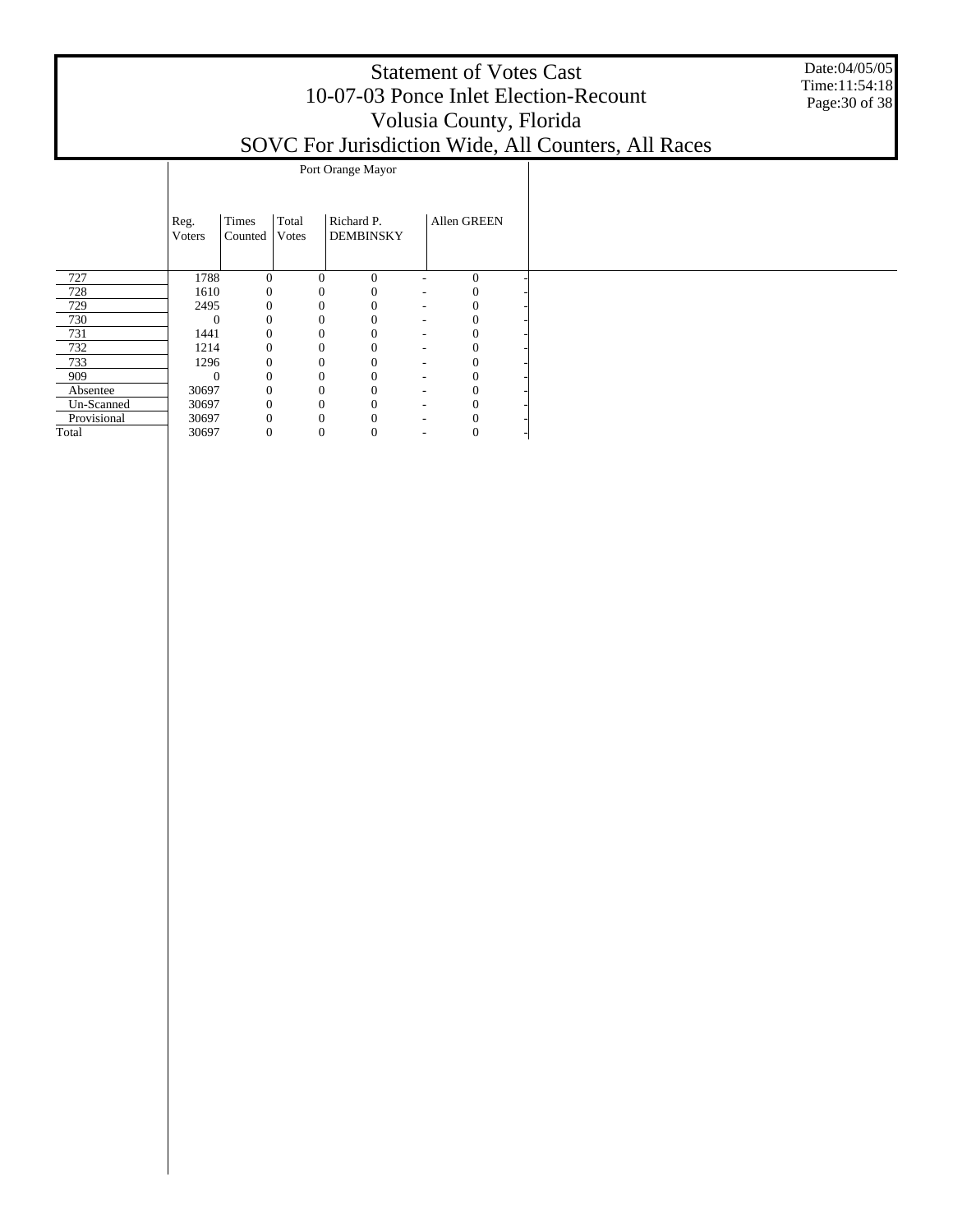Date:04/05/05 Time:11:54:18 Page:30 of 38

#### SOVC For Jurisdiction Wide, All Counters, All Races

|             |          |                |              | Port Orange Mayor |                              |              |  |
|-------------|----------|----------------|--------------|-------------------|------------------------------|--------------|--|
|             |          |                |              |                   |                              |              |  |
|             | Reg.     | Times          | Total        | Richard P.        |                              | Allen GREEN  |  |
|             | Voters   | Counted        | Votes        | <b>DEMBINSKY</b>  |                              |              |  |
|             |          |                |              |                   |                              |              |  |
| 727         | 1788     | 0              | $\mathbf{0}$ | $\mathbf{0}$      | ٠                            | $\mathbf{0}$ |  |
| 728         | 1610     | 0              | 0            | $\Omega$          | ٠                            |              |  |
| 729         | 2495     | 0              | 0            |                   | $\qquad \qquad \blacksquare$ |              |  |
| 730         | 0        | $\Omega$       | 0            |                   | ۰                            |              |  |
| 731         | 1441     | $\theta$       | $\Omega$     |                   | ۰                            |              |  |
| 732         | 1214     | 0              | $\Omega$     |                   | $\qquad \qquad \blacksquare$ |              |  |
| 733         | 1296     | 0              | 0            |                   | $\qquad \qquad \blacksquare$ |              |  |
| 909         | $\Omega$ | $\Omega$       | 0            |                   | ۰                            |              |  |
| Absentee    | 30697    | $\overline{0}$ | 0            |                   | ۰                            |              |  |
| Un-Scanned  | 30697    | 0              | 0            |                   | $\qquad \qquad \blacksquare$ |              |  |
| Provisional | 30697    | $\Omega$       | 0            |                   | ٠                            |              |  |
| Total       | 30697    | 0              | 0            | 0                 | ٠                            | U            |  |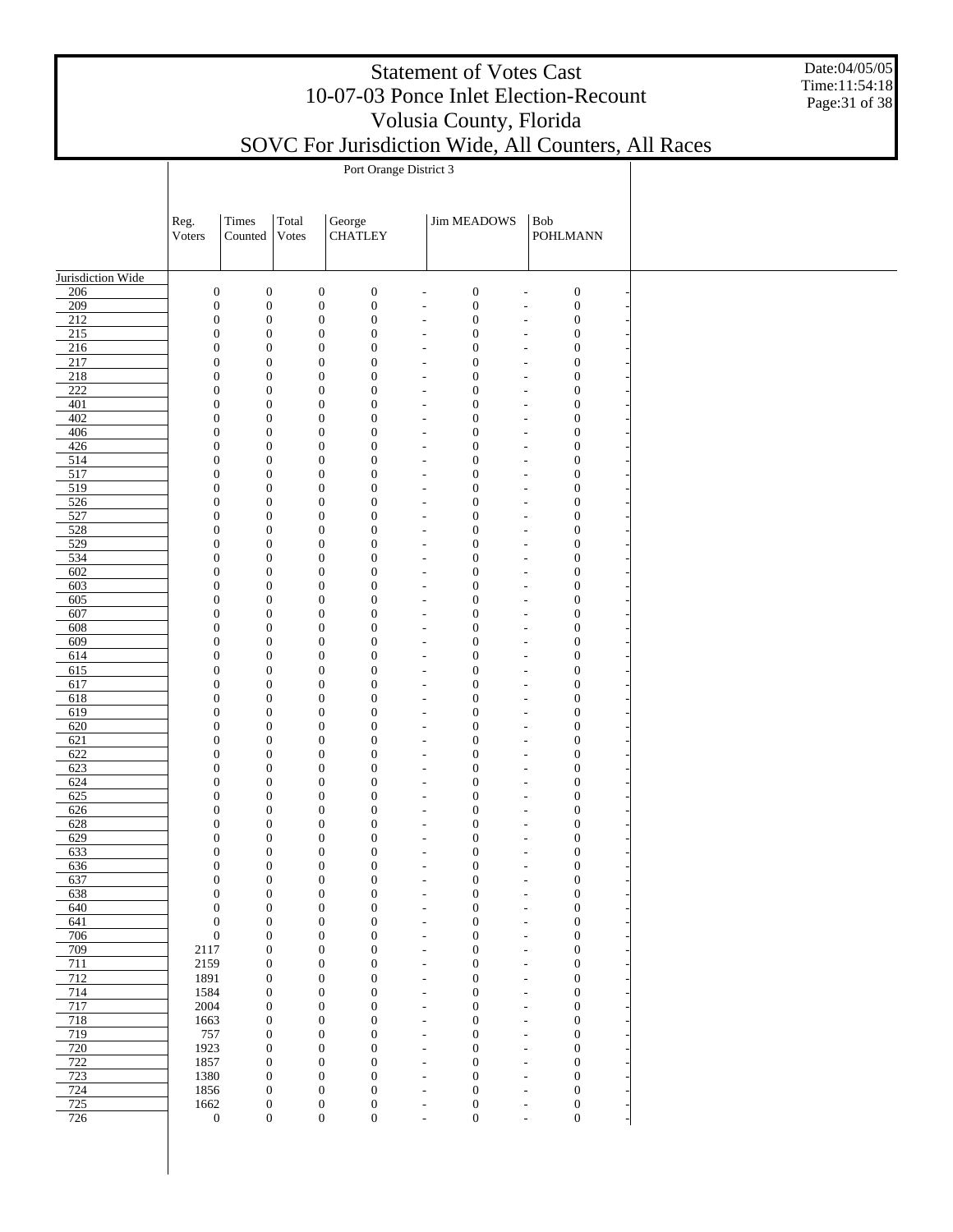Date:04/05/05 Time:11:54:18 Page:31 of 38

|                                      | Port Orange District 3           |                                      |                                      |        |                                      |                                                      |                              |                                                                                              |  |  |  |  |
|--------------------------------------|----------------------------------|--------------------------------------|--------------------------------------|--------|--------------------------------------|------------------------------------------------------|------------------------------|----------------------------------------------------------------------------------------------|--|--|--|--|
|                                      |                                  |                                      |                                      |        |                                      |                                                      |                              |                                                                                              |  |  |  |  |
|                                      | Reg.                             | Times                                | Total                                | George |                                      |                                                      | <b>Jim MEADOWS</b>           | Bob                                                                                          |  |  |  |  |
|                                      | Voters                           | Counted                              | Votes                                |        | <b>CHATLEY</b>                       |                                                      |                              | <b>POHLMANN</b>                                                                              |  |  |  |  |
|                                      |                                  |                                      |                                      |        |                                      |                                                      |                              |                                                                                              |  |  |  |  |
| Jurisdiction Wide                    |                                  |                                      |                                      |        |                                      |                                                      |                              |                                                                                              |  |  |  |  |
| 206                                  | $\boldsymbol{0}$                 | $\boldsymbol{0}$                     | $\boldsymbol{0}$                     |        | $\boldsymbol{0}$                     | $\overline{\phantom{a}}$                             | $\boldsymbol{0}$             | $\boldsymbol{0}$<br>$\overline{a}$                                                           |  |  |  |  |
| 209                                  | $\boldsymbol{0}$                 | $\boldsymbol{0}$                     | $\boldsymbol{0}$                     |        | $\boldsymbol{0}$                     | $\overline{\phantom{a}}$                             | $\boldsymbol{0}$             | $\boldsymbol{0}$<br>$\overline{\phantom{a}}$                                                 |  |  |  |  |
| $\overline{212}$<br>$\overline{215}$ | $\boldsymbol{0}$<br>$\mathbf{0}$ | $\boldsymbol{0}$<br>$\boldsymbol{0}$ | $\boldsymbol{0}$<br>$\boldsymbol{0}$ |        | $\boldsymbol{0}$<br>$\boldsymbol{0}$ | $\blacksquare$<br>$\overline{\phantom{a}}$           | $\mathbf{0}$<br>$\mathbf{0}$ | $\boldsymbol{0}$<br>$\overline{\phantom{a}}$<br>$\boldsymbol{0}$<br>$\overline{\phantom{a}}$ |  |  |  |  |
| 216                                  | $\mathbf{0}$                     | $\boldsymbol{0}$                     | $\boldsymbol{0}$                     |        | $\boldsymbol{0}$                     | $\overline{a}$                                       | $\mathbf{0}$                 | $\boldsymbol{0}$<br>$\overline{a}$                                                           |  |  |  |  |
| 217                                  | $\mathbf{0}$                     | $\boldsymbol{0}$                     | $\boldsymbol{0}$                     |        | $\boldsymbol{0}$                     | $\overline{\phantom{a}}$                             | $\mathbf{0}$                 | $\boldsymbol{0}$<br>$\overline{\phantom{a}}$                                                 |  |  |  |  |
| $\overline{218}$                     | $\mathbf{0}$                     | $\boldsymbol{0}$                     | $\boldsymbol{0}$                     |        | $\boldsymbol{0}$                     | $\overline{\phantom{a}}$                             | $\mathbf{0}$                 | $\boldsymbol{0}$<br>$\overline{\phantom{a}}$                                                 |  |  |  |  |
| $\overline{222}$<br>401              | $\mathbf{0}$<br>$\mathbf{0}$     | $\boldsymbol{0}$<br>$\boldsymbol{0}$ | $\mathbf{0}$<br>$\boldsymbol{0}$     |        | $\boldsymbol{0}$<br>$\boldsymbol{0}$ | $\overline{\phantom{a}}$<br>$\overline{a}$           | $\mathbf{0}$<br>$\mathbf{0}$ | $\boldsymbol{0}$<br>$\overline{\phantom{a}}$<br>$\boldsymbol{0}$<br>$\overline{a}$           |  |  |  |  |
| 402                                  | $\mathbf{0}$                     | $\boldsymbol{0}$                     | $\boldsymbol{0}$                     |        | $\boldsymbol{0}$                     | $\overline{\phantom{a}}$                             | $\mathbf{0}$                 | $\boldsymbol{0}$<br>$\overline{\phantom{a}}$                                                 |  |  |  |  |
| 406                                  | $\mathbf{0}$                     | $\boldsymbol{0}$                     | $\boldsymbol{0}$                     |        | $\boldsymbol{0}$                     | $\overline{\phantom{a}}$                             | $\mathbf{0}$                 | $\boldsymbol{0}$<br>$\overline{\phantom{a}}$                                                 |  |  |  |  |
| 426                                  | $\mathbf{0}$                     | $\boldsymbol{0}$                     | $\boldsymbol{0}$                     |        | $\boldsymbol{0}$                     | $\overline{\phantom{a}}$                             | $\mathbf{0}$                 | $\boldsymbol{0}$<br>$\overline{\phantom{a}}$                                                 |  |  |  |  |
| 514                                  | $\mathbf{0}$                     | $\boldsymbol{0}$                     | $\boldsymbol{0}$                     |        | $\boldsymbol{0}$                     | $\overline{a}$                                       | $\mathbf{0}$                 | $\boldsymbol{0}$<br>$\overline{a}$                                                           |  |  |  |  |
| 517<br>519                           | $\mathbf{0}$<br>$\mathbf{0}$     | $\boldsymbol{0}$<br>$\boldsymbol{0}$ | $\boldsymbol{0}$<br>$\boldsymbol{0}$ |        | $\boldsymbol{0}$<br>$\boldsymbol{0}$ | $\overline{\phantom{a}}$<br>$\overline{\phantom{a}}$ | $\mathbf{0}$<br>$\mathbf{0}$ | $\boldsymbol{0}$<br>$\overline{\phantom{a}}$<br>$\boldsymbol{0}$<br>$\overline{a}$           |  |  |  |  |
| 526                                  | $\mathbf{0}$                     | $\boldsymbol{0}$                     | $\mathbf{0}$                         |        | $\boldsymbol{0}$                     | $\overline{\phantom{a}}$                             | $\mathbf{0}$                 | $\boldsymbol{0}$<br>$\overline{\phantom{a}}$                                                 |  |  |  |  |
| 527                                  | $\mathbf{0}$                     | $\boldsymbol{0}$                     | $\boldsymbol{0}$                     |        | $\boldsymbol{0}$                     | $\overline{a}$                                       | $\mathbf{0}$                 | $\boldsymbol{0}$<br>$\overline{a}$                                                           |  |  |  |  |
| 528                                  | $\mathbf{0}$                     | $\boldsymbol{0}$                     | $\boldsymbol{0}$                     |        | $\boldsymbol{0}$                     | $\overline{\phantom{a}}$                             | $\mathbf{0}$                 | $\boldsymbol{0}$<br>$\overline{\phantom{a}}$                                                 |  |  |  |  |
| $\overline{529}$<br>534              | $\mathbf{0}$<br>$\mathbf{0}$     | $\boldsymbol{0}$<br>$\boldsymbol{0}$ | $\boldsymbol{0}$<br>$\boldsymbol{0}$ |        | $\boldsymbol{0}$<br>$\boldsymbol{0}$ | $\overline{\phantom{a}}$<br>$\overline{\phantom{a}}$ | $\mathbf{0}$<br>$\mathbf{0}$ | $\boldsymbol{0}$<br>$\overline{\phantom{a}}$<br>$\boldsymbol{0}$<br>$\overline{\phantom{a}}$ |  |  |  |  |
| 602                                  | $\mathbf{0}$                     | $\boldsymbol{0}$                     | $\boldsymbol{0}$                     |        | $\boldsymbol{0}$                     | $\overline{a}$                                       | $\mathbf{0}$                 | $\boldsymbol{0}$<br>$\overline{a}$                                                           |  |  |  |  |
| 603                                  | $\mathbf{0}$                     | $\boldsymbol{0}$                     | $\boldsymbol{0}$                     |        | $\boldsymbol{0}$                     | $\overline{\phantom{a}}$                             | $\mathbf{0}$                 | $\boldsymbol{0}$<br>$\overline{\phantom{a}}$                                                 |  |  |  |  |
| 605                                  | $\mathbf{0}$                     | $\boldsymbol{0}$                     | $\boldsymbol{0}$                     |        | $\boldsymbol{0}$                     | $\overline{\phantom{a}}$                             | $\mathbf{0}$                 | $\boldsymbol{0}$<br>$\overline{a}$                                                           |  |  |  |  |
| 607<br>608                           | $\mathbf{0}$<br>$\mathbf{0}$     | $\boldsymbol{0}$<br>$\boldsymbol{0}$ | $\boldsymbol{0}$<br>$\boldsymbol{0}$ |        | $\boldsymbol{0}$<br>$\boldsymbol{0}$ | $\overline{\phantom{a}}$                             | $\mathbf{0}$<br>$\mathbf{0}$ | $\boldsymbol{0}$<br>$\overline{\phantom{a}}$<br>$\boldsymbol{0}$                             |  |  |  |  |
| 609                                  | $\mathbf{0}$                     | $\boldsymbol{0}$                     | $\boldsymbol{0}$                     |        | $\boldsymbol{0}$                     | $\overline{\phantom{a}}$<br>$\overline{\phantom{a}}$ | $\mathbf{0}$                 | $\overline{a}$<br>$\boldsymbol{0}$<br>$\overline{\phantom{a}}$                               |  |  |  |  |
| 614                                  | $\mathbf{0}$                     | $\boldsymbol{0}$                     | $\boldsymbol{0}$                     |        | $\boldsymbol{0}$                     | $\overline{\phantom{a}}$                             | $\mathbf{0}$                 | $\boldsymbol{0}$<br>$\overline{\phantom{a}}$                                                 |  |  |  |  |
| 615                                  | $\mathbf{0}$                     | $\boldsymbol{0}$                     | $\boldsymbol{0}$                     |        | $\boldsymbol{0}$                     | $\overline{\phantom{a}}$                             | $\mathbf{0}$                 | $\boldsymbol{0}$<br>$\overline{\phantom{a}}$                                                 |  |  |  |  |
| 617                                  | $\mathbf{0}$                     | $\boldsymbol{0}$                     | $\boldsymbol{0}$                     |        | $\boldsymbol{0}$                     | $\overline{a}$                                       | $\mathbf{0}$                 | $\boldsymbol{0}$<br>$\overline{a}$                                                           |  |  |  |  |
| 618<br>619                           | $\mathbf{0}$<br>$\mathbf{0}$     | $\boldsymbol{0}$<br>$\boldsymbol{0}$ | $\boldsymbol{0}$<br>$\boldsymbol{0}$ |        | $\boldsymbol{0}$<br>$\boldsymbol{0}$ | $\overline{\phantom{a}}$<br>$\overline{\phantom{a}}$ | $\mathbf{0}$<br>$\mathbf{0}$ | $\boldsymbol{0}$<br>$\overline{\phantom{a}}$<br>$\boldsymbol{0}$<br>$\overline{\phantom{a}}$ |  |  |  |  |
| 620                                  | $\mathbf{0}$                     | $\boldsymbol{0}$                     | $\boldsymbol{0}$                     |        | $\boldsymbol{0}$                     | $\overline{\phantom{a}}$                             | $\mathbf{0}$                 | $\boldsymbol{0}$<br>$\overline{\phantom{a}}$                                                 |  |  |  |  |
| 621                                  | $\mathbf{0}$                     | $\boldsymbol{0}$                     | $\boldsymbol{0}$                     |        | $\boldsymbol{0}$                     | $\overline{a}$                                       | $\mathbf{0}$                 | $\boldsymbol{0}$<br>$\overline{a}$                                                           |  |  |  |  |
| 622                                  | $\mathbf{0}$                     | $\boldsymbol{0}$                     | $\boldsymbol{0}$                     |        | $\boldsymbol{0}$                     | $\overline{\phantom{a}}$                             | $\mathbf{0}$                 | $\boldsymbol{0}$<br>$\overline{\phantom{a}}$                                                 |  |  |  |  |
| 623                                  | $\mathbf{0}$                     | $\boldsymbol{0}$                     | $\boldsymbol{0}$                     |        | $\boldsymbol{0}$                     | $\overline{\phantom{a}}$                             | $\mathbf{0}$                 | $\boldsymbol{0}$<br>$\overline{a}$                                                           |  |  |  |  |
| 624<br>625                           | $\mathbf{0}$<br>$\mathbf{0}$     | $\boldsymbol{0}$<br>$\boldsymbol{0}$ | $\boldsymbol{0}$<br>$\boldsymbol{0}$ |        | $\boldsymbol{0}$<br>$\boldsymbol{0}$ | $\overline{\phantom{a}}$<br>$\overline{\phantom{a}}$ | $\mathbf{0}$<br>$\mathbf{0}$ | $\boldsymbol{0}$<br>$\overline{\phantom{a}}$<br>$\boldsymbol{0}$<br>$\overline{a}$           |  |  |  |  |
| 626                                  | $\mathbf{0}$                     | $\boldsymbol{0}$                     | $\boldsymbol{0}$                     |        | $\boldsymbol{0}$                     | $\overline{\phantom{a}}$                             | $\mathbf{0}$                 | $\boldsymbol{0}$<br>$\overline{\phantom{a}}$                                                 |  |  |  |  |
| 628                                  | $\boldsymbol{0}$                 | $\boldsymbol{0}$                     | $\boldsymbol{0}$                     |        | $\boldsymbol{0}$                     | $\overline{\phantom{a}}$                             | $\mathbf{0}$                 | $\boldsymbol{0}$<br>$\overline{\phantom{a}}$                                                 |  |  |  |  |
| 629                                  | $\mathbf{0}$                     | $\boldsymbol{0}$                     | $\boldsymbol{0}$                     |        | $\boldsymbol{0}$                     | $\overline{\phantom{a}}$                             | $\mathbf{0}$                 | $\boldsymbol{0}$<br>$\overline{\phantom{a}}$                                                 |  |  |  |  |
| 633<br>636                           | $\mathbf{0}$<br>$\mathbf{0}$     | $\boldsymbol{0}$<br>$\boldsymbol{0}$ | $\boldsymbol{0}$<br>$\boldsymbol{0}$ |        | $\boldsymbol{0}$<br>$\boldsymbol{0}$ | $\overline{a}$<br>$\overline{\phantom{m}}$           | $\mathbf{0}$<br>$\mathbf{0}$ | $\boldsymbol{0}$<br>$\overline{\phantom{a}}$<br>$\boldsymbol{0}$<br>$\overline{\phantom{a}}$ |  |  |  |  |
| 637                                  | $\mathbf{0}$                     | $\boldsymbol{0}$                     | $\boldsymbol{0}$                     |        | $\boldsymbol{0}$                     | $\overline{a}$                                       | $\mathbf{0}$                 | $\mathbf{0}$<br>$\overline{\phantom{a}}$                                                     |  |  |  |  |
| 638                                  | $\mathbf{0}$                     | $\boldsymbol{0}$                     | $\boldsymbol{0}$                     |        | $\boldsymbol{0}$                     | $\overline{\phantom{a}}$                             | $\mathbf{0}$                 | $\mathbf{0}$<br>$\overline{\phantom{a}}$                                                     |  |  |  |  |
| 640                                  | $\mathbf{0}$                     | $\boldsymbol{0}$                     | $\boldsymbol{0}$                     |        | $\boldsymbol{0}$                     | $\overline{\phantom{a}}$                             | $\mathbf{0}$                 | $\mathbf{0}$<br>$\overline{\phantom{a}}$                                                     |  |  |  |  |
| 641                                  | $\mathbf{0}$                     | $\boldsymbol{0}$                     | $\boldsymbol{0}$                     |        | $\boldsymbol{0}$                     | $\overline{\phantom{a}}$                             | $\mathbf{0}$                 | $\mathbf{0}$<br>$\overline{\phantom{a}}$                                                     |  |  |  |  |
| 706<br>709                           | $\mathbf{0}$<br>2117             | $\boldsymbol{0}$<br>$\boldsymbol{0}$ | $\boldsymbol{0}$<br>$\boldsymbol{0}$ |        | $\boldsymbol{0}$<br>$\boldsymbol{0}$ | $\overline{a}$<br>$\overline{\phantom{a}}$           | $\mathbf{0}$<br>$\mathbf{0}$ | $\boldsymbol{0}$<br>$\overline{a}$<br>$\boldsymbol{0}$<br>$\overline{\phantom{a}}$           |  |  |  |  |
| 711                                  | 2159                             | $\boldsymbol{0}$                     | $\boldsymbol{0}$                     |        | $\boldsymbol{0}$                     | $\overline{\phantom{a}}$                             | $\mathbf{0}$                 | $\boldsymbol{0}$<br>$\overline{\phantom{a}}$                                                 |  |  |  |  |
| 712                                  | 1891                             | $\mathbf{0}$                         | $\boldsymbol{0}$                     |        | $\boldsymbol{0}$                     | $\overline{\phantom{a}}$                             | $\mathbf{0}$                 | $\mathbf{0}$<br>$\overline{\phantom{a}}$                                                     |  |  |  |  |
| 714                                  | 1584                             | $\boldsymbol{0}$                     | $\boldsymbol{0}$                     |        | $\boldsymbol{0}$                     | $\overline{a}$                                       | $\mathbf{0}$                 | $\boldsymbol{0}$<br>$\overline{a}$                                                           |  |  |  |  |
| 717                                  | 2004                             | $\mathbf{0}$                         | $\boldsymbol{0}$                     |        | $\boldsymbol{0}$                     | $\overline{\phantom{a}}$                             | $\mathbf{0}$                 | $\mathbf{0}$<br>$\overline{\phantom{a}}$                                                     |  |  |  |  |
| 718<br>719                           | 1663<br>757                      | $\boldsymbol{0}$<br>$\boldsymbol{0}$ | $\boldsymbol{0}$<br>$\boldsymbol{0}$ |        | $\boldsymbol{0}$<br>$\boldsymbol{0}$ | $\overline{\phantom{a}}$<br>$\overline{\phantom{a}}$ | $\mathbf{0}$<br>$\mathbf{0}$ | $\boldsymbol{0}$<br>$\overline{\phantom{a}}$<br>$\boldsymbol{0}$<br>$\overline{\phantom{a}}$ |  |  |  |  |
| 720                                  | 1923                             | $\boldsymbol{0}$                     | $\boldsymbol{0}$                     |        | $\boldsymbol{0}$                     | $\overline{a}$                                       | $\mathbf{0}$                 | $\boldsymbol{0}$<br>$\overline{a}$                                                           |  |  |  |  |
| 722                                  | 1857                             | $\mathbf{0}$                         | $\boldsymbol{0}$                     |        | $\boldsymbol{0}$                     | $\overline{\phantom{a}}$                             | $\mathbf{0}$                 | $\mathbf{0}$<br>$\overline{\phantom{a}}$                                                     |  |  |  |  |
| 723                                  | 1380                             | $\mathbf{0}$                         | $\boldsymbol{0}$                     |        | $\boldsymbol{0}$                     | $\overline{\phantom{a}}$                             | $\mathbf{0}$                 | $\mathbf{0}$<br>$\overline{\phantom{a}}$                                                     |  |  |  |  |
| 724<br>725                           | 1856<br>1662                     | $\mathbf{0}$<br>$\boldsymbol{0}$     | $\boldsymbol{0}$<br>$\boldsymbol{0}$ |        | $\boldsymbol{0}$<br>$\boldsymbol{0}$ | $\overline{\phantom{a}}$<br>$\overline{a}$           | $\mathbf{0}$<br>$\mathbf{0}$ | $\mathbf{0}$<br>$\overline{\phantom{a}}$<br>$\boldsymbol{0}$                                 |  |  |  |  |
| 726                                  | $\boldsymbol{0}$                 | $\boldsymbol{0}$                     | $\boldsymbol{0}$                     |        | $\boldsymbol{0}$                     | $\overline{\phantom{m}}$                             | $\mathbf{0}$                 | $\overline{a}$<br>$\boldsymbol{0}$<br>$\overline{\phantom{a}}$                               |  |  |  |  |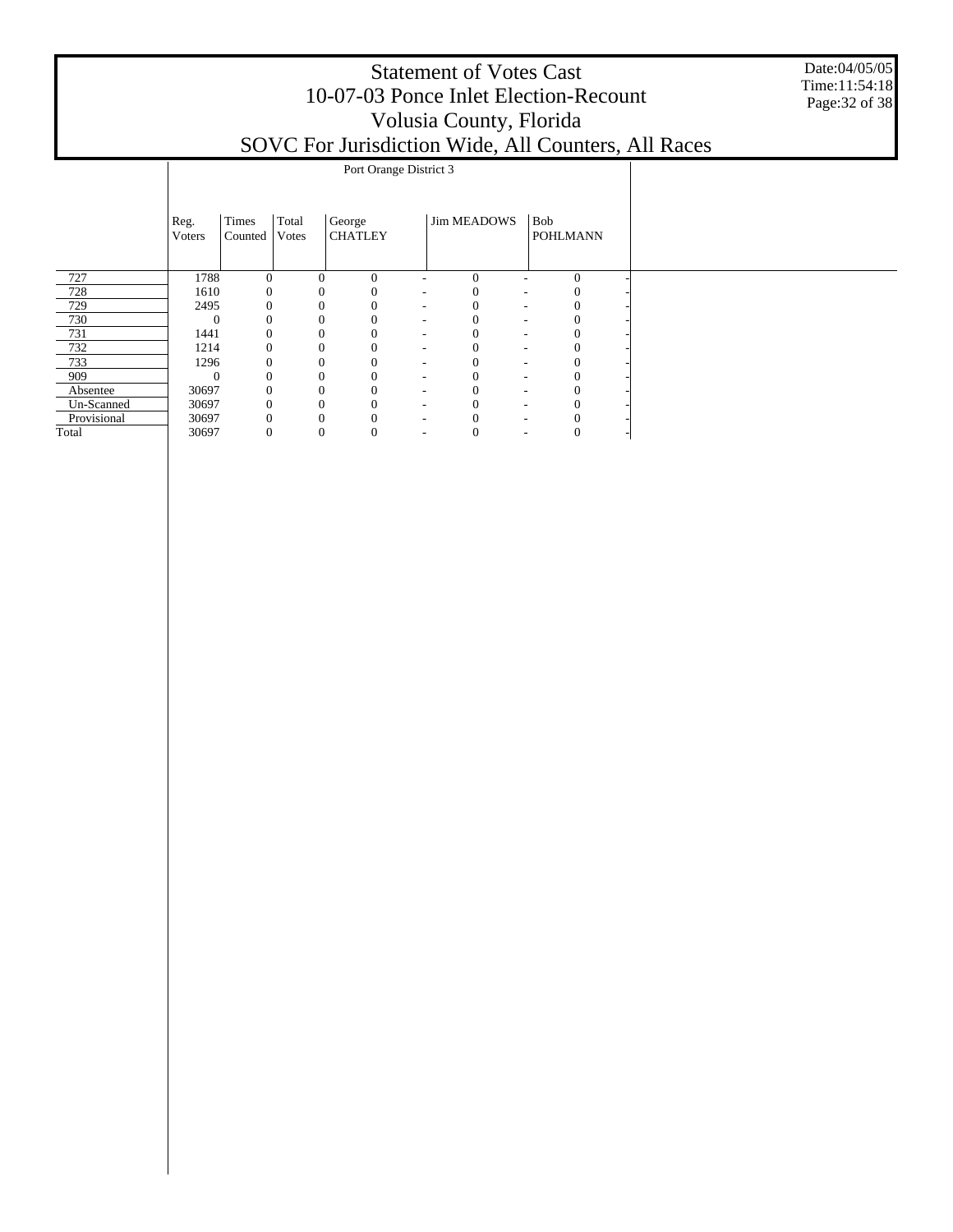|             | <b>Statement of Votes Cast</b><br>10-07-03 Ponce Inlet Election-Recount<br>Volusia County, Florida<br>SOVC For Jurisdiction Wide, All Counters, All Races |                  |                |                          |  |                    |                               |          |  |  |  |  |  |  |
|-------------|-----------------------------------------------------------------------------------------------------------------------------------------------------------|------------------|----------------|--------------------------|--|--------------------|-------------------------------|----------|--|--|--|--|--|--|
|             |                                                                                                                                                           |                  |                |                          |  |                    |                               |          |  |  |  |  |  |  |
|             | Reg.<br><b>Voters</b>                                                                                                                                     | Times<br>Counted | Total<br>Votes | George<br><b>CHATLEY</b> |  | <b>Jim MEADOWS</b> | <b>Bob</b><br><b>POHLMANN</b> |          |  |  |  |  |  |  |
| 727         | 1788                                                                                                                                                      | $\Omega$         |                | $\Omega$                 |  | $\Omega$           |                               | $\Omega$ |  |  |  |  |  |  |
| 728         | 1610                                                                                                                                                      |                  |                | 0                        |  |                    |                               |          |  |  |  |  |  |  |
| 729         | 2495                                                                                                                                                      |                  |                | 0                        |  |                    |                               |          |  |  |  |  |  |  |
| 730         | $\Omega$                                                                                                                                                  |                  |                | 0                        |  |                    |                               |          |  |  |  |  |  |  |
| 731         | 1441                                                                                                                                                      | $\Omega$         |                | 0                        |  |                    |                               |          |  |  |  |  |  |  |
| 732         | 1214                                                                                                                                                      | $\Omega$         |                | $\Omega$                 |  |                    |                               |          |  |  |  |  |  |  |
| 733         | 1296                                                                                                                                                      | 0                |                | $\Omega$                 |  |                    |                               |          |  |  |  |  |  |  |
| 909         | $\Omega$                                                                                                                                                  | $\Omega$         |                | $\theta$                 |  |                    |                               |          |  |  |  |  |  |  |
| Absentee    | 30697                                                                                                                                                     |                  |                | $\theta$                 |  |                    |                               |          |  |  |  |  |  |  |
| Un-Scanned  | 30697                                                                                                                                                     |                  |                | 0                        |  |                    |                               |          |  |  |  |  |  |  |
| Provisional | 30697                                                                                                                                                     | 0                |                | 0                        |  |                    |                               |          |  |  |  |  |  |  |

30697 0 0 0 - 0 - 0 -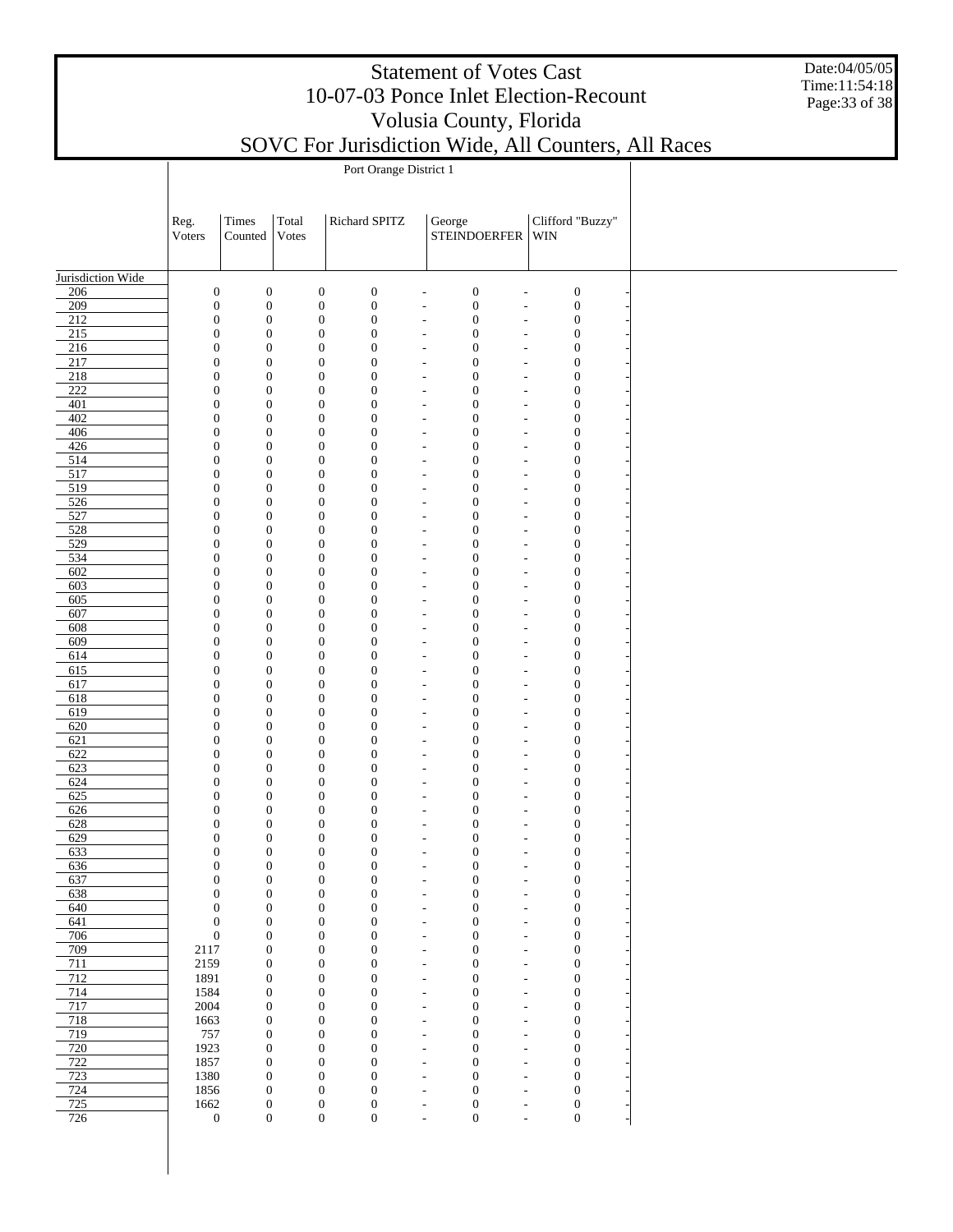Date:04/05/05 Time:11:54:18 Page:33 of 38

|                                      | Port Orange District 1               |                                      |       |                                                                              |                                  |                                                                                              |                                      |  |  |  |  |  |
|--------------------------------------|--------------------------------------|--------------------------------------|-------|------------------------------------------------------------------------------|----------------------------------|----------------------------------------------------------------------------------------------|--------------------------------------|--|--|--|--|--|
|                                      |                                      |                                      |       |                                                                              |                                  |                                                                                              |                                      |  |  |  |  |  |
|                                      |                                      |                                      |       |                                                                              |                                  |                                                                                              |                                      |  |  |  |  |  |
|                                      | Reg.                                 | Times                                | Total | Richard SPITZ                                                                |                                  | George                                                                                       | Clifford "Buzzy"                     |  |  |  |  |  |
|                                      | Voters                               | Counted                              | Votes |                                                                              |                                  | <b>STEINDOERFER</b>                                                                          | WIN                                  |  |  |  |  |  |
|                                      |                                      |                                      |       |                                                                              |                                  |                                                                                              |                                      |  |  |  |  |  |
| Jurisdiction Wide                    |                                      |                                      |       |                                                                              |                                  |                                                                                              |                                      |  |  |  |  |  |
| 206                                  | $\boldsymbol{0}$                     | $\boldsymbol{0}$                     |       | $\boldsymbol{0}$<br>$\boldsymbol{0}$                                         | ٠                                | $\boldsymbol{0}$<br>$\overline{\phantom{a}}$                                                 | $\boldsymbol{0}$                     |  |  |  |  |  |
| $\overline{209}$                     | $\boldsymbol{0}$                     | $\boldsymbol{0}$                     |       | $\boldsymbol{0}$<br>$\boldsymbol{0}$                                         |                                  | $\boldsymbol{0}$<br>$\overline{\phantom{a}}$<br>$\overline{a}$                               | $\boldsymbol{0}$                     |  |  |  |  |  |
| $\overline{212}$                     | $\boldsymbol{0}$                     | $\boldsymbol{0}$                     |       | $\boldsymbol{0}$<br>$\boldsymbol{0}$                                         |                                  | $\boldsymbol{0}$<br>$\overline{\phantom{a}}$<br>$\overline{\phantom{a}}$                     | $\boldsymbol{0}$                     |  |  |  |  |  |
| $215$                                | $\boldsymbol{0}$                     | $\boldsymbol{0}$                     |       | $\boldsymbol{0}$<br>$\boldsymbol{0}$                                         | $\overline{\phantom{a}}$         | $\boldsymbol{0}$<br>$\overline{\phantom{a}}$                                                 | $\boldsymbol{0}$                     |  |  |  |  |  |
| 216                                  | $\boldsymbol{0}$                     | $\boldsymbol{0}$                     |       | $\boldsymbol{0}$<br>$\boldsymbol{0}$                                         | $\overline{a}$                   | $\boldsymbol{0}$<br>$\overline{a}$                                                           | $\boldsymbol{0}$                     |  |  |  |  |  |
| 217                                  | $\boldsymbol{0}$                     | $\boldsymbol{0}$                     |       | $\boldsymbol{0}$<br>$\boldsymbol{0}$                                         | $\overline{a}$                   | $\boldsymbol{0}$<br>$\overline{a}$                                                           | $\boldsymbol{0}$                     |  |  |  |  |  |
| $\overline{218}$<br>$\overline{222}$ | $\boldsymbol{0}$<br>$\boldsymbol{0}$ | $\boldsymbol{0}$<br>$\boldsymbol{0}$ |       | $\boldsymbol{0}$<br>$\boldsymbol{0}$<br>$\boldsymbol{0}$<br>$\boldsymbol{0}$ | $\overline{a}$<br>$\overline{a}$ | $\boldsymbol{0}$<br>$\overline{a}$<br>$\boldsymbol{0}$<br>$\overline{a}$                     | $\boldsymbol{0}$<br>$\boldsymbol{0}$ |  |  |  |  |  |
| 401                                  | $\boldsymbol{0}$                     | $\boldsymbol{0}$                     |       | $\boldsymbol{0}$<br>$\boldsymbol{0}$                                         | $\overline{a}$                   | $\boldsymbol{0}$<br>$\overline{a}$                                                           | $\boldsymbol{0}$                     |  |  |  |  |  |
| 402                                  | $\boldsymbol{0}$                     | $\boldsymbol{0}$                     |       | $\boldsymbol{0}$<br>$\boldsymbol{0}$                                         | $\overline{a}$                   | $\boldsymbol{0}$<br>$\overline{\phantom{a}}$                                                 | $\boldsymbol{0}$                     |  |  |  |  |  |
| 406                                  | $\boldsymbol{0}$                     | $\boldsymbol{0}$                     |       | $\boldsymbol{0}$<br>$\boldsymbol{0}$                                         |                                  | $\boldsymbol{0}$<br>$\overline{\phantom{a}}$<br>$\overline{\phantom{a}}$                     | $\boldsymbol{0}$                     |  |  |  |  |  |
| 426                                  | $\boldsymbol{0}$                     | $\boldsymbol{0}$                     |       | $\boldsymbol{0}$<br>$\boldsymbol{0}$                                         | $\overline{\phantom{a}}$         | $\boldsymbol{0}$<br>$\overline{\phantom{a}}$                                                 | $\boldsymbol{0}$                     |  |  |  |  |  |
| 514                                  | $\boldsymbol{0}$                     | $\boldsymbol{0}$                     |       | $\boldsymbol{0}$<br>$\boldsymbol{0}$                                         | $\overline{\phantom{a}}$         | $\boldsymbol{0}$<br>$\overline{\phantom{a}}$                                                 | $\boldsymbol{0}$                     |  |  |  |  |  |
| 517                                  | $\boldsymbol{0}$                     | $\boldsymbol{0}$                     |       | $\boldsymbol{0}$<br>$\boldsymbol{0}$                                         | $\overline{\phantom{a}}$         | $\boldsymbol{0}$<br>$\overline{\phantom{a}}$                                                 | $\boldsymbol{0}$                     |  |  |  |  |  |
| 519                                  | $\boldsymbol{0}$                     | $\boldsymbol{0}$                     |       | $\boldsymbol{0}$<br>$\boldsymbol{0}$                                         | $\overline{a}$                   | $\boldsymbol{0}$<br>$\overline{\phantom{a}}$                                                 | $\boldsymbol{0}$                     |  |  |  |  |  |
| 526                                  | $\boldsymbol{0}$                     | $\boldsymbol{0}$<br>$\boldsymbol{0}$ |       | $\boldsymbol{0}$<br>$\boldsymbol{0}$<br>$\boldsymbol{0}$                     | $\overline{a}$                   | $\boldsymbol{0}$<br>$\overline{\phantom{a}}$                                                 | $\boldsymbol{0}$                     |  |  |  |  |  |
| 527<br>528                           | $\boldsymbol{0}$<br>$\boldsymbol{0}$ | $\boldsymbol{0}$                     |       | $\boldsymbol{0}$<br>$\boldsymbol{0}$<br>$\boldsymbol{0}$                     | $\overline{a}$<br>$\overline{a}$ | $\boldsymbol{0}$<br>$\overline{a}$<br>$\boldsymbol{0}$<br>$\overline{a}$                     | $\boldsymbol{0}$<br>$\boldsymbol{0}$ |  |  |  |  |  |
| 529                                  | $\boldsymbol{0}$                     | $\boldsymbol{0}$                     |       | $\boldsymbol{0}$<br>$\boldsymbol{0}$                                         | $\overline{a}$                   | $\boldsymbol{0}$<br>$\overline{a}$                                                           | $\boldsymbol{0}$                     |  |  |  |  |  |
| 534                                  | $\boldsymbol{0}$                     | $\boldsymbol{0}$                     |       | $\boldsymbol{0}$<br>$\boldsymbol{0}$                                         | $\overline{a}$                   | $\boldsymbol{0}$<br>$\overline{\phantom{a}}$                                                 | $\boldsymbol{0}$                     |  |  |  |  |  |
| 602                                  | $\boldsymbol{0}$                     | $\boldsymbol{0}$                     |       | $\boldsymbol{0}$<br>$\boldsymbol{0}$                                         | $\overline{a}$                   | $\boldsymbol{0}$<br>$\overline{\phantom{a}}$                                                 | $\boldsymbol{0}$                     |  |  |  |  |  |
| 603                                  | $\boldsymbol{0}$                     | $\boldsymbol{0}$                     |       | $\boldsymbol{0}$<br>$\boldsymbol{0}$                                         | $\overline{\phantom{a}}$         | $\boldsymbol{0}$<br>$\overline{\phantom{a}}$                                                 | $\boldsymbol{0}$                     |  |  |  |  |  |
| 605                                  | $\boldsymbol{0}$                     | $\boldsymbol{0}$                     |       | $\boldsymbol{0}$<br>$\boldsymbol{0}$                                         | $\overline{\phantom{a}}$         | $\boldsymbol{0}$<br>$\overline{\phantom{a}}$                                                 | $\boldsymbol{0}$                     |  |  |  |  |  |
| 607                                  | $\boldsymbol{0}$                     | $\boldsymbol{0}$                     |       | $\boldsymbol{0}$<br>$\boldsymbol{0}$                                         | $\overline{\phantom{a}}$         | $\boldsymbol{0}$<br>$\overline{\phantom{a}}$                                                 | $\boldsymbol{0}$                     |  |  |  |  |  |
| 608                                  | $\boldsymbol{0}$                     | $\boldsymbol{0}$                     |       | $\boldsymbol{0}$<br>$\boldsymbol{0}$                                         | $\overline{a}$                   | $\boldsymbol{0}$<br>$\overline{a}$                                                           | $\boldsymbol{0}$                     |  |  |  |  |  |
| 609                                  | $\boldsymbol{0}$                     | $\boldsymbol{0}$                     |       | $\boldsymbol{0}$<br>$\boldsymbol{0}$                                         | $\overline{a}$                   | $\boldsymbol{0}$<br>$\overline{a}$                                                           | $\boldsymbol{0}$                     |  |  |  |  |  |
| 614<br>615                           | $\boldsymbol{0}$<br>$\boldsymbol{0}$ | $\boldsymbol{0}$<br>$\boldsymbol{0}$ |       | $\boldsymbol{0}$<br>$\boldsymbol{0}$<br>$\boldsymbol{0}$<br>$\boldsymbol{0}$ | $\overline{a}$<br>$\overline{a}$ | $\boldsymbol{0}$<br>$\overline{a}$<br>$\boldsymbol{0}$<br>$\overline{a}$                     | $\boldsymbol{0}$<br>$\boldsymbol{0}$ |  |  |  |  |  |
| 617                                  | $\boldsymbol{0}$                     | $\boldsymbol{0}$                     |       | $\boldsymbol{0}$<br>$\boldsymbol{0}$                                         | $\overline{a}$                   | $\boldsymbol{0}$<br>$\overline{a}$                                                           | $\boldsymbol{0}$                     |  |  |  |  |  |
| 618                                  | $\boldsymbol{0}$                     | $\boldsymbol{0}$                     |       | $\boldsymbol{0}$<br>$\boldsymbol{0}$                                         | $\overline{a}$                   | $\boldsymbol{0}$<br>$\overline{\phantom{a}}$                                                 | $\boldsymbol{0}$                     |  |  |  |  |  |
| 619                                  | $\boldsymbol{0}$                     | $\boldsymbol{0}$                     |       | $\boldsymbol{0}$<br>$\boldsymbol{0}$                                         | $\overline{a}$                   | $\boldsymbol{0}$<br>$\overline{\phantom{a}}$                                                 | $\boldsymbol{0}$                     |  |  |  |  |  |
| 620                                  | $\boldsymbol{0}$                     | $\boldsymbol{0}$                     |       | $\boldsymbol{0}$<br>$\boldsymbol{0}$                                         | $\overline{\phantom{a}}$         | $\boldsymbol{0}$<br>$\overline{\phantom{a}}$                                                 | $\boldsymbol{0}$                     |  |  |  |  |  |
| 621                                  | $\boldsymbol{0}$                     | $\boldsymbol{0}$                     |       | $\boldsymbol{0}$<br>$\boldsymbol{0}$                                         | $\overline{\phantom{a}}$         | $\boldsymbol{0}$<br>$\overline{\phantom{a}}$                                                 | $\boldsymbol{0}$                     |  |  |  |  |  |
| 622                                  | $\boldsymbol{0}$                     | $\boldsymbol{0}$                     |       | $\boldsymbol{0}$<br>$\boldsymbol{0}$                                         | $\overline{\phantom{a}}$         | $\boldsymbol{0}$<br>$\overline{\phantom{a}}$                                                 | $\boldsymbol{0}$                     |  |  |  |  |  |
| 623                                  | $\boldsymbol{0}$                     | $\boldsymbol{0}$                     |       | $\boldsymbol{0}$<br>$\boldsymbol{0}$                                         | $\overline{a}$                   | $\boldsymbol{0}$<br>$\overline{a}$                                                           | $\boldsymbol{0}$                     |  |  |  |  |  |
| 624                                  | $\boldsymbol{0}$                     | $\boldsymbol{0}$                     |       | $\boldsymbol{0}$<br>$\boldsymbol{0}$                                         | $\overline{a}$                   | $\boldsymbol{0}$<br>$\overline{a}$                                                           | $\boldsymbol{0}$                     |  |  |  |  |  |
| 625                                  | $\boldsymbol{0}$                     | $\boldsymbol{0}$                     |       | $\boldsymbol{0}$<br>$\boldsymbol{0}$                                         | $\overline{a}$                   | $\boldsymbol{0}$<br>$\overline{a}$                                                           | $\boldsymbol{0}$                     |  |  |  |  |  |
| 626<br>628                           | $\boldsymbol{0}$<br>$\boldsymbol{0}$ | $\boldsymbol{0}$<br>$\boldsymbol{0}$ |       | $\boldsymbol{0}$<br>$\boldsymbol{0}$<br>$\boldsymbol{0}$<br>$\boldsymbol{0}$ | $\overline{a}$<br>$\overline{a}$ | $\boldsymbol{0}$<br>$\overline{a}$<br>$\boldsymbol{0}$<br>$\overline{a}$                     | $\boldsymbol{0}$<br>$\boldsymbol{0}$ |  |  |  |  |  |
| 629                                  | $\boldsymbol{0}$                     | $\boldsymbol{0}$                     |       | $\boldsymbol{0}$<br>$\boldsymbol{0}$                                         | $\overline{\phantom{a}}$         | $\boldsymbol{0}$<br>$\overline{\phantom{a}}$                                                 | $\boldsymbol{0}$                     |  |  |  |  |  |
| 633                                  | $\boldsymbol{0}$                     | $\boldsymbol{0}$                     |       | $\boldsymbol{0}$<br>$\boldsymbol{0}$                                         | $\overline{a}$                   | $\boldsymbol{0}$<br>$\overline{\phantom{a}}$                                                 | $\boldsymbol{0}$                     |  |  |  |  |  |
| 636                                  | $\boldsymbol{0}$                     | 0                                    |       | $\bf{0}$<br>$\boldsymbol{0}$                                                 |                                  | $\bf{0}$<br>$\overline{\phantom{a}}$                                                         | 0                                    |  |  |  |  |  |
| 637                                  | $\boldsymbol{0}$                     | $\boldsymbol{0}$                     |       | $\boldsymbol{0}$<br>$\boldsymbol{0}$                                         | ٠                                | $\boldsymbol{0}$<br>$\overline{\phantom{a}}$                                                 | $\boldsymbol{0}$                     |  |  |  |  |  |
| 638                                  | $\boldsymbol{0}$                     | $\boldsymbol{0}$                     |       | $\boldsymbol{0}$<br>$\boldsymbol{0}$                                         | $\overline{\phantom{a}}$         | $\boldsymbol{0}$<br>$\overline{\phantom{a}}$                                                 | $\boldsymbol{0}$                     |  |  |  |  |  |
| 640                                  | $\boldsymbol{0}$                     | $\boldsymbol{0}$                     |       | $\boldsymbol{0}$<br>$\boldsymbol{0}$                                         | $\overline{a}$                   | $\boldsymbol{0}$<br>$\overline{a}$                                                           | $\boldsymbol{0}$                     |  |  |  |  |  |
| 641                                  | $\boldsymbol{0}$                     | $\boldsymbol{0}$                     |       | $\boldsymbol{0}$<br>$\boldsymbol{0}$                                         | $\overline{a}$                   | $\boldsymbol{0}$<br>$\overline{\phantom{a}}$                                                 | $\boldsymbol{0}$                     |  |  |  |  |  |
| 706                                  | $\boldsymbol{0}$                     | $\boldsymbol{0}$                     |       | $\boldsymbol{0}$<br>$\boldsymbol{0}$                                         | $\overline{a}$                   | $\boldsymbol{0}$<br>$\overline{\phantom{a}}$                                                 | $\boldsymbol{0}$                     |  |  |  |  |  |
| 709                                  | 2117                                 | $\boldsymbol{0}$                     |       | $\boldsymbol{0}$<br>$\boldsymbol{0}$                                         | $\overline{a}$                   | $\boldsymbol{0}$<br>$\overline{\phantom{a}}$                                                 | $\boldsymbol{0}$                     |  |  |  |  |  |
| 711                                  | 2159                                 | $\boldsymbol{0}$                     |       | $\boldsymbol{0}$<br>$\boldsymbol{0}$                                         | $\overline{a}$                   | $\boldsymbol{0}$<br>$\overline{a}$                                                           | $\boldsymbol{0}$                     |  |  |  |  |  |
| 712<br>714                           | 1891<br>1584                         | $\boldsymbol{0}$<br>$\boldsymbol{0}$ |       | $\boldsymbol{0}$<br>$\boldsymbol{0}$<br>$\boldsymbol{0}$<br>$\boldsymbol{0}$ | $\overline{a}$<br>$\overline{a}$ | $\boldsymbol{0}$<br>$\overline{\phantom{a}}$<br>$\boldsymbol{0}$<br>$\overline{\phantom{a}}$ | $\boldsymbol{0}$<br>$\boldsymbol{0}$ |  |  |  |  |  |
| 717                                  | 2004                                 | $\boldsymbol{0}$                     |       | $\boldsymbol{0}$<br>$\boldsymbol{0}$                                         | $\overline{\phantom{a}}$         | $\boldsymbol{0}$<br>$\overline{\phantom{a}}$                                                 | $\boldsymbol{0}$                     |  |  |  |  |  |
| 718                                  | 1663                                 | $\boldsymbol{0}$                     |       | $\boldsymbol{0}$<br>$\boldsymbol{0}$                                         | $\overline{\phantom{a}}$         | $\boldsymbol{0}$<br>$\overline{\phantom{a}}$                                                 | $\boldsymbol{0}$                     |  |  |  |  |  |
| 719                                  | 757                                  | $\boldsymbol{0}$                     |       | $\boldsymbol{0}$<br>$\boldsymbol{0}$                                         | $\overline{\phantom{a}}$         | $\boldsymbol{0}$<br>$\overline{\phantom{a}}$                                                 | $\boldsymbol{0}$                     |  |  |  |  |  |
| 720                                  | 1923                                 | $\boldsymbol{0}$                     |       | $\boldsymbol{0}$<br>$\boldsymbol{0}$                                         | $\overline{a}$                   | $\boldsymbol{0}$<br>$\overline{\phantom{a}}$                                                 | $\boldsymbol{0}$                     |  |  |  |  |  |
| 722                                  | 1857                                 | $\boldsymbol{0}$                     |       | $\boldsymbol{0}$<br>$\boldsymbol{0}$                                         | $\overline{a}$                   | $\boldsymbol{0}$<br>$\overline{\phantom{a}}$                                                 | $\boldsymbol{0}$                     |  |  |  |  |  |
| 723                                  | 1380                                 | $\boldsymbol{0}$                     |       | $\boldsymbol{0}$<br>$\boldsymbol{0}$                                         | $\overline{a}$                   | $\boldsymbol{0}$<br>$\overline{a}$                                                           | $\boldsymbol{0}$                     |  |  |  |  |  |
| 724                                  | 1856                                 | $\boldsymbol{0}$                     |       | $\boldsymbol{0}$<br>$\boldsymbol{0}$                                         | $\overline{a}$                   | $\boldsymbol{0}$<br>$\overline{\phantom{a}}$                                                 | $\boldsymbol{0}$                     |  |  |  |  |  |
| 725                                  | 1662                                 | $\boldsymbol{0}$                     |       | $\boldsymbol{0}$<br>$\boldsymbol{0}$                                         | $\overline{a}$                   | $\boldsymbol{0}$<br>$\overline{\phantom{a}}$                                                 | $\boldsymbol{0}$                     |  |  |  |  |  |
| 726                                  | $\boldsymbol{0}$                     | $\boldsymbol{0}$                     |       | $\boldsymbol{0}$<br>$\mathbf{0}$                                             | ÷,                               | $\boldsymbol{0}$<br>L,                                                                       | $\boldsymbol{0}$                     |  |  |  |  |  |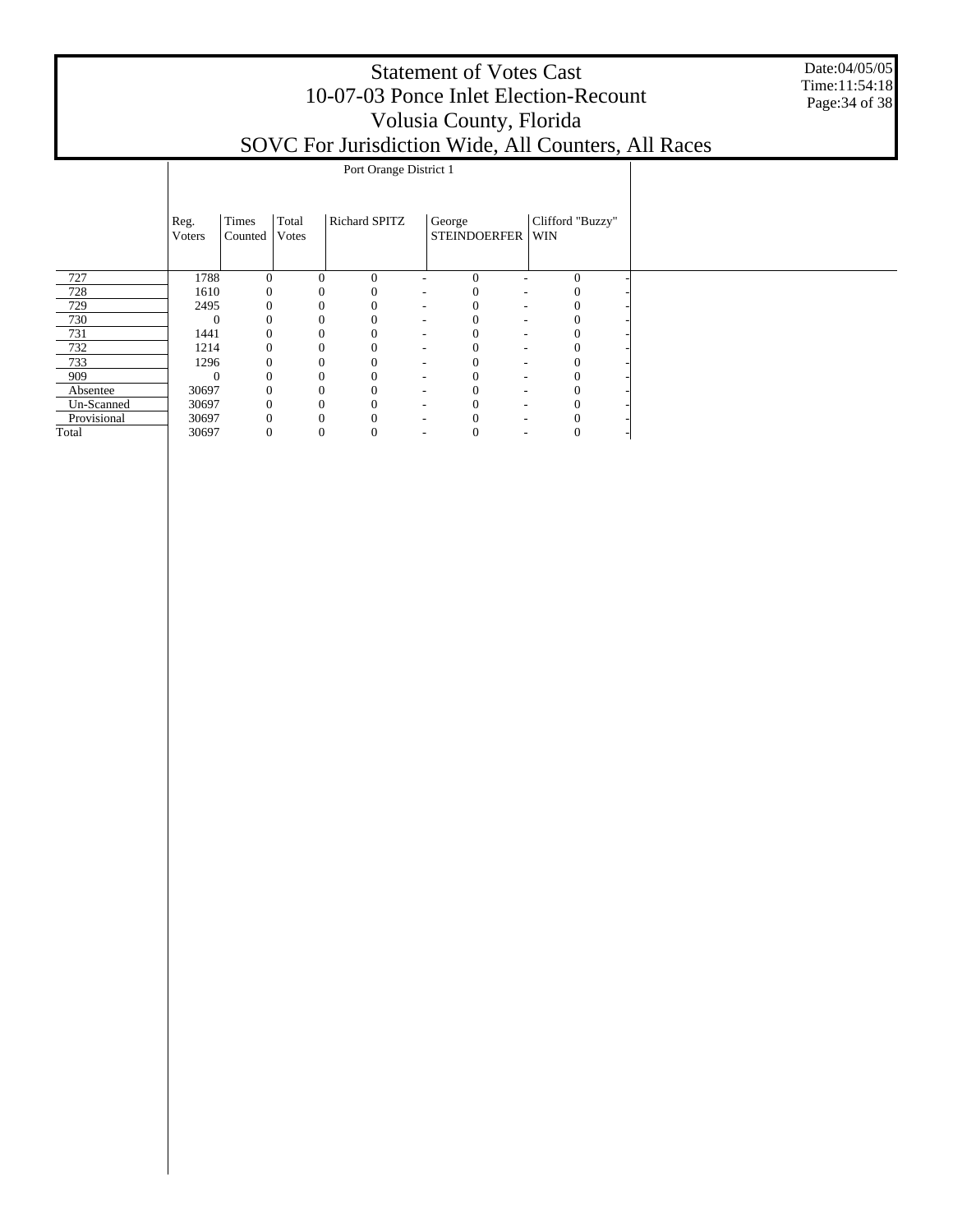Date:04/05/05 Time:11:54:18 Page:34 of 38

|             | Port Orange District 1 |                  |                |                |               |                          |                                      |  |                  |  |  |  |  |
|-------------|------------------------|------------------|----------------|----------------|---------------|--------------------------|--------------------------------------|--|------------------|--|--|--|--|
|             | Reg.<br>Voters         | Times<br>Counted | Total<br>Votes |                | Richard SPITZ |                          | George<br>STEINDOERFER WIN           |  | Clifford "Buzzy" |  |  |  |  |
| 727         | 1788                   | $\Omega$         |                | $\theta$       | $\Omega$      |                          | $\Omega$                             |  | $\theta$         |  |  |  |  |
| 728         | 1610                   | $\mathbf{0}$     |                | 0              | $\Omega$      | $\sim$                   | $\Omega$<br>٠                        |  | $\mathbf{0}$     |  |  |  |  |
| 729         | 2495                   | $\Omega$         |                | $\theta$       | $\mathbf{0}$  | $\sim$                   | $\Omega$<br>$\overline{\phantom{a}}$ |  | $\Omega$         |  |  |  |  |
| 730         | $\Omega$               | $\Omega$         |                |                | $\mathbf{0}$  | $\sim$                   | ٠                                    |  | 0                |  |  |  |  |
| 731         | 1441                   | $\Omega$         |                |                | $\mathbf{0}$  | $\sim$                   | 0<br>٠                               |  | $\mathbf{0}$     |  |  |  |  |
| 732         | 1214                   | 0                |                |                | $\mathbf{0}$  | $\overline{\phantom{a}}$ | 0<br>-                               |  | $\overline{0}$   |  |  |  |  |
| 733         | 1296                   | 0                |                | 0              | $\mathbf{0}$  | $\sim$                   | 0<br>-                               |  | $\theta$         |  |  |  |  |
| 909         | $\Omega$               | $\mathbf{0}$     |                | $\overline{0}$ | $\mathbf{0}$  | $\sim$                   | 0<br>-                               |  | $\mathbf{0}$     |  |  |  |  |
| Absentee    | 30697                  | $\mathbf{0}$     |                |                | $\mathbf{0}$  | $\sim$                   | $\theta$<br>٠                        |  | 0                |  |  |  |  |
| Un-Scanned  | 30697                  | $\mathbf{0}$     |                |                | $\mathbf{0}$  | $\overline{\phantom{a}}$ | -                                    |  | 0                |  |  |  |  |
| Provisional | 30697                  | $\mathbf{0}$     |                |                | $\Omega$      | ۰                        |                                      |  |                  |  |  |  |  |
| Total       | 30697                  | 0                |                | 0              | 0             | $\overline{\phantom{a}}$ | $\theta$<br>۰                        |  | 0                |  |  |  |  |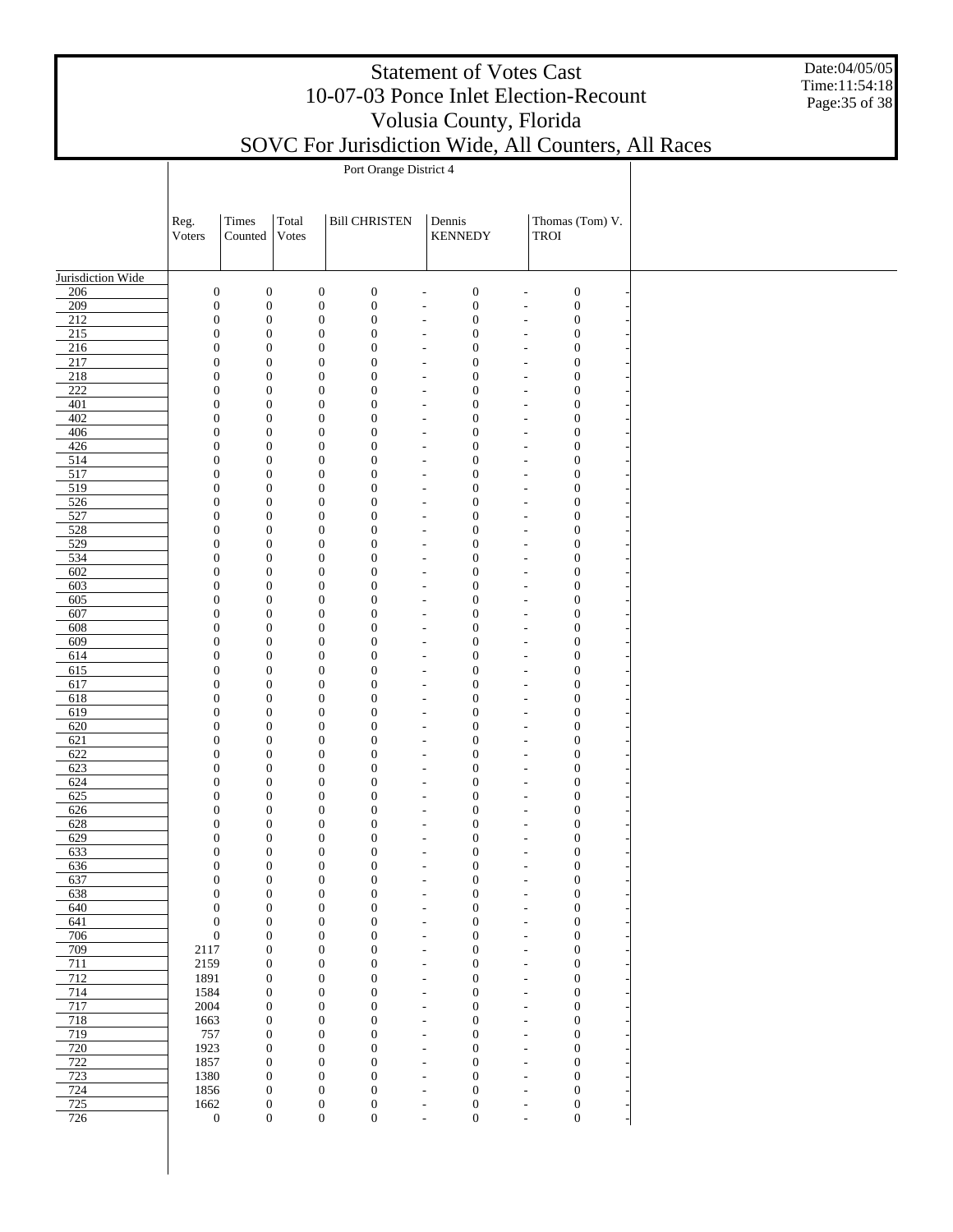Date:04/05/05 Time:11:54:18 Page:35 of 38

|                         | Port Orange District 4               |                                      |                                      |                                                                          |                                                      |                                      |                                                                                              |  |  |  |  |  |  |
|-------------------------|--------------------------------------|--------------------------------------|--------------------------------------|--------------------------------------------------------------------------|------------------------------------------------------|--------------------------------------|----------------------------------------------------------------------------------------------|--|--|--|--|--|--|
|                         |                                      |                                      |                                      |                                                                          |                                                      |                                      |                                                                                              |  |  |  |  |  |  |
|                         | Reg.                                 | Times                                | Total                                | <b>Bill CHRISTEN</b>                                                     |                                                      | Dennis                               | Thomas (Tom) V.                                                                              |  |  |  |  |  |  |
|                         | Voters                               | Counted                              | Votes                                |                                                                          |                                                      | <b>KENNEDY</b>                       | TROI                                                                                         |  |  |  |  |  |  |
|                         |                                      |                                      |                                      |                                                                          |                                                      |                                      |                                                                                              |  |  |  |  |  |  |
| Jurisdiction Wide       |                                      |                                      |                                      |                                                                          |                                                      |                                      |                                                                                              |  |  |  |  |  |  |
| 206<br>209              | $\boldsymbol{0}$<br>$\boldsymbol{0}$ | $\boldsymbol{0}$<br>$\boldsymbol{0}$ | $\boldsymbol{0}$<br>$\boldsymbol{0}$ | $\boldsymbol{0}$<br>$\boldsymbol{0}$                                     | ٠                                                    | $\boldsymbol{0}$<br>$\boldsymbol{0}$ | $\boldsymbol{0}$<br>$\overline{\phantom{a}}$<br>$\boldsymbol{0}$                             |  |  |  |  |  |  |
| $\overline{212}$        | $\boldsymbol{0}$                     | $\boldsymbol{0}$                     | $\boldsymbol{0}$                     | $\boldsymbol{0}$                                                         | $\overline{\phantom{a}}$<br>$\overline{\phantom{a}}$ | $\boldsymbol{0}$                     | $\overline{a}$<br>$\boldsymbol{0}$<br>$\blacksquare$                                         |  |  |  |  |  |  |
| 215                     | $\boldsymbol{0}$                     | $\boldsymbol{0}$                     | $\boldsymbol{0}$                     | $\boldsymbol{0}$                                                         | $\overline{\phantom{a}}$                             | $\boldsymbol{0}$                     | $\boldsymbol{0}$<br>$\overline{\phantom{a}}$                                                 |  |  |  |  |  |  |
| 216                     | $\boldsymbol{0}$                     | $\boldsymbol{0}$                     | $\boldsymbol{0}$                     | $\boldsymbol{0}$                                                         | $\overline{a}$                                       | $\boldsymbol{0}$                     | $\boldsymbol{0}$<br>$\overline{a}$                                                           |  |  |  |  |  |  |
| 217                     | $\boldsymbol{0}$                     | $\boldsymbol{0}$                     | $\boldsymbol{0}$                     | $\boldsymbol{0}$                                                         | $\sim$                                               | $\boldsymbol{0}$                     | $\boldsymbol{0}$<br>$\overline{\phantom{a}}$                                                 |  |  |  |  |  |  |
| 218<br>$\overline{222}$ | $\boldsymbol{0}$<br>$\boldsymbol{0}$ | $\boldsymbol{0}$<br>$\boldsymbol{0}$ | $\boldsymbol{0}$<br>$\boldsymbol{0}$ | $\boldsymbol{0}$<br>$\boldsymbol{0}$                                     | $\overline{\phantom{a}}$<br>$\overline{\phantom{a}}$ | $\boldsymbol{0}$<br>$\boldsymbol{0}$ | $\boldsymbol{0}$<br>$\overline{\phantom{a}}$<br>$\boldsymbol{0}$<br>$\overline{\phantom{a}}$ |  |  |  |  |  |  |
| 401                     | $\boldsymbol{0}$                     | $\boldsymbol{0}$                     | $\boldsymbol{0}$                     | $\boldsymbol{0}$                                                         | $\overline{\phantom{a}}$                             | $\boldsymbol{0}$                     | $\boldsymbol{0}$<br>$\overline{\phantom{a}}$                                                 |  |  |  |  |  |  |
| 402                     | $\boldsymbol{0}$                     | $\boldsymbol{0}$                     | $\boldsymbol{0}$                     | $\boldsymbol{0}$                                                         | $\overline{\phantom{a}}$                             | $\boldsymbol{0}$                     | $\boldsymbol{0}$<br>$\overline{\phantom{a}}$                                                 |  |  |  |  |  |  |
| 406                     | $\boldsymbol{0}$                     | $\boldsymbol{0}$                     | $\boldsymbol{0}$                     | $\boldsymbol{0}$                                                         | $\overline{\phantom{a}}$                             | $\boldsymbol{0}$                     | $\boldsymbol{0}$<br>$\overline{\phantom{a}}$                                                 |  |  |  |  |  |  |
| 426                     | $\boldsymbol{0}$                     | $\boldsymbol{0}$                     | $\boldsymbol{0}$                     | $\boldsymbol{0}$                                                         | $\overline{\phantom{a}}$                             | $\boldsymbol{0}$                     | $\boldsymbol{0}$<br>$\overline{\phantom{m}}$                                                 |  |  |  |  |  |  |
| 514                     | $\boldsymbol{0}$                     | $\boldsymbol{0}$                     | $\boldsymbol{0}$                     | $\boldsymbol{0}$                                                         | $\overline{a}$                                       | $\boldsymbol{0}$                     | $\boldsymbol{0}$<br>$\overline{a}$                                                           |  |  |  |  |  |  |
| 517<br>519              | $\boldsymbol{0}$<br>$\boldsymbol{0}$ | $\boldsymbol{0}$<br>$\boldsymbol{0}$ | $\boldsymbol{0}$<br>$\boldsymbol{0}$ | $\boldsymbol{0}$<br>$\boldsymbol{0}$                                     | $\overline{\phantom{a}}$<br>$\tilde{\phantom{a}}$    | $\boldsymbol{0}$<br>$\boldsymbol{0}$ | $\boldsymbol{0}$<br>$\overline{\phantom{m}}$<br>$\boldsymbol{0}$<br>$\overline{\phantom{a}}$ |  |  |  |  |  |  |
| 526                     | $\boldsymbol{0}$                     | $\boldsymbol{0}$                     | $\boldsymbol{0}$                     | $\boldsymbol{0}$                                                         | $\tilde{\phantom{a}}$                                | $\boldsymbol{0}$                     | $\boldsymbol{0}$<br>$\overline{\phantom{a}}$                                                 |  |  |  |  |  |  |
| 527                     | $\boldsymbol{0}$                     | $\boldsymbol{0}$                     | $\boldsymbol{0}$                     | $\boldsymbol{0}$                                                         | $\overline{\phantom{a}}$                             | $\boldsymbol{0}$                     | $\boldsymbol{0}$<br>$\overline{\phantom{a}}$                                                 |  |  |  |  |  |  |
| 528                     | $\boldsymbol{0}$                     | $\boldsymbol{0}$                     | $\boldsymbol{0}$                     | $\boldsymbol{0}$                                                         | $\tilde{\phantom{a}}$                                | $\boldsymbol{0}$                     | $\boldsymbol{0}$<br>$\overline{\phantom{a}}$                                                 |  |  |  |  |  |  |
| 529                     | $\boldsymbol{0}$                     | $\boldsymbol{0}$                     | $\boldsymbol{0}$                     | $\boldsymbol{0}$                                                         | $\overline{\phantom{a}}$                             | $\boldsymbol{0}$                     | $\boldsymbol{0}$<br>$\overline{\phantom{a}}$                                                 |  |  |  |  |  |  |
| 534<br>602              | $\boldsymbol{0}$<br>$\boldsymbol{0}$ | $\boldsymbol{0}$<br>$\boldsymbol{0}$ | $\boldsymbol{0}$<br>$\boldsymbol{0}$ | $\boldsymbol{0}$<br>$\boldsymbol{0}$                                     | $\tilde{\phantom{a}}$                                | $\boldsymbol{0}$<br>$\boldsymbol{0}$ | $\boldsymbol{0}$<br>$\overline{\phantom{a}}$<br>$\boldsymbol{0}$                             |  |  |  |  |  |  |
| 603                     | $\boldsymbol{0}$                     | $\boldsymbol{0}$                     | $\boldsymbol{0}$                     | $\boldsymbol{0}$                                                         | $\overline{\phantom{a}}$<br>$\overline{\phantom{a}}$ | $\boldsymbol{0}$                     | $\overline{\phantom{a}}$<br>$\boldsymbol{0}$<br>$\overline{\phantom{m}}$                     |  |  |  |  |  |  |
| 605                     | $\boldsymbol{0}$                     | $\boldsymbol{0}$                     | $\boldsymbol{0}$                     | $\boldsymbol{0}$                                                         | $\overline{\phantom{a}}$                             | $\boldsymbol{0}$                     | $\boldsymbol{0}$<br>$\overline{a}$                                                           |  |  |  |  |  |  |
| 607                     | $\boldsymbol{0}$                     | $\boldsymbol{0}$                     | $\boldsymbol{0}$                     | $\boldsymbol{0}$                                                         | $\overline{\phantom{a}}$                             | $\boldsymbol{0}$                     | $\boldsymbol{0}$<br>$\overline{\phantom{a}}$                                                 |  |  |  |  |  |  |
| 608                     | $\boldsymbol{0}$                     | $\boldsymbol{0}$                     | $\boldsymbol{0}$                     | $\boldsymbol{0}$                                                         | $\tilde{\phantom{a}}$                                | $\boldsymbol{0}$                     | $\boldsymbol{0}$<br>$\overline{\phantom{a}}$                                                 |  |  |  |  |  |  |
| 609                     | $\boldsymbol{0}$                     | $\boldsymbol{0}$                     | $\boldsymbol{0}$                     | $\boldsymbol{0}$                                                         | $\tilde{\phantom{a}}$                                | $\boldsymbol{0}$                     | $\boldsymbol{0}$<br>$\overline{\phantom{a}}$                                                 |  |  |  |  |  |  |
| 614<br>615              | $\boldsymbol{0}$<br>$\boldsymbol{0}$ | $\boldsymbol{0}$<br>$\boldsymbol{0}$ | $\boldsymbol{0}$<br>$\boldsymbol{0}$ | $\boldsymbol{0}$<br>$\boldsymbol{0}$                                     | $\overline{\phantom{a}}$                             | $\boldsymbol{0}$<br>$\boldsymbol{0}$ | $\boldsymbol{0}$<br>$\overline{\phantom{a}}$<br>$\boldsymbol{0}$                             |  |  |  |  |  |  |
| 617                     | $\boldsymbol{0}$                     | $\boldsymbol{0}$                     | $\boldsymbol{0}$                     | $\boldsymbol{0}$                                                         | $\sim$<br>$\overline{\phantom{a}}$                   | $\boldsymbol{0}$                     | $\overline{\phantom{a}}$<br>$\boldsymbol{0}$<br>$\overline{\phantom{a}}$                     |  |  |  |  |  |  |
| 618                     | $\boldsymbol{0}$                     | $\boldsymbol{0}$                     | $\boldsymbol{0}$                     | $\boldsymbol{0}$                                                         | $\overline{\phantom{a}}$                             | $\boldsymbol{0}$                     | $\boldsymbol{0}$<br>$\overline{\phantom{a}}$                                                 |  |  |  |  |  |  |
| 619                     | $\boldsymbol{0}$                     | $\boldsymbol{0}$                     | $\boldsymbol{0}$                     | $\boldsymbol{0}$                                                         | $\overline{\phantom{a}}$                             | $\boldsymbol{0}$                     | $\boldsymbol{0}$<br>$\overline{\phantom{a}}$                                                 |  |  |  |  |  |  |
| 620                     | $\boldsymbol{0}$                     | $\boldsymbol{0}$                     | $\boldsymbol{0}$                     | $\boldsymbol{0}$                                                         | $\overline{\phantom{a}}$                             | $\boldsymbol{0}$                     | $\boldsymbol{0}$<br>$\overline{\phantom{m}}$                                                 |  |  |  |  |  |  |
| 621                     | $\boldsymbol{0}$                     | $\boldsymbol{0}$                     | $\boldsymbol{0}$                     | $\boldsymbol{0}$                                                         | $\overline{a}$                                       | $\boldsymbol{0}$                     | $\boldsymbol{0}$<br>$\overline{a}$                                                           |  |  |  |  |  |  |
| 622<br>623              | $\boldsymbol{0}$                     | $\boldsymbol{0}$                     | $\boldsymbol{0}$                     | $\boldsymbol{0}$                                                         | $\overline{\phantom{a}}$                             | $\boldsymbol{0}$<br>$\boldsymbol{0}$ | $\boldsymbol{0}$<br>$\overline{\phantom{m}}$                                                 |  |  |  |  |  |  |
| 624                     | $\boldsymbol{0}$<br>$\boldsymbol{0}$ | $\boldsymbol{0}$<br>$\boldsymbol{0}$ | $\boldsymbol{0}$<br>$\boldsymbol{0}$ | $\boldsymbol{0}$<br>$\boldsymbol{0}$                                     | $\sim$<br>$\sim$                                     | $\boldsymbol{0}$                     | $\boldsymbol{0}$<br>$\overline{\phantom{a}}$<br>$\boldsymbol{0}$<br>$\overline{\phantom{a}}$ |  |  |  |  |  |  |
| 625                     | $\boldsymbol{0}$                     | $\boldsymbol{0}$                     | $\boldsymbol{0}$                     | $\boldsymbol{0}$                                                         | $\sim$                                               | $\boldsymbol{0}$                     | $\boldsymbol{0}$<br>$\overline{\phantom{a}}$                                                 |  |  |  |  |  |  |
| 626                     | $\boldsymbol{0}$                     | $\boldsymbol{0}$                     | $\boldsymbol{0}$                     | $\boldsymbol{0}$                                                         | $\sim$                                               | $\boldsymbol{0}$                     | $\boldsymbol{0}$<br>$\overline{\phantom{a}}$                                                 |  |  |  |  |  |  |
| 628                     | $\boldsymbol{0}$                     | $\boldsymbol{0}$                     | $\boldsymbol{0}$                     | $\boldsymbol{0}$                                                         | $\sim$                                               | $\boldsymbol{0}$                     | $\boldsymbol{0}$<br>$\overline{\phantom{a}}$                                                 |  |  |  |  |  |  |
| 629                     | $\boldsymbol{0}$                     | $\boldsymbol{0}$                     | $\boldsymbol{0}$                     | $\boldsymbol{0}$                                                         | $\overline{\phantom{a}}$                             | $\boldsymbol{0}$                     | $\boldsymbol{0}$<br>$\overline{\phantom{a}}$                                                 |  |  |  |  |  |  |
| 633                     | $\boldsymbol{0}$                     | $\boldsymbol{0}$                     | $\boldsymbol{0}$                     | $\boldsymbol{0}$                                                         | $\overline{\phantom{a}}$                             | $\boldsymbol{0}$                     | $\boldsymbol{0}$<br>÷,                                                                       |  |  |  |  |  |  |
| 636<br>637              | $\bf{0}$<br>$\boldsymbol{0}$         | $\boldsymbol{0}$<br>$\boldsymbol{0}$ | $\bf{0}$<br>$\boldsymbol{0}$         | $\bf{0}$<br>$\mathbf{0}$                                                 |                                                      | 0<br>$\boldsymbol{0}$                | 0<br>$\mathbf{0}$<br>$\overline{\phantom{a}}$                                                |  |  |  |  |  |  |
| 638                     | $\boldsymbol{0}$                     | $\boldsymbol{0}$                     | $\boldsymbol{0}$                     | $\boldsymbol{0}$                                                         | ٠                                                    | $\boldsymbol{0}$                     | $\boldsymbol{0}$<br>$\overline{\phantom{a}}$                                                 |  |  |  |  |  |  |
| 640                     | $\boldsymbol{0}$                     | $\boldsymbol{0}$                     |                                      | $\mathbf{0}$<br>$\boldsymbol{0}$                                         | $\sim$                                               | $\boldsymbol{0}$                     | $\boldsymbol{0}$<br>$\overline{\phantom{a}}$                                                 |  |  |  |  |  |  |
| 641                     | $\boldsymbol{0}$                     | $\boldsymbol{0}$                     |                                      | $\mathbf{0}$<br>$\boldsymbol{0}$                                         | $\overline{\phantom{a}}$                             | $\boldsymbol{0}$                     | $\boldsymbol{0}$<br>$\overline{\phantom{a}}$                                                 |  |  |  |  |  |  |
| 706                     | $\boldsymbol{0}$                     | $\boldsymbol{0}$                     |                                      | $\mathbf{0}$<br>$\boldsymbol{0}$                                         | $\overline{a}$                                       | $\boldsymbol{0}$                     | $\boldsymbol{0}$<br>$\overline{\phantom{a}}$                                                 |  |  |  |  |  |  |
| 709                     | 2117                                 | $\boldsymbol{0}$                     |                                      | $\boldsymbol{0}$<br>$\boldsymbol{0}$                                     | $\overline{\phantom{a}}$                             | $\boldsymbol{0}$                     | $\boldsymbol{0}$<br>$\overline{\phantom{a}}$                                                 |  |  |  |  |  |  |
| 711<br>712              | 2159<br>1891                         | $\boldsymbol{0}$<br>$\mathbf{0}$     |                                      | $\mathbf{0}$<br>$\boldsymbol{0}$<br>$\boldsymbol{0}$<br>$\boldsymbol{0}$ | $\sim$<br>$\overline{\phantom{a}}$                   | $\boldsymbol{0}$<br>$\boldsymbol{0}$ | $\boldsymbol{0}$<br>$\overline{\phantom{a}}$<br>$\boldsymbol{0}$<br>$\overline{\phantom{a}}$ |  |  |  |  |  |  |
| 714                     | 1584                                 | $\boldsymbol{0}$                     | $\boldsymbol{0}$                     | $\mathbf{0}$                                                             | $\overline{\phantom{a}}$                             | $\boldsymbol{0}$                     | $\boldsymbol{0}$<br>$\overline{\phantom{a}}$                                                 |  |  |  |  |  |  |
| 717                     | 2004                                 | $\boldsymbol{0}$                     |                                      | $\boldsymbol{0}$<br>$\boldsymbol{0}$                                     | $\overline{\phantom{a}}$                             | $\boldsymbol{0}$                     | $\boldsymbol{0}$<br>$\overline{\phantom{a}}$                                                 |  |  |  |  |  |  |
| 718                     | 1663                                 | $\boldsymbol{0}$                     | $\boldsymbol{0}$                     | $\mathbf{0}$                                                             | $\overline{\phantom{a}}$                             | $\boldsymbol{0}$                     | $\boldsymbol{0}$<br>$\overline{\phantom{a}}$                                                 |  |  |  |  |  |  |
| 719                     | 757                                  | $\boldsymbol{0}$                     |                                      | $\boldsymbol{0}$<br>$\boldsymbol{0}$                                     | $\overline{\phantom{a}}$                             | $\boldsymbol{0}$                     | $\boldsymbol{0}$<br>$\overline{\phantom{a}}$                                                 |  |  |  |  |  |  |
| 720                     | 1923                                 | $\boldsymbol{0}$                     | $\boldsymbol{0}$                     | $\mathbf{0}$                                                             | $\overline{a}$                                       | $\boldsymbol{0}$                     | $\boldsymbol{0}$<br>$\overline{\phantom{a}}$                                                 |  |  |  |  |  |  |
| 722<br>723              | 1857<br>1380                         | $\boldsymbol{0}$<br>$\boldsymbol{0}$ | $\boldsymbol{0}$                     | $\boldsymbol{0}$<br>$\boldsymbol{0}$<br>$\mathbf{0}$                     | $\overline{\phantom{a}}$<br>$\overline{\phantom{a}}$ | $\boldsymbol{0}$<br>$\boldsymbol{0}$ | $\boldsymbol{0}$<br>$\overline{\phantom{a}}$<br>$\boldsymbol{0}$<br>$\overline{\phantom{a}}$ |  |  |  |  |  |  |
| 724                     | 1856                                 | $\boldsymbol{0}$                     | $\boldsymbol{0}$                     | $\boldsymbol{0}$                                                         | $\overline{\phantom{a}}$                             | $\boldsymbol{0}$                     | $\boldsymbol{0}$<br>$\overline{\phantom{a}}$                                                 |  |  |  |  |  |  |
| 725                     | 1662                                 | $\boldsymbol{0}$                     |                                      | $\boldsymbol{0}$<br>$\boldsymbol{0}$                                     | $\overline{\phantom{a}}$                             | $\boldsymbol{0}$                     | $\boldsymbol{0}$<br>$\overline{\phantom{a}}$                                                 |  |  |  |  |  |  |
| 726                     | $\boldsymbol{0}$                     | $\mathbf{0}$                         |                                      | $\boldsymbol{0}$<br>$\boldsymbol{0}$                                     | $\overline{a}$                                       | $\boldsymbol{0}$                     | $\boldsymbol{0}$                                                                             |  |  |  |  |  |  |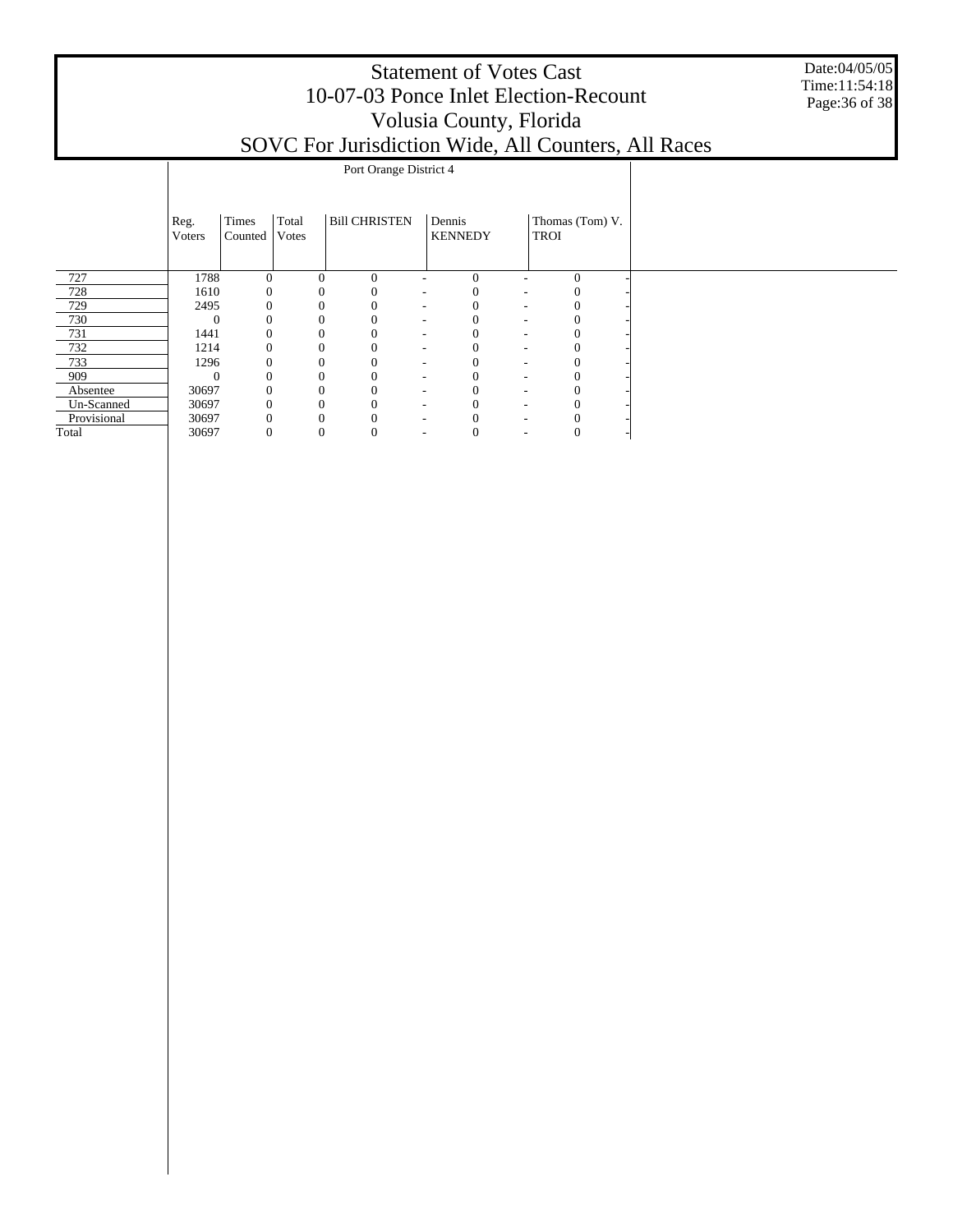#### Statement of Votes Cast 10-07-03 Ponce Inlet Election-Recount Volusia County, Florida SOVC For Jurisdiction Wide, All Counters, All Races

Date:04/05/05 Time:11:54:18 Page:36 of 38

|             | Port Orange District 4 |                  |                |          |                                      |  |                                          |      |                 |  |  |  |  |
|-------------|------------------------|------------------|----------------|----------|--------------------------------------|--|------------------------------------------|------|-----------------|--|--|--|--|
|             | Reg.<br>Voters         | Times<br>Counted | Total<br>Votes |          | <b>Bill CHRISTEN</b>                 |  | Dennis<br><b>KENNEDY</b>                 | TROI | Thomas (Tom) V. |  |  |  |  |
| 727         | 1788                   | $\Omega$         |                | $\Omega$ | $\Omega$                             |  | $\Omega$                                 |      | $\overline{0}$  |  |  |  |  |
| 728         | 1610                   | $\Omega$         |                |          | $\Omega$<br>۰.                       |  | $\Omega$<br>$\overline{\phantom{a}}$     |      |                 |  |  |  |  |
| 729         | 2495                   |                  |                |          | $\Omega$<br>$\sim$                   |  | 0<br>$\overline{\phantom{a}}$            |      |                 |  |  |  |  |
| 730         | $\Omega$               |                  |                |          | $\Omega$<br>$\overline{\phantom{a}}$ |  | ٠                                        |      |                 |  |  |  |  |
| 731         | 1441                   |                  |                |          | $\theta$<br>$\overline{\phantom{a}}$ |  | 0<br>٠                                   |      |                 |  |  |  |  |
| 732         | 1214                   |                  |                |          | $\theta$<br>$\overline{\phantom{a}}$ |  | $\mathbf{0}$<br>$\overline{\phantom{a}}$ |      | 0               |  |  |  |  |
| 733         | 1296                   |                  |                |          | $\theta$<br>$\overline{\phantom{a}}$ |  | $\mathbf{0}$<br>٠                        |      | $\Omega$        |  |  |  |  |
| 909         | $\Omega$               | $\Omega$         |                |          | $\theta$<br>$\overline{\phantom{a}}$ |  | $\mathbf{0}$<br>$\overline{\phantom{a}}$ |      |                 |  |  |  |  |
| Absentee    | 30697                  | 0                |                |          | $\theta$<br>$\overline{\phantom{a}}$ |  | 0<br>٠                                   |      |                 |  |  |  |  |
| Un-Scanned  | 30697                  | $\mathbf{0}$     |                |          | $\Omega$<br>٠                        |  | 0<br>٠                                   |      |                 |  |  |  |  |
| Provisional | 30697                  |                  |                |          | -                                    |  |                                          |      |                 |  |  |  |  |
| Total       | 30697                  | 0                |                | 0        | $\theta$<br>٠                        |  | 0<br>٠                                   |      | O               |  |  |  |  |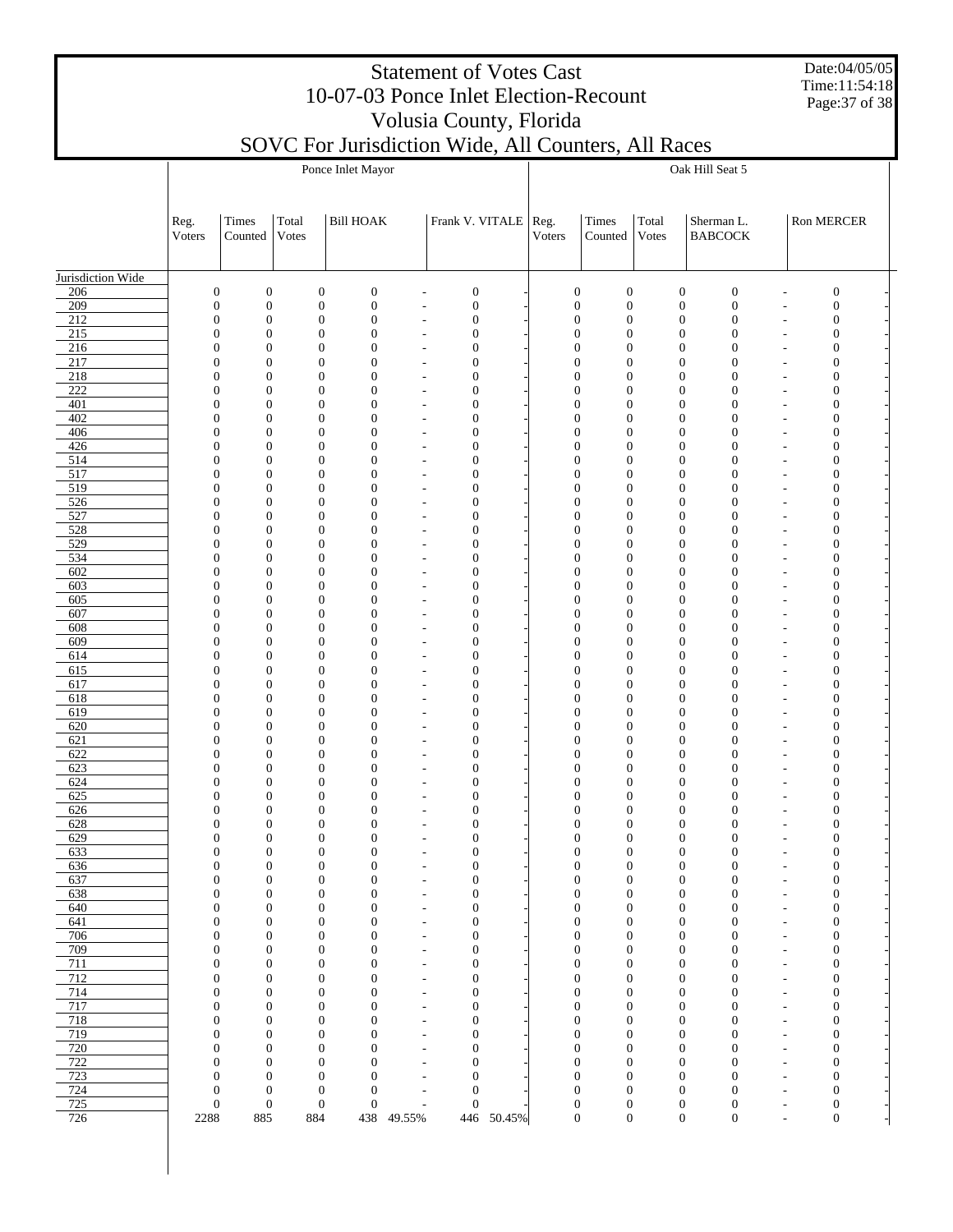Date:04/05/05 Time:11:54:18 Page:37 of 38

|                         |                                      |                                                          |                                      | Ponce Inlet Mayor                |                                                      |                                      | Oak Hill Seat 5 |                                      |                                      |                                      |                                      |                                                      |                                      |  |  |  |
|-------------------------|--------------------------------------|----------------------------------------------------------|--------------------------------------|----------------------------------|------------------------------------------------------|--------------------------------------|-----------------|--------------------------------------|--------------------------------------|--------------------------------------|--------------------------------------|------------------------------------------------------|--------------------------------------|--|--|--|
|                         |                                      |                                                          |                                      |                                  |                                                      |                                      |                 |                                      |                                      |                                      |                                      |                                                      |                                      |  |  |  |
|                         | Reg.                                 | Times                                                    | Total                                | <b>Bill HOAK</b>                 |                                                      | Frank V. VITALE                      |                 | Reg.                                 | Times                                | Total                                | Sherman L.                           |                                                      | Ron MERCER                           |  |  |  |
|                         | Voters                               | Counted                                                  | <b>Votes</b>                         |                                  |                                                      |                                      |                 | Voters                               | Counted                              | Votes                                | <b>BABCOCK</b>                       |                                                      |                                      |  |  |  |
|                         |                                      |                                                          |                                      |                                  |                                                      |                                      |                 |                                      |                                      |                                      |                                      |                                                      |                                      |  |  |  |
| Jurisdiction Wide       |                                      |                                                          |                                      |                                  |                                                      |                                      |                 |                                      |                                      |                                      |                                      |                                                      |                                      |  |  |  |
| 206<br>209              | $\boldsymbol{0}$<br>$\boldsymbol{0}$ | $\boldsymbol{0}$<br>$\boldsymbol{0}$                     | $\boldsymbol{0}$<br>$\boldsymbol{0}$ | $\mathbf{0}$<br>$\mathbf{0}$     |                                                      | $\boldsymbol{0}$<br>$\boldsymbol{0}$ |                 | $\boldsymbol{0}$<br>$\boldsymbol{0}$ | $\boldsymbol{0}$<br>$\boldsymbol{0}$ | $\boldsymbol{0}$<br>$\boldsymbol{0}$ | $\boldsymbol{0}$<br>$\mathbf{0}$     | ٠<br>$\overline{a}$                                  | $\boldsymbol{0}$<br>$\boldsymbol{0}$ |  |  |  |
| 212                     | $\boldsymbol{0}$                     | $\boldsymbol{0}$                                         | $\mathbf{0}$                         | $\mathbf{0}$                     |                                                      | $\boldsymbol{0}$                     |                 | $\boldsymbol{0}$                     | $\boldsymbol{0}$                     | $\boldsymbol{0}$                     | $\mathbf{0}$                         | ٠                                                    | $\boldsymbol{0}$                     |  |  |  |
| 215<br>216              | $\boldsymbol{0}$<br>$\boldsymbol{0}$ | $\boldsymbol{0}$<br>$\boldsymbol{0}$                     | $\mathbf{0}$<br>$\mathbf{0}$         | $\mathbf{0}$<br>$\overline{0}$   |                                                      | $\boldsymbol{0}$<br>$\boldsymbol{0}$ |                 | $\boldsymbol{0}$<br>$\boldsymbol{0}$ | $\boldsymbol{0}$<br>$\boldsymbol{0}$ | $\boldsymbol{0}$<br>$\boldsymbol{0}$ | $\mathbf{0}$<br>$\mathbf{0}$         | $\overline{\phantom{a}}$<br>$\overline{\phantom{a}}$ | $\boldsymbol{0}$<br>$\boldsymbol{0}$ |  |  |  |
| 217                     | $\boldsymbol{0}$                     | $\boldsymbol{0}$                                         | $\mathbf{0}$                         | $\overline{0}$                   |                                                      | $\boldsymbol{0}$                     |                 | $\boldsymbol{0}$                     | $\boldsymbol{0}$                     | $\boldsymbol{0}$                     | $\mathbf{0}$                         | $\overline{\phantom{a}}$                             | $\boldsymbol{0}$                     |  |  |  |
| 218                     | $\boldsymbol{0}$                     | $\boldsymbol{0}$                                         | $\mathbf{0}$                         | $\overline{0}$                   |                                                      | $\boldsymbol{0}$                     |                 | $\boldsymbol{0}$                     | $\boldsymbol{0}$                     | $\boldsymbol{0}$                     | $\overline{0}$                       | $\overline{\phantom{a}}$                             | $\boldsymbol{0}$                     |  |  |  |
| 222<br>401              | $\boldsymbol{0}$<br>$\boldsymbol{0}$ | $\boldsymbol{0}$<br>$\boldsymbol{0}$                     | $\mathbf{0}$<br>$\mathbf{0}$         | $\overline{0}$<br>$\overline{0}$ | $\overline{\phantom{a}}$<br>٠                        | $\boldsymbol{0}$<br>$\boldsymbol{0}$ |                 | $\boldsymbol{0}$<br>$\boldsymbol{0}$ | $\boldsymbol{0}$<br>$\boldsymbol{0}$ | $\boldsymbol{0}$<br>$\boldsymbol{0}$ | $\mathbf{0}$<br>$\mathbf{0}$         | $\overline{\phantom{a}}$<br>$\overline{\phantom{a}}$ | $\boldsymbol{0}$<br>$\boldsymbol{0}$ |  |  |  |
| 402                     | $\boldsymbol{0}$                     | $\boldsymbol{0}$                                         | $\mathbf{0}$                         | $\overline{0}$                   | $\overline{\phantom{a}}$                             | $\boldsymbol{0}$                     |                 | $\boldsymbol{0}$                     | $\boldsymbol{0}$                     | $\boldsymbol{0}$                     | $\mathbf{0}$                         | $\overline{\phantom{a}}$                             | $\boldsymbol{0}$                     |  |  |  |
| 406<br>426              | $\boldsymbol{0}$<br>$\boldsymbol{0}$ | $\boldsymbol{0}$<br>$\boldsymbol{0}$                     | $\mathbf{0}$<br>$\mathbf{0}$         | $\overline{0}$<br>$\overline{0}$ |                                                      | $\boldsymbol{0}$                     |                 | $\boldsymbol{0}$<br>$\boldsymbol{0}$ | $\boldsymbol{0}$<br>$\boldsymbol{0}$ | $\boldsymbol{0}$<br>$\boldsymbol{0}$ | $\mathbf{0}$<br>$\mathbf{0}$         | $\overline{\phantom{a}}$                             | $\boldsymbol{0}$<br>$\boldsymbol{0}$ |  |  |  |
| 514                     | $\boldsymbol{0}$                     | $\boldsymbol{0}$                                         | $\mathbf{0}$                         | $\overline{0}$                   | $\overline{\phantom{a}}$<br>٠                        | $\boldsymbol{0}$<br>$\boldsymbol{0}$ |                 | $\boldsymbol{0}$                     | $\boldsymbol{0}$                     | $\boldsymbol{0}$                     | $\mathbf{0}$                         | $\overline{\phantom{a}}$<br>$\overline{\phantom{a}}$ | $\boldsymbol{0}$                     |  |  |  |
| 517                     | $\boldsymbol{0}$                     | $\boldsymbol{0}$                                         | $\mathbf{0}$                         | $\overline{0}$                   | ٠                                                    | $\boldsymbol{0}$                     |                 | $\boldsymbol{0}$                     | $\boldsymbol{0}$                     | $\boldsymbol{0}$                     | $\mathbf{0}$                         | $\overline{\phantom{a}}$                             | $\boldsymbol{0}$                     |  |  |  |
| 519<br>526              | $\boldsymbol{0}$<br>$\boldsymbol{0}$ | $\boldsymbol{0}$<br>$\boldsymbol{0}$                     | $\mathbf{0}$<br>$\mathbf{0}$         | $\overline{0}$<br>$\overline{0}$ | ٠                                                    | $\boldsymbol{0}$<br>$\boldsymbol{0}$ |                 | $\boldsymbol{0}$<br>$\boldsymbol{0}$ | $\boldsymbol{0}$<br>$\boldsymbol{0}$ | $\boldsymbol{0}$<br>$\boldsymbol{0}$ | $\mathbf{0}$<br>$\mathbf{0}$         | $\overline{\phantom{a}}$<br>$\overline{\phantom{a}}$ | $\boldsymbol{0}$<br>$\boldsymbol{0}$ |  |  |  |
| 527                     | $\boldsymbol{0}$                     | $\boldsymbol{0}$                                         | $\mathbf{0}$                         | $\overline{0}$                   |                                                      | $\boldsymbol{0}$                     |                 | $\boldsymbol{0}$                     | $\boldsymbol{0}$                     | $\boldsymbol{0}$                     | $\mathbf{0}$                         | $\overline{\phantom{a}}$                             | $\boldsymbol{0}$                     |  |  |  |
| 528                     | $\boldsymbol{0}$                     | $\boldsymbol{0}$                                         | $\mathbf{0}$                         | $\overline{0}$                   |                                                      | $\boldsymbol{0}$                     |                 | $\boldsymbol{0}$                     | $\boldsymbol{0}$                     | $\boldsymbol{0}$                     | $\mathbf{0}$                         | $\overline{\phantom{a}}$                             | $\boldsymbol{0}$                     |  |  |  |
| $\overline{529}$<br>534 | $\boldsymbol{0}$<br>$\boldsymbol{0}$ | $\boldsymbol{0}$<br>$\boldsymbol{0}$                     | $\mathbf{0}$<br>$\mathbf{0}$         | $\overline{0}$<br>$\overline{0}$ | $\overline{\phantom{a}}$                             | $\boldsymbol{0}$<br>$\boldsymbol{0}$ |                 | $\boldsymbol{0}$<br>$\boldsymbol{0}$ | $\boldsymbol{0}$<br>$\boldsymbol{0}$ | $\boldsymbol{0}$<br>$\boldsymbol{0}$ | $\mathbf{0}$<br>$\mathbf{0}$         | $\overline{\phantom{a}}$<br>$\overline{\phantom{a}}$ | $\boldsymbol{0}$<br>$\boldsymbol{0}$ |  |  |  |
| 602                     | $\boldsymbol{0}$                     | $\boldsymbol{0}$                                         | $\mathbf{0}$                         | $\overline{0}$                   | ٠                                                    | $\boldsymbol{0}$                     |                 | $\boldsymbol{0}$                     | $\boldsymbol{0}$                     | $\boldsymbol{0}$                     | $\mathbf{0}$                         | $\overline{\phantom{a}}$                             | $\boldsymbol{0}$                     |  |  |  |
| 603<br>605              | $\boldsymbol{0}$<br>$\boldsymbol{0}$ | $\boldsymbol{0}$<br>$\boldsymbol{0}$                     | $\mathbf{0}$<br>$\mathbf{0}$         | $\overline{0}$<br>$\overline{0}$ | $\overline{\phantom{a}}$                             | $\boldsymbol{0}$<br>$\boldsymbol{0}$ |                 | $\boldsymbol{0}$<br>$\boldsymbol{0}$ | $\boldsymbol{0}$<br>$\boldsymbol{0}$ | $\boldsymbol{0}$<br>$\boldsymbol{0}$ | $\mathbf{0}$<br>$\mathbf{0}$         | $\overline{\phantom{a}}$<br>$\overline{\phantom{a}}$ | $\boldsymbol{0}$<br>$\boldsymbol{0}$ |  |  |  |
| 607                     | $\boldsymbol{0}$                     | $\boldsymbol{0}$                                         | $\mathbf{0}$                         | $\overline{0}$                   | $\overline{\phantom{a}}$                             | $\boldsymbol{0}$                     |                 | $\boldsymbol{0}$                     | $\boldsymbol{0}$                     | $\boldsymbol{0}$                     | $\mathbf{0}$                         | $\overline{\phantom{a}}$                             | $\boldsymbol{0}$                     |  |  |  |
| 608                     | $\boldsymbol{0}$                     | $\boldsymbol{0}$                                         | $\mathbf{0}$                         | $\overline{0}$                   | ٠                                                    | $\boldsymbol{0}$                     |                 | $\boldsymbol{0}$                     | $\boldsymbol{0}$                     | $\boldsymbol{0}$                     | $\mathbf{0}$                         | $\overline{\phantom{a}}$                             | $\boldsymbol{0}$                     |  |  |  |
| 609<br>614              | $\boldsymbol{0}$<br>$\boldsymbol{0}$ | $\boldsymbol{0}$<br>$\boldsymbol{0}$                     | $\mathbf{0}$<br>$\mathbf{0}$         | $\overline{0}$<br>$\overline{0}$ | $\overline{\phantom{a}}$                             | $\boldsymbol{0}$<br>$\boldsymbol{0}$ |                 | $\boldsymbol{0}$<br>$\boldsymbol{0}$ | $\boldsymbol{0}$<br>$\boldsymbol{0}$ | $\boldsymbol{0}$<br>$\boldsymbol{0}$ | $\mathbf{0}$<br>$\mathbf{0}$         | $\overline{\phantom{a}}$<br>$\overline{\phantom{a}}$ | $\boldsymbol{0}$<br>$\boldsymbol{0}$ |  |  |  |
| 615                     | $\boldsymbol{0}$                     | $\boldsymbol{0}$                                         | $\mathbf{0}$                         | $\overline{0}$                   | $\overline{\phantom{a}}$                             | $\boldsymbol{0}$                     |                 | $\boldsymbol{0}$                     | $\boldsymbol{0}$                     | $\boldsymbol{0}$                     | $\mathbf{0}$                         | $\overline{\phantom{a}}$                             | $\boldsymbol{0}$                     |  |  |  |
| 617<br>618              | $\boldsymbol{0}$<br>$\boldsymbol{0}$ | $\boldsymbol{0}$<br>$\boldsymbol{0}$                     | $\mathbf{0}$<br>$\mathbf{0}$         | $\overline{0}$<br>$\overline{0}$ | ٠                                                    | $\boldsymbol{0}$<br>$\boldsymbol{0}$ |                 | $\boldsymbol{0}$<br>$\boldsymbol{0}$ | $\boldsymbol{0}$<br>$\boldsymbol{0}$ | $\boldsymbol{0}$<br>$\boldsymbol{0}$ | $\mathbf{0}$<br>$\mathbf{0}$         | $\overline{\phantom{a}}$                             | $\boldsymbol{0}$<br>$\boldsymbol{0}$ |  |  |  |
| 619                     | $\boldsymbol{0}$                     | $\boldsymbol{0}$                                         | $\mathbf{0}$                         | $\overline{0}$                   | $\overline{\phantom{a}}$                             | $\boldsymbol{0}$                     |                 | $\boldsymbol{0}$                     | $\boldsymbol{0}$                     | $\boldsymbol{0}$                     | $\mathbf{0}$                         | $\overline{\phantom{a}}$<br>$\overline{\phantom{a}}$ | $\boldsymbol{0}$                     |  |  |  |
| 620                     | $\boldsymbol{0}$                     | $\boldsymbol{0}$                                         | $\mathbf{0}$                         | $\overline{0}$                   | $\overline{\phantom{a}}$                             | $\boldsymbol{0}$                     |                 | $\boldsymbol{0}$                     | $\boldsymbol{0}$                     | $\boldsymbol{0}$                     | $\mathbf{0}$                         | $\overline{\phantom{a}}$                             | $\boldsymbol{0}$                     |  |  |  |
| 621<br>622              | $\boldsymbol{0}$<br>$\boldsymbol{0}$ | $\boldsymbol{0}$<br>$\boldsymbol{0}$                     | $\mathbf{0}$<br>$\mathbf{0}$         | $\overline{0}$<br>$\overline{0}$ |                                                      | $\boldsymbol{0}$<br>$\boldsymbol{0}$ |                 | $\boldsymbol{0}$<br>$\boldsymbol{0}$ | $\boldsymbol{0}$<br>$\boldsymbol{0}$ | $\boldsymbol{0}$<br>$\boldsymbol{0}$ | $\mathbf{0}$<br>$\mathbf{0}$         | $\overline{\phantom{a}}$<br>$\overline{\phantom{a}}$ | $\boldsymbol{0}$<br>$\boldsymbol{0}$ |  |  |  |
| 623                     | $\boldsymbol{0}$                     | $\boldsymbol{0}$                                         | $\mathbf{0}$                         | $\overline{0}$                   |                                                      | $\boldsymbol{0}$                     |                 | $\boldsymbol{0}$                     | $\boldsymbol{0}$                     | $\boldsymbol{0}$                     | $\mathbf{0}$                         | $\overline{\phantom{a}}$                             | $\boldsymbol{0}$                     |  |  |  |
| 624<br>625              | $\boldsymbol{0}$<br>$\boldsymbol{0}$ | $\boldsymbol{0}$<br>$\boldsymbol{0}$                     | $\mathbf{0}$<br>$\mathbf{0}$         | $\overline{0}$<br>$\overline{0}$ |                                                      | $\boldsymbol{0}$<br>$\boldsymbol{0}$ |                 | $\boldsymbol{0}$<br>$\boldsymbol{0}$ | $\boldsymbol{0}$<br>$\boldsymbol{0}$ | $\boldsymbol{0}$<br>$\boldsymbol{0}$ | $\mathbf{0}$<br>$\overline{0}$       | $\overline{\phantom{a}}$                             | $\boldsymbol{0}$<br>$\boldsymbol{0}$ |  |  |  |
| 626                     | $\boldsymbol{0}$                     | $\boldsymbol{0}$                                         | $\mathbf{0}$                         | $\overline{0}$                   |                                                      | $\boldsymbol{0}$                     |                 | $\boldsymbol{0}$                     | $\boldsymbol{0}$                     | $\boldsymbol{0}$                     | $\overline{0}$                       | $\overline{\phantom{a}}$<br>$\overline{\phantom{a}}$ | $\boldsymbol{0}$                     |  |  |  |
| 628                     | $\mathbf{0}$                         | $\boldsymbol{0}$                                         | $\mathbf{0}$                         | $\overline{0}$                   |                                                      | $\boldsymbol{0}$                     |                 | 0                                    | $\boldsymbol{0}$                     | $\boldsymbol{0}$                     | $\overline{0}$                       |                                                      | $\boldsymbol{0}$                     |  |  |  |
| 629<br>633              | $\boldsymbol{0}$                     | $\boldsymbol{0}$<br>$\Omega$<br>$\boldsymbol{0}$         | $\boldsymbol{0}$<br>$\overline{0}$   | $\overline{0}$<br>$\Omega$       |                                                      | $\boldsymbol{0}$<br>$\boldsymbol{0}$ |                 | $\boldsymbol{0}$<br>$\overline{0}$   | $\boldsymbol{0}$<br>$\boldsymbol{0}$ | $\boldsymbol{0}$<br>$\mathbf{0}$     | $\boldsymbol{0}$<br>$\boldsymbol{0}$ |                                                      | $\boldsymbol{0}$<br>$\Omega$         |  |  |  |
| 636                     | $\boldsymbol{0}$                     | $\boldsymbol{0}$                                         | $\boldsymbol{0}$                     | $\mathbf{0}$                     |                                                      | $\boldsymbol{0}$                     |                 | $\boldsymbol{0}$                     | $\boldsymbol{0}$                     | $\boldsymbol{0}$                     | $\boldsymbol{0}$                     | ٠                                                    | $\boldsymbol{0}$                     |  |  |  |
| 637<br>638              | $\boldsymbol{0}$                     | $\boldsymbol{0}$<br>$\boldsymbol{0}$<br>$\boldsymbol{0}$ | $\boldsymbol{0}$<br>$\boldsymbol{0}$ | $\mathbf{0}$<br>$\mathbf{0}$     | $\overline{\phantom{a}}$<br>$\overline{\phantom{a}}$ | $\boldsymbol{0}$<br>$\boldsymbol{0}$ |                 | $\boldsymbol{0}$<br>$\boldsymbol{0}$ | $\boldsymbol{0}$<br>$\boldsymbol{0}$ | $\boldsymbol{0}$<br>$\boldsymbol{0}$ | $\boldsymbol{0}$<br>$\boldsymbol{0}$ | $\overline{\phantom{a}}$<br>$\overline{\phantom{a}}$ | $\boldsymbol{0}$<br>$\boldsymbol{0}$ |  |  |  |
| 640                     | $\boldsymbol{0}$                     | $\boldsymbol{0}$                                         | $\boldsymbol{0}$                     | $\mathbf{0}$                     | $\overline{\phantom{a}}$                             | $\boldsymbol{0}$                     |                 | $\boldsymbol{0}$                     | $\boldsymbol{0}$                     | $\boldsymbol{0}$                     | $\boldsymbol{0}$                     | $\overline{\phantom{a}}$                             | $\boldsymbol{0}$                     |  |  |  |
| 641                     |                                      | $\boldsymbol{0}$<br>$\boldsymbol{0}$                     | $\boldsymbol{0}$                     | $\mathbf{0}$                     | $\overline{\phantom{a}}$                             | $\boldsymbol{0}$                     |                 | $\boldsymbol{0}$                     | $\boldsymbol{0}$                     | $\boldsymbol{0}$                     | $\boldsymbol{0}$                     | $\tilde{\phantom{a}}$                                | $\boldsymbol{0}$                     |  |  |  |
| 706<br>709              | $\boldsymbol{0}$                     | $\boldsymbol{0}$<br>$\boldsymbol{0}$<br>$\boldsymbol{0}$ | $\boldsymbol{0}$<br>$\boldsymbol{0}$ | $\mathbf{0}$<br>$\mathbf{0}$     | $\overline{\phantom{a}}$<br>$\overline{\phantom{a}}$ | $\boldsymbol{0}$<br>$\boldsymbol{0}$ |                 | $\boldsymbol{0}$<br>$\boldsymbol{0}$ | $\boldsymbol{0}$<br>$\boldsymbol{0}$ | $\boldsymbol{0}$<br>$\boldsymbol{0}$ | $\boldsymbol{0}$<br>$\boldsymbol{0}$ | $\overline{\phantom{a}}$<br>$\tilde{\phantom{a}}$    | $\boldsymbol{0}$<br>$\boldsymbol{0}$ |  |  |  |
| 711                     | $\boldsymbol{0}$                     | $\boldsymbol{0}$                                         | $\boldsymbol{0}$                     | $\mathbf{0}$                     | $\overline{\phantom{a}}$                             | $\boldsymbol{0}$                     |                 | $\boldsymbol{0}$                     | $\boldsymbol{0}$                     | $\boldsymbol{0}$                     | $\boldsymbol{0}$                     | $\overline{\phantom{a}}$                             | $\boldsymbol{0}$                     |  |  |  |
| 712<br>714              | $\boldsymbol{0}$                     | $\boldsymbol{0}$<br>$\boldsymbol{0}$<br>$\boldsymbol{0}$ | $\boldsymbol{0}$<br>$\boldsymbol{0}$ | $\boldsymbol{0}$<br>$\mathbf{0}$ | $\overline{\phantom{a}}$                             | $\boldsymbol{0}$<br>$\boldsymbol{0}$ |                 | $\boldsymbol{0}$<br>$\boldsymbol{0}$ | $\boldsymbol{0}$<br>$\boldsymbol{0}$ | $\boldsymbol{0}$<br>$\boldsymbol{0}$ | $\boldsymbol{0}$<br>$\boldsymbol{0}$ | $\tilde{\phantom{a}}$<br>$\overline{\phantom{a}}$    | $\boldsymbol{0}$<br>$\boldsymbol{0}$ |  |  |  |
| 717                     |                                      | $\boldsymbol{0}$<br>$\boldsymbol{0}$                     | $\boldsymbol{0}$                     | $\mathbf{0}$                     | $\overline{\phantom{a}}$<br>$\overline{\phantom{a}}$ | $\boldsymbol{0}$                     |                 | $\boldsymbol{0}$                     | $\boldsymbol{0}$                     | $\boldsymbol{0}$                     | $\boldsymbol{0}$                     | $\tilde{\phantom{a}}$                                | $\boldsymbol{0}$                     |  |  |  |
| 718                     | $\boldsymbol{0}$                     | $\boldsymbol{0}$                                         | $\boldsymbol{0}$                     | $\mathbf{0}$                     | $\overline{\phantom{a}}$                             | $\boldsymbol{0}$                     |                 | $\boldsymbol{0}$                     | $\boldsymbol{0}$                     | $\boldsymbol{0}$                     | $\boldsymbol{0}$                     | $\overline{\phantom{a}}$                             | $\boldsymbol{0}$                     |  |  |  |
| 719<br>720              | $\boldsymbol{0}$                     | $\boldsymbol{0}$<br>$\boldsymbol{0}$<br>$\boldsymbol{0}$ | $\boldsymbol{0}$<br>$\boldsymbol{0}$ | $\mathbf{0}$<br>$\mathbf{0}$     | $\overline{\phantom{a}}$<br>$\overline{\phantom{a}}$ | $\boldsymbol{0}$<br>$\boldsymbol{0}$ |                 | $\boldsymbol{0}$<br>$\boldsymbol{0}$ | $\boldsymbol{0}$<br>$\boldsymbol{0}$ | $\boldsymbol{0}$<br>$\boldsymbol{0}$ | $\boldsymbol{0}$<br>$\boldsymbol{0}$ | $\tilde{\phantom{a}}$<br>$\overline{\phantom{a}}$    | $\boldsymbol{0}$<br>$\boldsymbol{0}$ |  |  |  |
| 722                     |                                      | $\boldsymbol{0}$<br>$\boldsymbol{0}$                     | $\boldsymbol{0}$                     | $\mathbf{0}$                     | ٠                                                    | $\boldsymbol{0}$                     |                 | $\boldsymbol{0}$                     | $\boldsymbol{0}$                     | $\boldsymbol{0}$                     | $\boldsymbol{0}$                     | $\overline{\phantom{a}}$                             | $\boldsymbol{0}$                     |  |  |  |
| 723                     | $\boldsymbol{0}$                     | $\boldsymbol{0}$                                         | $\boldsymbol{0}$                     | $\overline{0}$                   | $\overline{\phantom{a}}$                             | $\boldsymbol{0}$                     |                 | $\boldsymbol{0}$                     | $\boldsymbol{0}$                     | $\boldsymbol{0}$                     | $\boldsymbol{0}$                     | $\overline{\phantom{a}}$                             | $\boldsymbol{0}$                     |  |  |  |
| 724<br>725              | $\boldsymbol{0}$                     | $\boldsymbol{0}$<br>$\boldsymbol{0}$<br>$\boldsymbol{0}$ | $\boldsymbol{0}$<br>$\boldsymbol{0}$ | $\mathbf{0}$<br>$\mathbf{0}$     | ٠<br>$\overline{\phantom{a}}$                        | $\boldsymbol{0}$<br>$\boldsymbol{0}$ |                 | $\boldsymbol{0}$<br>$\boldsymbol{0}$ | $\boldsymbol{0}$<br>$\boldsymbol{0}$ | $\boldsymbol{0}$<br>$\boldsymbol{0}$ | $\boldsymbol{0}$<br>$\boldsymbol{0}$ | $\overline{\phantom{a}}$<br>$\overline{\phantom{a}}$ | $\boldsymbol{0}$<br>$\boldsymbol{0}$ |  |  |  |
| 726                     | 2288                                 | 885                                                      | 884                                  |                                  | 438 49.55%                                           |                                      | 446 50.45%      | $\boldsymbol{0}$                     | $\boldsymbol{0}$                     | $\boldsymbol{0}$                     | $\boldsymbol{0}$                     | $\overline{a}$                                       | $\boldsymbol{0}$                     |  |  |  |